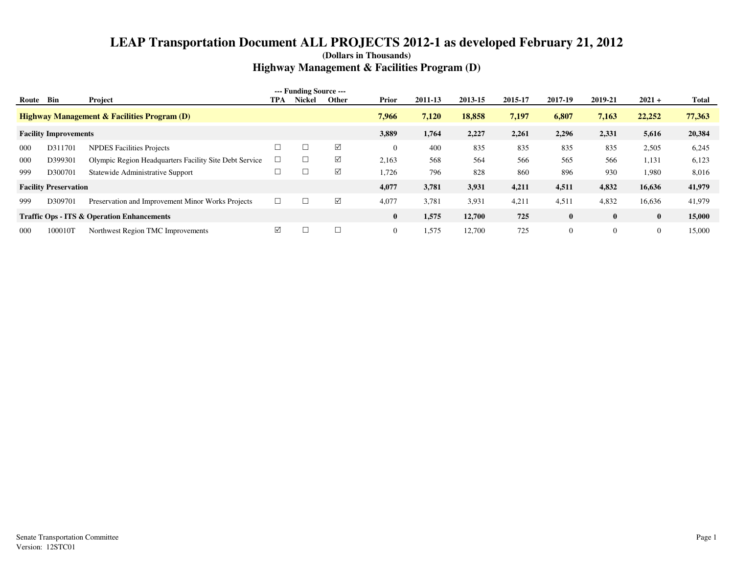| Route | Bin                          | Project                                                | TPA | --- Funding Source ---<br><b>Nickel</b> | <b>Other</b> | Prior    | 2011-13 | 2013-15 | 2015-17 | 2017-19      | 2019-21  | $2021 +$       | Total  |
|-------|------------------------------|--------------------------------------------------------|-----|-----------------------------------------|--------------|----------|---------|---------|---------|--------------|----------|----------------|--------|
|       |                              | <b>Highway Management &amp; Facilities Program (D)</b> |     |                                         |              | 7,966    | 7,120   | 18,858  | 7,197   | 6,807        | 7,163    | 22,252         | 77,363 |
|       | <b>Facility Improvements</b> |                                                        |     |                                         |              | 3,889    | 1,764   | 2,227   | 2,261   | 2,296        | 2,331    | 5,616          | 20,384 |
| 000   | D311701                      | <b>NPDES Facilities Projects</b>                       |     |                                         | ☑            | $\theta$ | 400     | 835     | 835     | 835          | 835      | 2,505          | 6,245  |
| 000   | D399301                      | Olympic Region Headquarters Facility Site Debt Service |     |                                         | ☑            | 2,163    | 568     | 564     | 566     | 565          | 566      | 1,131          | 6,123  |
| 999   | D300701                      | Statewide Administrative Support                       |     |                                         | ☑            | 1,726    | 796     | 828     | 860     | 896          | 930      | 1,980          | 8,016  |
|       | <b>Facility Preservation</b> |                                                        |     |                                         |              | 4,077    | 3,781   | 3,931   | 4,211   | 4,511        | 4,832    | 16,636         | 41,979 |
| 999   | D309701                      | Preservation and Improvement Minor Works Projects      |     |                                         | ☑            | 4,077    | 3,781   | 3,931   | 4,211   | 4,511        | 4,832    | 16,636         | 41,979 |
|       |                              | <b>Traffic Ops - ITS &amp; Operation Enhancements</b>  |     |                                         |              | $\bf{0}$ | 1,575   | 12,700  | 725     | $\bf{0}$     | $\bf{0}$ | $\bf{0}$       | 15,000 |
| 000   | 100010T                      | Northwest Region TMC Improvements                      | ☑   |                                         |              | $\theta$ | 1,575   | 12,700  | 725     | $\mathbf{0}$ |          | $\overline{0}$ | 15,000 |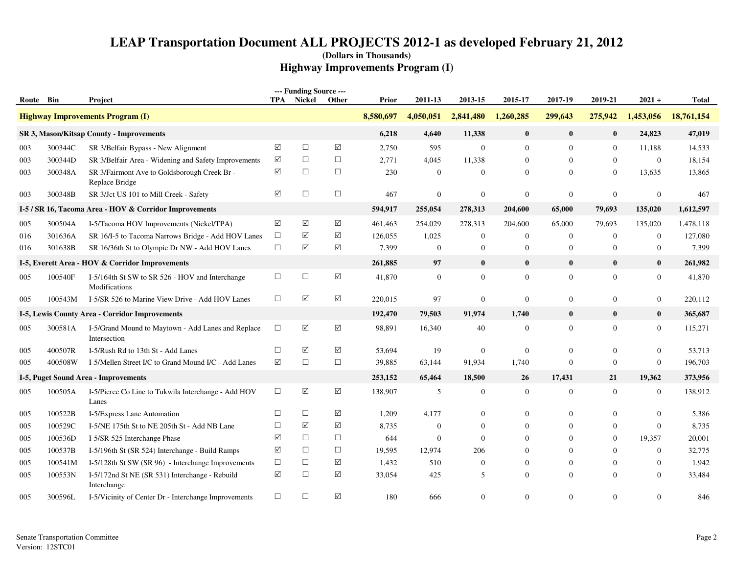| Route Bin |         | Project                                                            |                 | --- Funding Source ---<br><b>TPA</b> Nickel | Other                | <b>Prior</b> | 2011-13          | 2013-15        | 2015-17        | 2017-19          | 2019-21          | $2021 +$         | <b>Total</b> |
|-----------|---------|--------------------------------------------------------------------|-----------------|---------------------------------------------|----------------------|--------------|------------------|----------------|----------------|------------------|------------------|------------------|--------------|
|           |         | <b>Highway Improvements Program (I)</b>                            |                 |                                             |                      | 8,580,697    | 4,050,051        | 2,841,480      | 1,260,285      | 299,643          | 275,942          | 1,453,056        | 18,761,154   |
|           |         | SR 3, Mason/Kitsap County - Improvements                           |                 |                                             |                      | 6,218        | 4,640            | 11,338         | $\bf{0}$       | $\mathbf{0}$     | $\mathbf{0}$     | 24,823           | 47,019       |
| 003       | 300344C | SR 3/Belfair Bypass - New Alignment                                | ☑               | $\Box$                                      | $\blacktriangledown$ | 2,750        | 595              | $\overline{0}$ | $\overline{0}$ | $\overline{0}$   | $\overline{0}$   | 11,188           | 14,533       |
| 003       | 300344D | SR 3/Belfair Area - Widening and Safety Improvements               | $\triangledown$ | $\Box$                                      | $\Box$               | 2,771        | 4,045            | 11,338         | $\Omega$       | $\theta$         | $\mathbf{0}$     | $\mathbf{0}$     | 18,154       |
| 003       | 300348A | SR 3/Fairmont Ave to Goldsborough Creek Br -<br>Replace Bridge     | ☑               | $\Box$                                      | $\Box$               | 230          | $\boldsymbol{0}$ | $\mathbf{0}$   | $\overline{0}$ | $\overline{0}$   | $\mathbf{0}$     | 13,635           | 13,865       |
| 003       | 300348B | SR 3/Jct US 101 to Mill Creek - Safety                             | ✓               | $\Box$                                      | $\Box$               | 467          | $\boldsymbol{0}$ | $\mathbf{0}$   | $\mathbf{0}$   | $\boldsymbol{0}$ | $\boldsymbol{0}$ | $\boldsymbol{0}$ | 467          |
|           |         | I-5 / SR 16, Tacoma Area - HOV & Corridor Improvements             |                 |                                             |                      | 594,917      | 255,054          | 278,313        | 204,600        | 65,000           | 79,693           | 135,020          | 1,612,597    |
| 005       | 300504A | I-5/Tacoma HOV Improvements (Nickel/TPA)                           | $\Delta$        | $\boxed{\mathcal{S}}$                       | $\Delta$             | 461,463      | 254,029          | 278,313        | 204,600        | 65,000           | 79,693           | 135,020          | 1,478,118    |
| 016       | 301636A | SR 16/I-5 to Tacoma Narrows Bridge - Add HOV Lanes                 | $\Box$          | ☑                                           | $\triangledown$      | 126,055      | 1,025            | $\overline{0}$ | $\overline{0}$ | $\mathbf{0}$     | $\mathbf{0}$     | $\boldsymbol{0}$ | 127,080      |
| 016       | 301638B | SR 16/36th St to Olympic Dr NW - Add HOV Lanes                     | $\Box$          | ☑                                           | $\triangledown$      | 7,399        | $\boldsymbol{0}$ | $\mathbf{0}$   | $\overline{0}$ | $\mathbf{0}$     | $\mathbf{0}$     | $\boldsymbol{0}$ | 7,399        |
|           |         | I-5, Everett Area - HOV & Corridor Improvements                    |                 |                                             |                      | 261,885      | 97               | $\bf{0}$       | $\bf{0}$       | $\mathbf{0}$     | $\bf{0}$         | $\bf{0}$         | 261,982      |
| 005       | 100540F | I-5/164th St SW to SR 526 - HOV and Interchange<br>Modifications   | $\Box$          | $\Box$                                      | $\boxed{\checkmark}$ | 41,870       | $\mathbf{0}$     | $\overline{0}$ | $\overline{0}$ | $\overline{0}$   | $\mathbf{0}$     | $\boldsymbol{0}$ | 41,870       |
| 005       | 100543M | I-5/SR 526 to Marine View Drive - Add HOV Lanes                    | $\Box$          | $\sqrt{}$                                   | $\triangledown$      | 220,015      | 97               | $\mathbf{0}$   | $\overline{0}$ | $\mathbf{0}$     | $\overline{0}$   | $\boldsymbol{0}$ | 220,112      |
|           |         | I-5, Lewis County Area - Corridor Improvements                     |                 |                                             |                      | 192,470      | 79,503           | 91,974         | 1,740          | $\bf{0}$         | $\bf{0}$         | $\bf{0}$         | 365,687      |
| 005       | 300581A | I-5/Grand Mound to Maytown - Add Lanes and Replace<br>Intersection | $\Box$          | $\blacktriangledown$                        | $\boxed{\checkmark}$ | 98,891       | 16,340           | 40             | $\mathbf{0}$   | $\overline{0}$   | $\overline{0}$   | $\mathbf{0}$     | 115,271      |
| 005       | 400507R | I-5/Rush Rd to 13th St - Add Lanes                                 | $\Box$          | ☑                                           | $\sqrt{}$            | 53,694       | 19               | $\overline{0}$ | $\overline{0}$ | $\theta$         | $\overline{0}$   | $\mathbf{0}$     | 53,713       |
| 005       | 400508W | I-5/Mellen Street I/C to Grand Mound I/C - Add Lanes               | $\triangledown$ | $\Box$                                      | $\Box$               | 39,885       | 63,144           | 91,934         | 1,740          | $\mathbf{0}$     | $\boldsymbol{0}$ | $\boldsymbol{0}$ | 196,703      |
|           |         | I-5, Puget Sound Area - Improvements                               |                 |                                             |                      | 253,152      | 65,464           | 18,500         | 26             | 17,431           | 21               | 19,362           | 373,956      |
| 005       | 100505A | I-5/Pierce Co Line to Tukwila Interchange - Add HOV<br>Lanes       | $\Box$          | $\sqrt{}$                                   | $\boxed{\checkmark}$ | 138,907      | 5                | $\mathbf{0}$   | $\mathbf{0}$   | $\mathbf{0}$     | $\boldsymbol{0}$ | $\boldsymbol{0}$ | 138,912      |
| 005       | 100522B | I-5/Express Lane Automation                                        | $\Box$          | $\Box$                                      | $\sqrt{}$            | 1,209        | 4,177            | $\mathbf{0}$   | $\Omega$       | $\mathbf{0}$     | $\overline{0}$   | $\overline{0}$   | 5,386        |
| 005       | 100529C | I-5/NE 175th St to NE 205th St - Add NB Lane                       | $\Box$          | ☑                                           | ☑                    | 8,735        | $\boldsymbol{0}$ | $\mathbf{0}$   | 0              | $\overline{0}$   | $\mathbf{0}$     | $\boldsymbol{0}$ | 8,735        |
| 005       | 100536D | I-5/SR 525 Interchange Phase                                       | $\sqrt{}$       | $\Box$                                      | $\Box$               | 644          | $\theta$         | $\Omega$       | $\Omega$       | $\theta$         | $\Omega$         | 19,357           | 20,001       |
| 005       | 100537B | I-5/196th St (SR 524) Interchange - Build Ramps                    | ✓               | $\Box$                                      | $\Box$               | 19,595       | 12,974           | 206            | $\Omega$       | $\mathbf{0}$     | $\mathbf{0}$     | $\boldsymbol{0}$ | 32,775       |
| 005       | 100541M | I-5/128th St SW (SR 96) - Interchange Improvements                 | $\Box$          | $\Box$                                      | ☑                    | 1,432        | 510              | $\overline{0}$ | $\overline{0}$ | $\mathbf{0}$     | $\mathbf{0}$     | $\boldsymbol{0}$ | 1,942        |
| 005       | 100553N | I-5/172nd St NE (SR 531) Interchange - Rebuild<br>Interchange      | ☑               | $\Box$                                      | ☑                    | 33,054       | 425              | 5              | $\Omega$       | $\Omega$         | $\Omega$         | $\Omega$         | 33,484       |
| 005       | 300596L | I-5/Vicinity of Center Dr - Interchange Improvements               | $\Box$          | $\Box$                                      | $\triangledown$      | 180          | 666              | $\Omega$       | $\Omega$       | $\theta$         | $\Omega$         | $\Omega$         | 846          |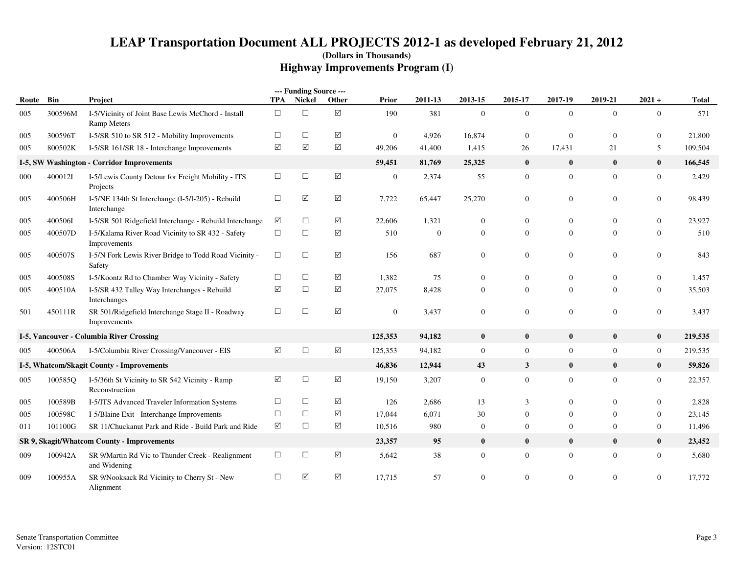|       |         |                                                                          |                 | --- Funding Source --- |                      |                  |          |                  |                  |                  |                  |                  |              |
|-------|---------|--------------------------------------------------------------------------|-----------------|------------------------|----------------------|------------------|----------|------------------|------------------|------------------|------------------|------------------|--------------|
| Route | Bin     | Project                                                                  | TPA             | Nickel                 | Other                | Prior            | 2011-13  | 2013-15          | 2015-17          | 2017-19          | 2019-21          | $2021 +$         | <b>Total</b> |
| 005   | 300596M | I-5/Vicinity of Joint Base Lewis McChord - Install<br><b>Ramp Meters</b> | $\Box$          | $\Box$                 | $\sqrt{ }$           | 190              | 381      | $\overline{0}$   | $\mathbf{0}$     | $\overline{0}$   | $\overline{0}$   | $\mathbf{0}$     | 571          |
| 005   | 300596T | I-5/SR 510 to SR 512 - Mobility Improvements                             | $\Box$          | $\Box$                 | ☑                    | $\mathbf{0}$     | 4,926    | 16,874           | $\mathbf{0}$     | $\overline{0}$   | $\mathbf{0}$     | $\boldsymbol{0}$ | 21,800       |
| 005   | 800502K | I-5/SR 161/SR 18 - Interchange Improvements                              | ☑               | ☑                      | ☑                    | 49,206           | 41,400   | 1,415            | 26               | 17,431           | 21               | 5                | 109,504      |
|       |         | I-5, SW Washington - Corridor Improvements                               |                 |                        |                      | 59,451           | 81,769   | 25,325           | $\bf{0}$         | $\bf{0}$         | $\bf{0}$         | $\bf{0}$         | 166,545      |
| 000   | 400012I | I-5/Lewis County Detour for Freight Mobility - ITS<br>Projects           | $\Box$          | $\Box$                 | $\boxed{\checkmark}$ | $\boldsymbol{0}$ | 2,374    | 55               | $\mathbf{0}$     | $\boldsymbol{0}$ | $\mathbf{0}$     | $\boldsymbol{0}$ | 2,429        |
| 005   | 400506H | I-5/NE 134th St Interchange (I-5/I-205) - Rebuild<br>Interchange         | $\Box$          | $\triangledown$        | ☑                    | 7,722            | 65,447   | 25,270           | $\boldsymbol{0}$ | $\boldsymbol{0}$ | $\overline{0}$   | $\boldsymbol{0}$ | 98,439       |
| 005   | 400506I | I-5/SR 501 Ridgefield Interchange - Rebuild Interchange                  | ☑               | $\Box$                 | ☑                    | 22,606           | 1,321    | $\boldsymbol{0}$ | $\mathbf{0}$     | $\overline{0}$   | $\overline{0}$   | $\boldsymbol{0}$ | 23,927       |
| 005   | 400507D | I-5/Kalama River Road Vicinity to SR 432 - Safety<br>Improvements        | $\Box$          | $\Box$                 | ☑                    | 510              | $\theta$ | $\overline{0}$   | $\overline{0}$   | $\overline{0}$   | $\overline{0}$   | $\mathbf{0}$     | 510          |
| 005   | 400507S | I-5/N Fork Lewis River Bridge to Todd Road Vicinity -<br>Safety          | $\Box$          | $\Box$                 | $\Delta$             | 156              | 687      | $\overline{0}$   | $\mathbf{0}$     | $\mathbf{0}$     | $\overline{0}$   | $\boldsymbol{0}$ | 843          |
| 005   | 400508S | I-5/Koontz Rd to Chamber Way Vicinity - Safety                           | $\Box$          | $\Box$                 | ☑                    | 1,382            | 75       | $\overline{0}$   | $\mathbf{0}$     | $\overline{0}$   | $\overline{0}$   | $\boldsymbol{0}$ | 1,457        |
| 005   | 400510A | I-5/SR 432 Talley Way Interchanges - Rebuild<br>Interchanges             | ☑               | $\Box$                 | $\Delta$             | 27,075           | 8,428    | $\overline{0}$   | $\overline{0}$   | $\mathbf{0}$     | $\overline{0}$   | $\overline{0}$   | 35,503       |
| 501   | 450111R | SR 501/Ridgefield Interchange Stage II - Roadway<br>Improvements         | $\Box$          | $\Box$                 | ☑                    | $\mathbf{0}$     | 3,437    | $\overline{0}$   | $\boldsymbol{0}$ | $\mathbf{0}$     | $\boldsymbol{0}$ | $\overline{0}$   | 3,437        |
|       |         | I-5, Vancouver - Columbia River Crossing                                 |                 |                        |                      | 125,353          | 94,182   | $\bf{0}$         | $\bf{0}$         | $\bf{0}$         | $\bf{0}$         | $\bf{0}$         | 219,535      |
| 005   | 400506A | I-5/Columbia River Crossing/Vancouver - EIS                              | ☑               | $\Box$                 | $\sqrt{ }$           | 125,353          | 94,182   | $\mathbf{0}$     | $\overline{0}$   | $\overline{0}$   | $\overline{0}$   | $\boldsymbol{0}$ | 219,535      |
|       |         | I-5, Whatcom/Skagit County - Improvements                                |                 |                        |                      | 46,836           | 12,944   | 43               | $\mathbf{3}$     | $\bf{0}$         | $\bf{0}$         | $\bf{0}$         | 59,826       |
| 005   | 100585Q | I-5/36th St Vicinity to SR 542 Vicinity - Ramp<br>Reconstruction         | ☑               | $\Box$                 | ✓                    | 19,150           | 3,207    | $\mathbf{0}$     | $\boldsymbol{0}$ | $\boldsymbol{0}$ | $\mathbf{0}$     | $\boldsymbol{0}$ | 22,357       |
| 005   | 100589B | I-5/ITS Advanced Traveler Information Systems                            | $\Box$          | $\Box$                 | ✓                    | 126              | 2,686    | 13               | 3                | $\mathbf{0}$     | $\overline{0}$   | $\boldsymbol{0}$ | 2,828        |
| 005   | 100598C | I-5/Blaine Exit - Interchange Improvements                               | $\Box$          | $\Box$                 | ☑                    | 17,044           | 6,071    | 30               | $\Omega$         | $\overline{0}$   | $\Omega$         | $\overline{0}$   | 23,145       |
| 011   | 101100G | SR 11/Chuckanut Park and Ride - Build Park and Ride                      | $\triangledown$ | $\Box$                 | ✓                    | 10,516           | 980      | $\mathbf{0}$     | $\overline{0}$   | $\mathbf{0}$     | $\boldsymbol{0}$ | $\boldsymbol{0}$ | 11,496       |
|       |         | SR 9, Skagit/Whatcom County - Improvements                               |                 |                        |                      | 23,357           | 95       | $\bf{0}$         | $\bf{0}$         | $\bf{0}$         | $\bf{0}$         | $\bf{0}$         | 23,452       |
| 009   | 100942A | SR 9/Martin Rd Vic to Thunder Creek - Realignment<br>and Widening        | $\Box$          | $\Box$                 | ✓                    | 5,642            | 38       | $\boldsymbol{0}$ | $\mathbf{0}$     | $\mathbf{0}$     | $\overline{0}$   | $\boldsymbol{0}$ | 5,680        |
| 009   | 100955A | SR 9/Nooksack Rd Vicinity to Cherry St - New<br>Alignment                | $\Box$          | ☑                      | $\triangledown$      | 17,715           | 57       | $\mathbf{0}$     | $\overline{0}$   | $\mathbf{0}$     | $\overline{0}$   | $\theta$         | 17,772       |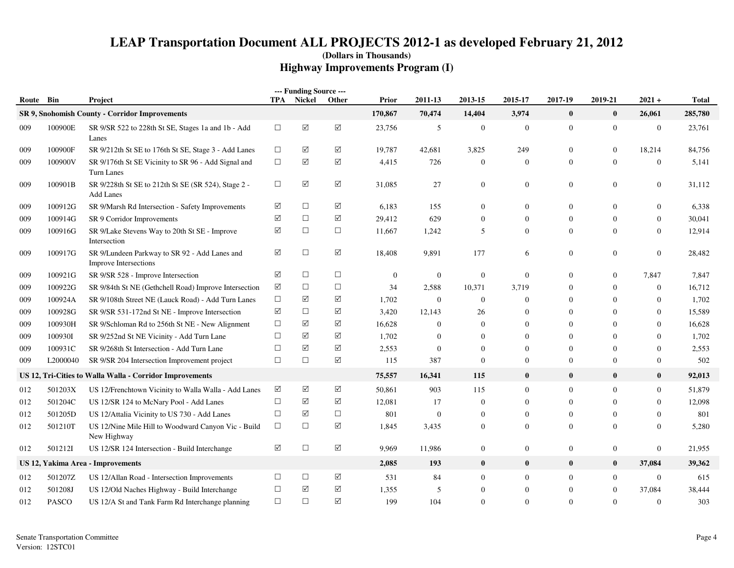| Route Bin |          | Project                                                                 | <b>TPA</b> | --- Funding Source ---<br>Nickel | Other                | Prior          | 2011-13          | 2013-15          | 2015-17          | 2017-19          | 2019-21          | $2021 +$         | <b>Total</b> |
|-----------|----------|-------------------------------------------------------------------------|------------|----------------------------------|----------------------|----------------|------------------|------------------|------------------|------------------|------------------|------------------|--------------|
|           |          | SR 9, Snohomish County - Corridor Improvements                          |            |                                  |                      | 170,867        | 70,474           | 14,404           | 3,974            | $\bf{0}$         | $\bf{0}$         | 26,061           | 285,780      |
| 009       | 100900E  | SR 9/SR 522 to 228th St SE, Stages 1a and 1b - Add<br>Lanes             | $\Box$     | ☑                                | $\sqrt{ }$           | 23,756         | $\sqrt{5}$       | $\mathbf{0}$     | $\boldsymbol{0}$ | $\boldsymbol{0}$ | $\boldsymbol{0}$ | $\boldsymbol{0}$ | 23,761       |
| 009       | 100900F  | SR 9/212th St SE to 176th St SE, Stage 3 - Add Lanes                    | $\Box$     | ☑                                | $\blacktriangledown$ | 19,787         | 42,681           | 3,825            | 249              | $\mathbf{0}$     | $\overline{0}$   | 18,214           | 84,756       |
| 009       | 100900V  | SR 9/176th St SE Vicinity to SR 96 - Add Signal and<br>Turn Lanes       | $\Box$     | $\blacktriangledown$             | $\boxed{\checkmark}$ | 4,415          | 726              | $\overline{0}$   | $\mathbf{0}$     | $\boldsymbol{0}$ | $\mathbf{0}$     | $\boldsymbol{0}$ | 5,141        |
| 009       | 100901B  | SR 9/228th St SE to 212th St SE (SR 524), Stage 2 -<br><b>Add Lanes</b> | $\Box$     | $\triangledown$                  | ☑                    | 31,085         | 27               | $\mathbf{0}$     | $\boldsymbol{0}$ | $\mathbf{0}$     | $\overline{0}$   | $\boldsymbol{0}$ | 31,112       |
| 009       | 100912G  | SR 9/Marsh Rd Intersection - Safety Improvements                        | ☑          | $\Box$                           | $\boxed{\checkmark}$ | 6,183          | 155              | $\mathbf{0}$     | $\boldsymbol{0}$ | $\mathbf{0}$     | $\overline{0}$   | $\boldsymbol{0}$ | 6,338        |
| 009       | 100914G  | SR 9 Corridor Improvements                                              | ☑          | $\Box$                           | $\triangledown$      | 29,412         | 629              | $\Omega$         | $\mathbf{0}$     | $\mathbf{0}$     | $\mathbf{0}$     | $\boldsymbol{0}$ | 30,041       |
| 009       | 100916G  | SR 9/Lake Stevens Way to 20th St SE - Improve<br>Intersection           | ☑          | $\Box$                           | $\Box$               | 11,667         | 1,242            | 5                | $\mathbf{0}$     | $\overline{0}$   | $\overline{0}$   | $\mathbf{0}$     | 12,914       |
| 009       | 100917G  | SR 9/Lundeen Parkway to SR 92 - Add Lanes and<br>Improve Intersections  | ☑          | $\Box$                           | $\boxed{\checkmark}$ | 18,408         | 9,891            | 177              | 6                | $\mathbf{0}$     | $\overline{0}$   | $\boldsymbol{0}$ | 28,482       |
| 009       | 100921G  | SR 9/SR 528 - Improve Intersection                                      | ☑          | $\Box$                           | $\Box$               | $\overline{0}$ | $\mathbf{0}$     | $\mathbf{0}$     | $\mathbf{0}$     | $\mathbf{0}$     | $\overline{0}$   | 7,847            | 7,847        |
| 009       | 100922G  | SR 9/84th St NE (Gethchell Road) Improve Intersection                   | ☑          | $\Box$                           | $\Box$               | 34             | 2,588            | 10,371           | 3,719            | $\mathbf{0}$     | $\mathbf{0}$     | $\boldsymbol{0}$ | 16,712       |
| 009       | 100924A  | SR 9/108th Street NE (Lauck Road) - Add Turn Lanes                      | $\Box$     | $\blacktriangledown$             | $\triangledown$      | 1,702          | $\boldsymbol{0}$ | $\mathbf{0}$     | $\boldsymbol{0}$ | $\mathbf{0}$     | $\mathbf{0}$     | $\boldsymbol{0}$ | 1,702        |
| 009       | 100928G  | SR 9/SR 531-172nd St NE - Improve Intersection                          | ☑          | $\Box$                           | ☑                    | 3,420          | 12,143           | 26               | $\boldsymbol{0}$ | $\mathbf{0}$     | $\theta$         | $\boldsymbol{0}$ | 15,589       |
| 009       | 100930H  | SR 9/Schloman Rd to 256th St NE - New Alignment                         | $\Box$     | ☑                                | ☑                    | 16,628         | $\mathbf{0}$     | $\mathbf{0}$     | $\Omega$         | $\mathbf{0}$     | $\Omega$         | $\mathbf{0}$     | 16,628       |
| 009       | 100930I  | SR 9/252nd St NE Vicinity - Add Turn Lane                               | $\Box$     | ☑                                | ☑                    | 1,702          | $\mathbf{0}$     | $\Omega$         | $\mathbf{0}$     | $\mathbf{0}$     | $\Omega$         | $\mathbf{0}$     | 1,702        |
| 009       | 100931C  | SR 9/268th St Intersection - Add Turn Lane                              | $\Box$     | ☑                                | ☑                    | 2,553          | $\mathbf{0}$     | $\Omega$         | $\mathbf{0}$     | $\mathbf{0}$     | $\Omega$         | $\mathbf{0}$     | 2,553        |
| 009       | L2000040 | SR 9/SR 204 Intersection Improvement project                            | $\Box$     | $\Box$                           | $\boxed{\checkmark}$ | 115            | 387              | $\mathbf{0}$     | $\boldsymbol{0}$ | $\mathbf{0}$     | $\mathbf{0}$     | $\boldsymbol{0}$ | 502          |
|           |          | US 12, Tri-Cities to Walla Walla - Corridor Improvements                |            |                                  |                      | 75,557         | 16,341           | 115              | $\bf{0}$         | $\bf{0}$         | $\bf{0}$         | $\bf{0}$         | 92,013       |
| 012       | 501203X  | US 12/Frenchtown Vicinity to Walla Walla - Add Lanes                    | ☑          | ☑                                | $\sqrt{}$            | 50,861         | 903              | 115              | $\mathbf{0}$     | $\overline{0}$   | $\overline{0}$   | $\boldsymbol{0}$ | 51,879       |
| 012       | 501204C  | US 12/SR 124 to McNary Pool - Add Lanes                                 | $\Box$     | ☑                                | ☑                    | 12,081         | 17               | $\boldsymbol{0}$ | $\mathbf{0}$     | $\boldsymbol{0}$ | $\mathbf{0}$     | $\boldsymbol{0}$ | 12,098       |
| 012       | 501205D  | US 12/Attalia Vicinity to US 730 - Add Lanes                            | $\Box$     | ☑                                | $\Box$               | 801            | $\overline{0}$   | $\mathbf{0}$     | $\mathbf{0}$     | $\mathbf{0}$     | $\overline{0}$   | $\mathbf{0}$     | 801          |
| 012       | 501210T  | US 12/Nine Mile Hill to Woodward Canyon Vic - Build<br>New Highway      | $\Box$     | $\Box$                           | ☑                    | 1,845          | 3,435            | $\mathbf{0}$     | $\boldsymbol{0}$ | $\mathbf{0}$     | $\overline{0}$   | $\mathbf{0}$     | 5,280        |
| 012       | 501212I  | US 12/SR 124 Intersection - Build Interchange                           | ☑          | $\Box$                           | $\boxed{\checkmark}$ | 9,969          | 11,986           | $\mathbf{0}$     | $\boldsymbol{0}$ | $\boldsymbol{0}$ | $\boldsymbol{0}$ | $\boldsymbol{0}$ | 21,955       |
|           |          | US 12, Yakima Area - Improvements                                       |            |                                  |                      | 2,085          | 193              | $\bf{0}$         | $\bf{0}$         | $\bf{0}$         | $\bf{0}$         | 37,084           | 39,362       |
| 012       | 501207Z  | US 12/Allan Road - Intersection Improvements                            | $\Box$     | $\Box$                           | $\triangledown$      | 531            | 84               | $\overline{0}$   | $\boldsymbol{0}$ | $\mathbf{0}$     | $\overline{0}$   | $\mathbf{0}$     | 615          |
| 012       | 501208J  | US 12/Old Naches Highway - Build Interchange                            | $\Box$     | ☑                                | ☑                    | 1,355          | 5                | $\overline{0}$   | $\boldsymbol{0}$ | $\mathbf{0}$     | $\overline{0}$   | 37,084           | 38,444       |
| 012       | PASCO    | US 12/A St and Tank Farm Rd Interchange planning                        | $\Box$     | $\Box$                           | $\blacktriangledown$ | 199            | 104              | $\Omega$         | $\mathbf{0}$     | $\Omega$         | $\overline{0}$   | $\mathbf{0}$     | 303          |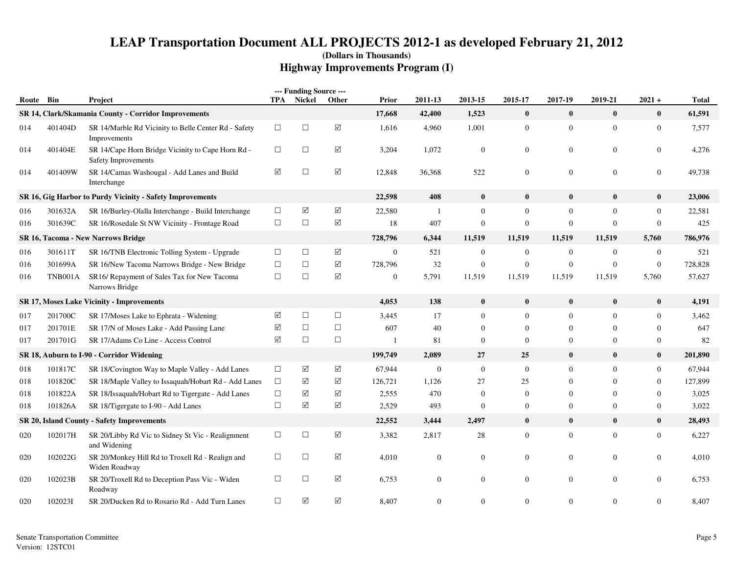|       |         |                                                                          |        | --- Funding Source --- |                      |                  |                |                |                  |                  |                  |                  |              |
|-------|---------|--------------------------------------------------------------------------|--------|------------------------|----------------------|------------------|----------------|----------------|------------------|------------------|------------------|------------------|--------------|
| Route | Bin     | Project                                                                  | TPA    | Nickel                 | Other                | Prior            | 2011-13        | 2013-15        | 2015-17          | 2017-19          | 2019-21          | $2021 +$         | <b>Total</b> |
|       |         | SR 14, Clark/Skamania County - Corridor Improvements                     |        |                        |                      | 17,668           | 42,400         | 1,523          | $\pmb{0}$        | $\bf{0}$         | $\mathbf{0}$     | $\bf{0}$         | 61,591       |
| 014   | 401404D | SR 14/Marble Rd Vicinity to Belle Center Rd - Safety<br>Improvements     | $\Box$ | $\Box$                 | $\boxed{\checkmark}$ | 1,616            | 4,960          | 1,001          | $\mathbf{0}$     | $\mathbf{0}$     | $\overline{0}$   | $\boldsymbol{0}$ | 7,577        |
| 014   | 401404E | SR 14/Cape Horn Bridge Vicinity to Cape Horn Rd -<br>Safety Improvements | $\Box$ | $\Box$                 | $\boxed{\searrow}$   | 3,204            | 1,072          | $\mathbf{0}$   | $\overline{0}$   | $\boldsymbol{0}$ | $\overline{0}$   | $\overline{0}$   | 4,276        |
| 014   | 401409W | SR 14/Camas Washougal - Add Lanes and Build<br>Interchange               | ☑      | $\Box$                 | $\boxed{\searrow}$   | 12,848           | 36,368         | 522            | $\overline{0}$   | $\mathbf{0}$     | $\mathbf{0}$     | $\overline{0}$   | 49,738       |
|       |         | SR 16, Gig Harbor to Purdy Vicinity - Safety Improvements                |        |                        |                      | 22,598           | 408            | $\bf{0}$       | $\bf{0}$         | $\bf{0}$         | $\bf{0}$         | $\bf{0}$         | 23,006       |
| 016   | 301632A | SR 16/Burley-Olalla Interchange - Build Interchange                      | $\Box$ | ☑                      | ☑                    | 22,580           | $\mathbf{1}$   | $\overline{0}$ | $\mathbf{0}$     | $\mathbf{0}$     | $\Omega$         | $\mathbf{0}$     | 22,581       |
| 016   | 301639C | SR 16/Rosedale St NW Vicinity - Frontage Road                            | $\Box$ | $\Box$                 | $\boxed{\searrow}$   | 18               | 407            | $\mathbf{0}$   | $\mathbf{0}$     | $\mathbf{0}$     | $\Omega$         | $\mathbf{0}$     | 425          |
|       |         | <b>SR 16, Tacoma - New Narrows Bridge</b>                                |        |                        |                      | 728,796          | 6,344          | 11,519         | 11,519           | 11,519           | 11,519           | 5,760            | 786,976      |
| 016   | 301611T | SR 16/TNB Electronic Tolling System - Upgrade                            | $\Box$ | $\Box$                 | ☑                    | $\overline{0}$   | 521            | $\overline{0}$ | $\overline{0}$   | $\mathbf{0}$     | $\mathbf{0}$     | $\overline{0}$   | 521          |
| 016   | 301699A | SR 16/New Tacoma Narrows Bridge - New Bridge                             | $\Box$ | $\Box$                 | ☑                    | 728,796          | 32             | $\mathbf{0}$   | $\boldsymbol{0}$ | $\boldsymbol{0}$ | $\boldsymbol{0}$ | $\mathbf{0}$     | 728,828      |
| 016   | TNB001A | SR16/ Repayment of Sales Tax for New Tacoma<br>Narrows Bridge            | $\Box$ | $\Box$                 | $\sqrt{}$            | $\boldsymbol{0}$ | 5,791          | 11,519         | 11,519           | 11,519           | 11,519           | 5,760            | 57,627       |
|       |         | SR 17, Moses Lake Vicinity - Improvements                                |        |                        |                      | 4,053            | 138            | $\bf{0}$       | $\bf{0}$         | $\bf{0}$         | $\bf{0}$         | $\bf{0}$         | 4,191        |
| 017   | 201700C | SR 17/Moses Lake to Ephrata - Widening                                   | ☑      | $\Box$                 | $\Box$               | 3,445            | 17             | $\overline{0}$ | $\overline{0}$   | $\mathbf{0}$     | $\overline{0}$   | $\mathbf{0}$     | 3,462        |
| 017   | 201701E | SR 17/N of Moses Lake - Add Passing Lane                                 | ☑      | $\Box$                 | $\Box$               | 607              | 40             | $\mathbf{0}$   | $\overline{0}$   | $\mathbf{0}$     | $\theta$         | $\overline{0}$   | 647          |
| 017   | 201701G | SR 17/Adams Co Line - Access Control                                     | ☑      | $\Box$                 | $\Box$               |                  | 81             | $\overline{0}$ | $\mathbf{0}$     | $\mathbf{0}$     | $\Omega$         | $\overline{0}$   | 82           |
|       |         | SR 18, Auburn to I-90 - Corridor Widening                                |        |                        |                      | 199,749          | 2,089          | 27             | 25               | $\bf{0}$         | $\bf{0}$         | $\bf{0}$         | 201,890      |
| 018   | 101817C | SR 18/Covington Way to Maple Valley - Add Lanes                          | $\Box$ | ☑                      | ☑                    | 67,944           | $\mathbf{0}$   | $\mathbf{0}$   | $\mathbf{0}$     | $\mathbf{0}$     | $\overline{0}$   | $\overline{0}$   | 67,944       |
| 018   | 101820C | SR 18/Maple Valley to Issaquah/Hobart Rd - Add Lanes                     | $\Box$ | ☑                      | ☑                    | 126,721          | 1,126          | 27             | 25               | $\mathbf{0}$     | $\theta$         | $\overline{0}$   | 127,899      |
| 018   | 101822A | SR 18/Issaquah/Hobart Rd to Tigergate - Add Lanes                        | $\Box$ | ☑                      | $\sqrt{}$            | 2,555            | 470            | $\mathbf{0}$   | $\overline{0}$   | $\mathbf{0}$     | $\Omega$         | $\mathbf{0}$     | 3,025        |
| 018   | 101826A | SR 18/Tigergate to I-90 - Add Lanes                                      | $\Box$ | ☑                      | $\sqrt{}$            | 2,529            | 493            | $\Omega$       | $\overline{0}$   | $\mathbf{0}$     | $\Omega$         | $\overline{0}$   | 3,022        |
|       |         | <b>SR 20, Island County - Safety Improvements</b>                        |        |                        |                      | 22,552           | 3,444          | 2,497          | $\bf{0}$         | $\bf{0}$         | $\bf{0}$         | $\bf{0}$         | 28,493       |
| 020   | 102017H | SR 20/Libby Rd Vic to Sidney St Vic - Realignment<br>and Widening        | $\Box$ | $\Box$                 | ☑                    | 3,382            | 2,817          | 28             | $\mathbf{0}$     | $\mathbf{0}$     | $\overline{0}$   | $\overline{0}$   | 6,227        |
| 020   | 102022G | SR 20/Monkey Hill Rd to Troxell Rd - Realign and<br>Widen Roadway        | $\Box$ | $\Box$                 | $\sqrt{}$            | 4,010            | $\mathbf{0}$   | $\overline{0}$ | $\mathbf{0}$     | $\mathbf{0}$     | $\overline{0}$   | $\overline{0}$   | 4.010        |
| 020   | 102023B | SR 20/Troxell Rd to Deception Pass Vic - Widen<br>Roadway                | $\Box$ | $\Box$                 | $\sqrt{}$            | 6,753            | $\overline{0}$ | $\mathbf{0}$   | $\overline{0}$   | $\mathbf{0}$     | $\overline{0}$   | $\mathbf{0}$     | 6,753        |
| 020   | 102023I | SR 20/Ducken Rd to Rosario Rd - Add Turn Lanes                           | $\Box$ | ☑                      | ☑                    | 8,407            | $\Omega$       | $\Omega$       | $\Omega$         | $\Omega$         | $\Omega$         | $\overline{0}$   | 8,407        |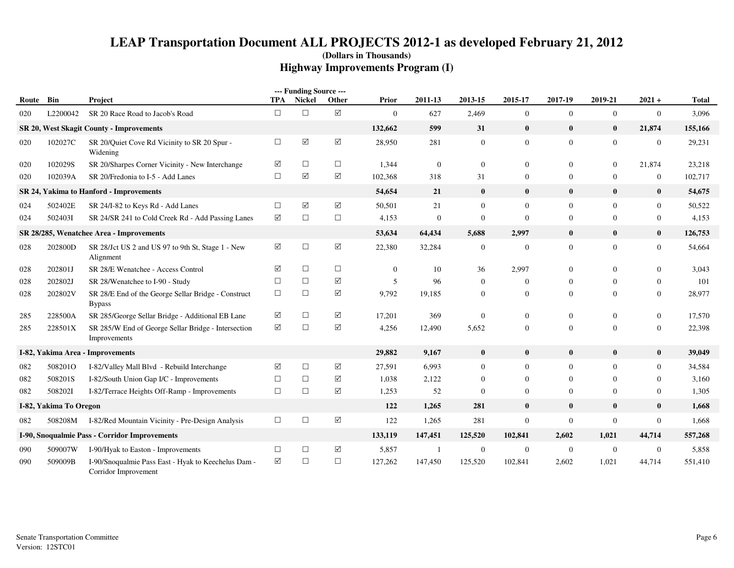|       |                        |                                                                             |                 | --- Funding Source --- |                      |              |                |                  |                |                |                |                  |              |
|-------|------------------------|-----------------------------------------------------------------------------|-----------------|------------------------|----------------------|--------------|----------------|------------------|----------------|----------------|----------------|------------------|--------------|
| Route | Bin                    | Project                                                                     | TPA             | <b>Nickel</b>          | Other                | Prior        | 2011-13        | 2013-15          | 2015-17        | 2017-19        | 2019-21        | $2021 +$         | <b>Total</b> |
| 020   | L2200042               | SR 20 Race Road to Jacob's Road                                             | $\Box$          | $\Box$                 | $\boxed{\checkmark}$ | $\mathbf{0}$ | 627            | 2,469            | $\mathbf{0}$   | $\mathbf{0}$   | $\overline{0}$ | $\mathbf{0}$     | 3,096        |
|       |                        | SR 20, West Skagit County - Improvements                                    |                 |                        |                      | 132,662      | 599            | 31               | $\bf{0}$       | $\bf{0}$       | $\bf{0}$       | 21,874           | 155,166      |
| 020   | 102027C                | SR 20/Quiet Cove Rd Vicinity to SR 20 Spur -<br>Widening                    | $\Box$          | $\boxed{\searrow}$     | $\Delta$             | 28,950       | 281            | $\boldsymbol{0}$ | $\mathbf{0}$   | $\mathbf{0}$   | $\overline{0}$ | $\mathbf{0}$     | 29,231       |
| 020   | 102029S                | SR 20/Sharpes Corner Vicinity - New Interchange                             | ☑               | $\Box$                 | $\Box$               | 1,344        | $\overline{0}$ | $\overline{0}$   | $\overline{0}$ | $\overline{0}$ | $\overline{0}$ | 21,874           | 23,218       |
| 020   | 102039A                | SR 20/Fredonia to I-5 - Add Lanes                                           | $\Box$          | ☑                      | $\triangledown$      | 102,368      | 318            | 31               | $\overline{0}$ | $\overline{0}$ | $\mathbf{0}$   | $\boldsymbol{0}$ | 102,717      |
|       |                        | SR 24, Yakima to Hanford - Improvements                                     |                 |                        |                      | 54,654       | 21             | $\mathbf{0}$     | $\bf{0}$       | $\mathbf{0}$   | $\bf{0}$       | $\bf{0}$         | 54,675       |
| 024   | 502402E                | SR 24/I-82 to Keys Rd - Add Lanes                                           | $\Box$          | ☑                      | $\triangledown$      | 50,501       | 21             | $\Omega$         | $\overline{0}$ | $\overline{0}$ | $\Omega$       | $\mathbf{0}$     | 50,522       |
| 024   | 5024031                | SR 24/SR 241 to Cold Creek Rd - Add Passing Lanes                           | $\triangledown$ | $\Box$                 | $\Box$               | 4,153        | $\theta$       | $\Omega$         | $\Omega$       | $\mathbf{0}$   | $\Omega$       | $\boldsymbol{0}$ | 4,153        |
|       |                        | SR 28/285, Wenatchee Area - Improvements                                    |                 |                        |                      | 53,634       | 64,434         | 5,688            | 2,997          | $\bf{0}$       | $\bf{0}$       | $\bf{0}$         | 126,753      |
| 028   | 202800D                | SR 28/Jct US 2 and US 97 to 9th St, Stage 1 - New<br>Alignment              | $\Delta$        | $\Box$                 | $\boxed{\checkmark}$ | 22,380       | 32,284         | $\mathbf{0}$     | $\mathbf{0}$   | $\mathbf{0}$   | $\mathbf{0}$   | $\boldsymbol{0}$ | 54,664       |
| 028   | 202801J                | SR 28/E Wenatchee - Access Control                                          | ☑               | $\Box$                 | $\Box$               | $\mathbf{0}$ | 10             | 36               | 2,997          | $\mathbf{0}$   | $\mathbf{0}$   | $\overline{0}$   | 3,043        |
| 028   | 202802J                | SR 28/Wenatchee to I-90 - Study                                             | $\Box$          | $\Box$                 | $\triangledown$      | 5            | 96             | $\Omega$         | $\overline{0}$ | $\mathbf{0}$   | $\mathbf{0}$   | $\overline{0}$   | 101          |
| 028   | 202802V                | SR 28/E End of the George Sellar Bridge - Construct<br><b>Bypass</b>        | $\Box$          | $\Box$                 | $\triangledown$      | 9,792        | 19,185         | $\mathbf{0}$     | $\overline{0}$ | $\mathbf{0}$   | $\overline{0}$ | $\overline{0}$   | 28,977       |
| 285   | 228500A                | SR 285/George Sellar Bridge - Additional EB Lane                            | ☑               | $\Box$                 | ☑                    | 17,201       | 369            | $\mathbf{0}$     | $\overline{0}$ | $\mathbf{0}$   | $\mathbf{0}$   | $\boldsymbol{0}$ | 17,570       |
| 285   | 228501X                | SR 285/W End of George Sellar Bridge - Intersection<br>Improvements         | ☑               | $\Box$                 | $\triangledown$      | 4,256        | 12,490         | 5,652            | $\overline{0}$ | $\mathbf{0}$   | $\Omega$       | $\overline{0}$   | 22,398       |
|       |                        | I-82, Yakima Area - Improvements                                            |                 |                        |                      | 29,882       | 9,167          | $\bf{0}$         | $\bf{0}$       | $\bf{0}$       | $\bf{0}$       | $\bf{0}$         | 39,049       |
| 082   | 508201O                | I-82/Valley Mall Blvd - Rebuild Interchange                                 | ☑               | $\Box$                 | $\blacktriangledown$ | 27,591       | 6,993          | $\overline{0}$   | $\overline{0}$ | $\overline{0}$ | $\Omega$       | $\overline{0}$   | 34,584       |
| 082   | 508201S                | I-82/South Union Gap I/C - Improvements                                     | $\Box$          | $\Box$                 | ☑                    | 1,038        | 2,122          | $\mathbf{0}$     | $\overline{0}$ | $\mathbf{0}$   | $\mathbf{0}$   | 0                | 3,160        |
| 082   | 508202I                | I-82/Terrace Heights Off-Ramp - Improvements                                | $\Box$          | $\Box$                 | $\triangledown$      | 1,253        | 52             | $\Omega$         | $\Omega$       | $\mathbf{0}$   | $\Omega$       | $\overline{0}$   | 1,305        |
|       | I-82, Yakima To Oregon |                                                                             |                 |                        |                      | 122          | 1,265          | 281              | $\bf{0}$       | $\bf{0}$       | $\bf{0}$       | $\bf{0}$         | 1,668        |
| 082   | 508208M                | I-82/Red Mountain Vicinity - Pre-Design Analysis                            | $\Box$          | $\Box$                 | $\Delta$             | 122          | 1,265          | 281              | $\mathbf{0}$   | $\mathbf{0}$   | $\mathbf{0}$   | $\boldsymbol{0}$ | 1,668        |
|       |                        | I-90, Snoqualmie Pass - Corridor Improvements                               |                 |                        |                      | 133,119      | 147,451        | 125,520          | 102,841        | 2,602          | 1,021          | 44,714           | 557,268      |
| 090   | 509007W                | I-90/Hyak to Easton - Improvements                                          | $\Box$          | $\Box$                 | ☑                    | 5,857        |                | $\overline{0}$   | $\overline{0}$ | $\mathbf{0}$   | $\mathbf{0}$   | $\boldsymbol{0}$ | 5,858        |
| 090   | 509009B                | I-90/Snoqualmie Pass East - Hyak to Keechelus Dam -<br>Corridor Improvement | ☑               | $\Box$                 | $\Box$               | 127,262      | 147,450        | 125,520          | 102,841        | 2,602          | 1,021          | 44,714           | 551,410      |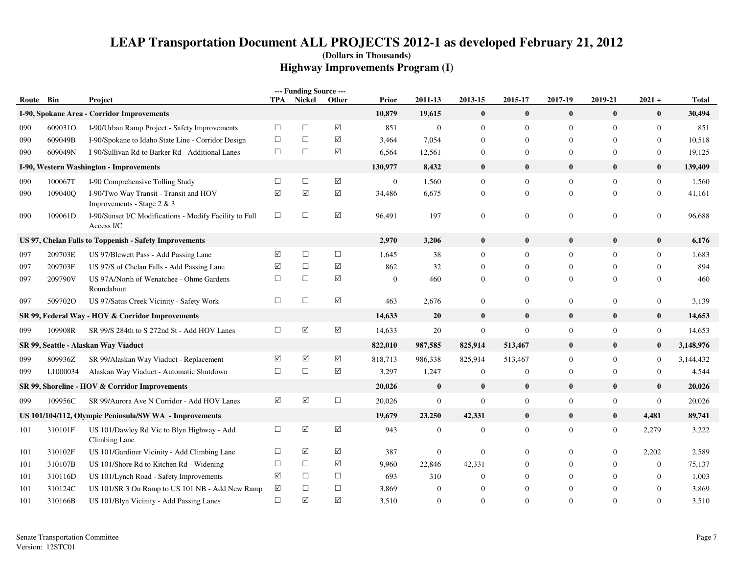| Route Bin  |                    | Project                                                                                             | TPA             | --- Funding Source ---<br>Nickel | Other                | Prior            | 2011-13          | 2013-15          | 2015-17                          | 2017-19        | 2019-21          | $2021 +$                           | <b>Total</b>  |
|------------|--------------------|-----------------------------------------------------------------------------------------------------|-----------------|----------------------------------|----------------------|------------------|------------------|------------------|----------------------------------|----------------|------------------|------------------------------------|---------------|
|            |                    | I-90, Spokane Area - Corridor Improvements                                                          |                 |                                  |                      | 10,879           | 19,615           | $\bf{0}$         | $\bf{0}$                         | $\mathbf{0}$   | $\bf{0}$         | $\bf{0}$                           | 30,494        |
|            |                    |                                                                                                     | $\Box$          | $\Box$                           | $\Delta$             |                  | $\mathbf{0}$     | $\mathbf{0}$     |                                  | $\overline{0}$ | $\mathbf{0}$     |                                    |               |
| 090        | 609031O<br>609049B | I-90/Urban Ramp Project - Safety Improvements<br>I-90/Spokane to Idaho State Line - Corridor Design | $\Box$          | $\Box$                           | $\sqrt{}$            | 851<br>3,464     | 7,054            | $\mathbf{0}$     | $\overline{0}$<br>$\overline{0}$ | $\overline{0}$ | $\mathbf{0}$     | $\overline{0}$<br>$\boldsymbol{0}$ | 851<br>10,518 |
| 090<br>090 | 609049N            | I-90/Sullivan Rd to Barker Rd - Additional Lanes                                                    | $\Box$          | $\Box$                           | ☑                    | 6,564            | 12,561           | $\mathbf{0}$     | $\overline{0}$                   | $\mathbf{0}$   | $\mathbf{0}$     | $\boldsymbol{0}$                   | 19,125        |
|            |                    |                                                                                                     |                 |                                  |                      |                  |                  | $\bf{0}$         | $\mathbf{0}$                     | $\bf{0}$       |                  | $\bf{0}$                           | 139,409       |
|            |                    | I-90, Western Washington - Improvements                                                             |                 |                                  |                      | 130,977          | 8,432            |                  |                                  |                | $\bf{0}$         |                                    |               |
| 090        | 100067T            | I-90 Comprehensive Tolling Study                                                                    | $\Box$          | $\Box$                           | $\sqrt{}$            | $\boldsymbol{0}$ | 1,560            | $\mathbf{0}$     | $\mathbf{0}$                     | $\mathbf{0}$   | $\mathbf{0}$     | $\boldsymbol{0}$                   | 1,560         |
| 090        | 109040Q            | I-90/Two Way Transit - Transit and HOV<br>Improvements - Stage 2 & 3                                | $\triangledown$ | ☑                                | $\Delta$             | 34,486           | 6,675            | $\boldsymbol{0}$ | $\mathbf{0}$                     | $\mathbf{0}$   | $\overline{0}$   | $\boldsymbol{0}$                   | 41,161        |
| 090        | 109061D            | I-90/Sunset I/C Modifications - Modify Facility to Full<br>Access I/C                               | $\Box$          | $\Box$                           | $\boxed{\checkmark}$ | 96,491           | 197              | $\boldsymbol{0}$ | $\mathbf{0}$                     | $\mathbf{0}$   | $\overline{0}$   | $\boldsymbol{0}$                   | 96,688        |
|            |                    | US 97, Chelan Falls to Toppenish - Safety Improvements                                              |                 |                                  |                      | 2,970            | 3,206            | $\bf{0}$         | $\bf{0}$                         | $\bf{0}$       | $\bf{0}$         | $\bf{0}$                           | 6,176         |
| 097        | 209703E            | US 97/Blewett Pass - Add Passing Lane                                                               | $\triangledown$ | $\Box$                           | $\Box$               | 1,645            | 38               | $\mathbf{0}$     | $\mathbf{0}$                     | $\mathbf{0}$   | $\overline{0}$   | $\overline{0}$                     | 1,683         |
| 097        | 209703F            | US 97/S of Chelan Falls - Add Passing Lane                                                          | ☑               | $\Box$                           | $\sqrt{}$            | 862              | 32               | $\Omega$         | $\Omega$                         | $\mathbf{0}$   | $\Omega$         | $\Omega$                           | 894           |
| 097        | 209790V            | US 97A/North of Wenatchee - Ohme Gardens<br>Roundabout                                              | $\Box$          | $\Box$                           | $\sqrt{}$            | $\overline{0}$   | 460              | $\mathbf{0}$     | $\overline{0}$                   | $\mathbf{0}$   | $\Omega$         | $\overline{0}$                     | 460           |
| 097        | 5097020            | US 97/Satus Creek Vicinity - Safety Work                                                            | $\Box$          | $\Box$                           | $\sqrt{}$            | 463              | 2,676            | $\mathbf{0}$     | $\overline{0}$                   | $\mathbf{0}$   | $\overline{0}$   | $\boldsymbol{0}$                   | 3,139         |
|            |                    | SR 99, Federal Way - HOV & Corridor Improvements                                                    |                 |                                  |                      | 14,633           | 20               | $\bf{0}$         | $\mathbf{0}$                     | $\bf{0}$       | $\bf{0}$         | $\bf{0}$                           | 14,653        |
| 099        | 109908R            | SR 99/S 284th to S 272nd St - Add HOV Lanes                                                         | $\Box$          | $\blacktriangledown$             | $\Delta$             | 14,633           | 20               | $\boldsymbol{0}$ | $\mathbf{0}$                     | $\mathbf{0}$   | $\mathbf{0}$     | $\mathbf{0}$                       | 14,653        |
|            |                    | SR 99, Seattle - Alaskan Way Viaduct                                                                |                 |                                  |                      | 822,010          | 987,585          | 825,914          | 513,467                          | $\mathbf{0}$   | $\bf{0}$         | $\bf{0}$                           | 3,148,976     |
| 099        | 809936Z            | SR 99/Alaskan Way Viaduct - Replacement                                                             | ☑               | ☑                                | $\sqrt{}$            | 818,713          | 986,338          | 825,914          | 513,467                          | $\mathbf{0}$   | $\Omega$         | $\boldsymbol{0}$                   | 3,144,432     |
| 099        | L1000034           | Alaskan Way Viaduct - Automatic Shutdown                                                            | $\Box$          | $\Box$                           | ☑                    | 3,297            | 1,247            | $\mathbf{0}$     | $\overline{0}$                   | $\overline{0}$ | $\Omega$         | $\boldsymbol{0}$                   | 4,544         |
|            |                    | SR 99, Shoreline - HOV & Corridor Improvements                                                      |                 |                                  |                      | 20,026           | $\bf{0}$         | $\bf{0}$         | $\bf{0}$                         | $\bf{0}$       | $\bf{0}$         | $\bf{0}$                           | 20,026        |
| 099        | 109956C            | SR 99/Aurora Ave N Corridor - Add HOV Lanes                                                         | $\Delta$        | $\Delta$                         | $\Box$               | 20,026           | $\boldsymbol{0}$ | $\boldsymbol{0}$ | $\mathbf{0}$                     | $\mathbf{0}$   | $\mathbf{0}$     | $\boldsymbol{0}$                   | 20,026        |
|            |                    | US 101/104/112, Olympic Peninsula/SW WA - Improvements                                              |                 |                                  |                      | 19,679           | 23,250           | 42,331           | $\bf{0}$                         | $\bf{0}$       | $\bf{0}$         | 4,481                              | 89,741        |
| 101        | 310101F            | US 101/Dawley Rd Vic to Blyn Highway - Add<br>Climbing Lane                                         | $\Box$          | $\Delta$                         | ☑                    | 943              | $\mathbf{0}$     | $\mathbf{0}$     | $\overline{0}$                   | $\overline{0}$ | $\overline{0}$   | 2,279                              | 3,222         |
| 101        | 310102F            | US 101/Gardiner Vicinity - Add Climbing Lane                                                        | $\Box$          | ☑                                | $\sqrt{}$            | 387              | $\boldsymbol{0}$ | $\mathbf{0}$     | $\overline{0}$                   | $\mathbf{0}$   | $\boldsymbol{0}$ | 2,202                              | 2,589         |
| 101        | 310107B            | US 101/Shore Rd to Kitchen Rd - Widening                                                            | $\Box$          | $\Box$                           | ☑                    | 9,960            | 22,846           | 42,331           | $\Omega$                         | $\mathbf{0}$   | $\mathbf{0}$     | $\boldsymbol{0}$                   | 75,137        |
| 101        | 310116D            | US 101/Lynch Road - Safety Improvements                                                             | $\triangledown$ | $\Box$                           | $\Box$               | 693              | 310              | $\mathbf{0}$     | $\theta$                         | $\mathbf{0}$   | $\Omega$         | $\Omega$                           | 1,003         |
| 101        | 310124C            | US 101/SR 3 On Ramp to US 101 NB - Add New Ramp                                                     | ☑               | $\Box$                           | $\Box$               | 3,869            | $\boldsymbol{0}$ | $\Omega$         | $\theta$                         | $\mathbf{0}$   | $\Omega$         | $\Omega$                           | 3,869         |
| 101        | 310166B            | US 101/Blyn Vicinity - Add Passing Lanes                                                            | $\Box$          | ☑                                | ☑                    | 3,510            | $\Omega$         | $\Omega$         | $\Omega$                         | $\Omega$       | $\Omega$         | $\Omega$                           | 3,510         |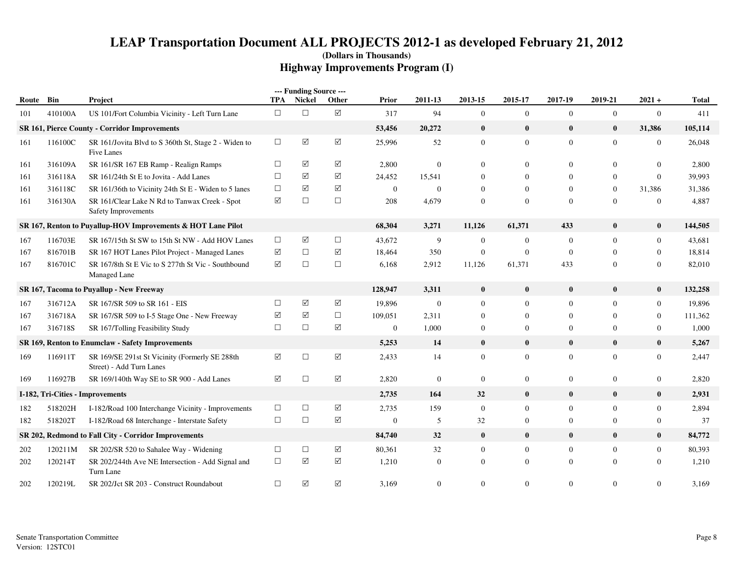|           |         |                                                                             |            | --- Funding Source --- |                      |                  |                  |                |                  |                  |                  |                  |              |
|-----------|---------|-----------------------------------------------------------------------------|------------|------------------------|----------------------|------------------|------------------|----------------|------------------|------------------|------------------|------------------|--------------|
| Route Bin |         | Project                                                                     | <b>TPA</b> | <b>Nickel</b>          | Other                | Prior            | 2011-13          | 2013-15        | 2015-17          | 2017-19          | 2019-21          | $2021 +$         | <b>Total</b> |
| 101       | 410100A | US 101/Fort Columbia Vicinity - Left Turn Lane                              | $\Box$     | $\Box$                 | $\boxed{\checkmark}$ | 317              | 94               | $\mathbf{0}$   | $\mathbf{0}$     | $\overline{0}$   | $\boldsymbol{0}$ | $\mathbf{0}$     | 411          |
|           |         | SR 161, Pierce County - Corridor Improvements                               |            |                        |                      | 53,456           | 20,272           | $\bf{0}$       | $\bf{0}$         | $\bf{0}$         | $\bf{0}$         | 31,386           | 105,114      |
| 161       | 116100C | SR 161/Jovita Blvd to S 360th St, Stage 2 - Widen to<br>Five Lanes          | $\Box$     | $\triangledown$        | $\boxed{\checkmark}$ | 25,996           | 52               | $\overline{0}$ | $\mathbf{0}$     | $\overline{0}$   | $\overline{0}$   | $\mathbf{0}$     | 26,048       |
| 161       | 316109A | SR 161/SR 167 EB Ramp - Realign Ramps                                       | $\Box$     | ☑                      | ☑                    | 2,800            | $\mathbf{0}$     | $\Omega$       | $\Omega$         | $\Omega$         | $\theta$         | $\Omega$         | 2,800        |
| 161       | 316118A | SR 161/24th St E to Jovita - Add Lanes                                      | $\Box$     | ☑                      | ☑                    | 24,452           | 15,541           | $\Omega$       | $\Omega$         | $\theta$         | $\Omega$         | $\mathbf{0}$     | 39,993       |
| 161       | 316118C | SR 161/36th to Vicinity 24th St E - Widen to 5 lanes                        | $\Box$     | ☑                      | ☑                    | $\overline{0}$   | $\theta$         | $\Omega$       | $\Omega$         | $\theta$         | $\Omega$         | 31,386           | 31,386       |
| 161       | 316130A | SR 161/Clear Lake N Rd to Tanwax Creek - Spot<br>Safety Improvements        | ☑          | $\Box$                 | $\Box$               | 208              | 4,679            | $\Omega$       | $\mathbf{0}$     | $\Omega$         | $\overline{0}$   | $\overline{0}$   | 4,887        |
|           |         | SR 167, Renton to Puyallup-HOV Improvements & HOT Lane Pilot                |            |                        |                      | 68,304           | 3,271            | 11,126         | 61,371           | 433              | $\bf{0}$         | $\bf{0}$         | 144,505      |
| 167       | 116703E | SR 167/15th St SW to 15th St NW - Add HOV Lanes                             | $\Box$     | $\blacktriangledown$   | $\Box$               | 43,672           | 9                | $\mathbf{0}$   | $\boldsymbol{0}$ | $\boldsymbol{0}$ | $\overline{0}$   | $\boldsymbol{0}$ | 43,681       |
| 167       | 816701B | SR 167 HOT Lanes Pilot Project - Managed Lanes                              | $\sqrt{}$  | $\Box$                 | $\sqrt{ }$           | 18,464           | 350              | $\mathbf{0}$   | $\mathbf{0}$     | $\overline{0}$   | $\Omega$         | $\boldsymbol{0}$ | 18,814       |
| 167       | 816701C | SR 167/8th St E Vic to S 277th St Vic - Southbound<br>Managed Lane          | ☑          | $\Box$                 | $\Box$               | 6,168            | 2,912            | 11,126         | 61,371           | 433              | $\overline{0}$   | $\boldsymbol{0}$ | 82,010       |
|           |         | SR 167, Tacoma to Puyallup - New Freeway                                    |            |                        |                      | 128,947          | 3,311            | $\bf{0}$       | $\bf{0}$         | $\bf{0}$         | $\bf{0}$         | $\bf{0}$         | 132,258      |
| 167       | 316712A | SR 167/SR 509 to SR 161 - EIS                                               | $\Box$     | $\blacktriangledown$   | ☑                    | 19,896           | $\boldsymbol{0}$ | $\mathbf{0}$   | $\overline{0}$   | $\mathbf{0}$     | $\Omega$         | $\boldsymbol{0}$ | 19,896       |
| 167       | 316718A | SR 167/SR 509 to I-5 Stage One - New Freeway                                | ☑          | ☑                      | $\Box$               | 109,051          | 2,311            | $\overline{0}$ | $\mathbf{0}$     | $\mathbf{0}$     | $\Omega$         | $\boldsymbol{0}$ | 111,362      |
| 167       | 316718S | SR 167/Tolling Feasibility Study                                            | $\Box$     | $\Box$                 | ☑                    | $\mathbf{0}$     | 1,000            | $\overline{0}$ | $\mathbf{0}$     | $\mathbf{0}$     | $\Omega$         | $\boldsymbol{0}$ | 1,000        |
|           |         | SR 169, Renton to Enumclaw - Safety Improvements                            |            |                        |                      | 5,253            | 14               | $\bf{0}$       | $\bf{0}$         | $\bf{0}$         | $\bf{0}$         | $\bf{0}$         | 5,267        |
| 169       | 116911T | SR 169/SE 291st St Vicinity (Formerly SE 288th)<br>Street) - Add Turn Lanes | ☑          | $\Box$                 | $\triangledown$      | 2,433            | 14               | $\mathbf{0}$   | $\mathbf{0}$     | $\overline{0}$   | $\overline{0}$   | $\mathbf{0}$     | 2,447        |
| 169       | 116927B | SR 169/140th Way SE to SR 900 - Add Lanes                                   | ☑          | $\Box$                 | $\triangledown$      | 2,820            | $\boldsymbol{0}$ | $\overline{0}$ | $\mathbf{0}$     | $\overline{0}$   | $\overline{0}$   | $\boldsymbol{0}$ | 2,820        |
|           |         | I-182, Tri-Cities - Improvements                                            |            |                        |                      | 2,735            | 164              | 32             | $\bf{0}$         | $\bf{0}$         | $\bf{0}$         | $\bf{0}$         | 2,931        |
| 182       | 518202H | I-182/Road 100 Interchange Vicinity - Improvements                          | $\Box$     | $\Box$                 | ☑                    | 2,735            | 159              | $\mathbf{0}$   | $\mathbf{0}$     | $\mathbf{0}$     | $\overline{0}$   | $\boldsymbol{0}$ | 2,894        |
| 182       | 518202T | I-182/Road 68 Interchange - Interstate Safety                               | $\Box$     | $\Box$                 | ☑                    | $\boldsymbol{0}$ | 5                | 32             | $\mathbf{0}$     | $\mathbf{0}$     | $\mathbf{0}$     | $\boldsymbol{0}$ | 37           |
|           |         | SR 202, Redmond to Fall City - Corridor Improvements                        |            |                        |                      | 84,740           | 32               | $\bf{0}$       | $\bf{0}$         | $\mathbf{0}$     | $\bf{0}$         | $\bf{0}$         | 84,772       |
| 202       | 120211M | SR 202/SR 520 to Sahalee Way - Widening                                     | $\Box$     | $\Box$                 | $\sqrt{}$            | 80,361           | 32               | $\overline{0}$ | $\mathbf{0}$     | $\mathbf{0}$     | $\mathbf{0}$     | $\mathbf{0}$     | 80,393       |
| 202       | 120214T | SR 202/244th Ave NE Intersection - Add Signal and<br>Turn Lane              | $\Box$     | ☑                      | $\blacktriangledown$ | 1,210            | $\theta$         | $\Omega$       | $\mathbf{0}$     | $\mathbf{0}$     | $\theta$         | $\mathbf{0}$     | 1,210        |
| 202       | 120219L | SR 202/Jct SR 203 - Construct Roundabout                                    | $\Box$     | ☑                      | $\blacktriangledown$ | 3,169            | $\theta$         | $\Omega$       | $\mathbf{0}$     | $\mathbf{0}$     | $\overline{0}$   | $\mathbf{0}$     | 3,169        |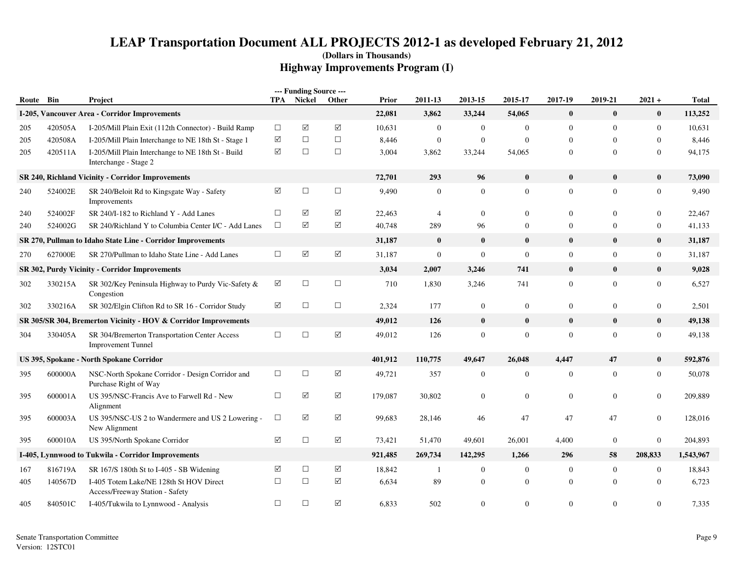|       |         |                                                                             |                 | --- Funding Source --- |            |         |                  |                |                |                  |                  |                  |              |
|-------|---------|-----------------------------------------------------------------------------|-----------------|------------------------|------------|---------|------------------|----------------|----------------|------------------|------------------|------------------|--------------|
| Route | Bin     | Project                                                                     |                 | TPA Nickel             | Other      | Prior   | 2011-13          | 2013-15        | 2015-17        | 2017-19          | 2019-21          | $2021 +$         | <b>Total</b> |
|       |         | I-205, Vancouver Area - Corridor Improvements                               |                 |                        |            | 22,081  | 3,862            | 33,244         | 54,065         | $\mathbf{0}$     | $\bf{0}$         | $\bf{0}$         | 113,252      |
| 205   | 420505A | I-205/Mill Plain Exit (112th Connector) - Build Ramp                        | $\Box$          | $\triangledown$        | ☑          | 10,631  | $\mathbf{0}$     | $\overline{0}$ | $\overline{0}$ | $\overline{0}$   | $\overline{0}$   | $\mathbf{0}$     | 10,631       |
| 205   | 420508A | I-205/Mill Plain Interchange to NE 18th St - Stage 1                        | ☑               | $\Box$                 | $\Box$     | 8,446   | $\boldsymbol{0}$ | $\mathbf{0}$   | $\mathbf{0}$   | $\overline{0}$   | $\boldsymbol{0}$ | $\boldsymbol{0}$ | 8,446        |
| 205   | 420511A | I-205/Mill Plain Interchange to NE 18th St - Build<br>Interchange - Stage 2 | $\triangledown$ | $\Box$                 | $\Box$     | 3,004   | 3,862            | 33,244         | 54,065         | $\overline{0}$   | $\mathbf{0}$     | $\boldsymbol{0}$ | 94,175       |
|       |         | SR 240, Richland Vicinity - Corridor Improvements                           |                 |                        |            | 72,701  | 293              | 96             | $\bf{0}$       | $\bf{0}$         | $\bf{0}$         | $\bf{0}$         | 73,090       |
| 240   | 524002E | SR 240/Beloit Rd to Kingsgate Way - Safety<br>Improvements                  | ☑               | $\Box$                 | $\Box$     | 9,490   | $\mathbf{0}$     | $\theta$       | $\overline{0}$ | $\overline{0}$   | $\overline{0}$   | $\boldsymbol{0}$ | 9,490        |
| 240   | 524002F | SR 240/I-182 to Richland Y - Add Lanes                                      | $\Box$          | ☑                      | ☑          | 22,463  | $\overline{4}$   | $\overline{0}$ | $\overline{0}$ | $\mathbf{0}$     | $\overline{0}$   | $\overline{0}$   | 22,467       |
| 240   | 524002G | SR 240/Richland Y to Columbia Center I/C - Add Lanes                        | $\Box$          | $\triangledown$        | $\Delta$   | 40,748  | 289              | 96             | $\overline{0}$ | $\mathbf{0}$     | $\mathbf{0}$     | $\boldsymbol{0}$ | 41,133       |
|       |         | SR 270, Pullman to Idaho State Line - Corridor Improvements                 |                 |                        |            | 31,187  | $\bf{0}$         | $\bf{0}$       | $\bf{0}$       | $\bf{0}$         | $\bf{0}$         | $\bf{0}$         | 31,187       |
| 270   | 627000E | SR 270/Pullman to Idaho State Line - Add Lanes                              | $\Box$          | $\triangledown$        | $\sqrt{}$  | 31,187  | $\boldsymbol{0}$ | $\mathbf{0}$   | $\mathbf{0}$   | $\mathbf{0}$     | $\mathbf{0}$     | $\boldsymbol{0}$ | 31,187       |
|       |         | SR 302, Purdy Vicinity - Corridor Improvements                              |                 |                        |            | 3,034   | 2,007            | 3,246          | 741            | $\mathbf{0}$     | $\bf{0}$         | $\bf{0}$         | 9,028        |
| 302   | 330215A | SR 302/Key Peninsula Highway to Purdy Vic-Safety &<br>Congestion            | ☑               | $\Box$                 | $\Box$     | 710     | 1,830            | 3,246          | 741            | $\overline{0}$   | $\overline{0}$   | $\boldsymbol{0}$ | 6,527        |
| 302   | 330216A | SR 302/Elgin Clifton Rd to SR 16 - Corridor Study                           | $\triangledown$ | $\Box$                 | $\Box$     | 2,324   | 177              | $\mathbf{0}$   | $\mathbf{0}$   | $\mathbf{0}$     | $\boldsymbol{0}$ | $\boldsymbol{0}$ | 2,501        |
|       |         | SR 305/SR 304, Bremerton Vicinity - HOV & Corridor Improvements             |                 |                        |            | 49,012  | 126              | $\bf{0}$       | $\bf{0}$       | $\bf{0}$         | $\bf{0}$         | $\bf{0}$         | 49,138       |
| 304   | 330405A | SR 304/Bremerton Transportation Center Access<br><b>Improvement Tunnel</b>  | $\Box$          | $\Box$                 | $\Delta$   | 49,012  | 126              | $\mathbf{0}$   | $\mathbf{0}$   | $\boldsymbol{0}$ | $\overline{0}$   | $\boldsymbol{0}$ | 49,138       |
|       |         | US 395, Spokane - North Spokane Corridor                                    |                 |                        |            | 401,912 | 110,775          | 49,647         | 26,048         | 4,447            | 47               | $\bf{0}$         | 592,876      |
| 395   | 600000A | NSC-North Spokane Corridor - Design Corridor and<br>Purchase Right of Way   | $\Box$          | $\Box$                 | $\Delta$   | 49,721  | 357              | $\mathbf{0}$   | $\mathbf{0}$   | $\boldsymbol{0}$ | $\mathbf{0}$     | $\boldsymbol{0}$ | 50,078       |
| 395   | 600001A | US 395/NSC-Francis Ave to Farwell Rd - New<br>Alignment                     | $\Box$          | ☑                      | ☑          | 179,087 | 30,802           | $\mathbf{0}$   | $\overline{0}$ | $\mathbf{0}$     | $\Omega$         | $\overline{0}$   | 209,889      |
| 395   | 600003A | US 395/NSC-US 2 to Wandermere and US 2 Lowering -<br>New Alignment          | $\Box$          | $\triangledown$        | ☑          | 99,683  | 28,146           | 46             | 47             | 47               | 47               | $\boldsymbol{0}$ | 128,016      |
| 395   | 600010A | US 395/North Spokane Corridor                                               | ☑               | $\Box$                 | $\sqrt{ }$ | 73,421  | 51,470           | 49,601         | 26,001         | 4,400            | $\mathbf{0}$     | $\overline{0}$   | 204,893      |
|       |         | I-405, Lynnwood to Tukwila - Corridor Improvements                          |                 |                        |            | 921,485 | 269,734          | 142,295        | 1,266          | 296              | 58               | 208,833          | 1,543,967    |
| 167   | 816719A | SR 167/S 180th St to I-405 - SB Widening                                    | ☑               | $\Box$                 | ☑          | 18,842  | -1               | $\mathbf{0}$   | $\overline{0}$ | $\overline{0}$   | $\boldsymbol{0}$ | $\boldsymbol{0}$ | 18,843       |
| 405   | 140567D | I-405 Totem Lake/NE 128th St HOV Direct<br>Access/Freeway Station - Safety  | $\Box$          | $\Box$                 | ☑          | 6,634   | 89               | $\mathbf{0}$   | $\overline{0}$ | $\overline{0}$   | $\Omega$         | $\overline{0}$   | 6,723        |
| 405   | 840501C | I-405/Tukwila to Lynnwood - Analysis                                        | $\Box$          | $\Box$                 | ☑          | 6,833   | 502              | $\Omega$       | $\overline{0}$ | $\mathbf{0}$     | $\overline{0}$   | $\overline{0}$   | 7,335        |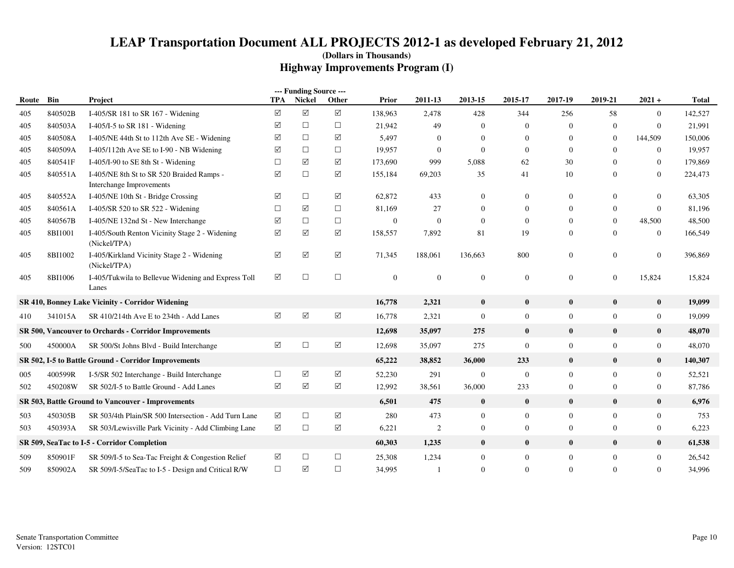|       |         |                                                                       |                      | --- Funding Source --- |                    |              |              |                |                |                  |                |                |              |
|-------|---------|-----------------------------------------------------------------------|----------------------|------------------------|--------------------|--------------|--------------|----------------|----------------|------------------|----------------|----------------|--------------|
| Route | Bin     | Project                                                               | <b>TPA</b>           | Nickel                 | Other              | Prior        | 2011-13      | 2013-15        | 2015-17        | 2017-19          | 2019-21        | $2021 +$       | <b>Total</b> |
| 405   | 840502B | I-405/SR 181 to SR 167 - Widening                                     | $\triangledown$      | ☑                      | ☑                  | 138,963      | 2,478        | 428            | 344            | 256              | 58             | $\overline{0}$ | 142,527      |
| 405   | 840503A | I-405/I-5 to SR 181 - Widening                                        | $\triangledown$      | $\Box$                 | $\Box$             | 21,942       | 49           | $\Omega$       | $\overline{0}$ | $\Omega$         | $\Omega$       | $\overline{0}$ | 21,991       |
| 405   | 840508A | I-405/NE 44th St to 112th Ave SE - Widening                           | $\triangledown$      | $\Box$                 | ☑                  | 5,497        | $\mathbf{0}$ | $\Omega$       | $\overline{0}$ | $\theta$         | $\mathbf{0}$   | 144,509        | 150,006      |
| 405   | 840509A | I-405/112th Ave SE to I-90 - NB Widening                              | ☑                    | $\Box$                 | $\Box$             | 19,957       | $\mathbf{0}$ | $\mathbf{0}$   | $\Omega$       | $\mathbf{0}$     | $\Omega$       | $\overline{0}$ | 19,957       |
| 405   | 840541F | I-405/I-90 to SE 8th St - Widening                                    | $\Box$               | ☑                      | $\triangledown$    | 173,690      | 999          | 5,088          | 62             | 30               | $\Omega$       | $\overline{0}$ | 179,869      |
| 405   | 840551A | I-405/NE 8th St to SR 520 Braided Ramps -<br>Interchange Improvements | $\sqrt{}$            | $\Box$                 | ☑                  | 155,184      | 69,203       | 35             | 41             | 10               | $\Omega$       | $\overline{0}$ | 224,473      |
| 405   | 840552A | I-405/NE 10th St - Bridge Crossing                                    | ☑                    | $\Box$                 | ☑                  | 62,872       | 433          | $\mathbf{0}$   | $\overline{0}$ | $\mathbf{0}$     | $\Omega$       | $\overline{0}$ | 63,305       |
| 405   | 840561A | I-405/SR 520 to SR 522 - Widening                                     | $\Box$               | ☑                      | $\Box$             | 81,169       | 27           | $\Omega$       | $\Omega$       | $\Omega$         | $\Omega$       | $\theta$       | 81,196       |
| 405   | 840567B | I-405/NE 132nd St - New Interchange                                   | $\triangledown$      | $\Box$                 | $\Box$             | $\mathbf{0}$ | $\mathbf{0}$ | $\Omega$       | $\Omega$       | $\Omega$         | $\Omega$       | 48,500         | 48,500       |
| 405   | 8BI1001 | I-405/South Renton Vicinity Stage 2 - Widening<br>(Nickel/TPA)        | ☑                    | ☑                      | ☑                  | 158,557      | 7,892        | 81             | 19             | $\mathbf{0}$     | $\mathbf{0}$   | $\overline{0}$ | 166,549      |
| 405   | 8BI1002 | I-405/Kirkland Vicinity Stage 2 - Widening<br>(Nickel/TPA)            | ☑                    | ☑                      | ☑                  | 71,345       | 188,061      | 136,663        | 800            | $\mathbf{0}$     | $\mathbf{0}$   | $\overline{0}$ | 396,869      |
| 405   | 8BI1006 | I-405/Tukwila to Bellevue Widening and Express Toll<br>Lanes          | ☑                    | $\Box$                 | $\Box$             | $\mathbf{0}$ | $\mathbf{0}$ | $\mathbf{0}$   | $\mathbf{0}$   | $\mathbf{0}$     | $\overline{0}$ | 15,824         | 15,824       |
|       |         | SR 410, Bonney Lake Vicinity - Corridor Widening                      |                      |                        |                    | 16,778       | 2,321        | $\bf{0}$       | $\bf{0}$       | $\bf{0}$         | $\bf{0}$       | $\bf{0}$       | 19,099       |
| 410   | 341015A | SR 410/214th Ave E to 234th - Add Lanes                               | $\blacktriangledown$ | $\boxed{\checkmark}$   | $\boxed{\searrow}$ | 16,778       | 2,321        | $\mathbf{0}$   | $\mathbf{0}$   | $\boldsymbol{0}$ | $\mathbf{0}$   | $\mathbf{0}$   | 19,099       |
|       |         | SR 500, Vancouver to Orchards - Corridor Improvements                 |                      |                        |                    | 12,698       | 35,097       | 275            | $\bf{0}$       | $\mathbf{0}$     | $\bf{0}$       | $\bf{0}$       | 48,070       |
| 500   | 450000A | SR 500/St Johns Blvd - Build Interchange                              | ☑                    | $\Box$                 | ☑                  | 12,698       | 35,097       | 275            | $\mathbf{0}$   | $\overline{0}$   | $\Omega$       | $\overline{0}$ | 48,070       |
|       |         | SR 502, I-5 to Battle Ground - Corridor Improvements                  |                      |                        |                    | 65,222       | 38,852       | 36,000         | 233            | $\mathbf{0}$     | $\bf{0}$       | $\bf{0}$       | 140,307      |
| 005   | 400599R | I-5/SR 502 Interchange - Build Interchange                            | $\Box$               | ☑                      | ☑                  | 52,230       | 291          | $\overline{0}$ | $\mathbf{0}$   | $\mathbf{0}$     | $\mathbf{0}$   | $\mathbf{0}$   | 52,521       |
| 502   | 450208W | SR 502/I-5 to Battle Ground - Add Lanes                               | ☑                    | ☑                      | ☑                  | 12,992       | 38,561       | 36,000         | 233            | $\mathbf{0}$     | $\mathbf{0}$   | $\overline{0}$ | 87,786       |
|       |         | <b>SR 503, Battle Ground to Vancouver - Improvements</b>              |                      |                        |                    | 6,501        | 475          | $\bf{0}$       | $\bf{0}$       | $\bf{0}$         | $\bf{0}$       | $\bf{0}$       | 6,976        |
| 503   | 450305B | SR 503/4th Plain/SR 500 Intersection - Add Turn Lane                  | ☑                    | $\Box$                 | ☑                  | 280          | 473          | $\mathbf{0}$   | $\overline{0}$ | $\mathbf{0}$     | $\mathbf{0}$   | $\overline{0}$ | 753          |
| 503   | 450393A | SR 503/Lewisville Park Vicinity - Add Climbing Lane                   | ☑                    | $\Box$                 | ☑                  | 6,221        | 2            | $\mathbf{0}$   | $\overline{0}$ | $\boldsymbol{0}$ | $\mathbf{0}$   | $\overline{0}$ | 6,223        |
|       |         | SR 509, SeaTac to I-5 - Corridor Completion                           |                      |                        |                    | 60,303       | 1,235        | $\bf{0}$       | $\bf{0}$       | $\mathbf{0}$     | $\bf{0}$       | $\bf{0}$       | 61,538       |
| 509   | 850901F | SR 509/I-5 to Sea-Tac Freight & Congestion Relief                     | ☑                    | $\Box$                 | $\Box$             | 25,308       | 1,234        | $\mathbf{0}$   | $\mathbf{0}$   | $\boldsymbol{0}$ | $\mathbf{0}$   | $\overline{0}$ | 26,542       |
| 509   | 850902A | SR 509/I-5/SeaTac to I-5 - Design and Critical R/W                    | $\Box$               | ☑                      | $\Box$             | 34,995       |              | $\Omega$       | $\overline{0}$ | $\Omega$         | $\Omega$       | $\overline{0}$ | 34,996       |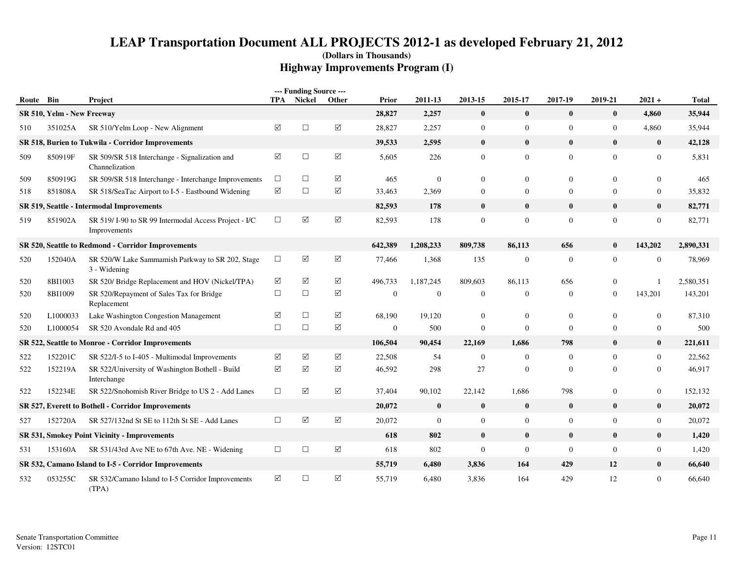| Route Bin |                            | <b>Project</b>                                                       |                      | --- Funding Source ---<br>TPA Nickel | Other                | Prior            | 2011-13          | 2013-15          | 2015-17          | 2017-19        | 2019-21        | $2021 +$         | <b>Total</b> |
|-----------|----------------------------|----------------------------------------------------------------------|----------------------|--------------------------------------|----------------------|------------------|------------------|------------------|------------------|----------------|----------------|------------------|--------------|
|           | SR 510, Yelm - New Freeway |                                                                      |                      |                                      |                      | 28,827           | 2,257            | $\bf{0}$         | $\bf{0}$         | $\bf{0}$       | $\bf{0}$       | 4,860            | 35,944       |
| 510       | 351025A                    | SR 510/Yelm Loop - New Alignment                                     | ☑                    | $\Box$                               | $\Delta$             | 28,827           | 2,257            | $\boldsymbol{0}$ | $\boldsymbol{0}$ | $\mathbf{0}$   | $\mathbf{0}$   | 4,860            | 35,944       |
|           |                            | SR 518, Burien to Tukwila - Corridor Improvements                    |                      |                                      |                      | 39,533           | 2,595            | $\bf{0}$         | $\bf{0}$         | $\bf{0}$       | $\bf{0}$       | $\bf{0}$         | 42,128       |
| 509       | 850919F                    | SR 509/SR 518 Interchange - Signalization and<br>Channelization      | ☑                    | $\Box$                               | $\boxed{\checkmark}$ | 5,605            | 226              | $\overline{0}$   | $\overline{0}$   | $\overline{0}$ | $\overline{0}$ | $\overline{0}$   | 5,831        |
| 509       | 850919G                    | SR 509/SR 518 Interchange - Interchange Improvements                 | $\Box$               | $\Box$                               | $\blacktriangledown$ | 465              | $\mathbf{0}$     | $\Omega$         | $\overline{0}$   | $\mathbf{0}$   | $\Omega$       | $\overline{0}$   | 465          |
| 518       | 851808A                    | SR 518/SeaTac Airport to I-5 - Eastbound Widening                    | $\boxed{\mathsf{v}}$ | $\Box$                               | $\sqrt{ }$           | 33,463           | 2,369            | $\mathbf{0}$     | $\mathbf{0}$     | $\mathbf{0}$   | $\overline{0}$ | $\mathbf{0}$     | 35,832       |
|           |                            | SR 519, Seattle - Intermodal Improvements                            |                      |                                      |                      | 82,593           | 178              | $\bf{0}$         | $\bf{0}$         | $\bf{0}$       | $\bf{0}$       | $\bf{0}$         | 82,771       |
| 519       | 851902A                    | SR 519/I-90 to SR 99 Intermodal Access Project - I/C<br>Improvements | $\Box$               | ☑                                    | $\boxed{\checkmark}$ | 82,593           | 178              | $\mathbf{0}$     | $\mathbf{0}$     | $\mathbf{0}$   | $\overline{0}$ | $\mathbf{0}$     | 82,771       |
|           |                            | SR 520, Seattle to Redmond - Corridor Improvements                   |                      |                                      |                      | 642,389          | 1,208,233        | 809,738          | 86,113           | 656            | $\bf{0}$       | 143,202          | 2,890,331    |
| 520       | 152040A                    | SR 520/W Lake Sammamish Parkway to SR 202, Stage<br>3 - Widening     | $\Box$               | ☑                                    | $\Delta$             | 77,466           | 1,368            | 135              | $\boldsymbol{0}$ | $\mathbf{0}$   | $\mathbf{0}$   | $\mathbf{0}$     | 78,969       |
| 520       | 8BI1003                    | SR 520/ Bridge Replacement and HOV (Nickel/TPA)                      | ☑                    | ☑                                    | ☑                    | 496,733          | 1,187,245        | 809,603          | 86,113           | 656            | $\mathbf{0}$   |                  | 2,580,351    |
| 520       | 8BI1009                    | SR 520/Repayment of Sales Tax for Bridge<br>Replacement              | $\Box$               | $\Box$                               | $\blacktriangledown$ | $\boldsymbol{0}$ | $\mathbf{0}$     | $\overline{0}$   | $\mathbf{0}$     | $\mathbf{0}$   | $\overline{0}$ | 143,201          | 143,201      |
| 520       | L1000033                   | Lake Washington Congestion Management                                | ☑                    | $\Box$                               | $\triangledown$      | 68,190           | 19,120           | $\mathbf{0}$     | $\boldsymbol{0}$ | $\mathbf{0}$   | $\overline{0}$ | $\mathbf{0}$     | 87,310       |
| 520       | L1000054                   | SR 520 Avondale Rd and 405                                           | $\Box$               | $\Box$                               | $\boxed{\checkmark}$ | $\mathbf{0}$     | 500              | $\mathbf{0}$     | $\mathbf{0}$     | $\mathbf{0}$   | $\overline{0}$ | $\mathbf{0}$     | 500          |
|           |                            | SR 522, Seattle to Monroe - Corridor Improvements                    |                      |                                      |                      | 106,504          | 90,454           | 22,169           | 1,686            | 798            | $\bf{0}$       | $\bf{0}$         | 221,611      |
| 522       | 152201C                    | SR 522/I-5 to I-405 - Multimodal Improvements                        | ☑                    | ☑                                    | $\triangledown$      | 22,508           | 54               | $\overline{0}$   | $\boldsymbol{0}$ | $\overline{0}$ | $\Omega$       | $\overline{0}$   | 22,562       |
| 522       | 152219A                    | SR 522/University of Washington Bothell - Build<br>Interchange       | ☑                    | ☑                                    | ☑                    | 46,592           | 298              | 27               | $\boldsymbol{0}$ | $\mathbf{0}$   | $\Omega$       | $\overline{0}$   | 46,917       |
| 522       | 152234E                    | SR 522/Snohomish River Bridge to US 2 - Add Lanes                    | $\Box$               | ☑                                    | $\triangledown$      | 37,404           | 90,102           | 22,142           | 1,686            | 798            | 0              | $\overline{0}$   | 152,132      |
|           |                            | SR 527, Everett to Bothell - Corridor Improvements                   |                      |                                      |                      | 20,072           | $\bf{0}$         | $\bf{0}$         | $\bf{0}$         | $\bf{0}$       | $\bf{0}$       | $\bf{0}$         | 20,072       |
| 527       | 152720A                    | SR 527/132nd St SE to 112th St SE - Add Lanes                        | $\Box$               | $\sqrt{}$                            | $\sqrt{ }$           | 20,072           | $\boldsymbol{0}$ | $\mathbf{0}$     | $\boldsymbol{0}$ | $\mathbf{0}$   | $\mathbf{0}$   | $\boldsymbol{0}$ | 20,072       |
|           |                            | SR 531, Smokey Point Vicinity - Improvements                         |                      |                                      |                      | 618              | 802              | $\bf{0}$         | $\bf{0}$         | $\bf{0}$       | $\bf{0}$       | $\bf{0}$         | 1,420        |
| 531       | 153160A                    | SR 531/43rd Ave NE to 67th Ave. NE - Widening                        | $\Box$               | $\Box$                               | $\boxed{\checkmark}$ | 618              | 802              | $\mathbf{0}$     | $\mathbf{0}$     | $\mathbf{0}$   | $\overline{0}$ | $\boldsymbol{0}$ | 1,420        |
|           |                            | SR 532, Camano Island to I-5 - Corridor Improvements                 |                      |                                      |                      | 55,719           | 6,480            | 3,836            | 164              | 429            | 12             | $\bf{0}$         | 66,640       |
| 532       | 053255C                    | SR 532/Camano Island to I-5 Corridor Improvements<br>(TPA)           | ☑                    | $\Box$                               | $\blacktriangledown$ | 55,719           | 6,480            | 3,836            | 164              | 429            | 12             | $\mathbf{0}$     | 66,640       |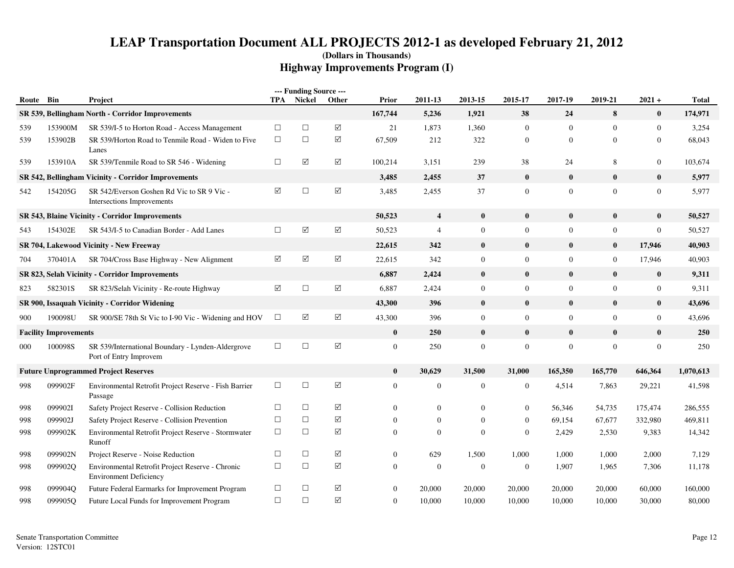|           |                              |                                                                                   |          | --- Funding Source --- |                       |                  |                         |                |                  |                  |                |                  |              |
|-----------|------------------------------|-----------------------------------------------------------------------------------|----------|------------------------|-----------------------|------------------|-------------------------|----------------|------------------|------------------|----------------|------------------|--------------|
| Route Bin |                              | Project                                                                           | TPA      | Nickel                 | Other                 | Prior            | 2011-13                 | 2013-15        | 2015-17          | 2017-19          | 2019-21        | $2021 +$         | <b>Total</b> |
|           |                              | SR 539, Bellingham North - Corridor Improvements                                  |          |                        |                       | 167,744          | 5,236                   | 1,921          | 38               | 24               | 8              | $\bf{0}$         | 174,971      |
| 539       | 153900M                      | SR 539/I-5 to Horton Road - Access Management                                     | $\Box$   | $\Box$                 | $\triangledown$       | 21               | 1,873                   | 1,360          | $\overline{0}$   | $\mathbf{0}$     | $\mathbf{0}$   | $\mathbf{0}$     | 3,254        |
| 539       | 153902B                      | SR 539/Horton Road to Tenmile Road - Widen to Five<br>Lanes                       | $\Box$   | $\Box$                 | ☑                     | 67,509           | 212                     | 322            | $\mathbf{0}$     | $\theta$         | $\mathbf{0}$   | $\boldsymbol{0}$ | 68,043       |
| 539       | 153910A                      | SR 539/Tenmile Road to SR 546 - Widening                                          | $\Box$   | $\boxed{\checkmark}$   | $\boxed{\mathsf{v}}$  | 100,214          | 3,151                   | 239            | 38               | 24               | 8              | $\boldsymbol{0}$ | 103,674      |
|           |                              | SR 542, Bellingham Vicinity - Corridor Improvements                               |          |                        |                       | 3,485            | 2,455                   | 37             | $\bf{0}$         | $\bf{0}$         | $\bf{0}$       | $\pmb{0}$        | 5,977        |
| 542       | 154205G                      | SR 542/Everson Goshen Rd Vic to SR 9 Vic-<br>Intersections Improvements           | ☑        | $\Box$                 | $\boxed{\mathsf{v}}$  | 3,485            | 2,455                   | 37             | $\overline{0}$   | $\overline{0}$   | $\Omega$       | $\mathbf{0}$     | 5,977        |
|           |                              | SR 543, Blaine Vicinity - Corridor Improvements                                   |          |                        |                       | 50,523           | $\overline{\mathbf{4}}$ | $\bf{0}$       | $\bf{0}$         | $\bf{0}$         | $\mathbf{0}$   | $\bf{0}$         | 50,527       |
| 543       | 154302E                      | SR 543/I-5 to Canadian Border - Add Lanes                                         | $\Box$   | ☑                      | $\Delta$              | 50,523           | $\overline{4}$          | $\mathbf{0}$   | $\boldsymbol{0}$ | $\mathbf{0}$     | $\mathbf{0}$   | $\boldsymbol{0}$ | 50,527       |
|           |                              | SR 704, Lakewood Vicinity - New Freeway                                           |          |                        |                       | 22,615           | 342                     | $\bf{0}$       | $\bf{0}$         | $\bf{0}$         | $\mathbf{0}$   | 17,946           | 40,903       |
| 704       | 370401A                      | SR 704/Cross Base Highway - New Alignment                                         | ☑        | $\blacktriangledown$   | ☑                     | 22,615           | 342                     | $\mathbf{0}$   | $\mathbf{0}$     | $\overline{0}$   | $\overline{0}$ | 17,946           | 40,903       |
|           |                              | SR 823, Selah Vicinity - Corridor Improvements                                    |          |                        |                       | 6,887            | 2,424                   | $\bf{0}$       | $\bf{0}$         | $\bf{0}$         | $\mathbf{0}$   | $\bf{0}$         | 9,311        |
| 823       | 582301S                      | SR 823/Selah Vicinity - Re-route Highway                                          | $\Delta$ | $\Box$                 | $\boxed{\searrow}$    | 6,887            | 2,424                   | $\mathbf{0}$   | $\mathbf{0}$     | $\mathbf{0}$     | $\overline{0}$ | $\boldsymbol{0}$ | 9,311        |
|           |                              | SR 900, Issaquah Vicinity - Corridor Widening                                     |          |                        |                       | 43,300           | 396                     | $\mathbf{0}$   | $\bf{0}$         | $\mathbf{0}$     | $\mathbf{0}$   | $\bf{0}$         | 43,696       |
| 900       | 190098U                      | SR 900/SE 78th St Vic to I-90 Vic - Widening and HOV                              | $\Box$   | $\triangledown$        | $\boxtimes$           | 43,300           | 396                     | $\mathbf{0}$   | $\overline{0}$   | $\mathbf{0}$     | $\overline{0}$ | $\boldsymbol{0}$ | 43,696       |
|           | <b>Facility Improvements</b> |                                                                                   |          |                        |                       | $\bf{0}$         | 250                     | $\bf{0}$       | $\bf{0}$         | $\mathbf{0}$     | $\bf{0}$       | $\bf{0}$         | 250          |
| 000       | 100098S                      | SR 539/International Boundary - Lynden-Aldergrove<br>Port of Entry Improvem       | $\Box$   | $\Box$                 | $\boxed{\mathcal{S}}$ | $\boldsymbol{0}$ | 250                     | $\mathbf{0}$   | $\boldsymbol{0}$ | $\boldsymbol{0}$ | $\mathbf{0}$   | $\boldsymbol{0}$ | 250          |
|           |                              | <b>Future Unprogrammed Project Reserves</b>                                       |          |                        |                       | $\bf{0}$         | 30,629                  | 31,500         | 31,000           | 165,350          | 165,770        | 646,364          | 1,070,613    |
| 998       | 099902F                      | Environmental Retrofit Project Reserve - Fish Barrier<br>Passage                  | $\Box$   | $\Box$                 | $\boxtimes$           | $\overline{0}$   | $\mathbf{0}$            | $\overline{0}$ | $\overline{0}$   | 4,514            | 7,863          | 29,221           | 41,598       |
| 998       | 099902I                      | Safety Project Reserve - Collision Reduction                                      | $\Box$   | $\Box$                 | ☑                     | $\Omega$         | $\mathbf{0}$            | $\overline{0}$ | $\mathbf{0}$     | 56,346           | 54,735         | 175,474          | 286,555      |
| 998       | 099902J                      | Safety Project Reserve - Collision Prevention                                     | $\Box$   | $\Box$                 | $\Delta$              | $\Omega$         | $\overline{0}$          | $\mathbf{0}$   | $\overline{0}$   | 69,154           | 67,677         | 332,980          | 469,811      |
| 998       | 099902K                      | Environmental Retrofit Project Reserve - Stormwater<br>Runoff                     | $\Box$   | $\Box$                 | ☑                     | $\Omega$         | $\Omega$                | $\theta$       | $\overline{0}$   | 2,429            | 2,530          | 9,383            | 14,342       |
| 998       | 099902N                      | Project Reserve - Noise Reduction                                                 | $\Box$   | $\Box$                 | $\boxed{\searrow}$    | $\boldsymbol{0}$ | 629                     | 1,500          | 1,000            | 1,000            | 1,000          | 2,000            | 7,129        |
| 998       | 099902Q                      | Environmental Retrofit Project Reserve - Chronic<br><b>Environment Deficiency</b> | $\Box$   | $\Box$                 | ☑                     | $\overline{0}$   | $\mathbf{0}$            | $\overline{0}$ | $\overline{0}$   | 1,907            | 1,965          | 7,306            | 11,178       |
| 998       | 099904Q                      | Future Federal Earmarks for Improvement Program                                   | $\Box$   | $\Box$                 | ☑                     | $\boldsymbol{0}$ | 20,000                  | 20,000         | 20,000           | 20,000           | 20,000         | 60,000           | 160,000      |
| 998       | 099905O                      | Future Local Funds for Improvement Program                                        | $\Box$   | $\Box$                 | $\triangledown$       | $\overline{0}$   | 10,000                  | 10,000         | 10,000           | 10,000           | 10,000         | 30,000           | 80,000       |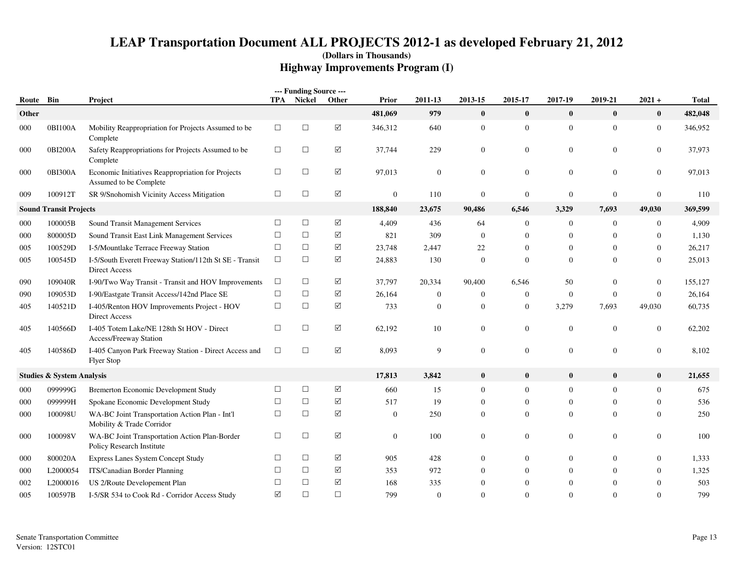|           |                                      |                                                                             |                 | --- Funding Source --- |                 |                |              |                  |                  |                  |                |                |              |
|-----------|--------------------------------------|-----------------------------------------------------------------------------|-----------------|------------------------|-----------------|----------------|--------------|------------------|------------------|------------------|----------------|----------------|--------------|
| Route Bin |                                      | Project                                                                     |                 | TPA Nickel             | Other           | Prior          | 2011-13      | 2013-15          | 2015-17          | 2017-19          | 2019-21        | $2021 +$       | <b>Total</b> |
| Other     |                                      |                                                                             |                 |                        |                 | 481,069        | 979          | $\mathbf{0}$     | $\bf{0}$         | $\bf{0}$         | $\bf{0}$       | $\bf{0}$       | 482,048      |
| 000       | 0BI100A                              | Mobility Reappropriation for Projects Assumed to be<br>Complete             | $\Box$          | $\Box$                 | $\Delta$        | 346,312        | 640          | $\mathbf{0}$     | $\mathbf{0}$     | $\overline{0}$   | $\overline{0}$ | $\overline{0}$ | 346.952      |
| 000       | 0BI200A                              | Safety Reappropriations for Projects Assumed to be<br>Complete              | $\Box$          | $\Box$                 | ☑               | 37,744         | 229          | $\mathbf{0}$     | $\boldsymbol{0}$ | $\boldsymbol{0}$ | 0              | $\overline{0}$ | 37,973       |
| 000       | 0BI300A                              | Economic Initiatives Reappropriation for Projects<br>Assumed to be Complete | $\Box$          | $\Box$                 | $\triangledown$ | 97,013         | $\mathbf{0}$ | $\mathbf{0}$     | $\overline{0}$   | $\mathbf{0}$     | $\overline{0}$ | $\overline{0}$ | 97,013       |
| 009       | 100912T                              | SR 9/Snohomish Vicinity Access Mitigation                                   | $\Box$          | $\Box$                 | ✓               | $\mathbf{0}$   | 110          | $\boldsymbol{0}$ | $\boldsymbol{0}$ | $\boldsymbol{0}$ | $\overline{0}$ | $\mathbf{0}$   | 110          |
|           | <b>Sound Transit Projects</b>        |                                                                             |                 |                        |                 | 188,840        | 23,675       | 90,486           | 6,546            | 3,329            | 7,693          | 49,030         | 369,599      |
| 000       | 100005B                              | Sound Transit Management Services                                           | $\Box$          | $\Box$                 | $\triangledown$ | 4,409          | 436          | 64               | $\overline{0}$   | $\mathbf{0}$     | $\overline{0}$ | $\overline{0}$ | 4,909        |
| 000       | 800005D                              | Sound Transit East Link Management Services                                 | $\Box$          | $\Box$                 | $\triangledown$ | 821            | 309          | $\Omega$         | $\theta$         | $\overline{0}$   | $\Omega$       | $\mathbf{0}$   | 1,130        |
| 005       | 100529D                              | I-5/Mountlake Terrace Freeway Station                                       | $\Box$          | $\Box$                 | ✓               | 23,748         | 2,447        | 22               | $\boldsymbol{0}$ | $\overline{0}$   | $\overline{0}$ | $\overline{0}$ | 26,217       |
| 005       | 100545D                              | I-5/South Everett Freeway Station/112th St SE - Transit<br>Direct Access    | $\Box$          | $\Box$                 | $\triangledown$ | 24,883         | 130          | $\Omega$         | $\mathbf{0}$     | $\overline{0}$   | $\Omega$       | $\theta$       | 25,013       |
| 090       | 109040R                              | I-90/Two Way Transit - Transit and HOV Improvements                         | $\Box$          | $\Box$                 | $\triangledown$ | 37,797         | 20,334       | 90.400           | 6.546            | 50               | $\Omega$       | $\overline{0}$ | 155,127      |
| 090       | 109053D                              | I-90/Eastgate Transit Access/142nd Place SE                                 | $\Box$          | $\Box$                 | $\Delta$        | 26,164         | $\mathbf{0}$ | $\mathbf{0}$     | $\boldsymbol{0}$ | $\mathbf{0}$     | $\mathbf{0}$   | $\overline{0}$ | 26,164       |
| 405       | 140521D                              | I-405/Renton HOV Improvements Project - HOV<br>Direct Access                | $\Box$          | $\Box$                 | $\triangledown$ | 733            | $\mathbf{0}$ | $\mathbf{0}$     | $\mathbf{0}$     | 3,279            | 7,693          | 49,030         | 60,735       |
| 405       | 140566D                              | I-405 Totem Lake/NE 128th St HOV - Direct<br>Access/Freeway Station         | $\Box$          | $\Box$                 | $\Delta$        | 62,192         | 10           | $\mathbf{0}$     | $\boldsymbol{0}$ | $\boldsymbol{0}$ | $\mathbf{0}$   | $\overline{0}$ | 62,202       |
| 405       | 140586D                              | I-405 Canyon Park Freeway Station - Direct Access and<br><b>Flyer Stop</b>  | $\Box$          | $\Box$                 | $\triangledown$ | 8,093          | 9            | $\mathbf{0}$     | $\boldsymbol{0}$ | $\boldsymbol{0}$ | $\overline{0}$ | $\mathbf{0}$   | 8,102        |
|           | <b>Studies &amp; System Analysis</b> |                                                                             |                 |                        |                 | 17,813         | 3,842        | $\mathbf{0}$     | $\bf{0}$         | $\bf{0}$         | $\bf{0}$       | $\bf{0}$       | 21,655       |
| 000       | 099999G                              | <b>Bremerton Economic Development Study</b>                                 | $\Box$          | $\Box$                 | $\triangledown$ | 660            | 15           | $\Omega$         | $\overline{0}$   | $\overline{0}$   | $\Omega$       | $\overline{0}$ | 675          |
| 000       | 099999H                              | Spokane Economic Development Study                                          | $\Box$          | $\Box$                 | ✓               | 517            | 19           | $\mathbf{0}$     | $\boldsymbol{0}$ | $\mathbf{0}$     | $\mathbf{0}$   | $\overline{0}$ | 536          |
| 000       | 100098U                              | WA-BC Joint Transportation Action Plan - Int'l<br>Mobility & Trade Corridor | $\Box$          | $\Box$                 | $\triangledown$ | $\overline{0}$ | 250          | $\mathbf{0}$     | $\mathbf{0}$     | $\overline{0}$   | $\overline{0}$ | $\theta$       | 250          |
| 000       | 100098V                              | WA-BC Joint Transportation Action Plan-Border<br>Policy Research Institute  | $\Box$          | $\Box$                 | $\triangledown$ | $\overline{0}$ | 100          | $\overline{0}$   | $\overline{0}$   | $\mathbf{0}$     | $\overline{0}$ | $\theta$       | 100          |
| 000       | 800020A                              | Express Lanes System Concept Study                                          | $\Box$          | $\Box$                 | ✓               | 905            | 428          | $\mathbf{0}$     | $\overline{0}$   | $\boldsymbol{0}$ | $\overline{0}$ | $\overline{0}$ | 1,333        |
| 000       | L2000054                             | ITS/Canadian Border Planning                                                | $\Box$          | $\Box$                 | ✓               | 353            | 972          | $\Omega$         | $\Omega$         | $\mathbf{0}$     | $\Omega$       | $\overline{0}$ | 1,325        |
| 002       | L <sub>2000016</sub>                 | US 2/Route Developement Plan                                                | $\Box$          | $\Box$                 | ✓               | 168            | 335          | $\mathbf{0}$     | $\overline{0}$   | $\Omega$         | $\Omega$       | $\Omega$       | 503          |
| 005       | 100597B                              | I-5/SR 534 to Cook Rd - Corridor Access Study                               | $\triangledown$ | $\Box$                 | $\Box$          | 799            | $\Omega$     | $\Omega$         | $\Omega$         | $\Omega$         | $\Omega$       | $\Omega$       | 799          |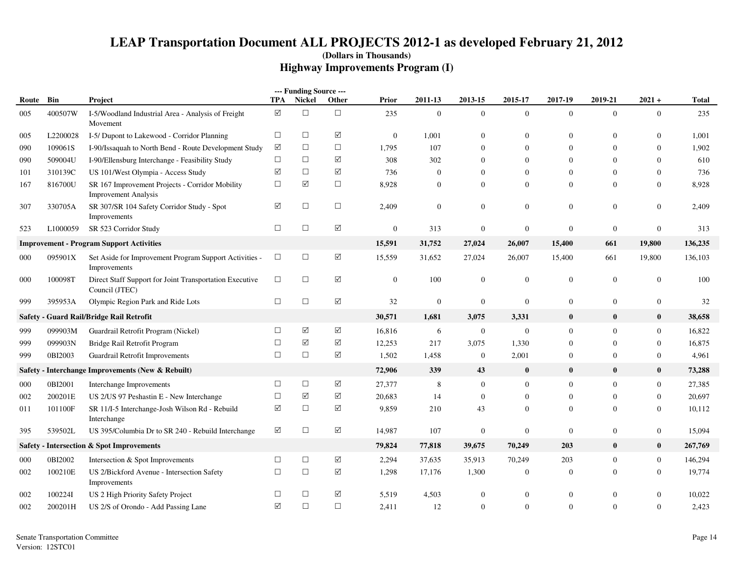|               |          |                                                                                |                      | --- Funding Source --- |                       |              |                  |                |                  |                  |                  |                  |              |
|---------------|----------|--------------------------------------------------------------------------------|----------------------|------------------------|-----------------------|--------------|------------------|----------------|------------------|------------------|------------------|------------------|--------------|
| Route         | Bin      | <b>Project</b>                                                                 | <b>TPA</b>           | <b>Nickel</b>          | Other                 | Prior        | 2011-13          | 2013-15        | 2015-17          | 2017-19          | 2019-21          | $2021 +$         | <b>Total</b> |
| 005           | 400507W  | I-5/Woodland Industrial Area - Analysis of Freight<br>Movement                 | $\boxed{\mathbf{v}}$ | $\Box$                 | $\Box$                | 235          | $\overline{0}$   | $\overline{0}$ | $\mathbf{0}$     | $\mathbf{0}$     | $\overline{0}$   | $\overline{0}$   | 235          |
| 005           | L2200028 | I-5/ Dupont to Lakewood - Corridor Planning                                    | $\Box$               | $\Box$                 | $\sqrt{}$             | $\mathbf{0}$ | 1,001            | $\overline{0}$ | $\overline{0}$   | $\Omega$         | $\theta$         | $\overline{0}$   | 1.001        |
| 090           | 109061S  | I-90/Issaquah to North Bend - Route Development Study                          | ☑                    | $\Box$                 | $\Box$                | 1,795        | 107              | $\Omega$       | $\Omega$         | $\Omega$         | $\Omega$         | $\overline{0}$   | 1.902        |
| 090           | 509004U  | I-90/Ellensburg Interchange - Feasibility Study                                | $\Box$               | $\Box$                 | ☑                     | 308          | 302              | $\mathbf{0}$   | $\Omega$         | $\mathbf{0}$     | $\theta$         | $\overline{0}$   | 610          |
| 101           | 310139C  | US 101/West Olympia - Access Study                                             | $\blacktriangledown$ | $\Box$                 | ☑                     | 736          | $\boldsymbol{0}$ | $\mathbf{0}$   | $\overline{0}$   | $\theta$         | $\Omega$         | $\overline{0}$   | 736          |
| 167           | 816700U  | SR 167 Improvement Projects - Corridor Mobility<br><b>Improvement Analysis</b> | $\Box$               | $\sqrt{}$              | $\Box$                | 8,928        | $\overline{0}$   | $\overline{0}$ | $\overline{0}$   | $\mathbf{0}$     | $\theta$         | $\overline{0}$   | 8,928        |
| 307           | 330705A  | SR 307/SR 104 Safety Corridor Study - Spot<br>Improvements                     | $\triangledown$      | $\Box$                 | $\Box$                | 2,409        | $\mathbf{0}$     | $\overline{0}$ | $\mathbf{0}$     | $\boldsymbol{0}$ | $\overline{0}$   | $\boldsymbol{0}$ | 2,409        |
| 523           | L1000059 | SR 523 Corridor Study                                                          | $\Box$               | $\Box$                 | $\boxed{\searrow}$    | $\mathbf{0}$ | 313              | $\mathbf{0}$   | $\mathbf{0}$     | $\mathbf{0}$     | $\boldsymbol{0}$ | $\boldsymbol{0}$ | 313          |
|               |          | <b>Improvement - Program Support Activities</b>                                |                      |                        |                       | 15,591       | 31,752           | 27,024         | 26,007           | 15,400           | 661              | 19,800           | 136,235      |
| 000           | 095901X  | Set Aside for Improvement Program Support Activities -<br>Improvements         | $\Box$               | $\Box$                 | $\sqrt{}$             | 15,559       | 31,652           | 27,024         | 26,007           | 15,400           | 661              | 19,800           | 136,103      |
| 000           | 100098T  | Direct Staff Support for Joint Transportation Executive<br>Council (JTEC)      | $\Box$               | $\Box$                 | $\sqrt{}$             | $\mathbf{0}$ | 100              | $\overline{0}$ | $\mathbf{0}$     | $\mathbf{0}$     | $\overline{0}$   | $\mathbf{0}$     | 100          |
| 999           | 395953A  | Olympic Region Park and Ride Lots                                              | $\Box$               | $\Box$                 | ☑                     | 32           | $\mathbf{0}$     | $\overline{0}$ | $\mathbf{0}$     | $\overline{0}$   | $\overline{0}$   | $\boldsymbol{0}$ | 32           |
| <b>Safety</b> |          | - Guard Rail/Bridge Rail Retrofit                                              |                      |                        |                       | 30,571       | 1,681            | 3,075          | 3,331            | $\bf{0}$         | $\bf{0}$         | $\bf{0}$         | 38,658       |
| 999           | 099903M  | Guardrail Retrofit Program (Nickel)                                            | $\Box$               | $\sqrt{}$              | ☑                     | 16,816       | 6                | $\overline{0}$ | $\mathbf{0}$     | $\mathbf{0}$     | $\theta$         | $\boldsymbol{0}$ | 16,822       |
| 999           | 099903N  | Bridge Rail Retrofit Program                                                   | $\Box$               | ☑                      | $\sqrt{}$             | 12,253       | 217              | 3,075          | 1,330            | $\mathbf{0}$     | $\Omega$         | $\overline{0}$   | 16,875       |
| 999           | 0BI2003  | Guardrail Retrofit Improvements                                                | $\Box$               | $\Box$                 | $\sqrt{}$             | 1,502        | 1,458            | $\overline{0}$ | 2,001            | $\mathbf{0}$     | $\Omega$         | $\overline{0}$   | 4,961        |
| <b>Safety</b> |          | - Interchange Improvements (New & Rebuilt)                                     |                      |                        |                       | 72,906       | 339              | 43             | $\bf{0}$         | $\bf{0}$         | $\bf{0}$         | $\bf{0}$         | 73,288       |
| 000           | 0BI2001  | Interchange Improvements                                                       | $\Box$               | $\Box$                 | $\boxed{\mathcal{S}}$ | 27,377       | 8                | $\mathbf{0}$   | $\mathbf{0}$     | $\boldsymbol{0}$ | $\overline{0}$   | $\boldsymbol{0}$ | 27,385       |
| 002           | 200201E  | US 2/US 97 Peshastin E - New Interchange                                       | $\Box$               | $\sqrt{}$              | $\sqrt{}$             | 20,683       | 14               | $\overline{0}$ | $\mathbf{0}$     | $\mathbf{0}$     | $\theta$         | $\overline{0}$   | 20,697       |
| 011           | 101100F  | SR 11/I-5 Interchange-Josh Wilson Rd - Rebuild<br>Interchange                  | $\blacktriangledown$ | $\Box$                 | $\sqrt{}$             | 9,859        | 210              | 43             | $\Omega$         | $\Omega$         | $\Omega$         | $\overline{0}$   | 10,112       |
| 395           | 539502L  | US 395/Columbia Dr to SR 240 - Rebuild Interchange                             | ☑                    | $\Box$                 | ☑                     | 14,987       | 107              | $\mathbf{0}$   | $\mathbf{0}$     | $\theta$         | $\overline{0}$   | $\overline{0}$   | 15,094       |
| <b>Safety</b> |          | - Intersection & Spot Improvements                                             |                      |                        |                       | 79,824       | 77,818           | 39,675         | 70,249           | 203              | $\mathbf{0}$     | $\bf{0}$         | 267,769      |
| 000           | 0BI2002  | Intersection & Spot Improvements                                               | $\Box$               | $\Box$                 | ☑                     | 2,294        | 37,635           | 35,913         | 70,249           | 203              | $\theta$         | $\mathbf{0}$     | 146,294      |
| 002           | 100210E  | US 2/Bickford Avenue - Intersection Safety<br>Improvements                     | $\Box$               | $\Box$                 | $\sqrt{}$             | 1,298        | 17,176           | 1,300          | $\mathbf{0}$     | $\mathbf{0}$     | $\Omega$         | $\boldsymbol{0}$ | 19,774       |
| 002           | 100224I  | US 2 High Priority Safety Project                                              | $\Box$               | $\Box$                 | $\sqrt{}$             | 5,519        | 4,503            | $\overline{0}$ | $\boldsymbol{0}$ | $\overline{0}$   | $\theta$         | $\boldsymbol{0}$ | 10,022       |
| 002           | 200201H  | US 2/S of Orondo - Add Passing Lane                                            | ☑                    | $\Box$                 | $\Box$                | 2,411        | 12               | $\theta$       | $\mathbf{0}$     | $\Omega$         | $\Omega$         | $\overline{0}$   | 2,423        |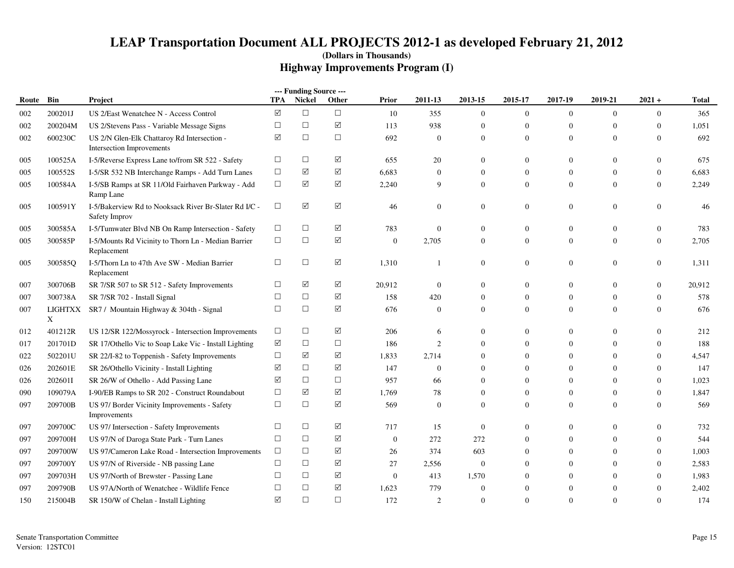|       |              |                                                                                 |            | --- Funding Source --- |                      |              |                  |                  |                  |                |                  |                  |              |
|-------|--------------|---------------------------------------------------------------------------------|------------|------------------------|----------------------|--------------|------------------|------------------|------------------|----------------|------------------|------------------|--------------|
| Route | Bin          | Project                                                                         | <b>TPA</b> | <b>Nickel</b>          | Other                | Prior        | 2011-13          | 2013-15          | 2015-17          | 2017-19        | 2019-21          | $2021 +$         | <b>Total</b> |
| 002   | 200201J      | US 2/East Wenatchee N - Access Control                                          | $\sqrt{}$  | $\Box$                 | $\Box$               | 10           | 355              | $\mathbf{0}$     | $\boldsymbol{0}$ | $\overline{0}$ | $\overline{0}$   | $\overline{0}$   | 365          |
| 002   | 200204M      | US 2/Stevens Pass - Variable Message Signs                                      | $\Box$     | $\Box$                 | $\sqrt{ }$           | 113          | 938              | $\boldsymbol{0}$ | $\boldsymbol{0}$ | $\mathbf{0}$   | $\mathbf{0}$     | $\mathbf{0}$     | 1,051        |
| 002   | 600230C      | US 2/N Glen-Elk Chattaroy Rd Intersection -<br><b>Intersection Improvements</b> | ☑          | $\Box$                 | $\Box$               | 692          | $\overline{0}$   | $\overline{0}$   | $\mathbf{0}$     | $\Omega$       | $\Omega$         | $\mathbf{0}$     | 692          |
| 005   | 100525A      | I-5/Reverse Express Lane to/from SR 522 - Safety                                | $\Box$     | $\Box$                 | ☑                    | 655          | 20               | $\overline{0}$   | $\mathbf{0}$     | $\overline{0}$ | $\mathbf{0}$     | $\overline{0}$   | 675          |
| 005   | 100552S      | I-5/SR 532 NB Interchange Ramps - Add Turn Lanes                                | $\Box$     | ☑                      | $\blacktriangledown$ | 6,683        | $\theta$         | $\mathbf{0}$     | $\mathbf{0}$     | $\overline{0}$ | $\mathbf{0}$     | $\boldsymbol{0}$ | 6,683        |
| 005   | 100584A      | I-5/SB Ramps at SR 11/Old Fairhaven Parkway - Add<br>Ramp Lane                  | $\Box$     | $\blacktriangledown$   | ☑                    | 2,240        | 9                | $\overline{0}$   | $\mathbf{0}$     | $\overline{0}$ | $\overline{0}$   | $\boldsymbol{0}$ | 2,249        |
| 005   | 100591Y      | I-5/Bakerview Rd to Nooksack River Br-Slater Rd I/C -<br>Safety Improv          | $\Box$     | $\boxed{\mathsf{v}}$   | ☑                    | 46           | $\mathbf{0}$     | $\mathbf{0}$     | $\mathbf{0}$     | $\overline{0}$ | $\boldsymbol{0}$ | $\boldsymbol{0}$ | 46           |
| 005   | 300585A      | I-5/Tumwater Blvd NB On Ramp Intersection - Safety                              | $\Box$     | $\Box$                 | $\blacktriangledown$ | 783          | $\mathbf{0}$     | $\boldsymbol{0}$ | $\mathbf{0}$     | $\overline{0}$ | $\mathbf{0}$     | $\boldsymbol{0}$ | 783          |
| 005   | 300585P      | I-5/Mounts Rd Vicinity to Thorn Ln - Median Barrier<br>Replacement              | $\Box$     | $\Box$                 | ☑                    | $\mathbf{0}$ | 2,705            | $\overline{0}$   | $\overline{0}$   | $\Omega$       | $\overline{0}$   | $\overline{0}$   | 2,705        |
| 005   | 300585O      | I-5/Thorn Ln to 47th Ave SW - Median Barrier<br>Replacement                     | $\Box$     | $\Box$                 | $\triangledown$      | 1,310        | 1                | $\overline{0}$   | $\mathbf{0}$     | $\overline{0}$ | $\mathbf{0}$     | $\mathbf{0}$     | 1,311        |
| 007   | 300706B      | SR 7/SR 507 to SR 512 - Safety Improvements                                     | $\Box$     | ☑                      | ☑                    | 20,912       | $\mathbf{0}$     | $\boldsymbol{0}$ | $\mathbf{0}$     | $\overline{0}$ | $\mathbf{0}$     | $\boldsymbol{0}$ | 20,912       |
| 007   | 300738A      | SR 7/SR 702 - Install Signal                                                    | $\Box$     | $\Box$                 | $\blacktriangledown$ | 158          | 420              | $\overline{0}$   | $\mathbf{0}$     | $\overline{0}$ | $\mathbf{0}$     | $\boldsymbol{0}$ | 578          |
| 007   | LIGHTXX<br>X | SR7 / Mountain Highway & 304th - Signal                                         | $\Box$     | $\Box$                 | $\boxed{\checkmark}$ | 676          | $\mathbf{0}$     | $\overline{0}$   | $\mathbf{0}$     | $\overline{0}$ | $\overline{0}$   | $\mathbf{0}$     | 676          |
| 012   | 401212R      | US 12/SR 122/Mossyrock - Intersection Improvements                              | $\Box$     | $\Box$                 | ☑                    | 206          | 6                | $\mathbf{0}$     | $\mathbf{0}$     | $\overline{0}$ | $\mathbf{0}$     | $\theta$         | 212          |
| 017   | 201701D      | SR 17/Othello Vic to Soap Lake Vic - Install Lighting                           | ☑          | $\Box$                 | $\Box$               | 186          | 2                | $\overline{0}$   | $\mathbf{0}$     | $\Omega$       | $\Omega$         | $\mathbf{0}$     | 188          |
| 022   | 502201U      | SR 22/I-82 to Toppenish - Safety Improvements                                   | □          | ☑                      | ☑                    | 1,833        | 2,714            | $\mathbf{0}$     | $\mathbf{0}$     | $\overline{0}$ | $\mathbf{0}$     | $\overline{0}$   | 4,547        |
| 026   | 202601E      | SR 26/Othello Vicinity - Install Lighting                                       | ☑          | $\Box$                 | $\boxed{\checkmark}$ | 147          | $\boldsymbol{0}$ | $\boldsymbol{0}$ | $\boldsymbol{0}$ | $\mathbf{0}$   | $\mathbf{0}$     | $\boldsymbol{0}$ | 147          |
| 026   | 202601I      | SR 26/W of Othello - Add Passing Lane                                           | ☑          | $\Box$                 | $\Box$               | 957          | 66               | $\theta$         | $\mathbf{0}$     | $\Omega$       | $\theta$         | $\mathbf{0}$     | 1,023        |
| 090   | 109079A      | I-90/EB Ramps to SR 202 - Construct Roundabout                                  | $\Box$     | ☑                      | ☑                    | 1,769        | 78               | $\mathbf{0}$     | $\mathbf{0}$     | $\overline{0}$ | $\mathbf{0}$     | $\theta$         | 1,847        |
| 097   | 209700B      | US 97/ Border Vicinity Improvements - Safety<br>Improvements                    | $\Box$     | $\Box$                 | ☑                    | 569          | $\Omega$         | $\Omega$         | $\Omega$         | $\Omega$       | $\Omega$         | $\theta$         | 569          |
| 097   | 209700C      | US 97/ Intersection - Safety Improvements                                       | $\Box$     | $\Box$                 | $\blacktriangledown$ | 717          | 15               | $\mathbf{0}$     | $\mathbf{0}$     | $\overline{0}$ | $\mathbf{0}$     | $\mathbf{0}$     | 732          |
| 097   | 209700H      | US 97/N of Daroga State Park - Turn Lanes                                       | $\Box$     | $\Box$                 | $\blacktriangledown$ | $\mathbf{0}$ | 272              | 272              | $\overline{0}$   | $\Omega$       | $\Omega$         | $\overline{0}$   | 544          |
| 097   | 209700W      | US 97/Cameron Lake Road - Intersection Improvements                             | $\Box$     | $\Box$                 | ☑                    | 26           | 374              | 603              | $\mathbf{0}$     | $\mathbf{0}$   | $\mathbf{0}$     | $\mathbf{0}$     | 1,003        |
| 097   | 209700Y      | US 97/N of Riverside - NB passing Lane                                          | $\Box$     | $\Box$                 | $\blacktriangledown$ | 27           | 2,556            | $\overline{0}$   | $\Omega$         | $\Omega$       | $\Omega$         | $\theta$         | 2,583        |
| 097   | 209703H      | US 97/North of Brewster - Passing Lane                                          | $\Box$     | $\Box$                 | $\blacktriangledown$ | $\mathbf{0}$ | 413              | 1,570            | $\Omega$         | $\Omega$       | $\Omega$         | $\theta$         | 1,983        |
| 097   | 209790B      | US 97A/North of Wenatchee - Wildlife Fence                                      | □          | $\Box$                 | ☑                    | 1,623        | 779              | $\boldsymbol{0}$ | $\mathbf{0}$     | $\overline{0}$ | $\theta$         | $\mathbf{0}$     | 2,402        |
| 150   | 215004B      | SR 150/W of Chelan - Install Lighting                                           | ☑          | $\Box$                 | $\Box$               | 172          | 2                | $\Omega$         | $\mathbf{0}$     | $\Omega$       | $\Omega$         | $\theta$         | 174          |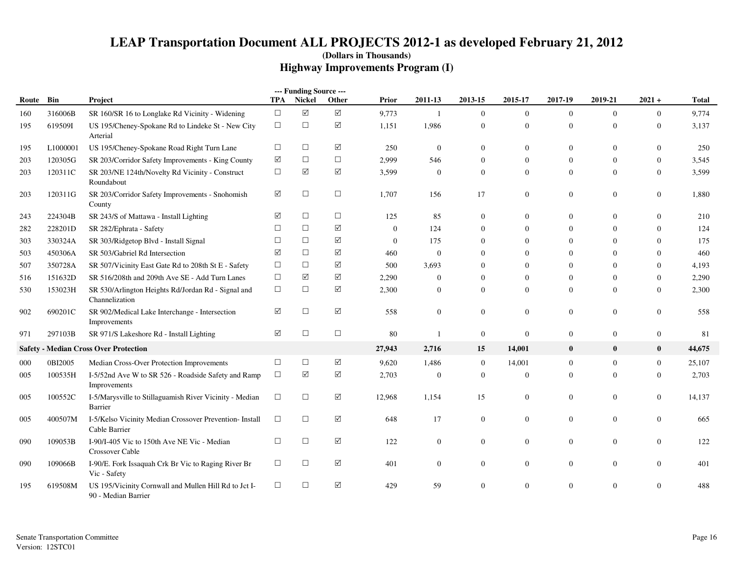|       |          |                                                                              |                      | --- Funding Source --- |                 |                  |                  |                  |                  |                  |                  |                  |              |
|-------|----------|------------------------------------------------------------------------------|----------------------|------------------------|-----------------|------------------|------------------|------------------|------------------|------------------|------------------|------------------|--------------|
| Route | Bin      | Project                                                                      | TPA                  | Nickel                 | Other           | <b>Prior</b>     | 2011-13          | 2013-15          | 2015-17          | 2017-19          | 2019-21          | $2021 +$         | <b>Total</b> |
| 160   | 316006B  | SR 160/SR 16 to Longlake Rd Vicinity - Widening                              | $\Box$               | $\boxed{\searrow}$     | $\triangledown$ | 9,773            | $\mathbf{1}$     | $\mathbf{0}$     | $\boldsymbol{0}$ | $\overline{0}$   | $\overline{0}$   | $\overline{0}$   | 9,774        |
| 195   | 619509I  | US 195/Cheney-Spokane Rd to Lindeke St - New City<br>Arterial                | $\Box$               | $\Box$                 | ☑               | 1,151            | 1,986            | $\mathbf{0}$     | $\boldsymbol{0}$ | $\overline{0}$   | $\overline{0}$   | $\overline{0}$   | 3,137        |
| 195   | L1000001 | US 195/Cheney-Spokane Road Right Turn Lane                                   | $\Box$               | $\Box$                 | ☑               | 250              | $\boldsymbol{0}$ | $\mathbf{0}$     | $\mathbf{0}$     | $\overline{0}$   | $\overline{0}$   | $\overline{0}$   | 250          |
| 203   | 120305G  | SR 203/Corridor Safety Improvements - King County                            | ☑                    | $\Box$                 | $\Box$          | 2,999            | 546              | $\boldsymbol{0}$ | $\mathbf{0}$     | $\boldsymbol{0}$ | $\boldsymbol{0}$ | $\boldsymbol{0}$ | 3,545        |
| 203   | 120311C  | SR 203/NE 124th/Novelty Rd Vicinity - Construct<br>Roundabout                | $\Box$               | $\blacktriangledown$   | ☑               | 3,599            | $\boldsymbol{0}$ | $\boldsymbol{0}$ | $\mathbf{0}$     | $\overline{0}$   | $\mathbf{0}$     | $\mathbf{0}$     | 3,599        |
| 203   | 120311G  | SR 203/Corridor Safety Improvements - Snohomish<br>County                    | ☑                    | $\Box$                 | $\Box$          | 1,707            | 156              | 17               | $\boldsymbol{0}$ | $\boldsymbol{0}$ | $\boldsymbol{0}$ | $\boldsymbol{0}$ | 1,880        |
| 243   | 224304B  | SR 243/S of Mattawa - Install Lighting                                       | ☑                    | $\Box$                 | $\Box$          | 125              | 85               | $\boldsymbol{0}$ | $\boldsymbol{0}$ | $\boldsymbol{0}$ | $\boldsymbol{0}$ | $\mathbf{0}$     | 210          |
| 282   | 228201D  | SR 282/Ephrata - Safety                                                      | $\Box$               | $\Box$                 | ☑               | $\boldsymbol{0}$ | 124              | $\boldsymbol{0}$ | $\mathbf{0}$     | $\boldsymbol{0}$ | $\overline{0}$   | $\bf{0}$         | 124          |
| 303   | 330324A  | SR 303/Ridgetop Blvd - Install Signal                                        | $\Box$               | $\Box$                 | ☑               | $\boldsymbol{0}$ | 175              | $\boldsymbol{0}$ | $\theta$         | $\boldsymbol{0}$ | $\overline{0}$   | $\overline{0}$   | 175          |
| 503   | 450306A  | SR 503/Gabriel Rd Intersection                                               | ☑                    | $\Box$                 | ☑               | 460              | $\boldsymbol{0}$ | $\overline{0}$   | $\mathbf{0}$     | $\overline{0}$   | $\theta$         | $\overline{0}$   | 460          |
| 507   | 350728A  | SR 507/Vicinity East Gate Rd to 208th St E - Safety                          | $\Box$               | $\Box$                 | ☑               | 500              | 3,693            | $\boldsymbol{0}$ | $\mathbf{0}$     | $\overline{0}$   | $\mathbf{0}$     | $\bf{0}$         | 4,193        |
| 516   | 151632D  | SR 516/208th and 209th Ave SE - Add Turn Lanes                               | $\Box$               | ☑                      | ☑               | 2,290            | 0                | $\boldsymbol{0}$ | $\mathbf{0}$     | $\boldsymbol{0}$ | $\overline{0}$   | $\mathbf{0}$     | 2,290        |
| 530   | 153023H  | SR 530/Arlington Heights Rd/Jordan Rd - Signal and<br>Channelization         | $\Box$               | $\Box$                 | ☑               | 2,300            | 0                | $\mathbf{0}$     | $\mathbf{0}$     | $\overline{0}$   | $\overline{0}$   | $\overline{0}$   | 2,300        |
| 902   | 690201C  | SR 902/Medical Lake Interchange - Intersection<br>Improvements               | ☑                    | $\Box$                 | $\triangledown$ | 558              | $\overline{0}$   | $\mathbf{0}$     | $\mathbf{0}$     | $\mathbf{0}$     | $\overline{0}$   | $\mathbf{0}$     | 558          |
| 971   | 297103B  | SR 971/S Lakeshore Rd - Install Lighting                                     | $\blacktriangledown$ | $\Box$                 | $\Box$          | 80               | 1                | $\boldsymbol{0}$ | $\boldsymbol{0}$ | $\mathbf{0}$     | $\overline{0}$   | $\boldsymbol{0}$ | 81           |
|       |          | <b>Safety - Median Cross Over Protection</b>                                 |                      |                        |                 | 27,943           | 2,716            | 15               | 14,001           | $\bf{0}$         | $\bf{0}$         | $\bf{0}$         | 44,675       |
| 000   | 0BI2005  | Median Cross-Over Protection Improvements                                    | $\Box$               | $\Box$                 | ☑               | 9,620            | 1,486            | $\mathbf{0}$     | 14,001           | $\boldsymbol{0}$ | $\boldsymbol{0}$ | $\overline{0}$   | 25,107       |
| 005   | 100535H  | I-5/52nd Ave W to SR 526 - Roadside Safety and Ramp<br>Improvements          | $\Box$               | ☑                      | ☑               | 2,703            | 0                | $\mathbf{0}$     | $\boldsymbol{0}$ | $\overline{0}$   | $\overline{0}$   | $\overline{0}$   | 2,703        |
| 005   | 100552C  | I-5/Marysville to Stillaguamish River Vicinity - Median<br>Barrier           | $\Box$               | $\Box$                 | ☑               | 12,968           | 1,154            | 15               | $\boldsymbol{0}$ | $\overline{0}$   | $\overline{0}$   | $\boldsymbol{0}$ | 14,137       |
| 005   | 400507M  | I-5/Kelso Vicinity Median Crossover Prevention- Install<br>Cable Barrier     | $\Box$               | $\Box$                 | ☑               | 648              | 17               | $\mathbf{0}$     | $\mathbf{0}$     | $\boldsymbol{0}$ | $\overline{0}$   | $\overline{0}$   | 665          |
| 090   | 109053B  | I-90/I-405 Vic to 150th Ave NE Vic - Median<br><b>Crossover Cable</b>        | $\Box$               | $\Box$                 | ☑               | 122              | 0                | $\mathbf{0}$     | $\mathbf{0}$     | $\boldsymbol{0}$ | $\overline{0}$   | $\overline{0}$   | 122          |
| 090   | 109066B  | I-90/E. Fork Issaquah Crk Br Vic to Raging River Br<br>Vic - Safety          | $\Box$               | $\Box$                 | ☑               | 401              | 0                | $\mathbf{0}$     | $\boldsymbol{0}$ | $\boldsymbol{0}$ | $\boldsymbol{0}$ | $\mathbf{0}$     | 401          |
| 195   | 619508M  | US 195/Vicinity Cornwall and Mullen Hill Rd to Jct I-<br>90 - Median Barrier | $\Box$               | $\Box$                 | ☑               | 429              | 59               | $\boldsymbol{0}$ | $\Omega$         | $\Omega$         | $\overline{0}$   | $\overline{0}$   | 488          |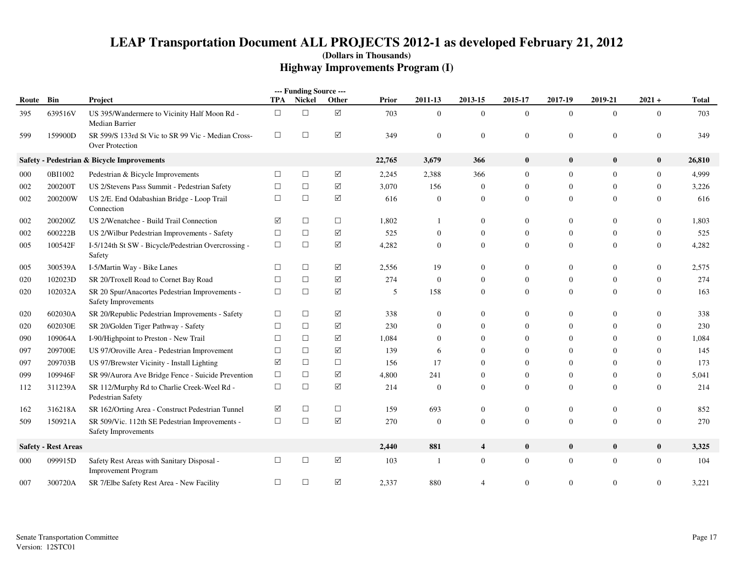|           |                            |                                                                          |            | --- Funding Source --- |            |        |                  |                |                  |                |                  |                  |              |
|-----------|----------------------------|--------------------------------------------------------------------------|------------|------------------------|------------|--------|------------------|----------------|------------------|----------------|------------------|------------------|--------------|
| Route Bin |                            | Project                                                                  | <b>TPA</b> | <b>Nickel</b>          | Other      | Prior  | 2011-13          | 2013-15        | 2015-17          | 2017-19        | 2019-21          | $2021 +$         | <b>Total</b> |
| 395       | 639516V                    | US 395/Wandermere to Vicinity Half Moon Rd -<br>Median Barrier           | $\Box$     | $\Box$                 | $\sqrt{ }$ | 703    | $\boldsymbol{0}$ | $\theta$       | $\mathbf{0}$     | $\overline{0}$ | $\mathbf{0}$     | $\overline{0}$   | 703          |
| 599       | 159900D                    | SR 599/S 133rd St Vic to SR 99 Vic - Median Cross-<br>Over Protection    | $\Box$     | $\Box$                 | $\Delta$   | 349    | $\mathbf{0}$     | $\mathbf{0}$   | $\boldsymbol{0}$ | $\mathbf{0}$   | $\boldsymbol{0}$ | $\theta$         | 349          |
|           |                            | Safety - Pedestrian & Bicycle Improvements                               |            |                        |            | 22,765 | 3,679            | 366            | $\bf{0}$         | $\bf{0}$       | $\bf{0}$         | $\bf{0}$         | 26,810       |
| 000       | 0BI1002                    | Pedestrian & Bicycle Improvements                                        | $\Box$     | $\Box$                 | ☑          | 2,245  | 2,388            | 366            | $\mathbf{0}$     | $\mathbf{0}$   | $\mathbf{0}$     | $\overline{0}$   | 4,999        |
| 002       | 200200T                    | US 2/Stevens Pass Summit - Pedestrian Safety                             | $\Box$     | $\Box$                 | $\Delta$   | 3,070  | 156              | $\overline{0}$ | $\overline{0}$   | $\mathbf{0}$   | $\overline{0}$   | $\boldsymbol{0}$ | 3,226        |
| 002       | 200200W                    | US 2/E. End Odabashian Bridge - Loop Trail<br>Connection                 | $\Box$     | $\Box$                 | ☑          | 616    | $\boldsymbol{0}$ | $\mathbf{0}$   | $\overline{0}$   | $\mathbf{0}$   | $\mathbf{0}$     | $\theta$         | 616          |
| 002       | 200200Z                    | US 2/Wenatchee - Build Trail Connection                                  | ☑          | $\Box$                 | $\Box$     | 1,802  |                  | $\Omega$       | $\Omega$         | $\overline{0}$ | $\Omega$         | $\Omega$         | 1,803        |
| 002       | 600222B                    | US 2/Wilbur Pedestrian Improvements - Safety                             | $\Box$     | $\Box$                 | ☑          | 525    | $\mathbf{0}$     | $\Omega$       | $\Omega$         | $\mathbf{0}$   | $\Omega$         | $\theta$         | 525          |
| 005       | 100542F                    | I-5/124th St SW - Bicycle/Pedestrian Overcrossing -<br>Safety            | $\Box$     | $\Box$                 | ☑          | 4,282  | $\mathbf{0}$     | $\Omega$       | $\Omega$         | $\overline{0}$ | $\Omega$         | $\boldsymbol{0}$ | 4,282        |
| 005       | 300539A                    | I-5/Martin Way - Bike Lanes                                              | $\Box$     | $\Box$                 | ☑          | 2,556  | 19               | $\mathbf{0}$   | $\overline{0}$   | $\mathbf{0}$   | $\mathbf{0}$     | $\boldsymbol{0}$ | 2,575        |
| 020       | 102023D                    | SR 20/Troxell Road to Cornet Bay Road                                    | $\Box$     | $\Box$                 | ☑          | 274    | $\mathbf{0}$     | $\mathbf{0}$   | $\overline{0}$   | $\mathbf{0}$   | $\mathbf{0}$     | $\overline{0}$   | 274          |
| 020       | 102032A                    | SR 20 Spur/Anacortes Pedestrian Improvements -<br>Safety Improvements    | $\Box$     | $\Box$                 | $\Delta$   | 5      | 158              | $\mathbf{0}$   | $\mathbf{0}$     | $\overline{0}$ | $\overline{0}$   | $\theta$         | 163          |
| 020       | 602030A                    | SR 20/Republic Pedestrian Improvements - Safety                          | $\Box$     | $\Box$                 | ☑          | 338    | $\mathbf{0}$     | $\Omega$       | $\Omega$         | $\overline{0}$ | $\Omega$         | $\Omega$         | 338          |
| 020       | 602030E                    | SR 20/Golden Tiger Pathway - Safety                                      | $\Box$     | $\Box$                 | ☑          | 230    | $\mathbf{0}$     | $\Omega$       | $\Omega$         | $\mathbf{0}$   | $\Omega$         | $\Omega$         | 230          |
| 090       | 109064A                    | I-90/Highpoint to Preston - New Trail                                    | $\Box$     | $\Box$                 | ☑          | 1,084  | $\Omega$         | $\Omega$       | 0                | $\theta$       | $\Omega$         | $\Omega$         | 1,084        |
| 097       | 209700E                    | US 97/Oroville Area - Pedestrian Improvement                             | $\Box$     | $\Box$                 | ☑          | 139    | 6                | $\Omega$       |                  | $\mathbf{0}$   | $\Omega$         | $\Omega$         | 145          |
| 097       | 209703B                    | US 97/Brewster Vicinity - Install Lighting                               | $\sqrt{}$  | $\Box$                 | $\Box$     | 156    | 17               | $\Omega$       | $\Omega$         | $\mathbf{0}$   | $\Omega$         | $\theta$         | 173          |
| 099       | 109946F                    | SR 99/Aurora Ave Bridge Fence - Suicide Prevention                       | $\Box$     | $\Box$                 | ✓          | 4,800  | 241              | $\mathbf{0}$   | $\overline{0}$   | $\mathbf{0}$   | $\theta$         | $\boldsymbol{0}$ | 5,041        |
| 112       | 311239A                    | SR 112/Murphy Rd to Charlie Creek-Weel Rd -<br>Pedestrian Safety         | $\Box$     | $\Box$                 | $\sqrt{}$  | 214    | $\Omega$         | $\Omega$       | $\Omega$         | $\theta$       | $\Omega$         | $\Omega$         | 214          |
| 162       | 316218A                    | SR 162/Orting Area - Construct Pedestrian Tunnel                         | ☑          | $\Box$                 | $\Box$     | 159    | 693              | $\Omega$       | $\overline{0}$   | $\mathbf{0}$   | $\mathbf{0}$     | $\boldsymbol{0}$ | 852          |
| 509       | 150921A                    | SR 509/Vic. 112th SE Pedestrian Improvements -<br>Safety Improvements    | $\Box$     | $\Box$                 | ☑          | 270    | $\theta$         | $\mathbf{0}$   | $\overline{0}$   | $\mathbf{0}$   | $\overline{0}$   | $\overline{0}$   | 270          |
|           | <b>Safety - Rest Areas</b> |                                                                          |            |                        |            | 2,440  | 881              | $\overline{4}$ | $\bf{0}$         | $\bf{0}$       | $\bf{0}$         | $\bf{0}$         | 3,325        |
| 000       | 099915D                    | Safety Rest Areas with Sanitary Disposal -<br><b>Improvement Program</b> | $\Box$     | $\Box$                 | $\Delta$   | 103    | -1               | $\overline{0}$ | $\mathbf{0}$     | $\overline{0}$ | $\overline{0}$   | $\boldsymbol{0}$ | 104          |
| 007       | 300720A                    | SR 7/Elbe Safety Rest Area - New Facility                                | $\Box$     | $\Box$                 | ☑          | 2,337  | 880              |                | $\overline{0}$   | $\overline{0}$ | $\Omega$         | $\theta$         | 3,221        |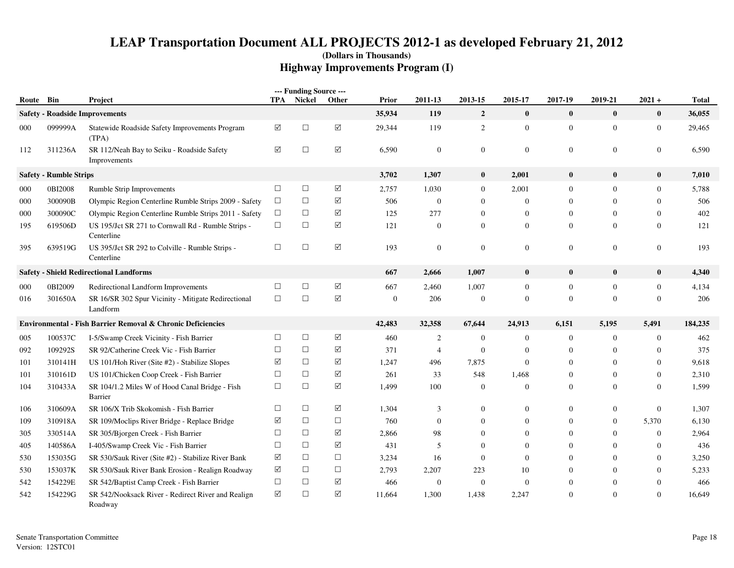|       |                               |                                                                  |        | --- Funding Source --- |                 |                  |                  |                |                  |                  |                  |                  |              |
|-------|-------------------------------|------------------------------------------------------------------|--------|------------------------|-----------------|------------------|------------------|----------------|------------------|------------------|------------------|------------------|--------------|
| Route | Bin                           | Project                                                          |        | <b>TPA</b> Nickel      | Other           | Prior            | 2011-13          | 2013-15        | 2015-17          | 2017-19          | 2019-21          | $2021 +$         | <b>Total</b> |
|       |                               | <b>Safety - Roadside Improvements</b>                            |        |                        |                 | 35,934           | 119              | $\overline{2}$ | $\mathbf{0}$     | $\bf{0}$         | $\bf{0}$         | $\bf{0}$         | 36,055       |
| 000   | 099999A                       | Statewide Roadside Safety Improvements Program<br>(TPA)          | ☑      | $\Box$                 | $\sqrt{}$       | 29,344           | 119              | 2              | $\boldsymbol{0}$ | $\mathbf{0}$     | $\mathbf{0}$     | $\boldsymbol{0}$ | 29,465       |
| 112   | 311236A                       | SR 112/Neah Bay to Seiku - Roadside Safety<br>Improvements       | ☑      | $\Box$                 | ☑               | 6,590            | $\mathbf{0}$     | $\mathbf{0}$   | $\mathbf{0}$     | $\mathbf{0}$     | $\mathbf{0}$     | $\boldsymbol{0}$ | 6,590        |
|       | <b>Safety - Rumble Strips</b> |                                                                  |        |                        |                 | 3,702            | 1,307            | $\bf{0}$       | 2,001            | $\bf{0}$         | $\bf{0}$         | $\bf{0}$         | 7,010        |
| 000   | 0BI2008                       | Rumble Strip Improvements                                        | $\Box$ | $\Box$                 | $\sqrt{ }$      | 2,757            | 1,030            | $\mathbf{0}$   | 2,001            | $\overline{0}$   | $\overline{0}$   | $\mathbf{0}$     | 5,788        |
| 000   | 300090B                       | Olympic Region Centerline Rumble Strips 2009 - Safety            | $\Box$ | $\Box$                 | ✓               | 506              | $\boldsymbol{0}$ | $\mathbf{0}$   | $\mathbf{0}$     | $\mathbf{0}$     | $\mathbf{0}$     | $\overline{0}$   | 506          |
| 000   | 300090C                       | Olympic Region Centerline Rumble Strips 2011 - Safety            | $\Box$ | $\Box$                 | ☑               | 125              | 277              | $\mathbf{0}$   | $\overline{0}$   | $\overline{0}$   | $\mathbf{0}$     | $\Omega$         | 402          |
| 195   | 619506D                       | US 195/Jct SR 271 to Cornwall Rd - Rumble Strips -<br>Centerline | $\Box$ | $\Box$                 | $\triangledown$ | 121              | $\boldsymbol{0}$ | $\mathbf{0}$   | $\mathbf{0}$     | $\mathbf{0}$     | $\overline{0}$   | $\boldsymbol{0}$ | 121          |
| 395   | 639519G                       | US 395/Jct SR 292 to Colville - Rumble Strips -<br>Centerline    | $\Box$ | $\Box$                 | $\Delta$        | 193              | $\mathbf{0}$     | $\mathbf{0}$   | $\mathbf{0}$     | $\mathbf{0}$     | $\overline{0}$   | $\theta$         | 193          |
|       |                               | <b>Safety - Shield Redirectional Landforms</b>                   |        |                        |                 | 667              | 2,666            | 1,007          | $\bf{0}$         | $\bf{0}$         | $\bf{0}$         | $\bf{0}$         | 4,340        |
| 000   | 0BI2009                       | Redirectional Landform Improvements                              | $\Box$ | $\Box$                 | ✓               | 667              | 2,460            | 1,007          | $\mathbf{0}$     | $\mathbf{0}$     | $\mathbf{0}$     | $\boldsymbol{0}$ | 4,134        |
| 016   | 301650A                       | SR 16/SR 302 Spur Vicinity - Mitigate Redirectional<br>Landform  | $\Box$ | $\Box$                 | $\Delta$        | $\boldsymbol{0}$ | 206              | $\mathbf{0}$   | $\mathbf{0}$     | $\mathbf{0}$     | $\mathbf{0}$     | $\overline{0}$   | 206          |
|       |                               | Environmental - Fish Barrier Removal & Chronic Deficiencies      |        |                        |                 | 42,483           | 32,358           | 67,644         | 24,913           | 6,151            | 5,195            | 5,491            | 184,235      |
| 005   | 100537C                       | I-5/Swamp Creek Vicinity - Fish Barrier                          | $\Box$ | $\Box$                 | $\Delta$        | 460              | $\overline{c}$   | $\mathbf{0}$   | $\overline{0}$   | $\mathbf{0}$     | $\mathbf{0}$     | $\overline{0}$   | 462          |
| 092   | 109292S                       | SR 92/Catherine Creek Vic - Fish Barrier                         | $\Box$ | $\Box$                 | ☑               | 371              | $\overline{4}$   | $\mathbf{0}$   | $\overline{0}$   | $\overline{0}$   | $\mathbf{0}$     | $\mathbf{0}$     | 375          |
| 101   | 310141H                       | US 101/Hoh River (Site #2) - Stabilize Slopes                    | ☑      | $\Box$                 | ☑               | 1,247            | 496              | 7,875          | $\mathbf{0}$     | $\overline{0}$   | $\mathbf{0}$     | $\boldsymbol{0}$ | 9,618        |
| 101   | 310161D                       | US 101/Chicken Coop Creek - Fish Barrier                         | $\Box$ | $\Box$                 | ✓               | 261              | 33               | 548            | 1,468            | $\overline{0}$   | $\mathbf{0}$     | $\boldsymbol{0}$ | 2,310        |
| 104   | 310433A                       | SR 104/1.2 Miles W of Hood Canal Bridge - Fish<br>Barrier        | $\Box$ | $\Box$                 | ☑               | 1,499            | 100              | $\theta$       | $\overline{0}$   | $\overline{0}$   | $\theta$         | $\mathbf{0}$     | 1,599        |
| 106   | 310609A                       | SR 106/X Trib Skokomish - Fish Barrier                           | $\Box$ | $\Box$                 | ☑               | 1,304            | 3                | $\Omega$       | $\overline{0}$   | $\mathbf{0}$     | $\overline{0}$   | $\boldsymbol{0}$ | 1,307        |
| 109   | 310918A                       | SR 109/Moclips River Bridge - Replace Bridge                     | ☑      | $\Box$                 | $\Box$          | 760              | $\mathbf{0}$     | $\mathbf{0}$   | $\overline{0}$   | $\overline{0}$   | $\overline{0}$   | 5,370            | 6,130        |
| 305   | 330514A                       | SR 305/Bjorgen Creek - Fish Barrier                              | $\Box$ | $\Box$                 | $\sqrt{ }$      | 2,866            | 98               | $\mathbf{0}$   | $\boldsymbol{0}$ | $\overline{0}$   | $\boldsymbol{0}$ | $\boldsymbol{0}$ | 2,964        |
| 405   | 140586A                       | I-405/Swamp Creek Vic - Fish Barrier                             | $\Box$ | $\Box$                 | $\triangledown$ | 431              | 5                | $\Omega$       | $\Omega$         | $\mathbf{0}$     | $\mathbf{0}$     | $\Omega$         | 436          |
| 530   | 153035G                       | SR 530/Sauk River (Site #2) - Stabilize River Bank               | ☑      | $\Box$                 | $\Box$          | 3,234            | 16               | $\overline{0}$ | $\overline{0}$   | $\boldsymbol{0}$ | $\mathbf{0}$     | $\overline{0}$   | 3,250        |
| 530   | 153037K                       | SR 530/Sauk River Bank Erosion - Realign Roadway                 | ☑      | $\Box$                 | $\Box$          | 2,793            | 2,207            | 223            | 10               | $\mathbf{0}$     | $\mathbf{0}$     | $\boldsymbol{0}$ | 5,233        |
| 542   | 154229E                       | SR 542/Baptist Camp Creek - Fish Barrier                         | $\Box$ | $\Box$                 | ☑               | 466              | $\mathbf{0}$     | $\overline{0}$ | $\overline{0}$   | $\overline{0}$   | $\theta$         | $\mathbf{0}$     | 466          |
| 542   | 154229G                       | SR 542/Nooksack River - Redirect River and Realign<br>Roadway    | ☑      | $\Box$                 | ☑               | 11,664           | 1,300            | 1,438          | 2,247            | $\Omega$         | $\Omega$         | $\Omega$         | 16,649       |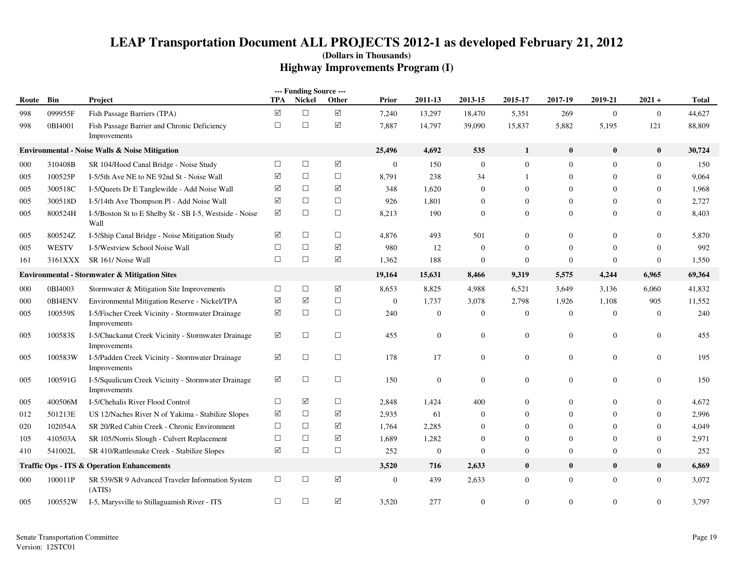|       |              |                                                                    |                      | --- Funding Source --- |                      |                |                  |                  |                  |                  |                  |                  |              |
|-------|--------------|--------------------------------------------------------------------|----------------------|------------------------|----------------------|----------------|------------------|------------------|------------------|------------------|------------------|------------------|--------------|
| Route | Bin          | Project                                                            | TPA                  | Nickel                 | Other                | <b>Prior</b>   | 2011-13          | 2013-15          | 2015-17          | 2017-19          | 2019-21          | $2021 +$         | <b>Total</b> |
| 998   | 099955F      | Fish Passage Barriers (TPA)                                        | $\Delta$             | $\Box$                 | $\Delta$             | 7,240          | 13,297           | 18,470           | 5,351            | 269              | $\mathbf{0}$     | $\boldsymbol{0}$ | 44,627       |
| 998   | 0BI4001      | Fish Passage Barrier and Chronic Deficiency<br>Improvements        | $\Box$               | $\Box$                 | $\boxed{\checkmark}$ | 7,887          | 14,797           | 39,090           | 15,837           | 5,882            | 5,195            | 121              | 88,809       |
|       |              | <b>Environmental - Noise Walls &amp; Noise Mitigation</b>          |                      |                        |                      | 25,496         | 4,692            | 535              | $\mathbf{1}$     | $\bf{0}$         | $\bf{0}$         | $\bf{0}$         | 30,724       |
| 000   | 310408B      | SR 104/Hood Canal Bridge - Noise Study                             | $\Box$               | $\Box$                 | $\Delta$             | $\mathbf{0}$   | 150              | $\overline{0}$   | $\mathbf{0}$     | $\mathbf{0}$     | $\theta$         | $\mathbf{0}$     | 150          |
| 005   | 100525P      | I-5/5th Ave NE to NE 92nd St - Noise Wall                          | ☑                    | $\Box$                 | $\Box$               | 8,791          | 238              | 34               | $\mathbf{1}$     | $\mathbf{0}$     | $\overline{0}$   | $\mathbf{0}$     | 9,064        |
| 005   | 300518C      | I-5/Queets Dr E Tanglewilde - Add Noise Wall                       | $\Delta$             | $\Box$                 | ☑                    | 348            | 1,620            | $\mathbf{0}$     | $\overline{0}$   | $\mathbf{0}$     | $\Omega$         | $\mathbf{0}$     | 1,968        |
| 005   | 300518D      | I-5/14th Ave Thompson Pl - Add Noise Wall                          | $\boxed{\mathsf{v}}$ | $\Box$                 | $\Box$               | 926            | 1,801            | $\mathbf{0}$     | $\mathbf{0}$     | $\mathbf{0}$     | $\overline{0}$   | $\boldsymbol{0}$ | 2,727        |
| 005   | 800524H      | I-5/Boston St to E Shelby St - SB I-5, Westside - Noise<br>Wall    | $\Delta$             | $\Box$                 | $\Box$               | 8,213          | 190              | $\mathbf{0}$     | $\overline{0}$   | $\mathbf{0}$     | $\theta$         | $\boldsymbol{0}$ | 8,403        |
| 005   | 800524Z      | I-5/Ship Canal Bridge - Noise Mitigation Study                     | ☑                    | $\Box$                 | $\Box$               | 4,876          | 493              | 501              | $\Omega$         | $\mathbf{0}$     | $\Omega$         | $\mathbf{0}$     | 5,870        |
| 005   | <b>WESTV</b> | I-5/Westview School Noise Wall                                     | $\Box$               | $\Box$                 | $\triangledown$      | 980            | 12               | $\overline{0}$   | $\mathbf{0}$     | $\mathbf{0}$     | $\mathbf{0}$     | $\mathbf{0}$     | 992          |
| 161   | 3161XXX      | SR 161/ Noise Wall                                                 | $\Box$               | $\Box$                 | $\blacktriangledown$ | 1,362          | 188              | $\mathbf{0}$     | $\overline{0}$   | $\overline{0}$   | $\mathbf{0}$     | $\mathbf{0}$     | 1,550        |
|       |              | <b>Environmental - Stormwater &amp; Mitigation Sites</b>           |                      |                        |                      | 19,164         | 15,631           | 8,466            | 9,319            | 5,575            | 4,244            | 6,965            | 69,364       |
| 000   | 0BI4003      | Stormwater & Mitigation Site Improvements                          | $\Box$               | $\Box$                 | $\triangledown$      | 8,653          | 8,825            | 4,988            | 6,521            | 3,649            | 3,136            | 6,060            | 41,832       |
| 000   | 0BI4ENV      | Environmental Mitigation Reserve - Nickel/TPA                      | $\triangledown$      | ☑                      | $\Box$               | $\mathbf{0}$   | 1,737            | 3,078            | 2,798            | 1,926            | 1,108            | 905              | 11,552       |
| 005   | 100559S      | I-5/Fischer Creek Vicinity - Stormwater Drainage<br>Improvements   | ☑                    | $\Box$                 | $\Box$               | 240            | $\boldsymbol{0}$ | $\mathbf{0}$     | $\mathbf{0}$     | $\mathbf{0}$     | $\mathbf{0}$     | $\mathbf{0}$     | 240          |
| 005   | 100583S      | I-5/Chuckanut Creek Vicinity - Stormwater Drainage<br>Improvements | ☑                    | $\Box$                 | $\Box$               | 455            | $\boldsymbol{0}$ | $\overline{0}$   | $\mathbf{0}$     | $\mathbf{0}$     | $\overline{0}$   | $\boldsymbol{0}$ | 455          |
| 005   | 100583W      | I-5/Padden Creek Vicinity - Stormwater Drainage<br>Improvements    | ☑                    | $\Box$                 | $\Box$               | 178            | 17               | $\mathbf{0}$     | $\boldsymbol{0}$ | $\mathbf{0}$     | $\overline{0}$   | $\boldsymbol{0}$ | 195          |
| 005   | 100591G      | I-5/Squalicum Creek Vicinity - Stormwater Drainage<br>Improvements | ☑                    | $\Box$                 | $\Box$               | 150            | $\mathbf{0}$     | $\overline{0}$   | $\boldsymbol{0}$ | $\boldsymbol{0}$ | $\overline{0}$   | $\boldsymbol{0}$ | 150          |
| 005   | 400506M      | I-5/Chehalis River Flood Control                                   | $\Box$               | ☑                      | $\Box$               | 2,848          | 1,424            | 400              | $\mathbf{0}$     | $\mathbf{0}$     | $\boldsymbol{0}$ | $\boldsymbol{0}$ | 4,672        |
| 012   | 501213E      | US 12/Naches River N of Yakima - Stabilize Slopes                  | $\boxtimes$          | $\Box$                 | $\sqrt{ }$           | 2,935          | 61               | $\boldsymbol{0}$ | $\overline{0}$   | $\mathbf{0}$     | $\mathbf{0}$     | $\boldsymbol{0}$ | 2,996        |
| 020   | 102054A      | SR 20/Red Cabin Creek - Chronic Environment                        | $\Box$               | $\Box$                 | $\sqrt{ }$           | 1,764          | 2,285            | $\boldsymbol{0}$ | $\mathbf{0}$     | $\mathbf{0}$     | $\mathbf{0}$     | $\boldsymbol{0}$ | 4,049        |
| 105   | 410503A      | SR 105/Norris Slough - Culvert Replacement                         | $\Box$               | $\Box$                 | ☑                    | 1,689          | 1,282            | $\boldsymbol{0}$ | $\boldsymbol{0}$ | $\mathbf{0}$     | $\mathbf{0}$     | $\boldsymbol{0}$ | 2,971        |
| 410   | 541002L      | SR 410/Rattlesnake Creek - Stabilize Slopes                        | ☑                    | $\Box$                 | $\Box$               | 252            | $\mathbf{0}$     | $\Omega$         | $\overline{0}$   | $\mathbf{0}$     | $\overline{0}$   | $\mathbf{0}$     | 252          |
|       |              | <b>Traffic Ops - ITS &amp; Operation Enhancements</b>              |                      |                        |                      | 3,520          | 716              | 2,633            | $\bf{0}$         | $\bf{0}$         | $\bf{0}$         | $\bf{0}$         | 6,869        |
| 000   | 100011P      | SR 539/SR 9 Advanced Traveler Information System<br>(ATIS)         | $\Box$               | $\Box$                 | $\sqrt{}$            | $\overline{0}$ | 439              | 2,633            | $\mathbf{0}$     | $\boldsymbol{0}$ | $\overline{0}$   | $\boldsymbol{0}$ | 3,072        |
| 005   | 100552W      | I-5, Marysville to Stillaguamish River - ITS                       | $\Box$               | $\Box$                 | $\blacktriangledown$ | 3,520          | 277              | $\mathbf{0}$     | $\mathbf{0}$     | $\mathbf{0}$     | $\overline{0}$   | $\mathbf{0}$     | 3,797        |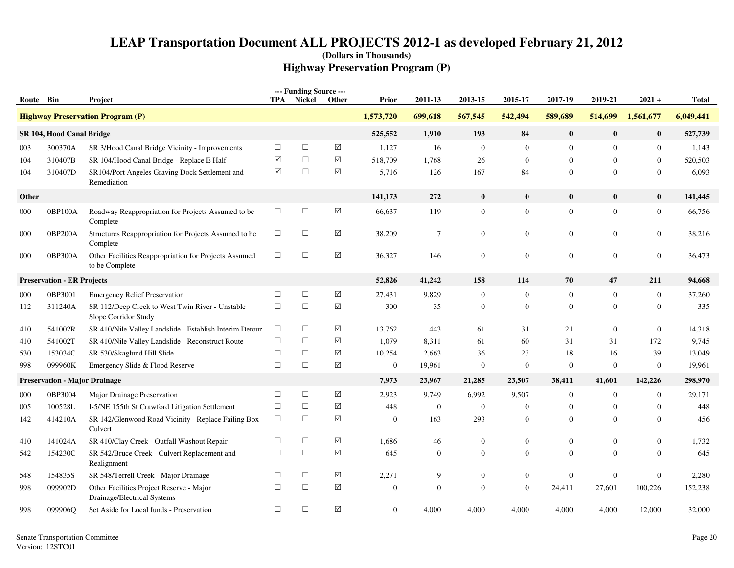| Route Bin |                                      | Project                                                                 |                      | --- Funding Source ---<br><b>TPA</b> Nickel | Other           | Prior          | 2011-13          | 2013-15        | 2015-17          | 2017-19          | 2019-21        | $2021 +$         | Total     |
|-----------|--------------------------------------|-------------------------------------------------------------------------|----------------------|---------------------------------------------|-----------------|----------------|------------------|----------------|------------------|------------------|----------------|------------------|-----------|
|           |                                      | <b>Highway Preservation Program (P)</b>                                 |                      |                                             |                 | 1,573,720      | 699,618          | 567,545        | 542,494          | 589,689          | 514,699        | 1,561,677        | 6,049,441 |
|           | SR 104, Hood Canal Bridge            |                                                                         |                      |                                             |                 | 525,552        | 1,910            | 193            | 84               | $\bf{0}$         | $\bf{0}$       | $\bf{0}$         | 527,739   |
| 003       | 300370A                              | SR 3/Hood Canal Bridge Vicinity - Improvements                          | $\Box$               | $\Box$                                      | $\sqrt{ }$      | 1,127          | 16               | $\mathbf{0}$   | $\overline{0}$   | $\mathbf{0}$     | $\mathbf{0}$   | $\boldsymbol{0}$ | 1,143     |
| 104       | 310407B                              | SR 104/Hood Canal Bridge - Replace E Half                               | $\blacktriangledown$ | $\Box$                                      | ☑               | 518,709        | 1,768            | 26             | $\mathbf{0}$     | $\overline{0}$   | $\mathbf{0}$   | $\boldsymbol{0}$ | 520,503   |
| 104       | 310407D                              | SR104/Port Angeles Graving Dock Settlement and<br>Remediation           | ☑                    | $\Box$                                      | ☑               | 5,716          | 126              | 167            | 84               | $\overline{0}$   | $\Omega$       | $\mathbf{0}$     | 6,093     |
| Other     |                                      |                                                                         |                      |                                             |                 | 141,173        | 272              | $\bf{0}$       | $\bf{0}$         | $\mathbf{0}$     | $\mathbf{0}$   | $\bf{0}$         | 141,445   |
| 000       | 0BP100A                              | Roadway Reappropriation for Projects Assumed to be<br>Complete          | $\Box$               | $\Box$                                      | $\sqrt{ }$      | 66,637         | 119              | $\mathbf{0}$   | $\boldsymbol{0}$ | $\boldsymbol{0}$ | $\overline{0}$ | $\boldsymbol{0}$ | 66,756    |
| 000       | 0BP200A                              | Structures Reappropriation for Projects Assumed to be<br>Complete       | $\Box$               | $\Box$                                      | $\triangledown$ | 38,209         | $\overline{7}$   | $\mathbf{0}$   | $\mathbf{0}$     | $\boldsymbol{0}$ | $\overline{0}$ | $\boldsymbol{0}$ | 38,216    |
| 000       | 0BP300A                              | Other Facilities Reappropriation for Projects Assumed<br>to be Complete | $\Box$               | $\Box$                                      | $\triangledown$ | 36,327         | 146              | $\overline{0}$ | $\overline{0}$   | $\mathbf{0}$     | $\overline{0}$ | $\mathbf{0}$     | 36.473    |
|           | <b>Preservation - ER Projects</b>    |                                                                         |                      |                                             |                 | 52,826         | 41,242           | 158            | 114              | 70               | 47             | 211              | 94,668    |
| 000       | 0BP3001                              | <b>Emergency Relief Preservation</b>                                    | $\Box$               | $\Box$                                      | ✓               | 27,431         | 9,829            | $\mathbf{0}$   | $\mathbf{0}$     | $\mathbf{0}$     | $\mathbf{0}$   | $\boldsymbol{0}$ | 37,260    |
| 112       | 311240A                              | SR 112/Deep Creek to West Twin River - Unstable<br>Slope Corridor Study | $\Box$               | $\Box$                                      | ✓               | 300            | 35               | $\theta$       | $\overline{0}$   | $\mathbf{0}$     | $\theta$       | $\boldsymbol{0}$ | 335       |
| 410       | 541002R                              | SR 410/Nile Valley Landslide - Establish Interim Detour                 | $\Box$               | $\Box$                                      | ✓               | 13,762         | 443              | 61             | 31               | 21               | $\mathbf{0}$   | $\boldsymbol{0}$ | 14,318    |
| 410       | 541002T                              | SR 410/Nile Valley Landslide - Reconstruct Route                        | $\Box$               | $\Box$                                      | ☑               | 1,079          | 8,311            | 61             | 60               | 31               | 31             | 172              | 9,745     |
| 530       | 153034C                              | SR 530/Skaglund Hill Slide                                              | $\Box$               | $\Box$                                      | $\Delta$        | 10,254         | 2,663            | 36             | 23               | 18               | 16             | 39               | 13,049    |
| 998       | 099960K                              | Emergency Slide & Flood Reserve                                         | $\Box$               | $\Box$                                      | ✓               | $\mathbf{0}$   | 19,961           | $\mathbf{0}$   | $\boldsymbol{0}$ | $\mathbf{0}$     | $\mathbf{0}$   | $\boldsymbol{0}$ | 19,961    |
|           | <b>Preservation - Major Drainage</b> |                                                                         |                      |                                             |                 | 7,973          | 23,967           | 21,285         | 23,507           | 38,411           | 41,601         | 142,226          | 298,970   |
| 000       | 0BP3004                              | Major Drainage Preservation                                             | $\Box$               | $\Box$                                      | $\triangledown$ | 2,923          | 9,749            | 6,992          | 9,507            | $\overline{0}$   | $\overline{0}$ | $\mathbf{0}$     | 29,171    |
| 005       | 100528L                              | I-5/NE 155th St Crawford Litigation Settlement                          | $\Box$               | $\Box$                                      | ☑               | 448            | $\mathbf{0}$     | $\overline{0}$ | $\overline{0}$   | $\overline{0}$   | $\overline{0}$ | $\mathbf{0}$     | 448       |
| 142       | 414210A                              | SR 142/Glenwood Road Vicinity - Replace Failing Box<br>Culvert          | $\Box$               | $\Box$                                      | ☑               | $\mathbf{0}$   | 163              | 293            | $\mathbf{0}$     | $\overline{0}$   | $\mathbf{0}$   | $\boldsymbol{0}$ | 456       |
| 410       | 141024A                              | SR 410/Clay Creek - Outfall Washout Repair                              | $\Box$               | $\Box$                                      | $\sqrt{}$       | 1,686          | 46               | $\mathbf{0}$   | $\mathbf{0}$     | $\mathbf{0}$     | $\mathbf{0}$   | $\boldsymbol{0}$ | 1,732     |
| 542       | 154230C                              | SR 542/Bruce Creek - Culvert Replacement and<br>Realignment             | $\Box$               | $\Box$                                      | $\sqrt{}$       | 645            | $\boldsymbol{0}$ | $\mathbf{0}$   | $\mathbf{0}$     | $\mathbf{0}$     | $\mathbf{0}$   | $\boldsymbol{0}$ | 645       |
| 548       | 154835S                              | SR 548/Terrell Creek - Major Drainage                                   | $\Box$               | $\Box$                                      | $\sqrt{}$       | 2,271          | 9                | $\mathbf{0}$   | $\boldsymbol{0}$ | $\mathbf{0}$     | $\mathbf{0}$   | $\boldsymbol{0}$ | 2,280     |
| 998       | 099902D                              | Other Facilities Project Reserve - Major<br>Drainage/Electrical Systems | $\Box$               | $\Box$                                      | $\sqrt{}$       | $\mathbf{0}$   | $\mathbf{0}$     | $\Omega$       | $\overline{0}$   | 24,411           | 27,601         | 100,226          | 152,238   |
| 998       | 099906Q                              | Set Aside for Local funds - Preservation                                | $\Box$               | $\Box$                                      | $\Delta$        | $\overline{0}$ | 4,000            | 4,000          | 4,000            | 4,000            | 4,000          | 12,000           | 32,000    |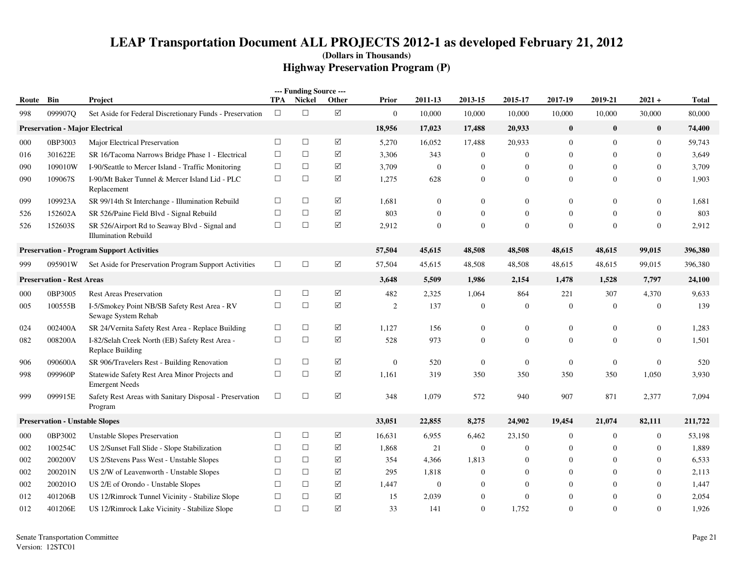|           |                                        |                                                                              |        | --- Funding Source --- |                      |                  |                  |                  |                  |                |                |                  |              |
|-----------|----------------------------------------|------------------------------------------------------------------------------|--------|------------------------|----------------------|------------------|------------------|------------------|------------------|----------------|----------------|------------------|--------------|
| Route Bin |                                        | Project                                                                      | TPA    | Nickel                 | Other                | <b>Prior</b>     | 2011-13          | 2013-15          | 2015-17          | 2017-19        | 2019-21        | $2021 +$         | <b>Total</b> |
| 998       | 099907O                                | Set Aside for Federal Discretionary Funds - Preservation                     | $\Box$ | $\Box$                 | $\blacktriangledown$ | $\mathbf{0}$     | 10,000           | 10,000           | 10,000           | 10,000         | 10,000         | 30,000           | 80,000       |
|           | <b>Preservation - Major Electrical</b> |                                                                              |        |                        |                      | 18,956           | 17,023           | 17,488           | 20,933           | $\bf{0}$       | $\bf{0}$       | $\bf{0}$         | 74,400       |
| 000       | 0BP3003                                | Major Electrical Preservation                                                | $\Box$ | $\Box$                 | $\Delta$             | 5,270            | 16,052           | 17,488           | 20,933           | $\mathbf{0}$   | $\mathbf{0}$   | $\boldsymbol{0}$ | 59,743       |
| 016       | 301622E                                | SR 16/Tacoma Narrows Bridge Phase 1 - Electrical                             | $\Box$ | $\Box$                 | $\triangledown$      | 3,306            | 343              | $\overline{0}$   | $\mathbf{0}$     | $\mathbf{0}$   | $\mathbf{0}$   | $\theta$         | 3,649        |
| 090       | 109010W                                | I-90/Seattle to Mercer Island - Traffic Monitoring                           | $\Box$ | $\Box$                 | ☑                    | 3,709            | $\mathbf{0}$     | $\Omega$         | $\overline{0}$   | $\mathbf{0}$   | $\Omega$       | $\Omega$         | 3,709        |
| 090       | 109067S                                | I-90/Mt Baker Tunnel & Mercer Island Lid - PLC<br>Replacement                | $\Box$ | $\Box$                 | ✓                    | 1,275            | 628              | $\overline{0}$   | $\boldsymbol{0}$ | $\overline{0}$ | $\overline{0}$ | $\mathbf{0}$     | 1,903        |
| 099       | 109923A                                | SR 99/14th St Interchange - Illumination Rebuild                             | $\Box$ | $\Box$                 | ☑                    | 1,681            | $\theta$         | $\mathbf{0}$     | $\mathbf{0}$     | $\mathbf{0}$   | $\overline{0}$ | $\theta$         | 1,681        |
| 526       | 152602A                                | SR 526/Paine Field Blvd - Signal Rebuild                                     | $\Box$ | $\Box$                 | ✓                    | 803              | $\boldsymbol{0}$ | $\mathbf{0}$     | $\mathbf{0}$     | $\overline{0}$ | $\overline{0}$ | $\theta$         | 803          |
| 526       | 152603S                                | SR 526/Airport Rd to Seaway Blvd - Signal and<br><b>Illumination Rebuild</b> | $\Box$ | $\Box$                 | $\Delta$             | 2,912            | $\mathbf{0}$     | $\Omega$         | $\mathbf{0}$     | $\mathbf{0}$   | $\Omega$       | $\Omega$         | 2,912        |
|           |                                        | <b>Preservation - Program Support Activities</b>                             |        |                        |                      | 57,504           | 45,615           | 48,508           | 48,508           | 48,615         | 48,615         | 99,015           | 396,380      |
| 999       | 095901W                                | Set Aside for Preservation Program Support Activities                        | $\Box$ | $\Box$                 | $\boxed{\checkmark}$ | 57,504           | 45,615           | 48,508           | 48,508           | 48,615         | 48,615         | 99,015           | 396,380      |
|           | <b>Preservation - Rest Areas</b>       |                                                                              |        |                        |                      | 3,648            | 5,509            | 1,986            | 2,154            | 1,478          | 1,528          | 7,797            | 24,100       |
| 000       | 0BP3005                                | <b>Rest Areas Preservation</b>                                               | $\Box$ | $\Box$                 | $\Delta$             | 482              | 2,325            | 1,064            | 864              | 221            | 307            | 4,370            | 9,633        |
| 005       | 100555B                                | I-5/Smokey Point NB/SB Safety Rest Area - RV<br>Sewage System Rehab          | $\Box$ | $\Box$                 | ☑                    | 2                | 137              | $\overline{0}$   | $\overline{0}$   | $\overline{0}$ | $\overline{0}$ | $\theta$         | 139          |
| 024       | 002400A                                | SR 24/Vernita Safety Rest Area - Replace Building                            | $\Box$ | $\Box$                 | $\triangledown$      | 1,127            | 156              | $\boldsymbol{0}$ | $\boldsymbol{0}$ | $\mathbf{0}$   | $\overline{0}$ | $\boldsymbol{0}$ | 1,283        |
| 082       | 008200A                                | I-82/Selah Creek North (EB) Safety Rest Area -<br>Replace Building           | $\Box$ | $\Box$                 | ☑                    | 528              | 973              | $\mathbf{0}$     | $\overline{0}$   | $\overline{0}$ | $\Omega$       | $\theta$         | 1,501        |
| 906       | 090600A                                | SR 906/Travelers Rest - Building Renovation                                  | $\Box$ | $\Box$                 | ✓                    | $\boldsymbol{0}$ | 520              | $\boldsymbol{0}$ | $\boldsymbol{0}$ | $\overline{0}$ | $\mathbf{0}$   | $\mathbf{0}$     | 520          |
| 998       | 099960P                                | Statewide Safety Rest Area Minor Projects and<br><b>Emergent Needs</b>       | $\Box$ | $\Box$                 | $\triangledown$      | 1,161            | 319              | 350              | 350              | 350            | 350            | 1,050            | 3,930        |
| 999       | 099915E                                | Safety Rest Areas with Sanitary Disposal - Preservation<br>Program           | $\Box$ | $\Box$                 | $\Delta$             | 348              | 1,079            | 572              | 940              | 907            | 871            | 2,377            | 7,094        |
|           | <b>Preservation - Unstable Slopes</b>  |                                                                              |        |                        |                      | 33,051           | 22,855           | 8,275            | 24,902           | 19,454         | 21,074         | 82,111           | 211,722      |
| 000       | 0BP3002                                | <b>Unstable Slopes Preservation</b>                                          | $\Box$ | $\Box$                 | $\triangledown$      | 16,631           | 6,955            | 6,462            | 23,150           | $\overline{0}$ | $\overline{0}$ | $\mathbf{0}$     | 53,198       |
| 002       | 100254C                                | US 2/Sunset Fall Slide - Slope Stabilization                                 | $\Box$ | $\Box$                 | ✓                    | 1,868            | 21               | $\mathbf{0}$     | $\boldsymbol{0}$ | $\mathbf{0}$   | $\overline{0}$ | $\theta$         | 1,889        |
| 002       | 200200V                                | US 2/Stevens Pass West - Unstable Slopes                                     | $\Box$ | $\Box$                 | ✓                    | 354              | 4,366            | 1,813            | $\mathbf{0}$     | $\overline{0}$ | $\theta$       | $\mathbf{0}$     | 6,533        |
| 002       | 200201N                                | US 2/W of Leavenworth - Unstable Slopes                                      | $\Box$ | $\Box$                 | $\triangledown$      | 295              | 1,818            | $\theta$         | $\mathbf{0}$     | $\mathbf{0}$   | $\mathbf{0}$   | $\mathbf{0}$     | 2,113        |
| 002       | 2002010                                | US 2/E of Orondo - Unstable Slopes                                           | $\Box$ | $\Box$                 | ✓                    | 1,447            | $\mathbf{0}$     | $\theta$         | $\mathbf{0}$     | $\mathbf{0}$   | $\Omega$       | $\mathbf{0}$     | 1,447        |
| 012       | 401206B                                | US 12/Rimrock Tunnel Vicinity - Stabilize Slope                              | $\Box$ | $\Box$                 | ☑                    | 15               | 2,039            | $\Omega$         | $\mathbf{0}$     | $\overline{0}$ | $\Omega$       | $\mathbf{0}$     | 2,054        |
| 012       | 401206E                                | US 12/Rimrock Lake Vicinity - Stabilize Slope                                | $\Box$ | $\Box$                 | $\boxed{\checkmark}$ | 33               | 141              | $\mathbf{0}$     | 1,752            | $\mathbf{0}$   | $\Omega$       | $\mathbf{0}$     | 1,926        |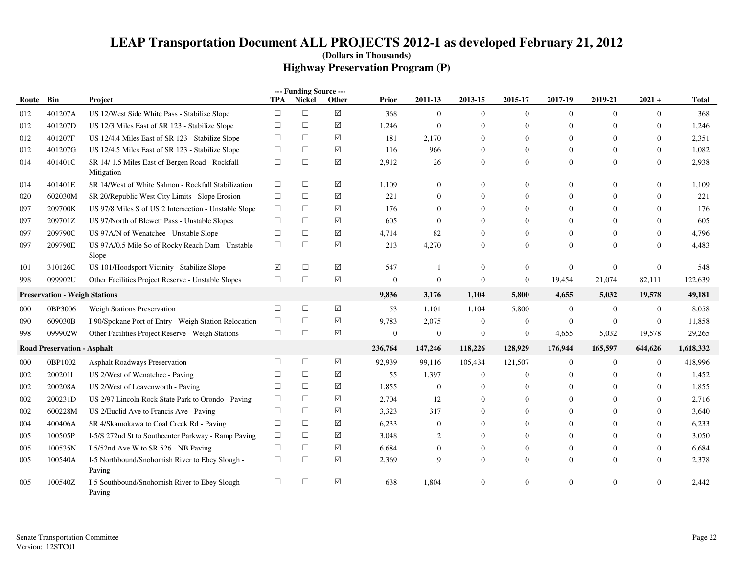|       |                                      |                                                              |            | --- Funding Source --- |                    |                  |                  |                  |                  |                  |                |                  |           |
|-------|--------------------------------------|--------------------------------------------------------------|------------|------------------------|--------------------|------------------|------------------|------------------|------------------|------------------|----------------|------------------|-----------|
| Route | Bin                                  | Project                                                      | <b>TPA</b> | Nickel                 | Other              | <b>Prior</b>     | 2011-13          | 2013-15          | 2015-17          | 2017-19          | 2019-21        | $2021 +$         | Total     |
| 012   | 401207A                              | US 12/West Side White Pass - Stabilize Slope                 | $\Box$     | $\Box$                 | ☑                  | 368              | $\overline{0}$   | $\mathbf{0}$     | $\theta$         | $\overline{0}$   | $\Omega$       | $\overline{0}$   | 368       |
| 012   | 401207D                              | US 12/3 Miles East of SR 123 - Stabilize Slope               | $\Box$     | $\Box$                 | ☑                  | 1,246            | $\mathbf{0}$     | $\mathbf{0}$     | $\mathbf{0}$     | $\mathbf{0}$     | $\Omega$       | $\theta$         | 1,246     |
| 012   | 401207F                              | US 12/4.4 Miles East of SR 123 - Stabilize Slope             | $\Box$     | $\Box$                 | ☑                  | 181              | 2,170            | $\mathbf{0}$     | $\mathbf{0}$     | $\boldsymbol{0}$ | $\Omega$       | $\boldsymbol{0}$ | 2,351     |
| 012   | 401207G                              | US 12/4.5 Miles East of SR 123 - Stabilize Slope             | $\Box$     | $\Box$                 | $\boxtimes$        | 116              | 966              | $\theta$         | $\Omega$         | $\mathbf{0}$     | $\Omega$       | $\mathbf{0}$     | 1,082     |
| 014   | 401401C                              | SR 14/1.5 Miles East of Bergen Road - Rockfall<br>Mitigation | $\Box$     | $\Box$                 | ☑                  | 2,912            | 26               | $\boldsymbol{0}$ | $\boldsymbol{0}$ | $\boldsymbol{0}$ | $\Omega$       | $\overline{0}$   | 2,938     |
| 014   | 401401E                              | SR 14/West of White Salmon - Rockfall Stabilization          | $\Box$     | $\Box$                 | ☑                  | 1,109            | $\boldsymbol{0}$ | $\mathbf{0}$     | $\Omega$         | $\overline{0}$   | $\Omega$       | $\overline{0}$   | 1,109     |
| 020   | 602030M                              | SR 20/Republic West City Limits - Slope Erosion              | $\Box$     | $\Box$                 | ☑                  | 221              | $\overline{0}$   | $\Omega$         | $\Omega$         | $\overline{0}$   | $\Omega$       | $\theta$         | 221       |
| 097   | 209700K                              | US 97/8 Miles S of US 2 Intersection - Unstable Slope        | $\Box$     | $\Box$                 | $\boxed{\searrow}$ | 176              | $\Omega$         | $\mathbf{0}$     | $\Omega$         | $\mathbf{0}$     | $\Omega$       | $\theta$         | 176       |
| 097   | 209701Z                              | US 97/North of Blewett Pass - Unstable Slopes                | $\Box$     | $\Box$                 | ☑                  | 605              | $\mathbf{0}$     | $\mathbf{0}$     | $\Omega$         | $\overline{0}$   | $\Omega$       | $\overline{0}$   | 605       |
| 097   | 209790C                              | US 97A/N of Wenatchee - Unstable Slope                       | $\Box$     | $\Box$                 | ☑                  | 4,714            | 82               | $\mathbf{0}$     | $\Omega$         | $\overline{0}$   | $\Omega$       | $\overline{0}$   | 4,796     |
| 097   | 209790E                              | US 97A/0.5 Mile So of Rocky Reach Dam - Unstable<br>Slope    | $\Box$     | $\Box$                 | ☑                  | 213              | 4,270            | $\mathbf{0}$     | $\mathbf{0}$     | $\mathbf{0}$     | $\Omega$       | $\theta$         | 4,483     |
| 101   | 310126C                              | US 101/Hoodsport Vicinity - Stabilize Slope                  | ☑          | $\Box$                 | ☑                  | 547              |                  | $\mathbf{0}$     | $\mathbf{0}$     | $\overline{0}$   | $\mathbf{0}$   | $\mathbf{0}$     | 548       |
| 998   | 099902U                              | Other Facilities Project Reserve - Unstable Slopes           | $\Box$     | $\Box$                 | $\boxtimes$        | $\boldsymbol{0}$ | $\mathbf{0}$     | $\boldsymbol{0}$ | $\boldsymbol{0}$ | 19,454           | 21,074         | 82,111           | 122,639   |
|       | <b>Preservation - Weigh Stations</b> |                                                              |            |                        |                    | 9,836            | 3,176            | 1,104            | 5,800            | 4,655            | 5,032          | 19,578           | 49,181    |
| 000   | 0BP3006                              | <b>Weigh Stations Preservation</b>                           | $\Box$     | $\Box$                 | $\boxed{\searrow}$ | 53               | 1,101            | 1,104            | 5,800            | $\boldsymbol{0}$ | $\overline{0}$ | $\boldsymbol{0}$ | 8,058     |
| 090   | 609030B                              | I-90/Spokane Port of Entry - Weigh Station Relocation        | $\Box$     | $\Box$                 | ☑                  | 9,783            | 2,075            | $\mathbf{0}$     | $\overline{0}$   | $\overline{0}$   | $\overline{0}$ | $\mathbf{0}$     | 11,858    |
| 998   | 099902W                              | Other Facilities Project Reserve - Weigh Stations            | $\Box$     | $\Box$                 | ☑                  | $\boldsymbol{0}$ | $\mathbf{0}$     | $\mathbf{0}$     | $\boldsymbol{0}$ | 4,655            | 5,032          | 19,578           | 29,265    |
|       | <b>Road Preservation - Asphalt</b>   |                                                              |            |                        |                    | 236,764          | 147,246          | 118,226          | 128,929          | 176,944          | 165,597        | 644,626          | 1,618,332 |
| 000   | 0BP1002                              | <b>Asphalt Roadways Preservation</b>                         | $\Box$     | $\Box$                 | ☑                  | 92,939           | 99,116           | 105,434          | 121,507          | $\overline{0}$   | $\overline{0}$ | $\overline{0}$   | 418,996   |
| 002   | 200201I                              | US 2/West of Wenatchee - Paving                              | $\Box$     | $\Box$                 | ☑                  | 55               | 1,397            | $\mathbf{0}$     | $\boldsymbol{0}$ | $\overline{0}$   | $\Omega$       | $\overline{0}$   | 1,452     |
| 002   | 200208A                              | US 2/West of Leavenworth - Paving                            | $\Box$     | $\Box$                 | ☑                  | 1,855            | $\overline{0}$   | $\Omega$         |                  | $\mathbf{0}$     | $\Omega$       | $\overline{0}$   | 1,855     |
| 002   | 200231D                              | US 2/97 Lincoln Rock State Park to Orondo - Paving           | $\Box$     | $\Box$                 | ☑                  | 2,704            | 12               | $\mathbf{0}$     | $\Omega$         | $\overline{0}$   | $\Omega$       | $\theta$         | 2,716     |
| 002   | 600228M                              | US 2/Euclid Ave to Francis Ave - Paving                      | $\Box$     | $\Box$                 | ☑                  | 3,323            | 317              | $\Omega$         | $\Omega$         | $\Omega$         | $\Omega$       | $\Omega$         | 3,640     |
| 004   | 400406A                              | SR 4/Skamokawa to Coal Creek Rd - Paving                     | $\Box$     | $\Box$                 | ☑                  | 6,233            | $\mathbf{0}$     | $\mathbf{0}$     | $\mathbf{0}$     | $\mathbf{0}$     | $\Omega$       | $\overline{0}$   | 6,233     |
| 005   | 100505P                              | I-5/S 272nd St to Southcenter Parkway - Ramp Paving          | $\Box$     | $\Box$                 | ☑                  | 3,048            | 2                | $\Omega$         | $\Omega$         | $\mathbf{0}$     | $\Omega$       | $\overline{0}$   | 3,050     |
| 005   | 100535N                              | I-5/52nd Ave W to SR 526 - NB Paving                         | $\Box$     | $\Box$                 | ☑                  | 6,684            | $\theta$         | $\mathbf{0}$     | $\mathbf{0}$     | $\boldsymbol{0}$ | $\theta$       | $\overline{0}$   | 6,684     |
| 005   | 100540A                              | I-5 Northbound/Snohomish River to Ebey Slough -<br>Paving    | $\Box$     | $\Box$                 | ☑                  | 2,369            | 9                | $\mathbf{0}$     | $\mathbf{0}$     | $\overline{0}$   | $\Omega$       | $\overline{0}$   | 2,378     |
| 005   | 100540Z                              | I-5 Southbound/Snohomish River to Ebey Slough<br>Paving      | $\Box$     | $\Box$                 | ☑                  | 638              | 1,804            | $\mathbf{0}$     | $\Omega$         | $\Omega$         | $\Omega$       | $\theta$         | 2,442     |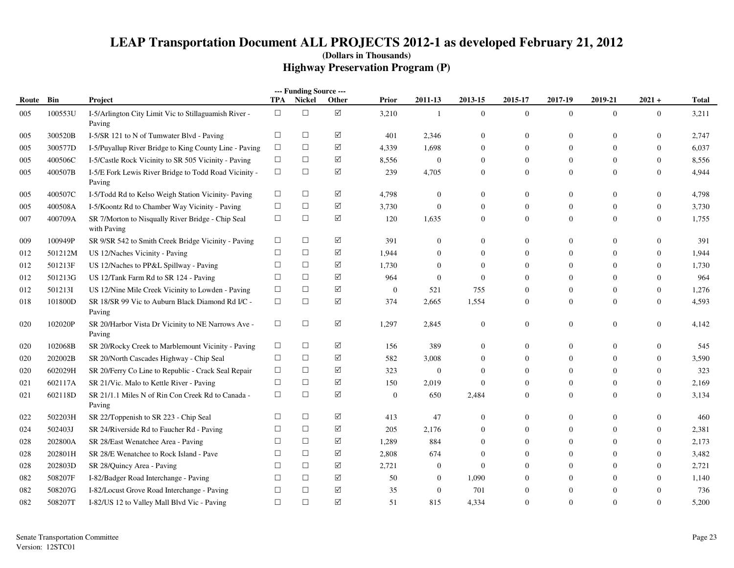|       |         |                                                                  |            | --- Funding Source --- |                      |                |                  |                  |                |                  |                  |                  |              |
|-------|---------|------------------------------------------------------------------|------------|------------------------|----------------------|----------------|------------------|------------------|----------------|------------------|------------------|------------------|--------------|
| Route | Bin     | Project                                                          | <b>TPA</b> | <b>Nickel</b>          | Other                | Prior          | 2011-13          | 2013-15          | 2015-17        | 2017-19          | 2019-21          | $2021 +$         | <b>Total</b> |
| 005   | 100553U | I-5/Arlington City Limit Vic to Stillaguamish River -<br>Paving  | $\Box$     | $\Box$                 | $\boxed{\mathsf{v}}$ | 3,210          | $\mathbf{1}$     | $\boldsymbol{0}$ | $\mathbf{0}$   | $\overline{0}$   | $\mathbf{0}$     | $\mathbf{0}$     | 3,211        |
| 005   | 300520B | I-5/SR 121 to N of Tumwater Blvd - Paving                        | $\Box$     | $\Box$                 | ☑                    | 401            | 2,346            | $\mathbf{0}$     | $\mathbf{0}$   | $\overline{0}$   | $\mathbf{0}$     | $\mathbf{0}$     | 2,747        |
| 005   | 300577D | I-5/Puyallup River Bridge to King County Line - Paving           | $\Box$     | $\Box$                 | ☑                    | 4,339          | 1,698            | $\mathbf{0}$     | $\overline{0}$ | $\overline{0}$   | $\mathbf{0}$     | $\mathbf{0}$     | 6,037        |
| 005   | 400506C | I-5/Castle Rock Vicinity to SR 505 Vicinity - Paving             | $\Box$     | $\Box$                 | $\blacktriangledown$ | 8,556          | $\mathbf{0}$     | $\mathbf{0}$     | $\mathbf{0}$   | $\overline{0}$   | $\mathbf{0}$     | $\mathbf{0}$     | 8,556        |
| 005   | 400507B | I-5/E Fork Lewis River Bridge to Todd Road Vicinity -<br>Paving  | $\Box$     | $\Box$                 | ☑                    | 239            | 4,705            | $\mathbf{0}$     | $\mathbf{0}$   | $\mathbf{0}$     | $\mathbf{0}$     | $\overline{0}$   | 4,944        |
| 005   | 400507C | I-5/Todd Rd to Kelso Weigh Station Vicinity- Paving              | $\Box$     | □                      | ☑                    | 4,798          | $\mathbf{0}$     | $\mathbf{0}$     | $\overline{0}$ | $\mathbf{0}$     | $\mathbf{0}$     | $\mathbf{0}$     | 4,798        |
| 005   | 400508A | I-5/Koontz Rd to Chamber Way Vicinity - Paving                   | $\Box$     | $\Box$                 | ☑                    | 3,730          | $\overline{0}$   | $\mathbf{0}$     | $\mathbf{0}$   | $\overline{0}$   | $\mathbf{0}$     | $\overline{0}$   | 3,730        |
| 007   | 400709A | SR 7/Morton to Nisqually River Bridge - Chip Seal<br>with Paving | $\Box$     | $\Box$                 | $\blacktriangledown$ | 120            | 1,635            | $\mathbf{0}$     | $\mathbf{0}$   | $\mathbf{0}$     | $\mathbf{0}$     | $\overline{0}$   | 1,755        |
| 009   | 100949P | SR 9/SR 542 to Smith Creek Bridge Vicinity - Paving              | $\Box$     | $\Box$                 | ☑                    | 391            | $\overline{0}$   | $\mathbf{0}$     | $\overline{0}$ | $\mathbf{0}$     | $\Omega$         | $\Omega$         | 391          |
| 012   | 501212M | US 12/Naches Vicinity - Paving                                   | $\Box$     | $\Box$                 | ☑                    | 1,944          | $\overline{0}$   | $\mathbf{0}$     | $\overline{0}$ | $\overline{0}$   | $\mathbf{0}$     | $\overline{0}$   | 1,944        |
| 012   | 501213F | US 12/Naches to PP&L Spillway - Paving                           | $\Box$     | $\Box$                 | ☑                    | 1,730          | $\mathbf{0}$     | $\mathbf{0}$     | $\overline{0}$ | $\overline{0}$   | $\mathbf{0}$     | $\overline{0}$   | 1,730        |
| 012   | 501213G | US 12/Tank Farm Rd to SR 124 - Paving                            | $\Box$     | $\Box$                 | ☑                    | 964            | $\mathbf{0}$     | $\mathbf{0}$     | $\theta$       | $\theta$         | $\mathbf{0}$     | $\mathbf{0}$     | 964          |
| 012   | 501213I | US 12/Nine Mile Creek Vicinity to Lowden - Paving                | $\Box$     | $\Box$                 | ✓                    | $\overline{0}$ | 521              | 755              | $\mathbf{0}$   | $\theta$         | $\mathbf{0}$     | $\overline{0}$   | 1,276        |
| 018   | 101800D | SR 18/SR 99 Vic to Auburn Black Diamond Rd I/C -<br>Paving       | $\Box$     | $\Box$                 | ☑                    | 374            | 2,665            | 1,554            | $\overline{0}$ | $\overline{0}$   | $\mathbf{0}$     | $\overline{0}$   | 4,593        |
| 020   | 102020P | SR 20/Harbor Vista Dr Vicinity to NE Narrows Ave -<br>Paving     | $\Box$     | $\Box$                 | ☑                    | 1,297          | 2,845            | $\boldsymbol{0}$ | $\overline{0}$ | $\boldsymbol{0}$ | $\boldsymbol{0}$ | $\overline{0}$   | 4,142        |
| 020   | 102068B | SR 20/Rocky Creek to Marblemount Vicinity - Paving               | $\Box$     | $\Box$                 | ☑                    | 156            | 389              | $\mathbf{0}$     | $\overline{0}$ | $\overline{0}$   | $\mathbf{0}$     | $\mathbf{0}$     | 545          |
| 020   | 202002B | SR 20/North Cascades Highway - Chip Seal                         | $\Box$     | $\Box$                 | $\blacktriangledown$ | 582            | 3,008            | $\mathbf{0}$     | $\overline{0}$ | $\overline{0}$   | $\theta$         | $\overline{0}$   | 3,590        |
| 020   | 602029H | SR 20/Ferry Co Line to Republic - Crack Seal Repair              | $\Box$     | $\Box$                 | ☑                    | 323            | $\mathbf{0}$     | $\mathbf{0}$     | $\overline{0}$ | $\mathbf{0}$     | $\mathbf{0}$     | $\overline{0}$   | 323          |
| 021   | 602117A | SR 21/Vic. Malo to Kettle River - Paving                         | $\Box$     | $\Box$                 | ☑                    | 150            | 2,019            | $\mathbf{0}$     | $\theta$       | $\mathbf{0}$     | $\mathbf{0}$     | $\overline{0}$   | 2,169        |
| 021   | 602118D | SR 21/1.1 Miles N of Rin Con Creek Rd to Canada -<br>Paving      | $\Box$     | $\Box$                 | ☑                    | $\mathbf{0}$   | 650              | 2,484            | $\overline{0}$ | $\mathbf{0}$     | $\mathbf{0}$     | $\overline{0}$   | 3,134        |
| 022   | 502203H | SR 22/Toppenish to SR 223 - Chip Seal                            | $\Box$     | $\Box$                 | ☑                    | 413            | 47               | $\mathbf{0}$     | $\overline{0}$ | $\mathbf{0}$     | $\mathbf{0}$     | $\mathbf{0}$     | 460          |
| 024   | 502403J | SR 24/Riverside Rd to Faucher Rd - Paving                        | $\Box$     | $\Box$                 | ☑                    | 205            | 2,176            | $\mathbf{0}$     | $\overline{0}$ | $\Omega$         | $\mathbf{0}$     | $\overline{0}$   | 2,381        |
| 028   | 202800A | SR 28/East Wenatchee Area - Paving                               | $\Box$     | $\Box$                 | ☑                    | 1,289          | 884              | $\mathbf{0}$     | $\overline{0}$ | $\overline{0}$   | $\mathbf{0}$     | $\overline{0}$   | 2,173        |
| 028   | 202801H | SR 28/E Wenatchee to Rock Island - Pave                          | $\Box$     | $\Box$                 | ☑                    | 2,808          | 674              | $\mathbf{0}$     | $\overline{0}$ | $\overline{0}$   | $\mathbf{0}$     | $\mathbf{0}$     | 3,482        |
| 028   | 202803D | SR 28/Quincy Area - Paving                                       | $\Box$     | $\Box$                 | ✓                    | 2,721          | $\boldsymbol{0}$ | $\mathbf{0}$     | $\overline{0}$ | $\overline{0}$   | $\mathbf{0}$     | $\boldsymbol{0}$ | 2,721        |
| 082   | 508207F | I-82/Badger Road Interchange - Paving                            | $\Box$     | $\Box$                 | ☑                    | 50             | $\overline{0}$   | 1,090            | $\Omega$       | $\Omega$         | $\Omega$         | $\Omega$         | 1,140        |
| 082   | 508207G | I-82/Locust Grove Road Interchange - Paving                      | $\Box$     | $\Box$                 | ☑                    | 35             | $\overline{0}$   | 701              | $\Omega$       | $\Omega$         | $\mathbf{0}$     | $\mathbf{0}$     | 736          |
| 082   | 508207T | I-82/US 12 to Valley Mall Blvd Vic - Paving                      | $\Box$     | $\Box$                 | ☑                    | 51             | 815              | 4,334            | $\mathbf{0}$   | $\Omega$         | $\Omega$         | $\overline{0}$   | 5,200        |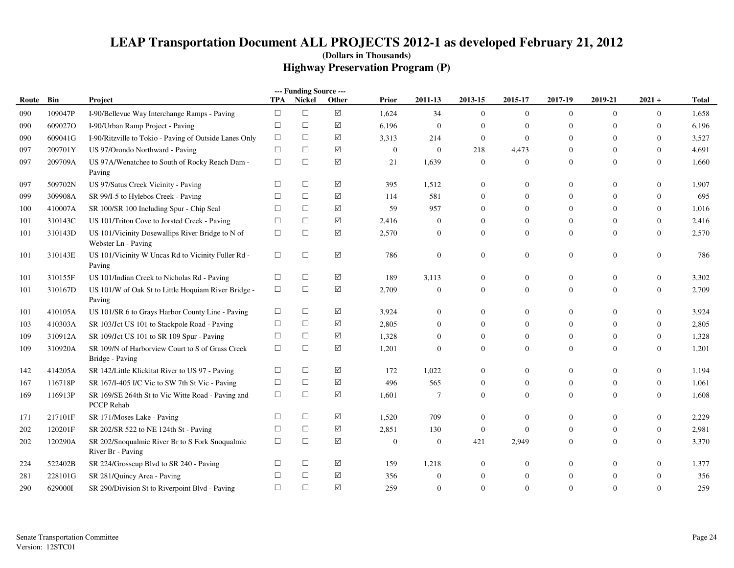|       |         |                                                                         |            | --- Funding Source --- |                 |                  |                  |                  |                  |                |                  |                  |              |
|-------|---------|-------------------------------------------------------------------------|------------|------------------------|-----------------|------------------|------------------|------------------|------------------|----------------|------------------|------------------|--------------|
| Route | Bin     | Project                                                                 | <b>TPA</b> | <b>Nickel</b>          | Other           | <b>Prior</b>     | 2011-13          | 2013-15          | 2015-17          | 2017-19        | 2019-21          | $2021 +$         | <b>Total</b> |
| 090   | 109047P | I-90/Bellevue Way Interchange Ramps - Paving                            | $\Box$     | $\Box$                 | $\triangledown$ | 1,624            | 34               | $\mathbf{0}$     | $\mathbf{0}$     | $\overline{0}$ | $\overline{0}$   | $\overline{0}$   | 1,658        |
| 090   | 609027O | I-90/Urban Ramp Project - Paving                                        | $\Box$     | $\Box$                 | ☑               | 6,196            | $\overline{0}$   | $\mathbf{0}$     | $\mathbf{0}$     | $\overline{0}$ | $\Omega$         | $\mathbf{0}$     | 6,196        |
| 090   | 609041G | I-90/Ritzville to Tokio - Paving of Outside Lanes Only                  | $\Box$     | $\Box$                 | ☑               | 3,313            | 214              | $\mathbf{0}$     | $\boldsymbol{0}$ | $\overline{0}$ | $\mathbf{0}$     | $\mathbf{0}$     | 3,527        |
| 097   | 209701Y | US 97/Orondo Northward - Paving                                         | $\Box$     | $\Box$                 | $\triangledown$ | $\boldsymbol{0}$ | $\overline{0}$   | 218              | 4,473            | $\overline{0}$ | $\theta$         | $\mathbf{0}$     | 4,691        |
| 097   | 209709A | US 97A/Wenatchee to South of Rocky Reach Dam -<br>Paving                | $\Box$     | $\Box$                 | $\triangledown$ | 21               | 1,639            | $\mathbf{0}$     | $\boldsymbol{0}$ | $\overline{0}$ | $\overline{0}$   | $\mathbf{0}$     | 1,660        |
| 097   | 509702N | US 97/Satus Creek Vicinity - Paving                                     | $\Box$     | $\Box$                 | $\triangledown$ | 395              | 1,512            | $\boldsymbol{0}$ | $\mathbf{0}$     | $\overline{0}$ | $\theta$         | $\mathbf{0}$     | 1,907        |
| 099   | 309908A | SR 99/I-5 to Hylebos Creek - Paving                                     | $\Box$     | $\Box$                 | ☑               | 114              | 581              | $\boldsymbol{0}$ | $\mathbf{0}$     | $\overline{0}$ | $\mathbf{0}$     | $\overline{0}$   | 695          |
| 100   | 410007A | SR 100/SR 100 Including Spur - Chip Seal                                | $\Box$     | $\Box$                 | ☑               | 59               | 957              | $\overline{0}$   | $\mathbf{0}$     | $\Omega$       | $\Omega$         | $\mathbf{0}$     | 1,016        |
| 101   | 310143C | US 101/Triton Cove to Jorsted Creek - Paving                            | $\Box$     | $\Box$                 | ☑               | 2,416            | $\boldsymbol{0}$ | $\boldsymbol{0}$ | $\mathbf{0}$     | $\overline{0}$ | $\mathbf{0}$     | $\mathbf{0}$     | 2,416        |
| 101   | 310143D | US 101/Vicinity Dosewallips River Bridge to N of<br>Webster Ln - Paving | $\Box$     | $\Box$                 | ☑               | 2,570            | $\mathbf{0}$     | $\overline{0}$   | $\mathbf{0}$     | $\Omega$       | $\mathbf{0}$     | $\overline{0}$   | 2,570        |
| 101   | 310143E | US 101/Vicinity W Uncas Rd to Vicinity Fuller Rd -<br>Paving            | $\Box$     | $\Box$                 | $\sqrt{}$       | 786              | $\mathbf{0}$     | $\boldsymbol{0}$ | $\mathbf{0}$     | $\mathbf{0}$   | $\boldsymbol{0}$ | $\boldsymbol{0}$ | 786          |
| 101   | 310155F | US 101/Indian Creek to Nicholas Rd - Paving                             | $\Box$     | $\Box$                 | $\triangledown$ | 189              | 3,113            | $\boldsymbol{0}$ | $\mathbf{0}$     | $\mathbf{0}$   | $\overline{0}$   | $\boldsymbol{0}$ | 3,302        |
| 101   | 310167D | US 101/W of Oak St to Little Hoquiam River Bridge -<br>Paving           | $\Box$     | $\Box$                 | ☑               | 2,709            | $\overline{0}$   | $\overline{0}$   | $\overline{0}$   | $\Omega$       | $\overline{0}$   | $\overline{0}$   | 2,709        |
| 101   | 410105A | US 101/SR 6 to Grays Harbor County Line - Paving                        | $\Box$     | $\Box$                 | ☑               | 3,924            | $\boldsymbol{0}$ | $\boldsymbol{0}$ | $\mathbf{0}$     | $\overline{0}$ | $\boldsymbol{0}$ | $\boldsymbol{0}$ | 3,924        |
| 103   | 410303A | SR 103/Jct US 101 to Stackpole Road - Paving                            | $\Box$     | $\Box$                 | ☑               | 2,805            | $\Omega$         | $\Omega$         | $\mathbf{0}$     | $\Omega$       | $\Omega$         | $\mathbf{0}$     | 2,805        |
| 109   | 310912A | SR 109/Jct US 101 to SR 109 Spur - Paving                               | $\Box$     | $\Box$                 | ☑               | 1,328            | $\mathbf{0}$     | $\boldsymbol{0}$ | $\mathbf{0}$     | $\overline{0}$ | $\mathbf{0}$     | $\boldsymbol{0}$ | 1,328        |
| 109   | 310920A | SR 109/N of Harborview Court to S of Grass Creek<br>Bridge - Paving     | $\Box$     | $\Box$                 | ☑               | 1,201            | $\mathbf{0}$     | $\overline{0}$   | $\mathbf{0}$     | $\overline{0}$ | $\mathbf{0}$     | $\overline{0}$   | 1,201        |
| 142   | 414205A | SR 142/Little Klickitat River to US 97 - Paving                         | $\Box$     | $\Box$                 | ☑               | 172              | 1,022            | $\boldsymbol{0}$ | $\mathbf{0}$     | $\overline{0}$ | $\boldsymbol{0}$ | $\boldsymbol{0}$ | 1,194        |
| 167   | 116718P | SR 167/I-405 I/C Vic to SW 7th St Vic - Paving                          | $\Box$     | $\Box$                 | ☑               | 496              | 565              | $\boldsymbol{0}$ | $\mathbf{0}$     | $\mathbf{0}$   | $\theta$         | $\mathbf{0}$     | 1,061        |
| 169   | 116913P | SR 169/SE 264th St to Vic Witte Road - Paving and<br><b>PCCP</b> Rehab  | $\Box$     | $\Box$                 | ☑               | 1,601            | $\overline{7}$   | $\mathbf{0}$     | $\overline{0}$   | $\overline{0}$ | $\mathbf{0}$     | $\overline{0}$   | 1,608        |
| 171   | 217101F | SR 171/Moses Lake - Paving                                              | $\Box$     | $\Box$                 | $\triangledown$ | 1,520            | 709              | $\overline{0}$   | $\mathbf{0}$     | $\Omega$       | $\Omega$         | $\boldsymbol{0}$ | 2,229        |
| 202   | 120201F | SR 202/SR 522 to NE 124th St - Paving                                   | $\Box$     | $\Box$                 | $\sqrt{}$       | 2,851            | 130              | $\mathbf{0}$     | $\mathbf{0}$     | $\overline{0}$ | $\overline{0}$   | $\boldsymbol{0}$ | 2,981        |
| 202   | 120290A | SR 202/Snoqualmie River Br to S Fork Snoqualmie<br>River Br - Paving    | $\Box$     | $\Box$                 | ☑               | $\mathbf{0}$     | $\overline{0}$   | 421              | 2,949            | $\Omega$       | $\Omega$         | $\mathbf{0}$     | 3,370        |
| 224   | 522402B | SR 224/Grosscup Blvd to SR 240 - Paving                                 | $\Box$     | $\Box$                 | ☑               | 159              | 1,218            | $\mathbf{0}$     | $\mathbf{0}$     | $\overline{0}$ | $\mathbf{0}$     | $\boldsymbol{0}$ | 1,377        |
| 281   | 228101G | SR 281/Quincy Area - Paving                                             | $\Box$     | $\Box$                 | $\triangledown$ | 356              | $\overline{0}$   | $\boldsymbol{0}$ | $\mathbf{0}$     | $\overline{0}$ | $\theta$         | $\mathbf{0}$     | 356          |
| 290   | 629000I | SR 290/Division St to Riverpoint Blvd - Paving                          | $\Box$     | $\Box$                 | $\Delta$        | 259              | $\overline{0}$   | $\overline{0}$   | $\mathbf{0}$     | $\Omega$       | $\mathbf{0}$     | $\mathbf{0}$     | 259          |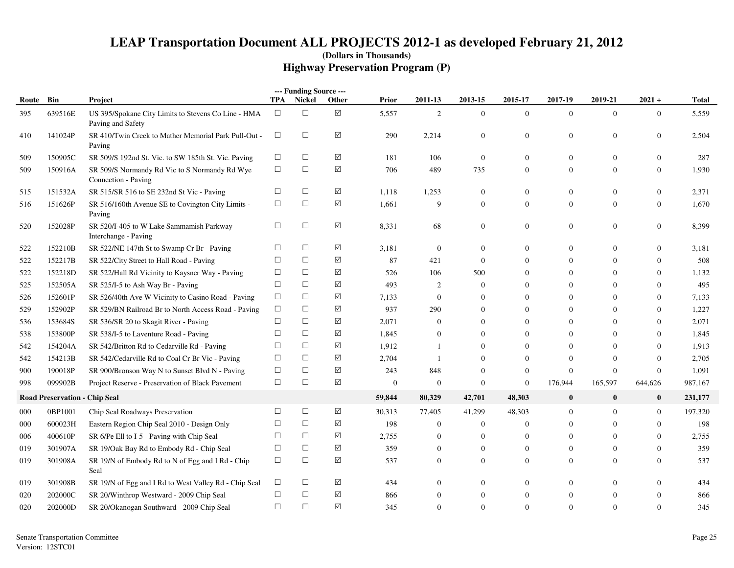|           |                                      |                                                                          |        | --- Funding Source --- |                      |              |                  |                |                |                  |                |                  |              |
|-----------|--------------------------------------|--------------------------------------------------------------------------|--------|------------------------|----------------------|--------------|------------------|----------------|----------------|------------------|----------------|------------------|--------------|
| Route Bin |                                      | Project                                                                  | TPA    | Nickel                 | Other                | <b>Prior</b> | 2011-13          | 2013-15        | 2015-17        | 2017-19          | 2019-21        | $2021 +$         | <b>Total</b> |
| 395       | 639516E                              | US 395/Spokane City Limits to Stevens Co Line - HMA<br>Paving and Safety | $\Box$ | $\Box$                 | ☑                    | 5,557        | $\overline{c}$   | $\overline{0}$ | $\overline{0}$ | $\mathbf{0}$     | $\overline{0}$ | $\overline{0}$   | 5,559        |
| 410       | 141024P                              | SR 410/Twin Creek to Mather Memorial Park Pull-Out -<br>Paving           | $\Box$ | $\Box$                 | ☑                    | 290          | 2,214            | $\overline{0}$ | $\mathbf{0}$   | $\Omega$         | $\mathbf{0}$   | $\boldsymbol{0}$ | 2,504        |
| 509       | 150905C                              | SR 509/S 192nd St. Vic. to SW 185th St. Vic. Paving                      | $\Box$ | $\Box$                 | ☑                    | 181          | 106              | $\overline{0}$ | $\mathbf{0}$   | $\boldsymbol{0}$ | $\mathbf{0}$   | $\overline{0}$   | 287          |
| 509       | 150916A                              | SR 509/S Normandy Rd Vic to S Normandy Rd Wye<br>Connection - Paving     | $\Box$ | $\Box$                 | ☑                    | 706          | 489              | 735            | $\overline{0}$ | $\boldsymbol{0}$ | $\Omega$       | $\overline{0}$   | 1,930        |
| 515       | 151532A                              | SR 515/SR 516 to SE 232nd St Vic - Paving                                | $\Box$ | $\Box$                 | $\blacktriangledown$ | 1,118        | 1,253            | $\overline{0}$ | $\overline{0}$ | $\overline{0}$   | $\mathbf{0}$   | $\overline{0}$   | 2,371        |
| 516       | 151626P                              | SR 516/160th Avenue SE to Covington City Limits -<br>Paving              | $\Box$ | $\Box$                 | ☑                    | 1,661        | 9                | $\overline{0}$ | $\overline{0}$ | $\overline{0}$   | $\Omega$       | $\overline{0}$   | 1,670        |
| 520       | 152028P                              | SR 520/I-405 to W Lake Sammamish Parkway<br>Interchange - Paving         | $\Box$ | $\Box$                 | ☑                    | 8,331        | 68               | $\overline{0}$ | $\mathbf{0}$   | $\boldsymbol{0}$ | $\mathbf{0}$   | $\boldsymbol{0}$ | 8,399        |
| 522       | 152210B                              | SR 522/NE 147th St to Swamp Cr Br - Paving                               | $\Box$ | $\Box$                 | ☑                    | 3,181        | $\mathbf{0}$     | $\overline{0}$ | $\Omega$       | $\overline{0}$   | $\Omega$       | $\overline{0}$   | 3,181        |
| 522       | 152217B                              | SR 522/City Street to Hall Road - Paving                                 | $\Box$ | $\Box$                 | $\blacktriangledown$ | 87           | 421              | $\overline{0}$ | $\Omega$       | $\overline{0}$   | $\Omega$       | $\overline{0}$   | 508          |
| 522       | 152218D                              | SR 522/Hall Rd Vicinity to Kaysner Way - Paving                          | $\Box$ | $\Box$                 | ☑                    | 526          | 106              | 500            | $\theta$       | $\overline{0}$   | $\Omega$       | $\overline{0}$   | 1,132        |
| 525       | 152505A                              | SR 525/I-5 to Ash Way Br - Paving                                        | $\Box$ | $\Box$                 | $\blacktriangledown$ | 493          | $\overline{2}$   | $\overline{0}$ | $\Omega$       | $\Omega$         | $\Omega$       | $\overline{0}$   | 495          |
| 526       | 152601P                              | SR 526/40th Ave W Vicinity to Casino Road - Paving                       | $\Box$ | $\Box$                 | ☑                    | 7,133        | $\mathbf{0}$     | $\Omega$       | $\Omega$       | $\Omega$         | $\Omega$       | $\overline{0}$   | 7,133        |
| 529       | 152902P                              | SR 529/BN Railroad Br to North Access Road - Paving                      | $\Box$ | $\Box$                 | ☑                    | 937          | 290              | $\mathbf{0}$   | $\overline{0}$ | $\mathbf{0}$     | $\Omega$       | $\overline{0}$   | 1,227        |
| 536       | 153684S                              | SR 536/SR 20 to Skagit River - Paving                                    | $\Box$ | $\Box$                 | ☑                    | 2,071        | $\boldsymbol{0}$ | $\mathbf{0}$   | $\mathbf{0}$   | $\mathbf{0}$     | $\Omega$       | $\overline{0}$   | 2,071        |
| 538       | 153800P                              | SR 538/I-5 to Laventure Road - Paving                                    | $\Box$ | $\Box$                 | ☑                    | 1,845        | $\theta$         | $\Omega$       | $\Omega$       | $\Omega$         | $\Omega$       | $\boldsymbol{0}$ | 1,845        |
| 542       | 154204A                              | SR 542/Britton Rd to Cedarville Rd - Paving                              | $\Box$ | $\Box$                 | $\blacktriangledown$ | 1,912        | -1               | $\Omega$       | $\Omega$       | $\overline{0}$   | $\Omega$       | $\overline{0}$   | 1,913        |
| 542       | 154213B                              | SR 542/Cedarville Rd to Coal Cr Br Vic - Paving                          | $\Box$ | $\Box$                 | ☑                    | 2,704        | -1               | $\Omega$       | $\mathbf{0}$   | $\overline{0}$   | $\Omega$       | $\overline{0}$   | 2,705        |
| 900       | 190018P                              | SR 900/Bronson Way N to Sunset Blvd N - Paving                           | $\Box$ | $\Box$                 | ☑                    | 243          | 848              | $\Omega$       | $\overline{0}$ | $\mathbf{0}$     | $\Omega$       | $\overline{0}$   | 1,091        |
| 998       | 099902B                              | Project Reserve - Preservation of Black Pavement                         | $\Box$ | $\Box$                 | $\sqrt{}$            | $\theta$     | $\theta$         | $\overline{0}$ | $\mathbf{0}$   | 176,944          | 165,597        | 644,626          | 987,167      |
|           | <b>Road Preservation - Chip Seal</b> |                                                                          |        |                        |                      | 59,844       | 80,329           | 42,701         | 48,303         | $\bf{0}$         | $\bf{0}$       | $\bf{0}$         | 231,177      |
| 000       | 0BP1001                              | Chip Seal Roadways Preservation                                          | $\Box$ | $\Box$                 | ✓                    | 30,313       | 77,405           | 41,299         | 48,303         | $\mathbf{0}$     | $\Omega$       | $\mathbf{0}$     | 197,320      |
| 000       | 600023H                              | Eastern Region Chip Seal 2010 - Design Only                              | $\Box$ | $\Box$                 | ☑                    | 198          | $\boldsymbol{0}$ | $\overline{0}$ | $\overline{0}$ | $\overline{0}$   | $\Omega$       | $\overline{0}$   | 198          |
| 006       | 400610P                              | SR 6/Pe Ell to I-5 - Paving with Chip Seal                               | $\Box$ | $\Box$                 | ☑                    | 2,755        | $\theta$         | $\mathbf{0}$   | $\mathbf{0}$   | $\theta$         | $\Omega$       | $\overline{0}$   | 2,755        |
| 019       | 301907A                              | SR 19/Oak Bay Rd to Embody Rd - Chip Seal                                | $\Box$ | $\Box$                 | ☑                    | 359          | $\boldsymbol{0}$ | $\overline{0}$ | $\mathbf{0}$   | $\theta$         | $\overline{0}$ | $\overline{0}$   | 359          |
| 019       | 301908A                              | SR 19/N of Embody Rd to N of Egg and I Rd - Chip<br>Seal                 | $\Box$ | $\Box$                 | $\blacktriangledown$ | 537          | $\boldsymbol{0}$ | $\Omega$       | $\overline{0}$ | $\mathbf{0}$     | $\Omega$       | $\overline{0}$   | 537          |
| 019       | 301908B                              | SR 19/N of Egg and I Rd to West Valley Rd - Chip Seal                    | $\Box$ | $\Box$                 | $\blacktriangledown$ | 434          | $\boldsymbol{0}$ | $\Omega$       | $\Omega$       | $\overline{0}$   | $\Omega$       | $\Omega$         | 434          |
| 020       | 202000C                              | SR 20/Winthrop Westward - 2009 Chip Seal                                 | $\Box$ | $\Box$                 | ☑                    | 866          | $\overline{0}$   | $\overline{0}$ | $\theta$       | $\overline{0}$   | $\Omega$       | $\overline{0}$   | 866          |
| 020       | 202000D                              | SR 20/Okanogan Southward - 2009 Chip Seal                                | $\Box$ | $\Box$                 | $\triangledown$      | 345          | $\Omega$         | $\Omega$       | $\Omega$       | $\Omega$         | $\Omega$       | $\overline{0}$   | 345          |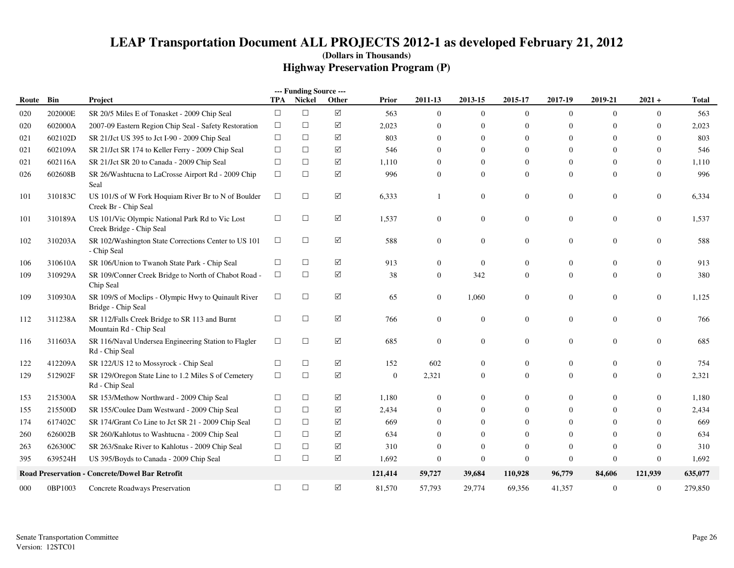|       |         |                                                                             |            | --- Funding Source --- |                 |              |                |                  |                |                |                  |                  |         |
|-------|---------|-----------------------------------------------------------------------------|------------|------------------------|-----------------|--------------|----------------|------------------|----------------|----------------|------------------|------------------|---------|
| Route | Bin     | Project                                                                     | <b>TPA</b> | <b>Nickel</b>          | Other           | Prior        | 2011-13        | 2013-15          | 2015-17        | 2017-19        | 2019-21          | $2021 +$         | Total   |
| 020   | 202000E | SR 20/5 Miles E of Tonasket - 2009 Chip Seal                                | $\Box$     | $\Box$                 | $\triangledown$ | 563          | $\overline{0}$ | $\mathbf{0}$     | $\overline{0}$ | $\mathbf{0}$   | $\overline{0}$   | $\overline{0}$   | 563     |
| 020   | 602000A | 2007-09 Eastern Region Chip Seal - Safety Restoration                       | $\Box$     | $\Box$                 | $\triangledown$ | 2,023        | $\overline{0}$ | $\mathbf{0}$     | $\overline{0}$ | $\Omega$       | $\Omega$         | $\overline{0}$   | 2,023   |
| 021   | 602102D | SR 21/Jct US 395 to Jct I-90 - 2009 Chip Seal                               | $\Box$     | $\Box$                 | ☑               | 803          | $\mathbf{0}$   | $\mathbf{0}$     | $\overline{0}$ | $\overline{0}$ | $\overline{0}$   | $\overline{0}$   | 803     |
| 021   | 602109A | SR 21/Jct SR 174 to Keller Ferry - 2009 Chip Seal                           | □          | $\Box$                 | ☑               | 546          | $\Omega$       | $\Omega$         | $\Omega$       | $\Omega$       | $\Omega$         | $\overline{0}$   | 546     |
| 021   | 602116A | SR 21/Jct SR 20 to Canada - 2009 Chip Seal                                  | $\Box$     | $\Box$                 | $\triangledown$ | 1,110        | $\Omega$       | $\theta$         | $\mathbf{0}$   | $\Omega$       | $\theta$         | $\mathbf{0}$     | 1,110   |
| 026   | 602608B | SR 26/Washtucna to LaCrosse Airport Rd - 2009 Chip<br>Seal                  | $\Box$     | $\Box$                 | ☑               | 996          | $\Omega$       | $\mathbf{0}$     | $\Omega$       | $\Omega$       | $\overline{0}$   | $\mathbf{0}$     | 996     |
| 101   | 310183C | US 101/S of W Fork Hoquiam River Br to N of Boulder<br>Creek Br - Chip Seal | $\Box$     | $\Box$                 | ☑               | 6,333        |                | $\boldsymbol{0}$ | $\mathbf{0}$   | $\overline{0}$ | $\boldsymbol{0}$ | $\Omega$         | 6,334   |
| 101   | 310189A | US 101/Vic Olympic National Park Rd to Vic Lost<br>Creek Bridge - Chip Seal | $\Box$     | $\Box$                 | $\triangledown$ | 1,537        | $\mathbf{0}$   | $\boldsymbol{0}$ | $\mathbf{0}$   | $\overline{0}$ | $\boldsymbol{0}$ | $\boldsymbol{0}$ | 1,537   |
| 102   | 310203A | SR 102/Washington State Corrections Center to US 101<br>- Chip Seal         | $\Box$     | $\Box$                 | $\triangledown$ | 588          | $\overline{0}$ | $\overline{0}$   | $\mathbf{0}$   | $\overline{0}$ | $\mathbf{0}$     | $\mathbf{0}$     | 588     |
| 106   | 310610A | SR 106/Union to Twanoh State Park - Chip Seal                               | □          | $\Box$                 | ☑               | 913          | $\Omega$       | $\mathbf{0}$     | $\Omega$       | $\Omega$       | $\Omega$         | $\Omega$         | 913     |
| 109   | 310929A | SR 109/Conner Creek Bridge to North of Chabot Road -<br>Chip Seal           | $\Box$     | $\Box$                 | $\triangledown$ | 38           | $\overline{0}$ | 342              | $\Omega$       | $\Omega$       | $\overline{0}$   | $\mathbf{0}$     | 380     |
| 109   | 310930A | SR 109/S of Moclips - Olympic Hwy to Quinault River<br>Bridge - Chip Seal   | $\Box$     | $\Box$                 | $\triangledown$ | 65           | $\overline{0}$ | 1,060            | $\Omega$       | $\overline{0}$ | $\mathbf{0}$     | $\overline{0}$   | 1,125   |
| 112   | 311238A | SR 112/Falls Creek Bridge to SR 113 and Burnt<br>Mountain Rd - Chip Seal    | $\Box$     | $\Box$                 | ☑               | 766          | $\overline{0}$ | $\mathbf{0}$     | $\Omega$       | $\Omega$       | $\overline{0}$   | $\Omega$         | 766     |
| 116   | 311603A | SR 116/Naval Undersea Engineering Station to Flagler<br>Rd - Chip Seal      | $\Box$     | $\Box$                 | $\triangledown$ | 685          | $\overline{0}$ | $\boldsymbol{0}$ | $\mathbf{0}$   | $\overline{0}$ | $\boldsymbol{0}$ | $\theta$         | 685     |
| 122   | 412209A | SR 122/US 12 to Mossyrock - Chip Seal                                       | $\Box$     | $\Box$                 | $\triangledown$ | 152          | 602            | $\boldsymbol{0}$ | $\Omega$       | $\overline{0}$ | $\mathbf{0}$     | $\mathbf{0}$     | 754     |
| 129   | 512902F | SR 129/Oregon State Line to 1.2 Miles S of Cemetery<br>Rd - Chip Seal       | $\Box$     | $\Box$                 | $\triangledown$ | $\mathbf{0}$ | 2,321          | $\boldsymbol{0}$ | $\mathbf{0}$   | $\overline{0}$ | $\mathbf{0}$     | $\mathbf{0}$     | 2,321   |
| 153   | 215300A | SR 153/Methow Northward - 2009 Chip Seal                                    | $\Box$     | □                      | ☑               | 1,180        | $\theta$       | $\mathbf{0}$     | $\Omega$       | $\overline{0}$ | $\mathbf{0}$     | $\theta$         | 1,180   |
| 155   | 215500D | SR 155/Coulee Dam Westward - 2009 Chip Seal                                 | $\Box$     | $\Box$                 | ☑               | 2,434        | $\Omega$       | $\mathbf{0}$     | $\Omega$       | $\Omega$       | $\Omega$         | $\Omega$         | 2,434   |
| 174   | 617402C | SR 174/Grant Co Line to Jct SR 21 - 2009 Chip Seal                          | $\Box$     | $\Box$                 | ☑               | 669          | $\theta$       | $\Omega$         | $\Omega$       | $\Omega$       | $\Omega$         | $\Omega$         | 669     |
| 260   | 626002B | SR 260/Kahlotus to Washtucna - 2009 Chip Seal                               | $\Box$     | $\Box$                 | ☑               | 634          | $\Omega$       | $\mathbf{0}$     | $\mathbf{0}$   | $\Omega$       | $\Omega$         | $\mathbf{0}$     | 634     |
| 263   | 626300C | SR 263/Snake River to Kahlotus - 2009 Chip Seal                             | $\Box$     | $\Box$                 | $\triangledown$ | 310          | $\Omega$       | $\overline{0}$   | $\theta$       |                | $\Omega$         | $\theta$         | 310     |
| 395   | 639524H | US 395/Boyds to Canada - 2009 Chip Seal                                     | $\Box$     | $\Box$                 | $\triangledown$ | 1,692        | $\Omega$       | $\boldsymbol{0}$ | $\theta$       | $\Omega$       | $\mathbf{0}$     | $\boldsymbol{0}$ | 1,692   |
|       |         | Road Preservation - Concrete/Dowel Bar Retrofit                             |            |                        |                 | 121,414      | 59,727         | 39,684           | 110,928        | 96,779         | 84,606           | 121,939          | 635,077 |
| 000   | 0BP1003 | Concrete Roadways Preservation                                              | $\Box$     | $\Box$                 | $\triangledown$ | 81,570       | 57,793         | 29,774           | 69,356         | 41,357         | $\boldsymbol{0}$ | $\boldsymbol{0}$ | 279,850 |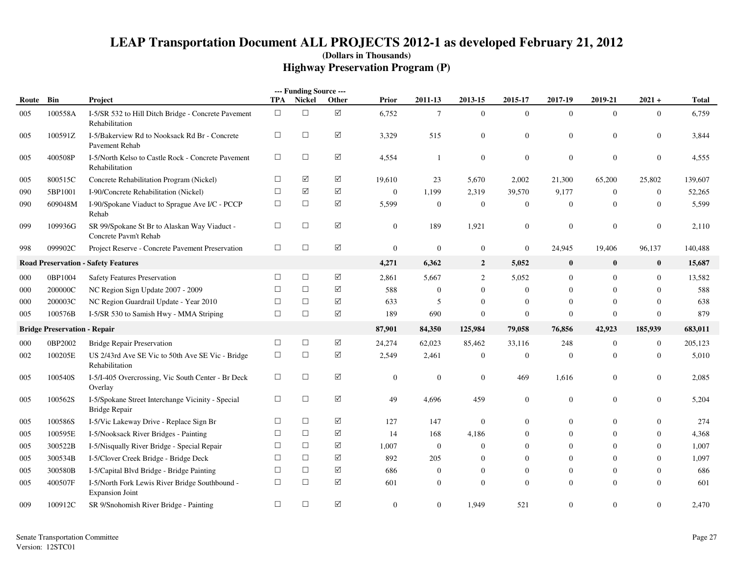|           |                                     |                                                                           |            | --- Funding Source --- |                      |                  |                  |                  |                  |                  |                |                  |              |
|-----------|-------------------------------------|---------------------------------------------------------------------------|------------|------------------------|----------------------|------------------|------------------|------------------|------------------|------------------|----------------|------------------|--------------|
| Route Bin |                                     | Project                                                                   | <b>TPA</b> | Nickel                 | Other                | <b>Prior</b>     | 2011-13          | 2013-15          | 2015-17          | 2017-19          | 2019-21        | $2021 +$         | <b>Total</b> |
| 005       | 100558A                             | I-5/SR 532 to Hill Ditch Bridge - Concrete Pavement<br>Rehabilitation     | $\Box$     | $\Box$                 | ☑                    | 6,752            | $\tau$           | $\Omega$         | $\mathbf{0}$     | $\overline{0}$   | $\theta$       | $\Omega$         | 6,759        |
| 005       | 100591Z                             | I-5/Bakerview Rd to Nooksack Rd Br - Concrete<br>Pavement Rehab           | $\Box$     | $\Box$                 | $\blacktriangledown$ | 3,329            | 515              | $\theta$         | $\mathbf{0}$     | $\mathbf{0}$     | $\mathbf{0}$   | $\Omega$         | 3,844        |
| 005       | 400508P                             | I-5/North Kelso to Castle Rock - Concrete Pavement<br>Rehabilitation      | $\Box$     | $\Box$                 | $\Delta$             | 4,554            | $\mathbf{1}$     | $\boldsymbol{0}$ | $\boldsymbol{0}$ | $\mathbf{0}$     | $\mathbf{0}$   | $\overline{0}$   | 4,555        |
| 005       | 800515C                             | Concrete Rehabilitation Program (Nickel)                                  | $\Box$     | ☑                      | $\Delta$             | 19,610           | 23               | 5,670            | 2,002            | 21,300           | 65,200         | 25,802           | 139,607      |
| 090       | 5BP1001                             | I-90/Concrete Rehabilitation (Nickel)                                     | $\Box$     | $\triangledown$        | $\boxed{\checkmark}$ | $\mathbf{0}$     | 1,199            | 2,319            | 39,570           | 9,177            | $\mathbf{0}$   | $\boldsymbol{0}$ | 52,265       |
| 090       | 609048M                             | I-90/Spokane Viaduct to Sprague Ave I/C - PCCP<br>Rehab                   | $\Box$     | $\Box$                 | ☑                    | 5,599            | $\boldsymbol{0}$ | $\boldsymbol{0}$ | $\mathbf{0}$     | $\mathbf{0}$     | $\Omega$       | $\Omega$         | 5,599        |
| 099       | 109936G                             | SR 99/Spokane St Br to Alaskan Way Viaduct -<br>Concrete Pavm't Rehab     | $\Box$     | $\Box$                 | $\boxed{\checkmark}$ | $\overline{0}$   | 189              | 1,921            | $\mathbf{0}$     | $\mathbf{0}$     | $\Omega$       | $\theta$         | 2,110        |
| 998       | 099902C                             | Project Reserve - Concrete Pavement Preservation                          | $\Box$     | $\Box$                 | $\boxed{\checkmark}$ | $\mathbf{0}$     | $\boldsymbol{0}$ | $\boldsymbol{0}$ | $\boldsymbol{0}$ | 24,945           | 19,406         | 96,137           | 140,488      |
|           |                                     | <b>Road Preservation - Safety Features</b>                                |            |                        |                      | 4,271            | 6,362            | $\overline{2}$   | 5,052            | $\boldsymbol{0}$ | $\bf{0}$       | $\bf{0}$         | 15,687       |
| 000       | 0BP1004                             | <b>Safety Features Preservation</b>                                       | $\Box$     | $\Box$                 | $\sqrt{}$            | 2,861            | 5,667            | 2                | 5,052            | $\overline{0}$   | $\Omega$       | $\mathbf{0}$     | 13,582       |
| 000       | 200000C                             | NC Region Sign Update 2007 - 2009                                         | $\Box$     | $\Box$                 | ☑                    | 588              | $\mathbf{0}$     | $\Omega$         | $\mathbf{0}$     | $\theta$         | $\Omega$       | $\Omega$         | 588          |
| 000       | 200003C                             | NC Region Guardrail Update - Year 2010                                    | $\Box$     | $\Box$                 | $\Delta$             | 633              | 5                | $\Omega$         | $\mathbf{0}$     | $\mathbf{0}$     | $\Omega$       | $\theta$         | 638          |
| 005       | 100576B                             | I-5/SR 530 to Samish Hwy - MMA Striping                                   | $\Box$     | $\Box$                 | $\boxed{\checkmark}$ | 189              | 690              | $\theta$         | $\mathbf{0}$     | $\mathbf{0}$     | $\overline{0}$ | $\mathbf{0}$     | 879          |
|           | <b>Bridge Preservation - Repair</b> |                                                                           |            |                        |                      | 87,901           | 84,350           | 125,984          | 79,058           | 76,856           | 42,923         | 185,939          | 683,011      |
| 000       | 0BP2002                             | <b>Bridge Repair Preservation</b>                                         | $\Box$     | $\Box$                 | $\sqrt{}$            | 24,274           | 62,023           | 85,462           | 33,116           | 248              | $\overline{0}$ | $\mathbf{0}$     | 205,123      |
| 002       | 100205E                             | US 2/43rd Ave SE Vic to 50th Ave SE Vic - Bridge<br>Rehabilitation        | $\Box$     | $\Box$                 | $\boxed{\checkmark}$ | 2,549            | 2,461            | $\theta$         | $\mathbf{0}$     | $\theta$         | $\Omega$       | $\mathbf{0}$     | 5,010        |
| 005       | 100540S                             | I-5/I-405 Overcrossing, Vic South Center - Br Deck<br>Overlay             | $\Box$     | $\Box$                 | $\blacktriangledown$ | $\mathbf{0}$     | $\mathbf{0}$     | $\overline{0}$   | 469              | 1,616            | $\Omega$       | $\theta$         | 2,085        |
| 005       | 100562S                             | I-5/Spokane Street Interchange Vicinity - Special<br><b>Bridge Repair</b> | $\Box$     | $\Box$                 | $\triangledown$      | 49               | 4,696            | 459              | $\mathbf{0}$     | $\theta$         | $\Omega$       | $\Omega$         | 5,204        |
| 005       | 100586S                             | I-5/Vic Lakeway Drive - Replace Sign Br                                   | $\Box$     | $\Box$                 | ☑                    | 127              | 147              | $\mathbf{0}$     | $\Omega$         | $\mathbf{0}$     | $\Omega$       | $\Omega$         | 274          |
| 005       | 100595E                             | I-5/Nooksack River Bridges - Painting                                     | $\Box$     | $\Box$                 | $\blacktriangledown$ | 14               | 168              | 4,186            | $\Omega$         | $\mathbf{0}$     | $\Omega$       | $\Omega$         | 4,368        |
| 005       | 300522B                             | I-5/Nisqually River Bridge - Special Repair                               | $\Box$     | $\Box$                 | $\sqrt{}$            | 1,007            | $\boldsymbol{0}$ | $\Omega$         | $\Omega$         | $\mathbf{0}$     | $\Omega$       | $\Omega$         | 1,007        |
| 005       | 300534B                             | I-5/Clover Creek Bridge - Bridge Deck                                     | $\Box$     | $\Box$                 | $\sqrt{}$            | 892              | 205              | $\Omega$         | $\Omega$         | $\mathbf{0}$     | $\Omega$       | $\mathbf{0}$     | 1,097        |
| 005       | 300580B                             | I-5/Capital Blvd Bridge - Bridge Painting                                 | $\Box$     | $\Box$                 | $\blacktriangledown$ | 686              | $\mathbf{0}$     | $\Omega$         | $\mathbf{0}$     | $\Omega$         | $\Omega$       | $\Omega$         | 686          |
| 005       | 400507F                             | I-5/North Fork Lewis River Bridge Southbound -<br><b>Expansion Joint</b>  | $\Box$     | $\Box$                 | $\blacktriangledown$ | 601              | $\Omega$         | $\Omega$         | $\mathbf{0}$     | $\Omega$         | $\Omega$       | $\Omega$         | 601          |
| 009       | 100912C                             | SR 9/Snohomish River Bridge - Painting                                    | $\Box$     | $\Box$                 | ☑                    | $\boldsymbol{0}$ | $\mathbf{0}$     | 1,949            | 521              | $\mathbf{0}$     | $\Omega$       | $\theta$         | 2,470        |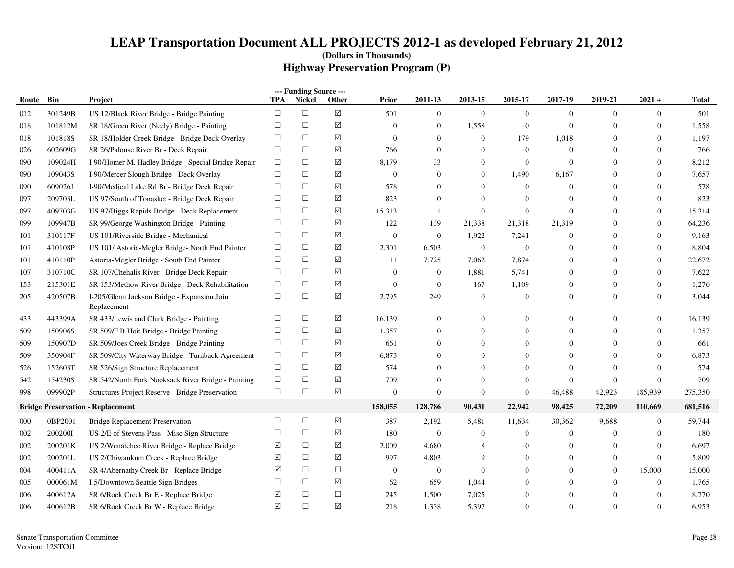|       |         |                                                             |            | --- Funding Source --- |                      |                  |                  |                |                  |                  |              |                  |         |
|-------|---------|-------------------------------------------------------------|------------|------------------------|----------------------|------------------|------------------|----------------|------------------|------------------|--------------|------------------|---------|
| Route | Bin     | Project                                                     | <b>TPA</b> | <b>Nickel</b>          | Other                | <b>Prior</b>     | 2011-13          | 2013-15        | 2015-17          | 2017-19          | 2019-21      | $2021 +$         | Total   |
| 012   | 301249B | US 12/Black River Bridge - Bridge Painting                  | $\Box$     | $\Box$                 | $\sqrt{ }$           | 501              | $\mathbf{0}$     | $\overline{0}$ | $\mathbf{0}$     | $\mathbf{0}$     | $\mathbf{0}$ | $\overline{0}$   | 501     |
| 018   | 101812M | SR 18/Green River (Neely) Bridge - Painting                 | $\Box$     | $\Box$                 | $\sqrt{}$            | $\overline{0}$   | $\mathbf{0}$     | 1,558          | $\overline{0}$   | $\mathbf{0}$     | $\Omega$     | $\Omega$         | 1,558   |
| 018   | 101818S | SR 18/Holder Creek Bridge - Bridge Deck Overlay             | $\Box$     | $\Box$                 | ☑                    | $\mathbf{0}$     | $\boldsymbol{0}$ | $\overline{0}$ | 179              | 1,018            | $\theta$     | $\overline{0}$   | 1,197   |
| 026   | 602609G | SR 26/Palouse River Br - Deck Repair                        | $\Box$     | $\Box$                 | ☑                    | 766              | $\mathbf{0}$     | $\overline{0}$ | $\overline{0}$   | $\overline{0}$   | $\Omega$     | $\boldsymbol{0}$ | 766     |
| 090   | 109024H | I-90/Homer M. Hadley Bridge - Special Bridge Repair         | $\Box$     | $\Box$                 | ☑                    | 8,179            | 33               | $\Omega$       | $\mathbf{0}$     | $\overline{0}$   | $\Omega$     | $\overline{0}$   | 8,212   |
| 090   | 109043S | I-90/Mercer Slough Bridge - Deck Overlay                    | $\Box$     | $\Box$                 | $\sqrt{ }$           | $\boldsymbol{0}$ | $\mathbf{0}$     | $\Omega$       | 1,490            | 6,167            | $\Omega$     | $\overline{0}$   | 7,657   |
| 090   | 609026J | I-90/Medical Lake Rd Br - Bridge Deck Repair                | $\Box$     | $\Box$                 | ☑                    | 578              | $\theta$         | $\Omega$       | $\overline{0}$   | $\overline{0}$   | $\Omega$     | $\Omega$         | 578     |
| 097   | 209703L | US 97/South of Tonasket - Bridge Deck Repair                | $\Box$     | $\Box$                 | ☑                    | 823              | $\mathbf{0}$     | $\Omega$       | $\overline{0}$   | $\overline{0}$   | $\Omega$     | $\theta$         | 823     |
| 097   | 409703G | US 97/Biggs Rapids Bridge - Deck Replacement                | $\Box$     | $\Box$                 | ☑                    | 15,313           | $\mathbf{1}$     | $\overline{0}$ | $\boldsymbol{0}$ | $\overline{0}$   | $\Omega$     | $\theta$         | 15,314  |
| 099   | 109947B | SR 99/George Washington Bridge - Painting                   | $\Box$     | $\Box$                 | ☑                    | 122              | 139              | 21,338         | 21,318           | 21,319           | $\Omega$     | $\overline{0}$   | 64,236  |
| 101   | 310117F | US 101/Riverside Bridge - Mechanical                        | $\Box$     | $\Box$                 | ☑                    | $\mathbf{0}$     | $\mathbf{0}$     | 1,922          | 7,241            | $\theta$         | $\Omega$     | $\overline{0}$   | 9,163   |
| 101   | 410108P | US 101/ Astoria-Megler Bridge- North End Painter            | $\Box$     | $\Box$                 | ☑                    | 2,301            | 6,503            | $\overline{0}$ | $\overline{0}$   | $\mathbf{0}$     | $\Omega$     | $\boldsymbol{0}$ | 8,804   |
| 101   | 410110P | Astoria-Megler Bridge - South End Painter                   | $\Box$     | $\Box$                 | $\sqrt{}$            | 11               | 7,725            | 7,062          | 7,874            | $\mathbf{0}$     | $\Omega$     | $\overline{0}$   | 22,672  |
| 107   | 310710C | SR 107/Chehalis River - Bridge Deck Repair                  | $\Box$     | $\Box$                 | ☑                    | $\overline{0}$   | $\boldsymbol{0}$ | 1,881          | 5,741            | $\overline{0}$   | $\Omega$     | $\overline{0}$   | 7,622   |
| 153   | 215301E | SR 153/Methow River Bridge - Deck Rehabilitation            | $\Box$     | $\Box$                 | ☑                    | $\mathbf{0}$     | $\boldsymbol{0}$ | 167            | 1,109            | $\mathbf{0}$     | $\Omega$     | $\theta$         | 1,276   |
| 205   | 420507B | I-205/Glenn Jackson Bridge - Expansion Joint<br>Replacement | $\Box$     | $\Box$                 | $\boxed{\checkmark}$ | 2,795            | 249              | $\mathbf{0}$   | $\overline{0}$   | $\overline{0}$   | $\Omega$     | $\theta$         | 3,044   |
| 433   | 443399A | SR 433/Lewis and Clark Bridge - Painting                    | $\Box$     | $\Box$                 | ☑                    | 16,139           | $\mathbf{0}$     | $\Omega$       | $\Omega$         | $\mathbf{0}$     | $\Omega$     | $\overline{0}$   | 16,139  |
| 509   | 150906S | SR 509/F B Hoit Bridge - Bridge Painting                    | $\Box$     | □                      | ☑                    | 1,357            | $\mathbf{0}$     | $\mathbf{0}$   | $\theta$         | $\overline{0}$   | $\Omega$     | $\overline{0}$   | 1,357   |
| 509   | 150907D | SR 509/Joes Creek Bridge - Bridge Painting                  | $\Box$     | $\Box$                 | ☑                    | 661              | $\theta$         | $\Omega$       | 0                | $\mathbf{0}$     | $\Omega$     | $\theta$         | 661     |
| 509   | 350904F | SR 509/City Waterway Bridge - Turnback Agreement            | $\Box$     | $\Box$                 | ☑                    | 6,873            | $\mathbf{0}$     | $\Omega$       | 0                | $\overline{0}$   |              | $\theta$         | 6,873   |
| 526   | 152603T | SR 526/Sign Structure Replacement                           | $\Box$     | $\Box$                 | ☑                    | 574              | $\mathbf{0}$     | $\Omega$       | $\Omega$         | $\theta$         |              | $\theta$         | 574     |
| 542   | 154230S | SR 542/North Fork Nooksack River Bridge - Painting          | $\Box$     | $\Box$                 | $\sqrt{}$            | 709              | $\Omega$         | $\Omega$       | $\overline{0}$   | $\theta$         | $\Omega$     | $\theta$         | 709     |
| 998   | 099902P | Structures Project Reserve - Bridge Preservation            | $\Box$     | $\Box$                 | $\sqrt{}$            | $\boldsymbol{0}$ | $\mathbf{0}$     | $\overline{0}$ | $\boldsymbol{0}$ | 46,488           | 42,923       | 185,939          | 275,350 |
|       |         | <b>Bridge Preservation - Replacement</b>                    |            |                        |                      | 158,055          | 128,786          | 90,431         | 22,942           | 98,425           | 72,209       | 110,669          | 681,516 |
| 000   | 0BP2001 | <b>Bridge Replacement Preservation</b>                      | $\Box$     | $\Box$                 | ☑                    | 387              | 2,192            | 5,481          | 11,634           | 30,362           | 9,688        | $\overline{0}$   | 59,744  |
| 002   | 2002001 | US 2/E of Stevens Pass - Misc Sign Structure                | $\Box$     | $\Box$                 | ☑                    | 180              | $\mathbf{0}$     | $\overline{0}$ | $\overline{0}$   | $\overline{0}$   | $\Omega$     | $\overline{0}$   | 180     |
| 002   | 200201K | US 2/Wenatchee River Bridge - Replace Bridge                | ☑          | $\Box$                 | ☑                    | 2,009            | 4,680            | 8              | $\theta$         | $\overline{0}$   | $\Omega$     | $\theta$         | 6,697   |
| 002   | 200201L | US 2/Chiwaukum Creek - Replace Bridge                       | ☑          | $\Box$                 | ✓                    | 997              | 4,803            | 9              | $\Omega$         | $\Omega$         | $\Omega$     | $\boldsymbol{0}$ | 5,809   |
| 004   | 400411A | SR 4/Abernathy Creek Br - Replace Bridge                    | ☑          | $\Box$                 | $\Box$               | $\mathbf{0}$     | $\mathbf{0}$     | $\mathbf{0}$   |                  | $\boldsymbol{0}$ | $\theta$     | 15,000           | 15,000  |
| 005   | 000061M | I-5/Downtown Seattle Sign Bridges                           | $\Box$     | $\Box$                 | ✓                    | 62               | 659              | 1,044          |                  | $\overline{0}$   | $\theta$     | $\boldsymbol{0}$ | 1,765   |
| 006   | 400612A | SR 6/Rock Creek Br E - Replace Bridge                       | ☑          | $\Box$                 | $\Box$               | 245              | 1,500            | 7,025          | $\overline{0}$   | $\theta$         | $\Omega$     | $\boldsymbol{0}$ | 8,770   |
| 006   | 400612B | SR 6/Rock Creek Br W - Replace Bridge                       | ☑          | $\Box$                 | $\sqrt{}$            | 218              | 1,338            | 5,397          | $\overline{0}$   | $\Omega$         | $\Omega$     | $\theta$         | 6,953   |
|       |         |                                                             |            |                        |                      |                  |                  |                |                  |                  |              |                  |         |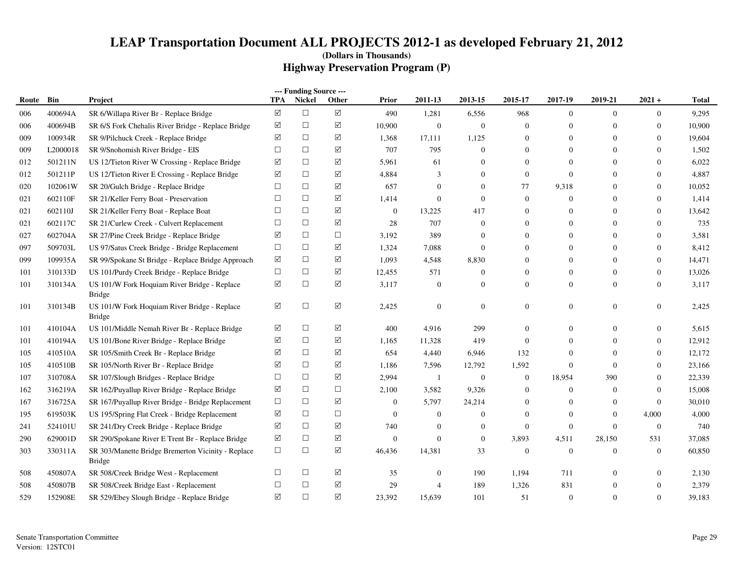| --- Funding Source ---<br><b>TPA</b><br><b>Nickel</b><br>Other<br>2011-13<br>2017-19<br>2019-21<br>$2021 +$<br>Bin<br>2013-15<br>2015-17<br>Route<br>Project<br>Prior |          |                                                                     |                 |        |                      |                  |                |                  |                  |                  |                |                  |              |
|-----------------------------------------------------------------------------------------------------------------------------------------------------------------------|----------|---------------------------------------------------------------------|-----------------|--------|----------------------|------------------|----------------|------------------|------------------|------------------|----------------|------------------|--------------|
|                                                                                                                                                                       |          |                                                                     |                 |        |                      |                  |                |                  |                  |                  |                |                  | <b>Total</b> |
| 006                                                                                                                                                                   | 400694A  | SR 6/Willapa River Br - Replace Bridge                              | $\triangledown$ | $\Box$ | $\boxed{\mathsf{v}}$ | 490              | 1,281          | 6,556            | 968              | $\overline{0}$   | $\theta$       | $\boldsymbol{0}$ | 9,295        |
| 006                                                                                                                                                                   | 400694B  | SR 6/S Fork Chehalis River Bridge - Replace Bridge                  | ☑               | $\Box$ | ☑                    | 10,900           | $\overline{0}$ | $\mathbf{0}$     | $\boldsymbol{0}$ | $\boldsymbol{0}$ | $\overline{0}$ | $\mathbf{0}$     | 10,900       |
| 009                                                                                                                                                                   | 100934R  | SR 9/Pilchuck Creek - Replace Bridge                                | ☑               | $\Box$ | ☑                    | 1,368            | 17,111         | 1,125            | $\boldsymbol{0}$ | $\overline{0}$   | $\Omega$       | $\mathbf{0}$     | 19,604       |
| 009                                                                                                                                                                   | L2000018 | SR 9/Snohomish River Bridge - EIS                                   | $\Box$          | $\Box$ | ☑                    | 707              | 795            | $\Omega$         | $\overline{0}$   | $\Omega$         | $\Omega$       | $\Omega$         | 1,502        |
| 012                                                                                                                                                                   | 501211N  | US 12/Tieton River W Crossing - Replace Bridge                      | ☑               | $\Box$ | ☑                    | 5,961            | 61             | $\Omega$         | $\overline{0}$   | $\mathbf{0}$     | $\Omega$       | $\boldsymbol{0}$ | 6,022        |
| 012                                                                                                                                                                   | 501211P  | US 12/Tieton River E Crossing - Replace Bridge                      | ☑               | $\Box$ | ☑                    | 4,884            | 3              | $\Omega$         | $\mathbf{0}$     | $\overline{0}$   | $\Omega$       | $\boldsymbol{0}$ | 4,887        |
| 020                                                                                                                                                                   | 102061W  | SR 20/Gulch Bridge - Replace Bridge                                 | $\Box$          | $\Box$ | ☑                    | 657              | $\overline{0}$ | $\Omega$         | 77               | 9,318            | $\Omega$       | $\boldsymbol{0}$ | 10,052       |
| 021                                                                                                                                                                   | 602110F  | SR 21/Keller Ferry Boat - Preservation                              | $\Box$          | $\Box$ | ☑                    | 1,414            | $\overline{0}$ | $\theta$         | $\mathbf{0}$     | $\overline{0}$   | $\overline{0}$ | $\mathbf{0}$     | 1,414        |
| 021                                                                                                                                                                   | 602110J  | SR 21/Keller Ferry Boat - Replace Boat                              | $\Box$          | $\Box$ | ☑                    | $\boldsymbol{0}$ | 13,225         | 417              | $\overline{0}$   | $\overline{0}$   | $\Omega$       | $\mathbf{0}$     | 13,642       |
| 021                                                                                                                                                                   | 602117C  | SR 21/Curlew Creek - Culvert Replacement                            | $\Box$          | $\Box$ | ☑                    | 28               | 707            | $\theta$         | $\overline{0}$   | $\overline{0}$   | $\overline{0}$ | $\mathbf{0}$     | 735          |
| 027                                                                                                                                                                   | 602704A  | SR 27/Pine Creek Bridge - Replace Bridge                            | ☑               | $\Box$ | $\Box$               | 3,192            | 389            | $\Omega$         | $\Omega$         | $\overline{0}$   | $\overline{0}$ | $\boldsymbol{0}$ | 3,581        |
| 097                                                                                                                                                                   | 509703L  | US 97/Satus Creek Bridge - Bridge Replacement                       | $\Box$          | $\Box$ | ☑                    | 1,324            | 7,088          | $\Omega$         | $\Omega$         | $\theta$         | $\Omega$       | $\mathbf{0}$     | 8,412        |
| 099                                                                                                                                                                   | 109935A  | SR 99/Spokane St Bridge - Replace Bridge Approach                   | ☑               | $\Box$ | ☑                    | 1,093            | 4,548          | 8,830            | $\overline{0}$   | $\overline{0}$   | $\overline{0}$ | $\boldsymbol{0}$ | 14,471       |
| 101                                                                                                                                                                   | 310133D  | US 101/Purdy Creek Bridge - Replace Bridge                          | $\Box$          | $\Box$ | ☑                    | 12,455           | 571            | $\Omega$         | $\overline{0}$   | $\overline{0}$   | $\overline{0}$ | $\boldsymbol{0}$ | 13,026       |
| 101                                                                                                                                                                   | 310134A  | US 101/W Fork Hoquiam River Bridge - Replace<br><b>Bridge</b>       | ☑               | $\Box$ | ☑                    | 3,117            | $\overline{0}$ | $\Omega$         | $\overline{0}$   | $\Omega$         | $\overline{0}$ | $\overline{0}$   | 3,117        |
| 101                                                                                                                                                                   | 310134B  | US 101/W Fork Hoquiam River Bridge - Replace<br><b>Bridge</b>       | ☑               | $\Box$ | ☑                    | 2,425            | $\overline{0}$ | $\overline{0}$   | $\mathbf{0}$     | $\overline{0}$   | $\overline{0}$ | $\boldsymbol{0}$ | 2,425        |
| 101                                                                                                                                                                   | 410104A  | US 101/Middle Nemah River Br - Replace Bridge                       | ☑               | $\Box$ | ☑                    | 400              | 4,916          | 299              | $\mathbf{0}$     | $\overline{0}$   | $\overline{0}$ | $\boldsymbol{0}$ | 5,615        |
| 101                                                                                                                                                                   | 410194A  | US 101/Bone River Bridge - Replace Bridge                           | ☑               | $\Box$ | ☑                    | 1,165            | 11,328         | 419              | $\mathbf{0}$     | $\overline{0}$   | $\overline{0}$ | $\mathbf{0}$     | 12,912       |
| 105                                                                                                                                                                   | 410510A  | SR 105/Smith Creek Br - Replace Bridge                              | ☑               | $\Box$ | ☑                    | 654              | 4,440          | 6,946            | 132              | $\Omega$         | $\Omega$       | $\mathbf{0}$     | 12,172       |
| 105                                                                                                                                                                   | 410510B  | SR 105/North River Br - Replace Bridge                              | $\sqrt{}$       | $\Box$ | ☑                    | 1,186            | 7,596          | 12,792           | 1,592            | $\overline{0}$   | $\Omega$       | $\boldsymbol{0}$ | 23,166       |
| 107                                                                                                                                                                   | 310708A  | SR 107/Slough Bridges - Replace Bridge                              | $\Box$          | $\Box$ | ☑                    | 2,994            | 1              | $\boldsymbol{0}$ | $\mathbf{0}$     | 18,954           | 390            | $\boldsymbol{0}$ | 22,339       |
| 162                                                                                                                                                                   | 316219A  | SR 162/Puyallup River Bridge - Replace Bridge                       | ☑               | $\Box$ | $\Box$               | 2,100            | 3,582          | 9,326            | $\mathbf{0}$     | $\overline{0}$   | $\overline{0}$ | $\boldsymbol{0}$ | 15,008       |
| 167                                                                                                                                                                   | 316725A  | SR 167/Puyallup River Bridge - Bridge Replacement                   | $\Box$          | $\Box$ | ☑                    | $\boldsymbol{0}$ | 5,797          | 24,214           | $\mathbf{0}$     | $\mathbf{0}$     | $\Omega$       | $\mathbf{0}$     | 30,010       |
| 195                                                                                                                                                                   | 619503K  | US 195/Spring Flat Creek - Bridge Replacement                       | ☑               | $\Box$ | $\Box$               | $\mathbf{0}$     | $\overline{0}$ | $\Omega$         | $\overline{0}$   | $\overline{0}$   | $\overline{0}$ | 4,000            | 4,000        |
| 241                                                                                                                                                                   | 524101U  | SR 241/Dry Creek Bridge - Replace Bridge                            | ☑               | $\Box$ | ☑                    | 740              | $\overline{0}$ | $\Omega$         | $\overline{0}$   | $\overline{0}$   | $\Omega$       | $\mathbf{0}$     | 740          |
| 290                                                                                                                                                                   | 629001D  | SR 290/Spokane River E Trent Br - Replace Bridge                    | ☑               | $\Box$ | $\boxtimes$          | $\boldsymbol{0}$ | $\overline{0}$ | $\boldsymbol{0}$ | 3,893            | 4,511            | 28,150         | 531              | 37,085       |
| 303                                                                                                                                                                   | 330311A  | SR 303/Manette Bridge Bremerton Vicinity - Replace<br><b>Bridge</b> | $\Box$          | $\Box$ | $\triangledown$      | 46,436           | 14,381         | 33               | $\mathbf{0}$     | $\overline{0}$   | $\Omega$       | $\mathbf{0}$     | 60,850       |
| 508                                                                                                                                                                   | 450807A  | SR 508/Creek Bridge West - Replacement                              | $\Box$          | $\Box$ | ☑                    | 35               | $\mathbf{0}$   | 190              | 1,194            | 711              | $\overline{0}$ | $\boldsymbol{0}$ | 2,130        |
| 508                                                                                                                                                                   | 450807B  | SR 508/Creek Bridge East - Replacement                              | $\Box$          | $\Box$ | ☑                    | 29               | 4              | 189              | 1,326            | 831              | $\overline{0}$ | $\boldsymbol{0}$ | 2,379        |
| 529                                                                                                                                                                   | 152908E  | SR 529/Ebey Slough Bridge - Replace Bridge                          | ☑               | $\Box$ | ☑                    | 23,392           | 15,639         | 101              | 51               | $\mathbf{0}$     | $\Omega$       | $\mathbf{0}$     | 39,183       |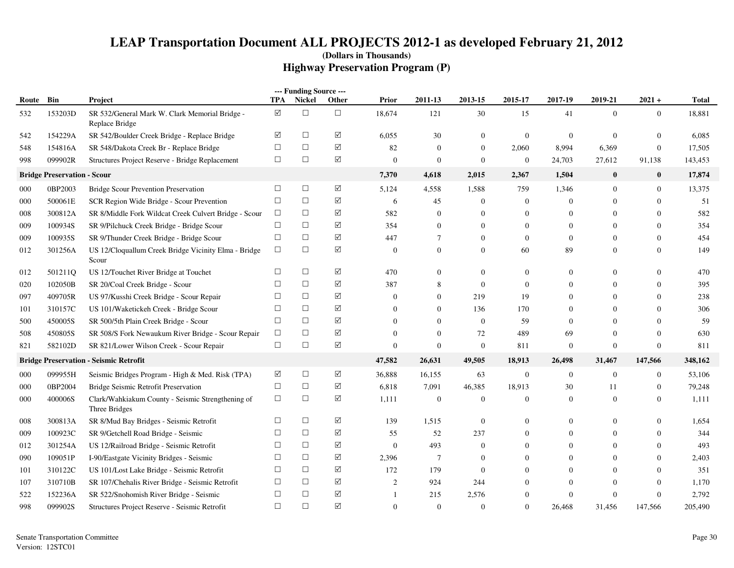|       |                                    |                                                                    |                      | --- Funding Source --- |                      |              |                  |                |                |                |                  |                  |              |
|-------|------------------------------------|--------------------------------------------------------------------|----------------------|------------------------|----------------------|--------------|------------------|----------------|----------------|----------------|------------------|------------------|--------------|
| Route | Bin                                | Project                                                            | TPA                  | Nickel                 | <b>Other</b>         | <b>Prior</b> | 2011-13          | 2013-15        | 2015-17        | 2017-19        | 2019-21          | $2021 +$         | <b>Total</b> |
| 532   | 153203D                            | SR 532/General Mark W. Clark Memorial Bridge -<br>Replace Bridge   | $\boxed{\mathsf{v}}$ | $\Box$                 | $\Box$               | 18,674       | 121              | 30             | 15             | 41             | $\overline{0}$   | $\overline{0}$   | 18,881       |
| 542   | 154229A                            | SR 542/Boulder Creek Bridge - Replace Bridge                       | ☑                    | $\Box$                 | $\sqrt{}$            | 6,055        | 30               | $\overline{0}$ | $\mathbf{0}$   | $\mathbf{0}$   | $\theta$         | $\boldsymbol{0}$ | 6,085        |
| 548   | 154816A                            | SR 548/Dakota Creek Br - Replace Bridge                            | $\Box$               | $\Box$                 | $\boxed{\checkmark}$ | 82           | $\overline{0}$   | $\overline{0}$ | 2,060          | 8,994          | 6,369            | $\overline{0}$   | 17,505       |
| 998   | 099902R                            | Structures Project Reserve - Bridge Replacement                    | $\Box$               | $\Box$                 | $\triangledown$      | $\mathbf{0}$ | $\overline{0}$   | $\Omega$       | $\mathbf{0}$   | 24,703         | 27,612           | 91,138           | 143,453      |
|       | <b>Bridge Preservation - Scour</b> |                                                                    |                      |                        |                      | 7,370        | 4,618            | 2,015          | 2,367          | 1,504          | $\bf{0}$         | $\bf{0}$         | 17,874       |
| 000   | 0BP2003                            | <b>Bridge Scour Prevention Preservation</b>                        | $\Box$               | $\Box$                 | ☑                    | 5,124        | 4,558            | 1,588          | 759            | 1,346          | $\Omega$         | $\overline{0}$   | 13,375       |
| 000   | 500061E                            | SCR Region Wide Bridge - Scour Prevention                          | $\Box$               | $\Box$                 | ☑                    | 6            | 45               | $\Omega$       | $\overline{0}$ | $\Omega$       | $\Omega$         | $\Omega$         | 51           |
| 008   | 300812A                            | SR 8/Middle Fork Wildcat Creek Culvert Bridge - Scour              | $\Box$               | $\Box$                 | ☑                    | 582          | $\theta$         | $\overline{0}$ | $\overline{0}$ | $\theta$       | $\Omega$         | $\overline{0}$   | 582          |
| 009   | 100934S                            | SR 9/Pilchuck Creek Bridge - Bridge Scour                          | $\Box$               | $\Box$                 | $\blacktriangledown$ | 354          | $\overline{0}$   | $\mathbf{0}$   | $\overline{0}$ | $\mathbf{0}$   | $\Omega$         | $\Omega$         | 354          |
| 009   | 100935S                            | SR 9/Thunder Creek Bridge - Bridge Scour                           | $\Box$               | $\Box$                 | ☑                    | 447          | $\overline{7}$   | $\overline{0}$ | $\overline{0}$ | $\mathbf{0}$   | $\Omega$         | $\mathbf{0}$     | 454          |
| 012   | 301256A                            | US 12/Cloquallum Creek Bridge Vicinity Elma - Bridge<br>Scour      | $\Box$               | $\Box$                 | $\sqrt{}$            | $\theta$     | $\overline{0}$   | $\Omega$       | 60             | 89             | $\Omega$         | $\Omega$         | 149          |
| 012   | 501211Q                            | US 12/Touchet River Bridge at Touchet                              | П                    | $\Box$                 | ☑                    | 470          | $\boldsymbol{0}$ | $\overline{0}$ | $\overline{0}$ | $\mathbf{0}$   | $\Omega$         | $\overline{0}$   | 470          |
| 020   | 102050B                            | SR 20/Coal Creek Bridge - Scour                                    | $\Box$               | $\Box$                 | $\sqrt{}$            | 387          | 8                | $\overline{0}$ | $\overline{0}$ | $\mathbf{0}$   | $\theta$         | $\overline{0}$   | 395          |
| 097   | 409705R                            | US 97/Kusshi Creek Bridge - Scour Repair                           | $\Box$               | $\Box$                 | $\sqrt{}$            | $\theta$     | $\theta$         | 219            | 19             | $\overline{0}$ | $\Omega$         | $\Omega$         | 238          |
| 101   | 310157C                            | US 101/Waketickeh Creek - Bridge Scour                             | $\Box$               | $\Box$                 | ☑                    | $\Omega$     | $\overline{0}$   | 136            | 170            | $\theta$       | $\Omega$         | 0                | 306          |
| 500   | 450005S                            | SR 500/5th Plain Creek Bridge - Scour                              | $\Box$               | $\Box$                 | ☑                    | $\Omega$     | $\Omega$         | $\Omega$       | 59             | $\Omega$       | $\Omega$         | $\Omega$         | 59           |
| 508   | 450805S                            | SR 508/S Fork Newaukum River Bridge - Scour Repair                 | $\Box$               | $\Box$                 | $\sqrt{}$            | $\Omega$     | $\overline{0}$   | 72             | 489            | 69             | $\Omega$         | $\overline{0}$   | 630          |
| 821   | 582102D                            | SR 821/Lower Wilson Creek - Scour Repair                           | $\Box$               | $\Box$                 | $\sqrt{}$            | $\mathbf{0}$ | $\overline{0}$   | $\overline{0}$ | 811            | $\mathbf{0}$   | $\Omega$         | $\boldsymbol{0}$ | 811          |
|       |                                    | <b>Bridge Preservation - Seismic Retrofit</b>                      |                      |                        |                      | 47,582       | 26,631           | 49,505         | 18,913         | 26,498         | 31,467           | 147,566          | 348,162      |
| 000   | 099955H                            | Seismic Bridges Program - High & Med. Risk (TPA)                   | ☑                    | $\Box$                 | ☑                    | 36,888       | 16,155           | 63             | $\mathbf{0}$   | $\mathbf{0}$   | $\boldsymbol{0}$ | $\overline{0}$   | 53,106       |
| 000   | 0BP2004                            | Bridge Seismic Retrofit Preservation                               | $\Box$               | $\Box$                 | $\sqrt{}$            | 6,818        | 7,091            | 46,385         | 18,913         | 30             | 11               | $\overline{0}$   | 79,248       |
| 000   | 400006S                            | Clark/Wahkiakum County - Seismic Strengthening of<br>Three Bridges | $\Box$               | $\Box$                 | ☑                    | 1,111        | $\overline{0}$   | $\overline{0}$ | $\overline{0}$ | $\Omega$       | $\Omega$         | $\overline{0}$   | 1,111        |
| 008   | 300813A                            | SR 8/Mud Bay Bridges - Seismic Retrofit                            | $\Box$               | $\Box$                 | $\triangledown$      | 139          | 1,515            | $\overline{0}$ | $\Omega$       | $\theta$       | $\Omega$         | $\Omega$         | 1,654        |
| 009   | 100923C                            | SR 9/Getchell Road Bridge - Seismic                                | $\Box$               | $\Box$                 | ☑                    | 55           | 52               | 237            | $\Omega$       | $\mathbf{0}$   | $\theta$         | $\Omega$         | 344          |
| 012   | 301254A                            | US 12/Railroad Bridge - Seismic Retrofit                           | $\Box$               | $\Box$                 | $\sqrt{}$            | $\mathbf{0}$ | 493              | $\overline{0}$ | 0              | $\mathbf{0}$   | $\theta$         | $\Omega$         | 493          |
| 090   | 109051P                            | I-90/Eastgate Vicinity Bridges - Seismic                           | $\Box$               | $\Box$                 | $\sqrt{}$            | 2,396        | $\tau$           | $\mathbf{0}$   | $\Omega$       | $\mathbf{0}$   | $\Omega$         | $\overline{0}$   | 2,403        |
| 101   | 310122C                            | US 101/Lost Lake Bridge - Seismic Retrofit                         | $\Box$               | $\Box$                 | ☑                    | 172          | 179              | $\overline{0}$ | 0              | $\theta$       | $\Omega$         | 0                | 351          |
| 107   | 310710B                            | SR 107/Chehalis River Bridge - Seismic Retrofit                    | $\Box$               | □                      | ☑                    | 2            | 924              | 244            | 0              | $\Omega$       | $\Omega$         | $\overline{0}$   | 1,170        |
| 522   | 152236A                            | SR 522/Snohomish River Bridge - Seismic                            | $\Box$               | □                      | ☑                    | -1           | 215              | 2,576          | 0              | $\theta$       | $\Omega$         | $\overline{0}$   | 2,792        |
| 998   | 099902S                            | Structures Project Reserve - Seismic Retrofit                      | $\Box$               | $\Box$                 | ☑                    | $\mathbf{0}$ | $\theta$         | $\Omega$       | $\Omega$       | 26,468         | 31,456           | 147,566          | 205,490      |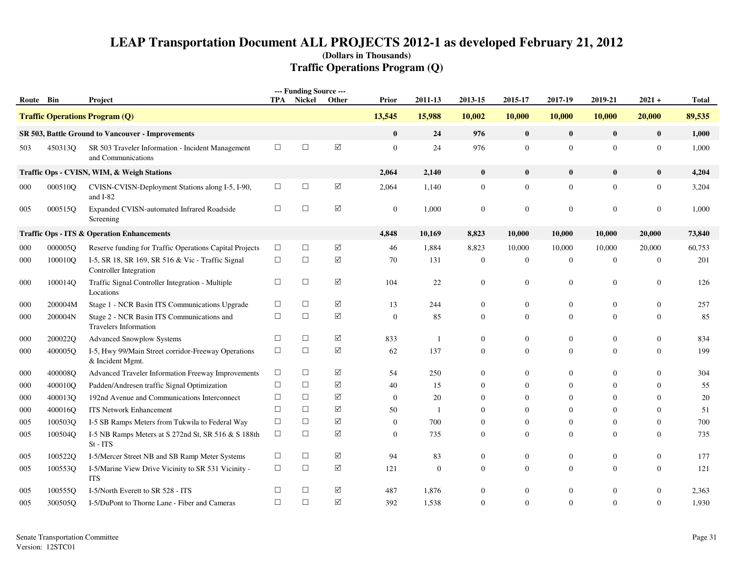|           |         |                                                                             |            | --- Funding Source --- |                      |                |              |                  |                  |                  |                |                  |              |
|-----------|---------|-----------------------------------------------------------------------------|------------|------------------------|----------------------|----------------|--------------|------------------|------------------|------------------|----------------|------------------|--------------|
| Route Bin |         | Project                                                                     | <b>TPA</b> | Nickel                 | Other                | <b>Prior</b>   | 2011-13      | 2013-15          | 2015-17          | 2017-19          | 2019-21        | $2021 +$         | <b>Total</b> |
|           |         | <b>Traffic Operations Program (Q)</b>                                       |            |                        |                      | 13,545         | 15,988       | 10,002           | 10,000           | 10,000           | 10,000         | 20,000           | 89,535       |
|           |         | SR 503, Battle Ground to Vancouver - Improvements                           |            |                        |                      | $\bf{0}$       | 24           | 976              | $\bf{0}$         | $\bf{0}$         | $\mathbf{0}$   | $\bf{0}$         | 1,000        |
| 503       | 450313O | SR 503 Traveler Information - Incident Management<br>and Communications     | $\Box$     | $\Box$                 | $\sqrt{ }$           | $\overline{0}$ | 24           | 976              | $\mathbf{0}$     | $\mathbf{0}$     | $\overline{0}$ | $\overline{0}$   | 1,000        |
|           |         | Traffic Ops - CVISN, WIM, & Weigh Stations                                  |            |                        |                      | 2,064          | 2,140        | $\bf{0}$         | $\bf{0}$         | $\bf{0}$         | $\mathbf{0}$   | $\bf{0}$         | 4,204        |
| 000       | 000510Q | CVISN-CVISN-Deployment Stations along I-5, I-90,<br>and I-82                | $\Box$     | $\Box$                 | ☑                    | 2,064          | 1,140        | $\boldsymbol{0}$ | $\mathbf{0}$     | $\mathbf{0}$     | $\mathbf{0}$   | $\mathbf{0}$     | 3,204        |
| 005       | 000515Q | Expanded CVISN-automated Infrared Roadside<br>Screening                     | $\Box$     | $\Box$                 | $\Delta$             | $\mathbf{0}$   | 1,000        | $\mathbf{0}$     | $\overline{0}$   | $\mathbf{0}$     | $\mathbf{0}$   | $\mathbf{0}$     | 1,000        |
|           |         | <b>Traffic Ops - ITS &amp; Operation Enhancements</b>                       |            |                        |                      | 4,848          | 10,169       | 8,823            | 10,000           | 10,000           | 10,000         | 20,000           | 73,840       |
| 000       | 000005Q | Reserve funding for Traffic Operations Capital Projects                     | $\Box$     | $\Box$                 | $\Delta$             | 46             | 1,884        | 8,823            | 10,000           | 10,000           | 10,000         | 20,000           | 60,753       |
| 000       | 100010Q | I-5, SR 18, SR 169, SR 516 & Vic - Traffic Signal<br>Controller Integration | $\Box$     | $\Box$                 | ☑                    | 70             | 131          | $\mathbf{0}$     | $\overline{0}$   | $\mathbf{0}$     | $\overline{0}$ | $\boldsymbol{0}$ | 201          |
| 000       | 100014Q | Traffic Signal Controller Integration - Multiple<br>Locations               | $\Box$     | $\Box$                 | $\sqrt{ }$           | 104            | 22           | $\mathbf{0}$     | $\mathbf{0}$     | $\mathbf{0}$     | $\mathbf{0}$   | $\boldsymbol{0}$ | 126          |
| 000       | 200004M | Stage 1 - NCR Basin ITS Communications Upgrade                              | $\Box$     | $\Box$                 | $\sqrt{}$            | 13             | 244          | $\mathbf{0}$     | $\mathbf{0}$     | $\mathbf{0}$     | $\mathbf{0}$   | $\mathbf{0}$     | 257          |
| 000       | 200004N | Stage 2 - NCR Basin ITS Communications and<br><b>Travelers Information</b>  | $\Box$     | $\Box$                 | $\Delta$             | $\mathbf{0}$   | 85           | $\Omega$         | $\Omega$         | $\mathbf{0}$     | $\Omega$       | $\Omega$         | 85           |
| 000       | 200022Q | <b>Advanced Snowplow Systems</b>                                            | $\Box$     | $\Box$                 | ☑                    | 833            | $\mathbf{1}$ | $\mathbf{0}$     | $\overline{0}$   | $\mathbf{0}$     | $\mathbf{0}$   | $\mathbf{0}$     | 834          |
| 000       | 400005Q | I-5, Hwy 99/Main Street corridor-Freeway Operations<br>& Incident Mgmt.     | $\Box$     | $\Box$                 | $\boxed{\checkmark}$ | 62             | 137          | $\mathbf{0}$     | $\overline{0}$   | $\mathbf{0}$     | $\Omega$       | $\Omega$         | 199          |
| 000       | 400008Q | Advanced Traveler Information Freeway Improvements                          | $\Box$     | $\Box$                 | ☑                    | 54             | 250          | $\mathbf{0}$     | $\overline{0}$   | $\mathbf{0}$     | $\mathbf{0}$   | $\mathbf{0}$     | 304          |
| 000       | 400010Q | Padden/Andresen traffic Signal Optimization                                 | $\Box$     | $\Box$                 | ☑                    | 40             | 15           | $\Omega$         | $\Omega$         | $\mathbf{0}$     | $\Omega$       | $\Omega$         | 55           |
| 000       | 400013Q | 192nd Avenue and Communications Interconnect                                | $\Box$     | $\Box$                 | $\Delta$             | $\overline{0}$ | 20           | $\mathbf{0}$     | $\Omega$         | $\mathbf{0}$     | $\mathbf{0}$   | $\mathbf{0}$     | 20           |
| 000       | 400016Q | <b>ITS Network Enhancement</b>                                              | $\Box$     | $\Box$                 | ☑                    | 50             | $\mathbf{1}$ | $\Omega$         | $\Omega$         | $\Omega$         | $\Omega$       | $\Omega$         | 51           |
| 005       | 100503Q | I-5 SB Ramps Meters from Tukwila to Federal Way                             | $\Box$     | $\Box$                 | ☑                    | $\mathbf{0}$   | 700          | $\mathbf{0}$     | $\mathbf{0}$     | $\mathbf{0}$     | $\Omega$       | $\mathbf{0}$     | 700          |
| 005       | 100504Q | I-5 NB Ramps Meters at S 272nd St, SR 516 & S 188th<br>St - ITS             | $\Box$     | $\Box$                 | $\Delta$             | $\Omega$       | 735          | $\Omega$         | $\Omega$         | $\theta$         | $\Omega$       | $\Omega$         | 735          |
| 005       | 100522O | I-5/Mercer Street NB and SB Ramp Meter Systems                              | $\Box$     | $\Box$                 | $\sqrt{}$            | 94             | 83           | $\mathbf{0}$     | $\overline{0}$   | $\mathbf{0}$     | $\mathbf{0}$   | $\mathbf{0}$     | 177          |
| 005       | 100553Q | I-5/Marine View Drive Vicinity to SR 531 Vicinity -<br><b>ITS</b>           | $\Box$     | $\Box$                 | $\Delta$             | 121            | $\mathbf{0}$ | $\mathbf{0}$     | $\overline{0}$   | $\mathbf{0}$     | $\mathbf{0}$   | $\mathbf{0}$     | 121          |
| 005       | 100555Q | I-5/North Everett to SR 528 - ITS                                           | $\Box$     | $\Box$                 | $\sqrt{}$            | 487            | 1,876        | $\mathbf{0}$     | $\boldsymbol{0}$ | $\boldsymbol{0}$ | $\mathbf{0}$   | $\boldsymbol{0}$ | 2,363        |
| 005       | 300505Q | I-5/DuPont to Thorne Lane - Fiber and Cameras                               | $\Box$     | $\Box$                 | $\Delta$             | 392            | 1,538        | $\Omega$         | $\Omega$         | $\theta$         | $\Omega$       | $\Omega$         | 1,930        |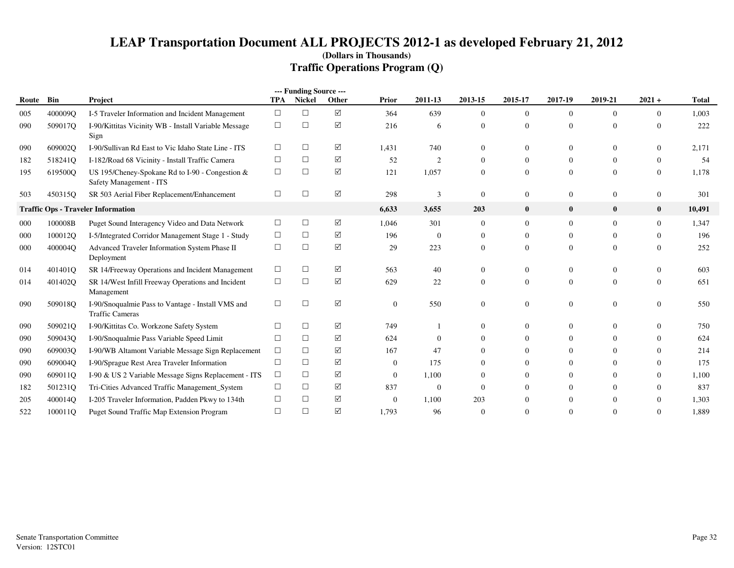|       |         |                                                                             |            | --- Funding Source --- |                 |                |                |                |                |                |                |                |              |
|-------|---------|-----------------------------------------------------------------------------|------------|------------------------|-----------------|----------------|----------------|----------------|----------------|----------------|----------------|----------------|--------------|
| Route | Bin     | Project                                                                     | <b>TPA</b> | Nickel                 | Other           | Prior          | 2011-13        | 2013-15        | 2015-17        | 2017-19        | 2019-21        | $2021 +$       | <b>Total</b> |
| 005   | 400009Q | I-5 Traveler Information and Incident Management                            | $\Box$     | $\Box$                 | $\triangledown$ | 364            | 639            | $\overline{0}$ | $\overline{0}$ | $\overline{0}$ | $\Omega$       | $\overline{0}$ | 1,003        |
| 090   | 509017Q | I-90/Kittitas Vicinity WB - Install Variable Message<br>Sign                | $\Box$     | □                      | $\boxtimes$     | 216            | 6              | $\Omega$       | $\Omega$       | $\Omega$       | $\Omega$       | $\theta$       | 222          |
| 090   | 609002O | I-90/Sullivan Rd East to Vic Idaho State Line - ITS                         | $\Box$     | $\Box$                 | ☑               | 1,431          | 740            | $\Omega$       | $\left($       | 0              | $\Omega$       | $\Omega$       | 2,171        |
| 182   | 518241O | I-182/Road 68 Vicinity - Install Traffic Camera                             | $\Box$     | $\Box$                 | $\Delta$        | 52             | $\overline{2}$ | $\mathbf{0}$   | $\mathbf{0}$   | $\theta$       | $\mathbf{0}$   | $\overline{0}$ | 54           |
| 195   | 619500Q | US 195/Cheney-Spokane Rd to I-90 - Congestion &<br>Safety Management - ITS  | $\Box$     | $\Box$                 | $\triangledown$ | 121            | 1,057          | $\overline{0}$ | $\Omega$       | $\Omega$       | $\Omega$       | $\overline{0}$ | 1,178        |
| 503   | 450315Q | SR 503 Aerial Fiber Replacement/Enhancement                                 | $\Box$     | $\Box$                 | $\Delta$        | 298            | 3              | $\mathbf{0}$   | $\mathbf{0}$   | $\overline{0}$ | $\mathbf{0}$   | $\mathbf{0}$   | 301          |
|       |         | <b>Traffic Ops - Traveler Information</b>                                   |            |                        |                 | 6,633          | 3,655          | 203            | $\bf{0}$       | $\bf{0}$       | $\bf{0}$       | $\bf{0}$       | 10,491       |
| 000   | 100008B | Puget Sound Interagency Video and Data Network                              | $\Box$     | $\Box$                 | $\Delta$        | 1,046          | 301            | $\mathbf{0}$   | $\mathbf{0}$   | 0              | $\Omega$       | $\overline{0}$ | 1,347        |
| 000   | 100012Q | I-5/Integrated Corridor Management Stage 1 - Study                          | $\Box$     | $\Box$                 | ☑               | 196            | $\overline{0}$ | $\theta$       | $\mathbf{0}$   | 0              | $\Omega$       | $\Omega$       | 196          |
| 000   | 400004Q | Advanced Traveler Information System Phase II<br>Deployment                 | $\Box$     | $\Box$                 | $\Delta$        | 29             | 223            | $\mathbf{0}$   | $\Omega$       | $\Omega$       | $\Omega$       | $\theta$       | 252          |
| 014   | 401401Q | SR 14/Freeway Operations and Incident Management                            | $\Box$     | □                      | ☑               | 563            | 40             | $\mathbf{0}$   | $\left($       | $\theta$       | $\Omega$       | $\overline{0}$ | 603          |
| 014   | 401402Q | SR 14/West Infill Freeway Operations and Incident<br>Management             | $\Box$     | $\Box$                 | $\Delta$        | 629            | 22             | $\mathbf{0}$   | $\Omega$       | $\Omega$       | $\Omega$       | $\theta$       | 651          |
| 090   | 509018Q | I-90/Snoqualmie Pass to Vantage - Install VMS and<br><b>Traffic Cameras</b> | $\Box$     | $\Box$                 | ☑               | $\overline{0}$ | 550            | $\mathbf{0}$   | $\theta$       | $\theta$       | $\overline{0}$ | $\overline{0}$ | 550          |
| 090   | 509021Q | I-90/Kittitas Co. Workzone Safety System                                    | $\Box$     | □                      | ☑               | 749            |                | $\mathbf{0}$   | $\Omega$       | $\theta$       | $\Omega$       | $\Omega$       | 750          |
| 090   | 509043O | I-90/Snoqualmie Pass Variable Speed Limit                                   | П          | □                      | ☑               | 624            | $\Omega$       | $\Omega$       | $\Omega$       | 0              | $\Omega$       | $\Omega$       | 624          |
| 090   | 609003Q | I-90/WB Altamont Variable Message Sign Replacement                          | $\Box$     | □                      | ☑               | 167            | 47             | $\Omega$       | $\Omega$       | $\theta$       | $\Omega$       | $\Omega$       | 214          |
| 090   | 609004Q | I-90/Sprague Rest Area Traveler Information                                 | $\Box$     | $\Box$                 | $\Delta$        | $\overline{0}$ | 175            | $\Omega$       |                | 0              |                | $\Omega$       | 175          |
| 090   | 609011O | I-90 & US 2 Variable Message Signs Replacement - ITS                        | $\Box$     | $\Box$                 | $\triangledown$ | $\overline{0}$ | 1,100          | $\Omega$       | $\Omega$       | $\Omega$       | $\Omega$       | $\Omega$       | 1,100        |
| 182   | 501231Q | Tri-Cities Advanced Traffic Management_System                               | $\Box$     | $\Box$                 | ☑               | 837            | $\mathbf{0}$   | $\Omega$       | $\left($       | 0              | 0              | $\Omega$       | 837          |
| 205   | 400014Q | I-205 Traveler Information, Padden Pkwy to 134th                            | $\Box$     | □                      | $\triangledown$ | $\Omega$       | 1,100          | 203            |                | 0              |                | $\Omega$       | 1,303        |
| 522   | 100011O | <b>Puget Sound Traffic Map Extension Program</b>                            | $\Box$     | $\Box$                 | ☑               | 1,793          | 96             | $\mathbf{0}$   |                | $\Omega$       |                | $\theta$       | 1,889        |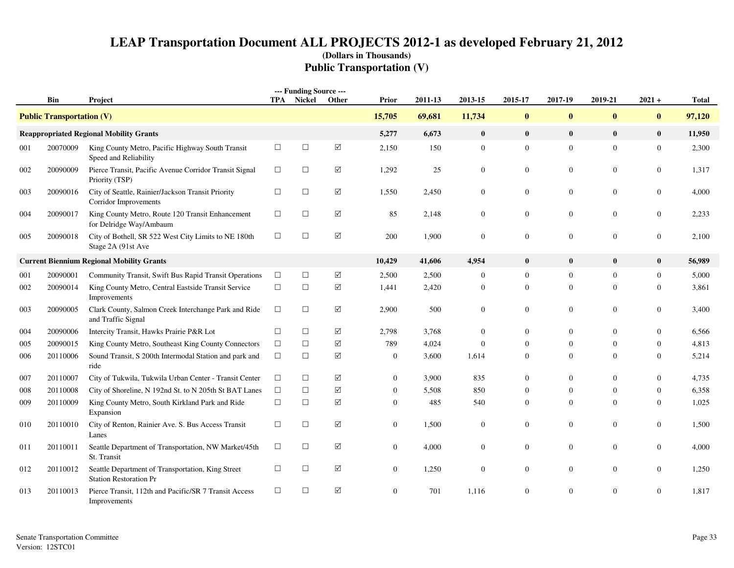# **LEAP Transportation Document ALL PROJECTS 2012-1 as developed February 21, 2012(Dollars in Thousands)Public Transportation (V)**

|     | Bin                              | Project                                                                            |        | --- Funding Source ---<br><b>TPA</b> Nickel | Other                | Prior          | 2011-13 | 2013-15          | 2015-17        | 2017-19        | 2019-21        | $2021 +$         | <b>Total</b> |
|-----|----------------------------------|------------------------------------------------------------------------------------|--------|---------------------------------------------|----------------------|----------------|---------|------------------|----------------|----------------|----------------|------------------|--------------|
|     | <b>Public Transportation (V)</b> |                                                                                    |        |                                             |                      | 15,705         | 69,681  | 11,734           | $\pmb{0}$      | $\bf{0}$       | $\mathbf{0}$   | $\pmb{0}$        | 97,120       |
|     |                                  | <b>Reappropriated Regional Mobility Grants</b>                                     |        |                                             |                      | 5,277          | 6,673   | $\bf{0}$         | $\bf{0}$       | $\mathbf{0}$   | $\mathbf{0}$   | $\bf{0}$         | 11,950       |
| 001 | 20070009                         | King County Metro, Pacific Highway South Transit<br>Speed and Reliability          | $\Box$ | $\Box$                                      | $\sqrt{}$            | 2,150          | 150     | $\mathbf{0}$     | $\mathbf{0}$   | $\mathbf{0}$   | $\mathbf{0}$   | $\mathbf{0}$     | 2,300        |
| 002 | 20090009                         | Pierce Transit, Pacific Avenue Corridor Transit Signal<br>Priority (TSP)           | $\Box$ | $\Box$                                      | $\triangledown$      | 1,292          | 25      | $\Omega$         | $\overline{0}$ | $\mathbf{0}$   | $\Omega$       | $\overline{0}$   | 1,317        |
| 003 | 20090016                         | City of Seattle, Rainier/Jackson Transit Priority<br>Corridor Improvements         | $\Box$ | $\Box$                                      | $\Delta$             | 1,550          | 2,450   | $\mathbf{0}$     | $\mathbf{0}$   | $\mathbf{0}$   | $\mathbf{0}$   | $\overline{0}$   | 4,000        |
| 004 | 20090017                         | King County Metro, Route 120 Transit Enhancement<br>for Delridge Way/Ambaum        | $\Box$ | $\Box$                                      | $\Delta$             | 85             | 2,148   | $\mathbf{0}$     | $\mathbf{0}$   | $\mathbf{0}$   | $\mathbf{0}$   | $\mathbf{0}$     | 2,233        |
| 005 | 20090018                         | City of Bothell, SR 522 West City Limits to NE 180th<br>Stage 2A (91st Ave         | $\Box$ | $\Box$                                      | $\blacktriangledown$ | 200            | 1,900   | $\boldsymbol{0}$ | $\mathbf{0}$   | $\mathbf{0}$   | $\mathbf{0}$   | $\mathbf{0}$     | 2,100        |
|     |                                  | <b>Current Biennium Regional Mobility Grants</b>                                   |        |                                             |                      | 10,429         | 41,606  | 4,954            | $\bf{0}$       | $\bf{0}$       | $\mathbf{0}$   | $\bf{0}$         | 56,989       |
| 001 | 20090001                         | Community Transit, Swift Bus Rapid Transit Operations                              | $\Box$ | $\Box$                                      | $\sqrt{ }$           | 2,500          | 2,500   | $\boldsymbol{0}$ | $\overline{0}$ | $\mathbf{0}$   | $\overline{0}$ | $\mathbf{0}$     | 5,000        |
| 002 | 20090014                         | King County Metro, Central Eastside Transit Service<br>Improvements                | $\Box$ | $\Box$                                      | ☑                    | 1,441          | 2,420   | $\theta$         | $\overline{0}$ | $\overline{0}$ | $\Omega$       | $\overline{0}$   | 3,861        |
| 003 | 20090005                         | Clark County, Salmon Creek Interchange Park and Ride<br>and Traffic Signal         | $\Box$ | $\Box$                                      | ☑                    | 2,900          | 500     | $\boldsymbol{0}$ | $\mathbf{0}$   | $\mathbf{0}$   | $\overline{0}$ | $\boldsymbol{0}$ | 3,400        |
| 004 | 20090006                         | Intercity Transit, Hawks Prairie P&R Lot                                           | $\Box$ | $\Box$                                      | $\triangledown$      | 2,798          | 3,768   | $\mathbf{0}$     | 0              | $\mathbf{0}$   | $\mathbf{0}$   | $\boldsymbol{0}$ | 6,566        |
| 005 | 20090015                         | King County Metro, Southeast King County Connectors                                | $\Box$ | $\Box$                                      | ☑                    | 789            | 4,024   | $\overline{0}$   | $\Omega$       | $\mathbf{0}$   | $\Omega$       | $\overline{0}$   | 4,813        |
| 006 | 20110006                         | Sound Transit, S 200th Intermodal Station and park and<br>ride                     | $\Box$ | $\Box$                                      | $\Delta$             | $\mathbf{0}$   | 3,600   | 1,614            | $\overline{0}$ | $\mathbf{0}$   | $\Omega$       | $\mathbf{0}$     | 5,214        |
| 007 | 20110007                         | City of Tukwila, Tukwila Urban Center - Transit Center                             | $\Box$ | $\Box$                                      | ☑                    | $\overline{0}$ | 3,900   | 835              | $\overline{0}$ | $\mathbf{0}$   | $\Omega$       | $\overline{0}$   | 4,735        |
| 008 | 20110008                         | City of Shoreline, N 192nd St. to N 205th St BAT Lanes                             | $\Box$ | $\Box$                                      | ☑                    | $\overline{0}$ | 5,508   | 850              | $\overline{0}$ | $\overline{0}$ | $\mathbf{0}$   | $\boldsymbol{0}$ | 6,358        |
| 009 | 20110009                         | King County Metro, South Kirkland Park and Ride<br>Expansion                       | $\Box$ | $\Box$                                      | ☑                    | $\overline{0}$ | 485     | 540              | $\overline{0}$ | $\mathbf{0}$   | $\Omega$       | $\overline{0}$   | 1,025        |
| 010 | 20110010                         | City of Renton, Rainier Ave. S. Bus Access Transit<br>Lanes                        | $\Box$ | $\Box$                                      | ☑                    | $\overline{0}$ | 1,500   | $\mathbf{0}$     | $\overline{0}$ | $\overline{0}$ | $\overline{0}$ | $\overline{0}$   | 1,500        |
| 011 | 20110011                         | Seattle Department of Transportation, NW Market/45th<br>St. Transit                | $\Box$ | $\Box$                                      | $\Delta$             | $\overline{0}$ | 4,000   | $\mathbf{0}$     | $\overline{0}$ | $\mathbf{0}$   | $\mathbf{0}$   | $\mathbf{0}$     | 4,000        |
| 012 | 20110012                         | Seattle Department of Transportation, King Street<br><b>Station Restoration Pr</b> | $\Box$ | $\Box$                                      | $\Delta$             | $\overline{0}$ | 1,250   | $\Omega$         | $\Omega$       | $\mathbf{0}$   | $\Omega$       | $\overline{0}$   | 1,250        |
| 013 | 20110013                         | Pierce Transit, 112th and Pacific/SR 7 Transit Access<br>Improvements              | $\Box$ | $\Box$                                      | ☑                    | $\overline{0}$ | 701     | 1.116            | $\Omega$       | $\Omega$       | $\Omega$       | $\mathbf{0}$     | 1.817        |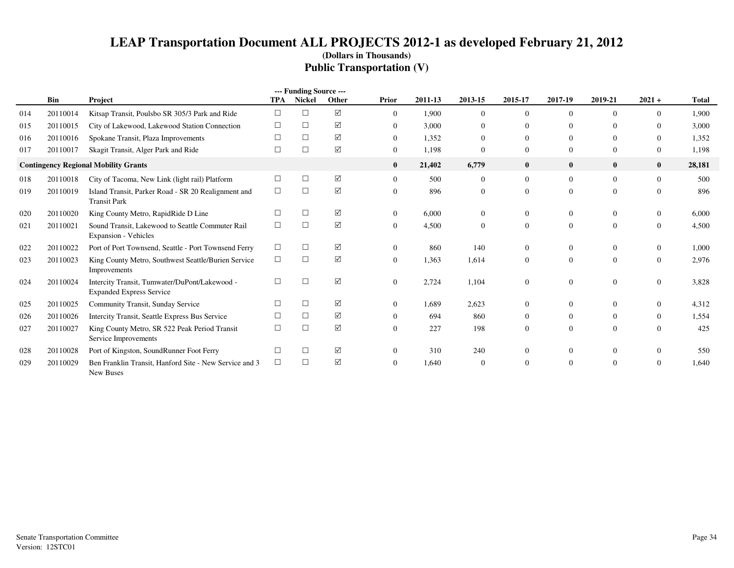# **LEAP Transportation Document ALL PROJECTS 2012-1 as developed February 21, 2012(Dollars in Thousands)Public Transportation (V)**

|     |          |                                                                                  |            | --- Funding Source --- |                 |                  |         |                |                |              |                |                  |              |
|-----|----------|----------------------------------------------------------------------------------|------------|------------------------|-----------------|------------------|---------|----------------|----------------|--------------|----------------|------------------|--------------|
|     | Bin      | Project                                                                          | <b>TPA</b> | <b>Nickel</b>          | Other           | Prior            | 2011-13 | 2013-15        | 2015-17        | 2017-19      | 2019-21        | $2021 +$         | <b>Total</b> |
| 014 | 20110014 | Kitsap Transit, Poulsbo SR 305/3 Park and Ride                                   | П          | □                      | ☑               | $\Omega$         | 1,900   | $\Omega$       | $\Omega$       |              | $\Omega$       | $\Omega$         | 1,900        |
| 015 | 20110015 | City of Lakewood, Lakewood Station Connection                                    |            | □                      | ☑               | $\overline{0}$   | 3,000   | $\Omega$       | $\Omega$       | 0            | ∩              | $\Omega$         | 3,000        |
| 016 | 20110016 | Spokane Transit, Plaza Improvements                                              |            | $\Box$                 | ☑               | $\overline{0}$   | 1,352   | $\Omega$       | $\Omega$       | $\Omega$     | $\overline{0}$ | $\boldsymbol{0}$ | 1,352        |
| 017 | 20110017 | Skagit Transit, Alger Park and Ride                                              |            | $\Box$                 | $\triangledown$ | $\overline{0}$   | 1,198   | $\theta$       | $\overline{0}$ | $\Omega$     | $\overline{0}$ | $\boldsymbol{0}$ | 1,198        |
|     |          | <b>Contingency Regional Mobility Grants</b>                                      |            |                        |                 | $\bf{0}$         | 21,402  | 6,779          | $\bf{0}$       | $\mathbf{0}$ | $\bf{0}$       | $\bf{0}$         | 28,181       |
| 018 | 20110018 | City of Tacoma, New Link (light rail) Platform                                   |            | $\Box$                 | ☑               | $\overline{0}$   | 500     | $\overline{0}$ | $\Omega$       | $\Omega$     | $\overline{0}$ | $\overline{0}$   | 500          |
| 019 | 20110019 | Island Transit, Parker Road - SR 20 Realignment and<br><b>Transit Park</b>       | $\Box$     | $\Box$                 | ☑               | $\mathbf{0}$     | 896     | $\overline{0}$ | $\overline{0}$ | $\Omega$     | $\overline{0}$ | $\mathbf{0}$     | 896          |
| 020 | 20110020 | King County Metro, RapidRide D Line                                              |            | $\Box$                 | ☑               | $\bf{0}$         | 6,000   | $\Omega$       | $\Omega$       |              | $\Omega$       | $\mathbf{0}$     | 6,000        |
| 021 | 20110021 | Sound Transit, Lakewood to Seattle Commuter Rail<br><b>Expansion - Vehicles</b>  | $\Box$     | $\Box$                 | ☑               | $\boldsymbol{0}$ | 4,500   | $\theta$       | $\mathbf{0}$   | $\Omega$     | $\mathbf{0}$   | $\boldsymbol{0}$ | 4,500        |
| 022 | 20110022 | Port of Port Townsend, Seattle - Port Townsend Ferry                             | $\Box$     | $\Box$                 | ☑               | $\bf{0}$         | 860     | 140            | $\Omega$       | 0            | $\overline{0}$ | $\mathbf{0}$     | 1,000        |
| 023 | 20110023 | King County Metro, Southwest Seattle/Burien Service<br>Improvements              | $\Box$     | $\Box$                 | $\triangledown$ | $\mathbf{0}$     | 1,363   | 1,614          | $\Omega$       | $\Omega$     | $\overline{0}$ | $\mathbf{0}$     | 2,976        |
| 024 | 20110024 | Intercity Transit, Tumwater/DuPont/Lakewood -<br><b>Expanded Express Service</b> | П          | $\Box$                 | ☑               | $\overline{0}$   | 2,724   | 1,104          | $\mathbf{0}$   |              | $\overline{0}$ | $\mathbf{0}$     | 3,828        |
| 025 | 20110025 | Community Transit, Sunday Service                                                |            | $\Box$                 | ☑               | $\Omega$         | 1,689   | 2,623          | $\Omega$       | 0            | $\Omega$       | $\mathbf{0}$     | 4,312        |
| 026 | 20110026 | Intercity Transit, Seattle Express Bus Service                                   |            | $\Box$                 | ☑               | $\Omega$         | 694     | 860            | $\Omega$       | 0            | $\Omega$       | $\mathbf{0}$     | 1,554        |
| 027 | 20110027 | King County Metro, SR 522 Peak Period Transit<br>Service Improvements            |            | $\Box$                 | ☑               | $\Omega$         | 227     | 198            | $\Omega$       | $\Omega$     | $\Omega$       | $\mathbf{0}$     | 425          |
| 028 | 20110028 | Port of Kingston, SoundRunner Foot Ferry                                         |            | $\Box$                 | ☑               | $\Omega$         | 310     | 240            | $\left($       |              | $\Omega$       | $\bf{0}$         | 550          |
| 029 | 20110029 | Ben Franklin Transit, Hanford Site - New Service and 3<br><b>New Buses</b>       | $\Box$     | $\Box$                 | ☑               | $\overline{0}$   | 1.640   | $\overline{0}$ | $\Omega$       |              | $\overline{0}$ | $\Omega$         | 1,640        |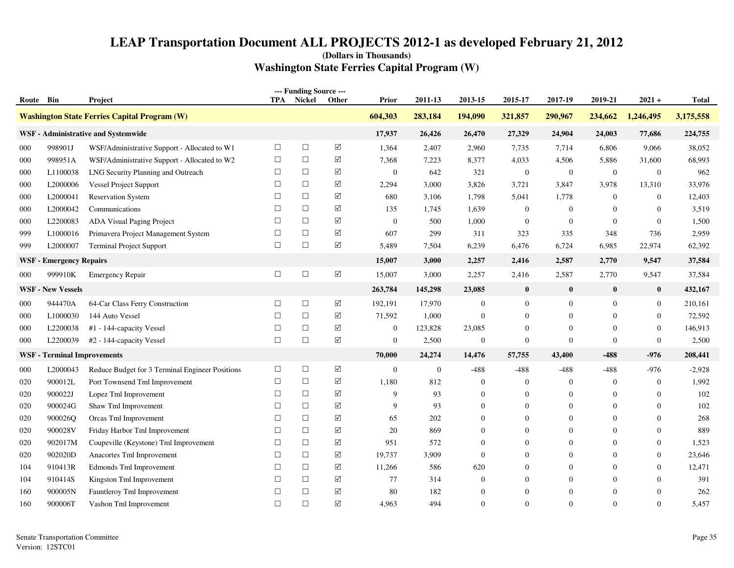| Route | Bin                                | Project                                             | TPA    | --- Funding Source ---<br>Nickel | <b>Other</b>       | Prior            | 2011-13      | 2013-15        | 2015-17          | 2017-19          | 2019-21          | $2021 +$         | <b>Total</b> |
|-------|------------------------------------|-----------------------------------------------------|--------|----------------------------------|--------------------|------------------|--------------|----------------|------------------|------------------|------------------|------------------|--------------|
|       |                                    | <b>Washington State Ferries Capital Program (W)</b> |        |                                  |                    | 604,303          | 283,184      | 194,090        | 321,857          | 290,967          | 234,662          | 1,246,495        | 3,175,558    |
|       |                                    | WSF - Administrative and Systemwide                 |        |                                  |                    | 17,937           | 26,426       | 26,470         | 27,329           | 24,904           | 24,003           | 77,686           | 224,755      |
| 000   | 998901J                            | WSF/Administrative Support - Allocated to W1        | $\Box$ | $\Box$                           | $\sqrt{ }$         | 1,364            | 2,407        | 2,960          | 7,735            | 7,714            | 6,806            | 9,066            | 38,052       |
| 000   | 998951A                            | WSF/Administrative Support - Allocated to W2        | $\Box$ | $\Box$                           | ☑                  | 7,368            | 7,223        | 8,377          | 4,033            | 4,506            | 5,886            | 31,600           | 68,993       |
| 000   | L1100038                           | LNG Security Planning and Outreach                  | $\Box$ | $\Box$                           | ☑                  | $\boldsymbol{0}$ | 642          | 321            | $\mathbf{0}$     | $\mathbf{0}$     | $\mathbf{0}$     | $\boldsymbol{0}$ | 962          |
| 000   | L2000006                           | Vessel Project Support                              | $\Box$ | $\Box$                           | ☑                  | 2,294            | 3,000        | 3,826          | 3,721            | 3,847            | 3,978            | 13,310           | 33,976       |
| 000   | L2000041                           | <b>Reservation System</b>                           | $\Box$ | $\Box$                           | ☑                  | 680              | 3,106        | 1,798          | 5,041            | 1,778            | $\boldsymbol{0}$ | $\boldsymbol{0}$ | 12,403       |
| 000   | L2000042                           | Communications                                      | $\Box$ | $\Box$                           | ☑                  | 135              | 1,745        | 1,639          | $\overline{0}$   | $\boldsymbol{0}$ | $\mathbf{0}$     | $\mathbf{0}$     | 3,519        |
| 000   | L2200083                           | <b>ADA Visual Paging Project</b>                    | $\Box$ | $\Box$                           | ☑                  | $\boldsymbol{0}$ | 500          | 1,000          | $\mathbf{0}$     | $\boldsymbol{0}$ | $\theta$         | $\boldsymbol{0}$ | 1,500        |
| 999   | L1000016                           | Primavera Project Management System                 | $\Box$ | $\Box$                           | ☑                  | 607              | 299          | 311            | 323              | 335              | 348              | 736              | 2,959        |
| 999   | L2000007                           | Terminal Project Support                            | $\Box$ | $\Box$                           | ☑                  | 5,489            | 7,504        | 6,239          | 6,476            | 6,724            | 6,985            | 22,974           | 62,392       |
|       | <b>WSF</b> - Emergency Repairs     |                                                     |        |                                  |                    | 15,007           | 3,000        | 2,257          | 2,416            | 2,587            | 2,770            | 9,547            | 37,584       |
| 000   | 999910K                            | <b>Emergency Repair</b>                             | $\Box$ | $\Box$                           | $\boxed{\searrow}$ | 15,007           | 3,000        | 2,257          | 2,416            | 2,587            | 2,770            | 9,547            | 37,584       |
|       | <b>WSF - New Vessels</b>           |                                                     |        |                                  |                    | 263,784          | 145,298      | 23,085         | $\bf{0}$         | $\bf{0}$         | $\bf{0}$         | $\bf{0}$         | 432,167      |
| 000   | 944470A                            | 64-Car Class Ferry Construction                     | □      | $\Box$                           | ☑                  | 192,191          | 17,970       | $\mathbf{0}$   | $\overline{0}$   | $\mathbf{0}$     | $\mathbf{0}$     | $\boldsymbol{0}$ | 210,161      |
| 000   | L1000030                           | 144 Auto Vessel                                     | $\Box$ | $\Box$                           | ☑                  | 71,592           | 1,000        | $\overline{0}$ | $\overline{0}$   | $\overline{0}$   | $\Omega$         | $\overline{0}$   | 72,592       |
| 000   | L2200038                           | #1 - 144-capacity Vessel                            | $\Box$ | $\Box$                           | ☑                  | $\mathbf{0}$     | 123,828      | 23,085         | $\overline{0}$   | $\mathbf{0}$     | $\mathbf{0}$     | $\boldsymbol{0}$ | 146,913      |
| 000   | L2200039                           | #2 - 144-capacity Vessel                            | $\Box$ | $\Box$                           | $\Delta$           | $\boldsymbol{0}$ | 2,500        | $\overline{0}$ | $\overline{0}$   | $\mathbf{0}$     | $\mathbf{0}$     | $\overline{0}$   | 2,500        |
|       | <b>WSF</b> - Terminal Improvements |                                                     |        |                                  |                    | 70,000           | 24,274       | 14,476         | 57,755           | 43,400           | $-488$           | -976             | 208,441      |
| 000   | L2000043                           | Reduce Budget for 3 Terminal Engineer Positions     | $\Box$ | $\Box$                           | ☑                  | $\boldsymbol{0}$ | $\mathbf{0}$ | $-488$         | $-488$           | $-488$           | $-488$           | $-976$           | $-2,928$     |
| 020   | 900012L                            | Port Townsend Tml Improvement                       | $\Box$ | $\Box$                           | ☑                  | 1,180            | 812          | $\overline{0}$ | $\overline{0}$   | $\boldsymbol{0}$ | $\mathbf{0}$     | $\boldsymbol{0}$ | 1,992        |
| 020   | 900022J                            | Lopez Tml Improvement                               | $\Box$ | $\Box$                           | ☑                  | 9                | 93           | $\overline{0}$ | $\overline{0}$   | $\overline{0}$   | $\theta$         | $\overline{0}$   | 102          |
| 020   | 900024G                            | Shaw Tml Improvement                                | $\Box$ | $\Box$                           | ☑                  | 9                | 93           | $\overline{0}$ | $\overline{0}$   | $\overline{0}$   | $\Omega$         | $\theta$         | 102          |
| 020   | 900026Q                            | Orcas Tml Improvement                               | $\Box$ | $\Box$                           | $\Delta$           | 65               | 202          | $\overline{0}$ | $\mathbf{0}$     | $\overline{0}$   | $\Omega$         | $\theta$         | 268          |
| 020   | 900028V                            | Friday Harbor Tml Improvement                       | $\Box$ | $\Box$                           | $\Delta$           | 20               | 869          | $\overline{0}$ | $\Omega$         | $\mathbf{0}$     | $\Omega$         | $\theta$         | 889          |
| 020   | 902017M                            | Coupeville (Keystone) Tml Improvement               | $\Box$ | $\Box$                           | ☑                  | 951              | 572          | $\overline{0}$ | $\Omega$         | $\mathbf{0}$     | $\mathbf{0}$     | $\overline{0}$   | 1,523        |
| 020   | 902020D                            | Anacortes Tml Improvement                           | $\Box$ | $\Box$                           | $\Delta$           | 19,737           | 3,909        | $\overline{0}$ | $\mathbf{0}$     | $\overline{0}$   | $\mathbf{0}$     | $\boldsymbol{0}$ | 23,646       |
| 104   | 910413R                            | Edmonds Tml Improvement                             | $\Box$ | $\Box$                           | ☑                  | 11,266           | 586          | 620            | $\mathbf{0}$     | $\overline{0}$   | $\mathbf{0}$     | $\overline{0}$   | 12,471       |
| 104   | 910414S                            | Kingston Tml Improvement                            | □      | $\Box$                           | ☑                  | 77               | 314          | $\overline{0}$ | $\Omega$         | $\overline{0}$   | $\Omega$         | $\Omega$         | 391          |
| 160   | 900005N                            | Fauntleroy Tml Improvement                          | □      | $\Box$                           | ☑                  | 80               | 182          | $\overline{0}$ | $\boldsymbol{0}$ | $\overline{0}$   | $\Omega$         | $\overline{0}$   | 262          |
| 160   | 900006T                            | Vashon Tml Improvement                              | $\Box$ | $\Box$                           | ☑                  | 4,963            | 494          | $\Omega$       | $\Omega$         | $\Omega$         | $\Omega$         | $\theta$         | 5,457        |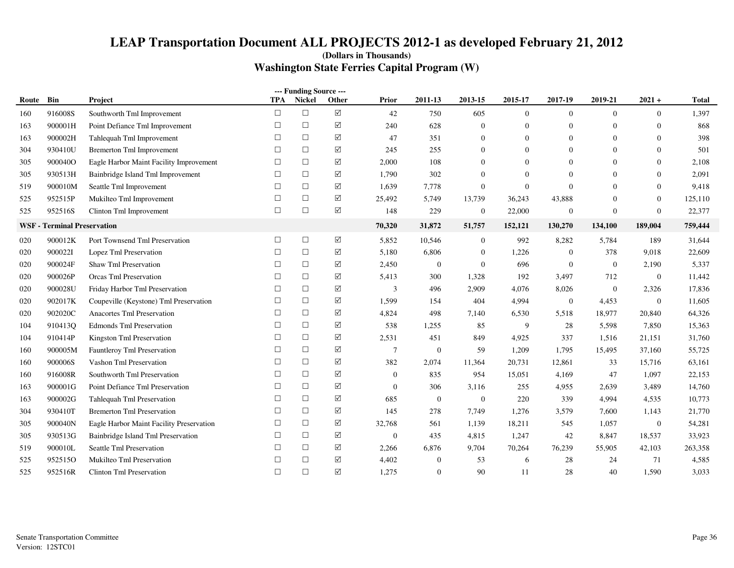|       |                                    |                                          |            | --- Funding Source --- |                      |                |                  |                  |                |                  |                |                  |         |
|-------|------------------------------------|------------------------------------------|------------|------------------------|----------------------|----------------|------------------|------------------|----------------|------------------|----------------|------------------|---------|
| Route | Bin                                | Project                                  | <b>TPA</b> | Nickel                 | Other                | Prior          | 2011-13          | 2013-15          | 2015-17        | 2017-19          | 2019-21        | $2021 +$         | Total   |
| 160   | 916008S                            | Southworth Tml Improvement               | $\Box$     | $\Box$                 | $\triangledown$      | 42             | 750              | 605              | $\overline{0}$ | $\Omega$         | $\overline{0}$ | $\overline{0}$   | 1,397   |
| 163   | 900001H                            | Point Defiance Tml Improvement           | $\Box$     | $\Box$                 | $\triangledown$      | 240            | 628              | $\mathbf{0}$     | $\overline{0}$ | $\mathbf{0}$     | $\mathbf{0}$   | $\overline{0}$   | 868     |
| 163   | 900002H                            | Tahlequah Tml Improvement                | $\Box$     | $\Box$                 | $\triangledown$      | 47             | 351              | $\boldsymbol{0}$ | $\mathbf{0}$   | $\Omega$         | $\theta$       | $\overline{0}$   | 398     |
| 304   | 930410U                            | <b>Bremerton Tml Improvement</b>         | □          | $\Box$                 | ☑                    | 245            | 255              | $\overline{0}$   | $\Omega$       | $\Omega$         | $\Omega$       | $\overline{0}$   | 501     |
| 305   | 900040O                            | Eagle Harbor Maint Facility Improvement  | $\Box$     | $\Box$                 | $\triangledown$      | 2,000          | 108              | $\Omega$         | $\Omega$       | $\Omega$         | $\Omega$       | $\overline{0}$   | 2,108   |
| 305   | 930513H                            | Bainbridge Island Tml Improvement        | $\Box$     | $\Box$                 | ☑                    | 1,790          | 302              | $\overline{0}$   | $\mathbf{0}$   | $\Omega$         | $\theta$       | $\theta$         | 2,091   |
| 519   | 900010M                            | Seattle Tml Improvement                  | $\Box$     | $\Box$                 | ☑                    | 1,639          | 7,778            | $\overline{0}$   | $\overline{0}$ | $\Omega$         | $\mathbf{0}$   | $\overline{0}$   | 9,418   |
| 525   | 952515P                            | Mukilteo Tml Improvement                 | $\Box$     | $\Box$                 | ☑                    | 25,492         | 5,749            | 13,739           | 36,243         | 43,888           | $\Omega$       | $\boldsymbol{0}$ | 125,110 |
| 525   | 952516S                            | Clinton Tml Improvement                  | $\Box$     | $\Box$                 | $\triangledown$      | 148            | 229              | $\mathbf{0}$     | 22,000         | $\boldsymbol{0}$ | $\overline{0}$ | $\boldsymbol{0}$ | 22,377  |
|       | <b>WSF</b> - Terminal Preservation |                                          |            |                        |                      | 70,320         | 31,872           | 51,757           | 152,121        | 130,270          | 134,100        | 189,004          | 759,444 |
| 020   | 900012K                            | Port Townsend Tml Preservation           | $\Box$     | $\Box$                 | ☑                    | 5,852          | 10,546           | $\mathbf{0}$     | 992            | 8,282            | 5,784          | 189              | 31,644  |
| 020   | 900022I                            | Lopez Tml Preservation                   | $\Box$     | $\Box$                 | $\blacktriangledown$ | 5,180          | 6,806            | $\overline{0}$   | 1,226          | $\mathbf{0}$     | 378            | 9,018            | 22,609  |
| 020   | 900024F                            | Shaw Tml Preservation                    | $\Box$     | $\Box$                 | ✓                    | 2,450          | $\theta$         | $\mathbf{0}$     | 696            | $\overline{0}$   | $\mathbf{0}$   | 2,190            | 5,337   |
| 020   | 900026P                            | <b>Orcas Tml Preservation</b>            | $\Box$     | $\Box$                 | $\blacktriangledown$ | 5,413          | 300              | 1,328            | 192            | 3,497            | 712            | $\boldsymbol{0}$ | 11,442  |
| 020   | 900028U                            | Friday Harbor Tml Preservation           | $\Box$     | $\Box$                 | $\triangledown$      | 3              | 496              | 2,909            | 4,076          | 8,026            | $\mathbf{0}$   | 2,326            | 17,836  |
| 020   | 902017K                            | Coupeville (Keystone) Tml Preservation   | $\Box$     | $\Box$                 | $\blacktriangledown$ | 1,599          | 154              | 404              | 4,994          | $\overline{0}$   | 4,453          | $\mathbf{0}$     | 11,605  |
| 020   | 902020C                            | Anacortes Tml Preservation               | $\Box$     | $\Box$                 | $\blacktriangledown$ | 4,824          | 498              | 7,140            | 6,530          | 5,518            | 18,977         | 20,840           | 64,326  |
| 104   | 910413Q                            | <b>Edmonds Tml Preservation</b>          | $\Box$     | $\Box$                 | ☑                    | 538            | 1,255            | 85               | 9              | 28               | 5,598          | 7,850            | 15,363  |
| 104   | 910414P                            | Kingston Tml Preservation                | $\Box$     | $\Box$                 | ☑                    | 2,531          | 451              | 849              | 4,925          | 337              | 1,516          | 21,151           | 31,760  |
| 160   | 900005M                            | Fauntleroy Tml Preservation              | $\Box$     | $\Box$                 | ☑                    | $\overline{7}$ | $\boldsymbol{0}$ | 59               | 1,209          | 1,795            | 15,495         | 37,160           | 55,725  |
| 160   | 900006S                            | Vashon Tml Preservation                  | $\Box$     | $\Box$                 | $\blacktriangledown$ | 382            | 2,074            | 11,364           | 20,731         | 12,861           | 33             | 15,716           | 63,161  |
| 160   | 916008R                            | Southworth Tml Preservation              | $\Box$     | $\Box$                 | $\triangledown$      | $\mathbf{0}$   | 835              | 954              | 15,051         | 4,169            | 47             | 1,097            | 22,153  |
| 163   | 900001G                            | Point Defiance Tml Preservation          | $\Box$     | $\Box$                 | $\triangledown$      | $\overline{0}$ | 306              | 3,116            | 255            | 4,955            | 2.639          | 3,489            | 14,760  |
| 163   | 900002G                            | Tahlequah Tml Preservation               | $\Box$     | $\Box$                 | ☑                    | 685            | $\overline{0}$   | $\mathbf{0}$     | 220            | 339              | 4,994          | 4,535            | 10,773  |
| 304   | 930410T                            | <b>Bremerton Tml Preservation</b>        | $\Box$     | $\Box$                 | ☑                    | 145            | 278              | 7,749            | 1,276          | 3,579            | 7,600          | 1,143            | 21,770  |
| 305   | 900040N                            | Eagle Harbor Maint Facility Preservation | $\Box$     | $\Box$                 | ☑                    | 32,768         | 561              | 1,139            | 18,211         | 545              | 1,057          | $\boldsymbol{0}$ | 54,281  |
| 305   | 930513G                            | Bainbridge Island Tml Preservation       | $\Box$     | $\Box$                 | $\triangledown$      | $\overline{0}$ | 435              | 4,815            | 1,247          | 42               | 8,847          | 18,537           | 33,923  |
| 519   | 900010L                            | Seattle Tml Preservation                 | $\Box$     | $\Box$                 | ☑                    | 2,266          | 6,876            | 9,704            | 70,264         | 76,239           | 55,905         | 42,103           | 263,358 |
| 525   | 952515O                            | Mukilteo Tml Preservation                | $\Box$     | $\Box$                 | $\boxed{\mathsf{v}}$ | 4,402          | $\theta$         | 53               | 6              | 28               | 24             | 71               | 4,585   |
| 525   | 952516R                            | <b>Clinton Tml Preservation</b>          | $\Box$     | $\Box$                 | ☑                    | 1,275          | $\Omega$         | 90               | 11             | 28               | 40             | 1,590            | 3,033   |
|       |                                    |                                          |            |                        |                      |                |                  |                  |                |                  |                |                  |         |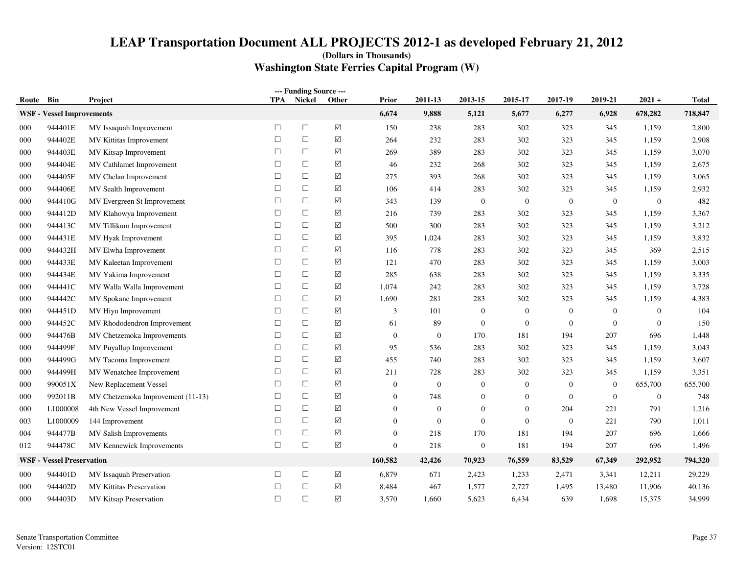| --- Funding Source --- |                                  |                                   |            |        |                      |                  |                |                |                  |                |                |                  |         |
|------------------------|----------------------------------|-----------------------------------|------------|--------|----------------------|------------------|----------------|----------------|------------------|----------------|----------------|------------------|---------|
| Route Bin              |                                  | <b>Project</b>                    | <b>TPA</b> | Nickel | Other                | Prior            | 2011-13        | 2013-15        | 2015-17          | 2017-19        | 2019-21        | $2021 +$         | Total   |
|                        | <b>WSF</b> - Vessel Improvements |                                   |            |        |                      | 6,674            | 9,888          | 5,121          | 5,677            | 6,277          | 6,928          | 678,282          | 718,847 |
| 000                    | 944401E                          | MV Issaquah Improvement           | $\Box$     | $\Box$ | $\boxed{\searrow}$   | 150              | 238            | 283            | 302              | 323            | 345            | 1,159            | 2,800   |
| 000                    | 944402E                          | MV Kittitas Improvement           | $\Box$     | $\Box$ | $\boxed{\checkmark}$ | 264              | 232            | 283            | 302              | 323            | 345            | 1,159            | 2,908   |
| 000                    | 944403E                          | MV Kitsap Improvement             | $\Box$     | $\Box$ | ☑                    | 269              | 389            | 283            | 302              | 323            | 345            | 1,159            | 3,070   |
| 000                    | 944404E                          | MV Cathlamet Improvement          | $\Box$     | $\Box$ | $\triangledown$      | 46               | 232            | 268            | 302              | 323            | 345            | 1,159            | 2,675   |
| 000                    | 944405F                          | MV Chelan Improvement             | $\Box$     | $\Box$ | $\triangledown$      | 275              | 393            | 268            | 302              | 323            | 345            | 1,159            | 3,065   |
| 000                    | 944406E                          | MV Sealth Improvement             | $\Box$     | $\Box$ | $\boxed{\searrow}$   | 106              | 414            | 283            | 302              | 323            | 345            | 1,159            | 2,932   |
| 000                    | 944410G                          | MV Evergreen St Improvement       | $\Box$     | $\Box$ | ✓                    | 343              | 139            | $\overline{0}$ | $\boldsymbol{0}$ | $\overline{0}$ | $\overline{0}$ | $\boldsymbol{0}$ | 482     |
| 000                    | 944412D                          | MV Klahowya Improvement           | $\Box$     | $\Box$ | ☑                    | 216              | 739            | 283            | 302              | 323            | 345            | 1,159            | 3,367   |
| 000                    | 944413C                          | MV Tillikum Improvement           | $\Box$     | $\Box$ | $\triangledown$      | 500              | 300            | 283            | 302              | 323            | 345            | 1,159            | 3,212   |
| 000                    | 944431E                          | MV Hyak Improvement               | $\Box$     | $\Box$ | $\triangledown$      | 395              | 1,024          | 283            | 302              | 323            | 345            | 1,159            | 3,832   |
| 000                    | 944432H                          | MV Elwha Improvement              | $\Box$     | $\Box$ | ✓                    | 116              | 778            | 283            | 302              | 323            | 345            | 369              | 2,515   |
| 000                    | 944433E                          | MV Kaleetan Improvement           | $\Box$     | $\Box$ | ✓                    | 121              | 470            | 283            | 302              | 323            | 345            | 1,159            | 3,003   |
| 000                    | 944434E                          | MV Yakima Improvement             | $\Box$     | $\Box$ | ✓                    | 285              | 638            | 283            | 302              | 323            | 345            | 1,159            | 3,335   |
| 000                    | 944441C                          | MV Walla Walla Improvement        | $\Box$     | $\Box$ | $\triangledown$      | 1,074            | 242            | 283            | 302              | 323            | 345            | 1,159            | 3,728   |
| 000                    | 944442C                          | MV Spokane Improvement            | $\Box$     | $\Box$ | ✓                    | 1,690            | 281            | 283            | 302              | 323            | 345            | 1,159            | 4,383   |
| 000                    | 944451D                          | MV Hiyu Improvement               | $\Box$     | $\Box$ | ☑                    | 3                | 101            | $\overline{0}$ | $\theta$         | $\overline{0}$ | $\overline{0}$ | $\overline{0}$   | 104     |
| 000                    | 944452C                          | MV Rhododendron Improvement       | $\Box$     | $\Box$ | $\Delta$             | 61               | 89             | $\overline{0}$ | $\overline{0}$   | $\mathbf{0}$   | $\overline{0}$ | $\mathbf{0}$     | 150     |
| 000                    | 944476B                          | MV Chetzemoka Improvements        | $\Box$     | $\Box$ | $\boxed{\searrow}$   | $\mathbf{0}$     | $\overline{0}$ | 170            | 181              | 194            | 207            | 696              | 1,448   |
| 000                    | 944499F                          | MV Puyallup Improvement           | $\Box$     | $\Box$ | ✓                    | 95               | 536            | 283            | 302              | 323            | 345            | 1,159            | 3,043   |
| 000                    | 944499G                          | MV Tacoma Improvement             | $\Box$     | $\Box$ | ✓                    | 455              | 740            | 283            | 302              | 323            | 345            | 1,159            | 3,607   |
| 000                    | 944499H                          | MV Wenatchee Improvement          | $\Box$     | $\Box$ | ✓                    | 211              | 728            | 283            | 302              | 323            | 345            | 1,159            | 3,351   |
| 000                    | 990051X                          | New Replacement Vessel            | $\Box$     | $\Box$ | $\triangledown$      | $\mathbf{0}$     | $\overline{0}$ | $\theta$       | $\overline{0}$   | $\mathbf{0}$   | $\overline{0}$ | 655,700          | 655,700 |
| 000                    | 992011B                          | MV Chetzemoka Improvement (11-13) | $\Box$     | $\Box$ | $\Delta$             | $\Omega$         | 748            | $\Omega$       | $\theta$         | $\overline{0}$ | $\overline{0}$ | $\mathbf{0}$     | 748     |
| 000                    | L1000008                         | 4th New Vessel Improvement        | $\Box$     | $\Box$ | ✓                    | $\boldsymbol{0}$ | $\mathbf{0}$   | $\mathbf{0}$   | $\boldsymbol{0}$ | 204            | 221            | 791              | 1,216   |
| 003                    | L1000009                         | 144 Improvement                   | $\Box$     | $\Box$ | $\triangledown$      | $\overline{0}$   | $\mathbf{0}$   | $\Omega$       | $\mathbf{0}$     | $\overline{0}$ | 221            | 790              | 1,011   |
| 004                    | 944477B                          | MV Salish Improvements            | $\Box$     | $\Box$ | $\triangledown$      | $\overline{0}$   | 218            | 170            | 181              | 194            | 207            | 696              | 1,666   |
| 012                    | 944478C                          | MV Kennewick Improvements         | $\Box$     | $\Box$ | $\triangledown$      | $\overline{0}$   | 218            | $\mathbf{0}$   | 181              | 194            | 207            | 696              | 1,496   |
|                        | <b>WSF - Vessel Preservation</b> |                                   |            |        |                      | 160,582          | 42,426         | 70,923         | 76,559           | 83,529         | 67,349         | 292,952          | 794,320 |
| 000                    | 944401D                          | MV Issaquah Preservation          | $\Box$     | $\Box$ | ✓                    | 6,879            | 671            | 2,423          | 1,233            | 2,471          | 3,341          | 12,211           | 29,229  |
| 000                    | 944402D                          | <b>MV Kittitas Preservation</b>   | $\Box$     | $\Box$ | ✓                    | 8,484            | 467            | 1,577          | 2,727            | 1,495          | 13,480         | 11,906           | 40,136  |
| 000                    | 944403D                          | MV Kitsap Preservation            | $\Box$     | $\Box$ | $\Delta$             | 3,570            | 1,660          | 5,623          | 6,434            | 639            | 1,698          | 15,375           | 34,999  |
|                        |                                  |                                   |            |        |                      |                  |                |                |                  |                |                |                  |         |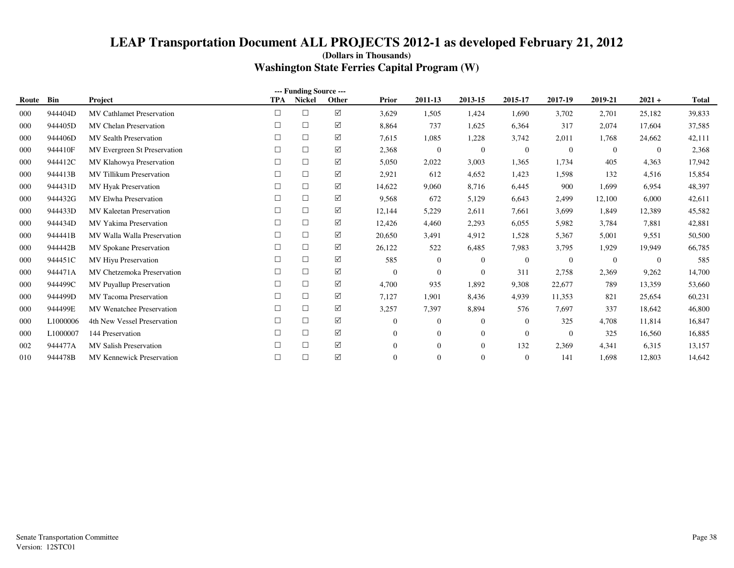|       |          |                                  |            | --- Funding Source --- |                 |                |                |                  |                  |              |                |          |        |
|-------|----------|----------------------------------|------------|------------------------|-----------------|----------------|----------------|------------------|------------------|--------------|----------------|----------|--------|
| Route | Bin      | Project                          | <b>TPA</b> | <b>Nickel</b>          | Other           | <b>Prior</b>   | 2011-13        | 2013-15          | 2015-17          | 2017-19      | 2019-21        | $2021 +$ | Total  |
| 000   | 944404D  | <b>MV Cathlamet Preservation</b> | $\Box$     | $\Box$                 | ☑               | 3,629          | 1,505          | 1,424            | 1,690            | 3,702        | 2,701          | 25,182   | 39,833 |
| 000   | 944405D  | <b>MV Chelan Preservation</b>    | $\Box$     | $\Box$                 | ☑               | 8,864          | 737            | 1,625            | 6,364            | 317          | 2,074          | 17,604   | 37,585 |
| 000   | 944406D  | <b>MV Sealth Preservation</b>    | $\Box$     | $\Box$                 | ☑               | 7,615          | 1,085          | 1,228            | 3,742            | 2,011        | 1,768          | 24,662   | 42,111 |
| 000   | 944410F  | MV Evergreen St Preservation     | $\Box$     | $\Box$                 | ☑               | 2,368          | $\theta$       | $\mathbf{0}$     | $\boldsymbol{0}$ | $\Omega$     | $\overline{0}$ | $\theta$ | 2,368  |
| 000   | 944412C  | MV Klahowya Preservation         | □          | $\Box$                 | ☑               | 5,050          | 2,022          | 3.003            | 1,365            | 1,734        | 405            | 4,363    | 17,942 |
| 000   | 944413B  | <b>MV</b> Tillikum Preservation  | $\Box$     | $\Box$                 | ☑               | 2,921          | 612            | 4,652            | 1,423            | 1,598        | 132            | 4,516    | 15,854 |
| 000   | 944431D  | <b>MV Hyak Preservation</b>      | □          | $\Box$                 | ☑               | 14,622         | 9,060          | 8,716            | 6,445            | 900          | 1,699          | 6,954    | 48,397 |
| 000   | 944432G  | MV Elwha Preservation            | $\Box$     | $\Box$                 | $\triangledown$ | 9,568          | 672            | 5,129            | 6,643            | 2,499        | 12,100         | 6,000    | 42,611 |
| 000   | 944433D  | <b>MV Kaleetan Preservation</b>  | □          | $\Box$                 | ☑               | 12,144         | 5,229          | 2,611            | 7,661            | 3,699        | 1,849          | 12,389   | 45,582 |
| 000   | 944434D  | <b>MV Yakima Preservation</b>    | $\Box$     | $\Box$                 | ☑               | 12,426         | 4,460          | 2,293            | 6,055            | 5,982        | 3,784          | 7,881    | 42,881 |
| 000   | 944441B  | MV Walla Walla Preservation      | $\Box$     | $\Box$                 | ☑               | 20,650         | 3,491          | 4,912            | 1,528            | 5,367        | 5,001          | 9,551    | 50,500 |
| 000   | 944442B  | <b>MV Spokane Preservation</b>   | $\Box$     | $\Box$                 | ☑               | 26,122         | 522            | 6,485            | 7,983            | 3,795        | 1,929          | 19,949   | 66,785 |
| 000   | 944451C  | <b>MV</b> Hiyu Preservation      | □          | $\Box$                 | ☑               | 585            | $\overline{0}$ | $\overline{0}$   | $\mathbf{0}$     | $\Omega$     | $\overline{0}$ | $\theta$ | 585    |
| 000   | 944471A  | MV Chetzemoka Preservation       | $\Box$     | $\Box$                 | ☑               | $\mathbf{0}$   | $\overline{0}$ | $\overline{0}$   | 311              | 2,758        | 2,369          | 9,262    | 14,700 |
| 000   | 944499C  | MV Puyallup Preservation         | $\Box$     | $\Box$                 | ☑               | 4,700          | 935            | 1,892            | 9,308            | 22,677       | 789            | 13,359   | 53,660 |
| 000   | 944499D  | <b>MV</b> Tacoma Preservation    | □          | $\Box$                 | ☑               | 7,127          | 1,901          | 8,436            | 4,939            | 11,353       | 821            | 25,654   | 60,231 |
| 000   | 944499E  | <b>MV</b> Wenatchee Preservation | □          | $\Box$                 | ☑               | 3,257          | 7,397          | 8,894            | 576              | 7,697        | 337            | 18,642   | 46,800 |
| 000   | L1000006 | 4th New Vessel Preservation      | □          | $\Box$                 | ☑               | $\overline{0}$ | $\overline{0}$ | $\boldsymbol{0}$ | $\mathbf{0}$     | 325          | 4,708          | 11,814   | 16,847 |
| 000   | L1000007 | 144 Preservation                 | $\Box$     | $\Box$                 | ☑               | $\overline{0}$ | $\overline{0}$ | $\overline{0}$   | $\mathbf{0}$     | $\mathbf{0}$ | 325            | 16,560   | 16,885 |
| 002   | 944477A  | <b>MV Salish Preservation</b>    |            | $\Box$                 | ☑               | $\overline{0}$ | $\Omega$       | $\overline{0}$   | 132              | 2,369        | 4,341          | 6,315    | 13,157 |
| 010   | 944478B  | <b>MV Kennewick Preservation</b> | $\Box$     | $\Box$                 | $\Delta$        | $\Omega$       | $\Omega$       | $\Omega$         | $\overline{0}$   | 141          | 1,698          | 12,803   | 14,642 |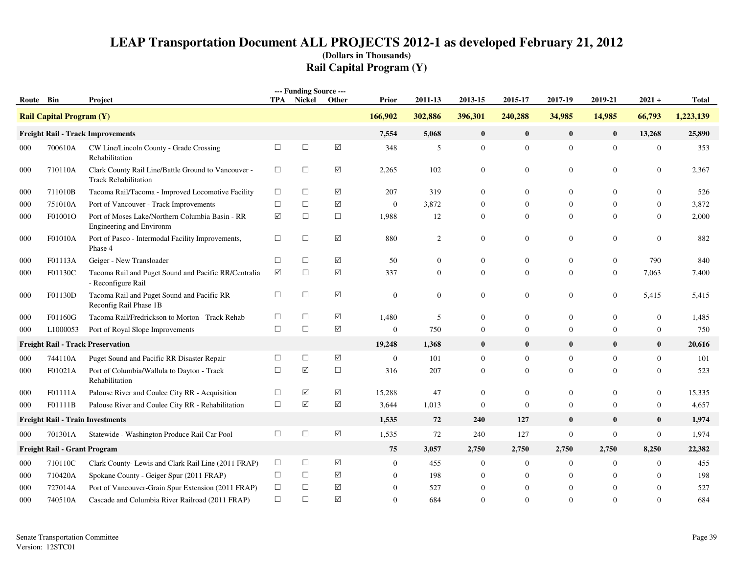| Route Bin |                                 | Project                                                                            |        | --- Funding Source ---<br>TPA Nickel | Other           | <b>Prior</b>     | 2011-13          | 2013-15          | 2015-17        | 2017-19          | 2019-21          | $2021 +$         | <b>Total</b> |
|-----------|---------------------------------|------------------------------------------------------------------------------------|--------|--------------------------------------|-----------------|------------------|------------------|------------------|----------------|------------------|------------------|------------------|--------------|
|           | <b>Rail Capital Program (Y)</b> |                                                                                    |        |                                      |                 | 166,902          | 302,886          | 396,301          | 240,288        | 34,985           | 14,985           | 66,793           | 1,223,139    |
|           |                                 | <b>Freight Rail - Track Improvements</b>                                           |        |                                      |                 | 7,554            | 5,068            | $\bf{0}$         | $\bf{0}$       | $\bf{0}$         | $\bf{0}$         | 13,268           | 25,890       |
| 000       | 700610A                         | CW Line/Lincoln County - Grade Crossing<br>Rehabilitation                          | $\Box$ | $\Box$                               | $\Delta$        | 348              | 5                | $\mathbf{0}$     | $\mathbf{0}$   | $\mathbf{0}$     | $\mathbf{0}$     | $\mathbf{0}$     | 353          |
| 000       | 710110A                         | Clark County Rail Line/Battle Ground to Vancouver -<br><b>Track Rehabilitation</b> | $\Box$ | $\Box$                               | ☑               | 2,265            | 102              | $\boldsymbol{0}$ | $\mathbf{0}$   | $\mathbf{0}$     | $\mathbf{0}$     | $\mathbf{0}$     | 2,367        |
| 000       | 711010B                         | Tacoma Rail/Tacoma - Improved Locomotive Facility                                  | $\Box$ | $\Box$                               | ☑               | 207              | 319              | $\mathbf{0}$     | $\overline{0}$ | $\mathbf{0}$     | $\mathbf{0}$     | $\theta$         | 526          |
| 000       | 751010A                         | Port of Vancouver - Track Improvements                                             | $\Box$ | $\Box$                               | ☑               | $\mathbf{0}$     | 3,872            | $\overline{0}$   | $\theta$       | $\mathbf{0}$     | $\mathbf{0}$     | 0                | 3,872        |
| 000       | F01001O                         | Port of Moses Lake/Northern Columbia Basin - RR<br>Engineering and Environm        | ☑      | $\Box$                               | $\Box$          | 1,988            | 12               | $\Omega$         | $\Omega$       | $\theta$         | $\Omega$         | $\theta$         | 2,000        |
| 000       | F01010A                         | Port of Pasco - Intermodal Facility Improvements,<br>Phase 4                       | $\Box$ | $\Box$                               | $\Delta$        | 880              | $\overline{2}$   | $\mathbf{0}$     | $\mathbf{0}$   | $\mathbf{0}$     | $\mathbf{0}$     | $\boldsymbol{0}$ | 882          |
| 000       | F01113A                         | Geiger - New Transloader                                                           | $\Box$ | $\Box$                               | $\Delta$        | 50               | $\boldsymbol{0}$ | $\mathbf{0}$     | 0              | $\mathbf{0}$     | $\overline{0}$   | 790              | 840          |
| 000       | F01130C                         | Tacoma Rail and Puget Sound and Pacific RR/Centralia<br>- Reconfigure Rail         | ☑      | $\Box$                               | $\Delta$        | 337              | $\mathbf{0}$     | $\Omega$         | $\Omega$       | $\overline{0}$   | $\Omega$         | 7.063            | 7,400        |
| 000       | F01130D                         | Tacoma Rail and Puget Sound and Pacific RR -<br>Reconfig Rail Phase 1B             | $\Box$ | $\Box$                               | $\Delta$        | $\boldsymbol{0}$ | $\boldsymbol{0}$ | $\boldsymbol{0}$ | $\mathbf{0}$   | $\mathbf{0}$     | $\mathbf{0}$     | 5,415            | 5,415        |
| 000       | F01160G                         | Tacoma Rail/Fredrickson to Morton - Track Rehab                                    | $\Box$ | $\Box$                               | $\sqrt{}$       | 1,480            | 5                | $\overline{0}$   | $\overline{0}$ | $\mathbf{0}$     | $\boldsymbol{0}$ | $\overline{0}$   | 1,485        |
| 000       | L1000053                        | Port of Royal Slope Improvements                                                   | $\Box$ | $\Box$                               | $\sqrt{}$       | $\mathbf{0}$     | 750              | $\mathbf{0}$     | $\overline{0}$ | $\overline{0}$   | $\overline{0}$   | $\mathbf{0}$     | 750          |
|           |                                 | <b>Freight Rail - Track Preservation</b>                                           |        |                                      |                 | 19,248           | 1,368            | $\bf{0}$         | $\bf{0}$       | $\mathbf{0}$     | $\mathbf{0}$     | $\bf{0}$         | 20,616       |
| 000       | 744110A                         | Puget Sound and Pacific RR Disaster Repair                                         | $\Box$ | $\Box$                               | $\Delta$        | $\mathbf{0}$     | 101              | $\overline{0}$   | $\overline{0}$ | $\mathbf{0}$     | $\overline{0}$   | $\boldsymbol{0}$ | 101          |
| 000       | F01021A                         | Port of Columbia/Wallula to Dayton - Track<br>Rehabilitation                       | $\Box$ | ☑                                    | $\Box$          | 316              | 207              | $\Omega$         | $\Omega$       | $\overline{0}$   | $\Omega$         | $\Omega$         | 523          |
| 000       | F01111A                         | Palouse River and Coulee City RR - Acquisition                                     | $\Box$ | ☑                                    | ✓               | 15,288           | 47               | $\mathbf{0}$     | $\overline{0}$ | $\mathbf{0}$     | $\overline{0}$   | $\mathbf{0}$     | 15,335       |
| 000       | F01111B                         | Palouse River and Coulee City RR - Rehabilitation                                  | $\Box$ | ☑                                    | ☑               | 3,644            | 1,013            | $\overline{0}$   | $\Omega$       | $\overline{0}$   | $\Omega$         | $\overline{0}$   | 4,657        |
|           |                                 | <b>Freight Rail - Train Investments</b>                                            |        |                                      |                 | 1,535            | 72               | 240              | 127            | $\bf{0}$         | $\bf{0}$         | $\bf{0}$         | 1,974        |
| 000       | 701301A                         | Statewide - Washington Produce Rail Car Pool                                       | $\Box$ | $\Box$                               | $\Delta$        | 1,535            | 72               | 240              | 127            | $\boldsymbol{0}$ | $\mathbf{0}$     | $\boldsymbol{0}$ | 1,974        |
|           | Freight Rail - Grant Program    |                                                                                    |        |                                      |                 | 75               | 3,057            | 2,750            | 2,750          | 2,750            | 2,750            | 8,250            | 22,382       |
| 000       | 710110C                         | Clark County- Lewis and Clark Rail Line (2011 FRAP)                                | $\Box$ | $\Box$                               | $\Delta$        | $\overline{0}$   | 455              | $\boldsymbol{0}$ | $\overline{0}$ | $\mathbf{0}$     | $\mathbf{0}$     | $\mathbf{0}$     | 455          |
| 000       | 710420A                         | Spokane County - Geiger Spur (2011 FRAP)                                           | $\Box$ | $\Box$                               | ☑               |                  | 198              | $\mathbf{0}$     | $\theta$       | $\mathbf{0}$     | $\Omega$         | $\theta$         | 198          |
| 000       | 727014A                         | Port of Vancouver-Grain Spur Extension (2011 FRAP)                                 | $\Box$ | $\Box$                               | ✓               | $\mathbf{0}$     | 527              | $\mathbf{0}$     | $\overline{0}$ | $\mathbf{0}$     | $\theta$         | $\overline{0}$   | 527          |
| 000       | 740510A                         | Cascade and Columbia River Railroad (2011 FRAP)                                    | $\Box$ | $\Box$                               | $\triangledown$ | $\Omega$         | 684              | $\Omega$         | $\Omega$       | $\Omega$         | $\Omega$         | $\Omega$         | 684          |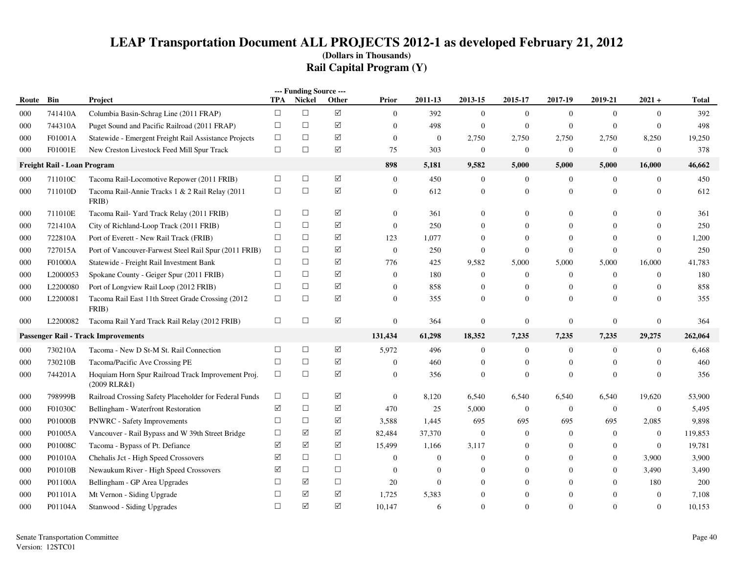|       |                             |                                                                    |            | --- Funding Source --- |                      |                  |                |                  |                  |                  |                |                |              |
|-------|-----------------------------|--------------------------------------------------------------------|------------|------------------------|----------------------|------------------|----------------|------------------|------------------|------------------|----------------|----------------|--------------|
| Route | Bin                         | Project                                                            | TPA        | Nickel                 | Other                | Prior            | 2011-13        | 2013-15          | 2015-17          | 2017-19          | 2019-21        | $2021 +$       | <b>Total</b> |
| 000   | 741410A                     | Columbia Basin-Schrag Line (2011 FRAP)                             | $\Box$     | $\Box$                 | $\boxed{\checkmark}$ | $\mathbf{0}$     | 392            | $\mathbf{0}$     | $\mathbf{0}$     | $\mathbf{0}$     | $\mathbf{0}$   | $\mathbf{0}$   | 392          |
| 000   | 744310A                     | Puget Sound and Pacific Railroad (2011 FRAP)                       | $\Box$     | $\Box$                 | ☑                    | $\mathbf{0}$     | 498            | $\boldsymbol{0}$ | $\mathbf{0}$     | $\mathbf{0}$     | $\overline{0}$ | $\mathbf{0}$   | 498          |
| 000   | F01001A                     | Statewide - Emergent Freight Rail Assistance Projects              | $\Box$     | $\Box$                 | ☑                    | $\mathbf{0}$     | $\overline{0}$ | 2,750            | 2,750            | 2,750            | 2,750          | 8,250          | 19,250       |
| 000   | F01001E                     | New Creston Livestock Feed Mill Spur Track                         | $\Box$     | $\Box$                 | ☑                    | 75               | 303            | $\boldsymbol{0}$ | $\mathbf{0}$     | $\mathbf{0}$     | $\overline{0}$ | $\mathbf{0}$   | 378          |
|       | Freight Rail - Loan Program |                                                                    |            |                        |                      | 898              | 5,181          | 9,582            | 5,000            | 5,000            | 5,000          | 16,000         | 46,662       |
| 000   | 711010C                     | Tacoma Rail-Locomotive Repower (2011 FRIB)                         | $\Box$     | $\Box$                 | $\blacktriangledown$ | $\mathbf{0}$     | 450            | $\overline{0}$   | $\mathbf{0}$     | $\mathbf{0}$     | $\overline{0}$ | $\mathbf{0}$   | 450          |
| 000   | 711010D                     | Tacoma Rail-Annie Tracks 1 & 2 Rail Relay (2011<br>FRIB)           | $\Box$     | $\Box$                 | ☑                    | $\boldsymbol{0}$ | 612            | $\boldsymbol{0}$ | $\mathbf{0}$     | $\mathbf{0}$     | $\overline{0}$ | $\overline{0}$ | 612          |
| 000   | 711010E                     | Tacoma Rail-Yard Track Relay (2011 FRIB)                           | $\Box$     | $\Box$                 | ☑                    | $\theta$         | 361            | $\overline{0}$   | $\Omega$         | $\Omega$         | $\Omega$       | $\overline{0}$ | 361          |
| 000   | 721410A                     | City of Richland-Loop Track (2011 FRIB)                            | $\Box$     | $\Box$                 | ☑                    | $\mathbf{0}$     | 250            | $\overline{0}$   | $\Omega$         | $\mathbf{0}$     | $\Omega$       | $\overline{0}$ | 250          |
| 000   | 722810A                     | Port of Everett - New Rail Track (FRIB)                            | $\Box$     | $\Box$                 | ☑                    | 123              | 1,077          | $\overline{0}$   | $\mathbf{0}$     | $\mathbf{0}$     | $\overline{0}$ | $\overline{0}$ | 1,200        |
| 000   | 727015A                     | Port of Vancouver-Farwest Steel Rail Spur (2011 FRIB)              | $\Box$     | $\Box$                 | $\triangledown$      | $\mathbf{0}$     | 250            | $\Omega$         | $\mathbf{0}$     | $\Omega$         | $\overline{0}$ | $\mathbf{0}$   | 250          |
| 000   | F01000A                     | Statewide - Freight Rail Investment Bank                           | $\Box$     | $\Box$                 | ☑                    | 776              | 425            | 9,582            | 5,000            | 5,000            | 5,000          | 16,000         | 41,783       |
| 000   | L2000053                    | Spokane County - Geiger Spur (2011 FRIB)                           | $\Box$     | $\Box$                 | ☑                    | $\boldsymbol{0}$ | 180            | $\mathbf{0}$     | $\boldsymbol{0}$ | $\mathbf{0}$     | $\overline{0}$ | $\mathbf{0}$   | 180          |
| 000   | L2200080                    | Port of Longview Rail Loop (2012 FRIB)                             | $\Box$     | $\Box$                 | ☑                    | $\theta$         | 858            | $\boldsymbol{0}$ | $\mathbf{0}$     | $\mathbf{0}$     | $\overline{0}$ | $\overline{0}$ | 858          |
| 000   | L2200081                    | Tacoma Rail East 11th Street Grade Crossing (2012)<br>FRIB)        | $\Box$     | $\Box$                 | $\triangledown$      | $\overline{0}$   | 355            | $\Omega$         | $\Omega$         | $\Omega$         | $\Omega$       | $\theta$       | 355          |
| 000   | L2200082                    | Tacoma Rail Yard Track Rail Relay (2012 FRIB)                      | $\Box$     | $\Box$                 | ☑                    | $\overline{0}$   | 364            | $\overline{0}$   | $\mathbf{0}$     | $\overline{0}$   | $\overline{0}$ | $\mathbf{0}$   | 364          |
|       |                             | <b>Passenger Rail - Track Improvements</b>                         |            |                        |                      | 131,434          | 61,298         | 18,352           | 7,235            | 7,235            | 7,235          | 29,275         | 262,064      |
| 000   | 730210A                     | Tacoma - New D St-M St. Rail Connection                            | $\Box$     | $\Box$                 | ☑                    | 5,972            | 496            | $\mathbf{0}$     | $\mathbf{0}$     | $\boldsymbol{0}$ | $\overline{0}$ | $\bf{0}$       | 6,468        |
| 000   | 730210B                     | Tacoma/Pacific Ave Crossing PE                                     | $\Box$     | $\Box$                 | ☑                    | $\mathbf{0}$     | 460            | $\boldsymbol{0}$ | $\boldsymbol{0}$ | $\mathbf{0}$     | $\overline{0}$ | $\overline{0}$ | 460          |
| 000   | 744201A                     | Hoquiam Horn Spur Railroad Track Improvement Proj.<br>(2009 RLR&I) | $\Box$     | $\Box$                 | ☑                    | $\overline{0}$   | 356            | $\overline{0}$   | $\mathbf{0}$     | $\mathbf{0}$     | $\Omega$       | $\mathbf{0}$   | 356          |
| 000   | 798999B                     | Railroad Crossing Safety Placeholder for Federal Funds             | $\Box$     | $\Box$                 | ☑                    | $\mathbf{0}$     | 8,120          | 6,540            | 6,540            | 6,540            | 6,540          | 19,620         | 53,900       |
| 000   | F01030C                     | Bellingham - Waterfront Restoration                                | ☑          | $\Box$                 | $\Delta$             | 470              | 25             | 5,000            | $\mathbf{0}$     | $\mathbf{0}$     | $\overline{0}$ | $\mathbf{0}$   | 5,495        |
| 000   | P01000B                     | <b>PNWRC</b> - Safety Improvements                                 | $\Box$     | $\Box$                 | $\blacktriangledown$ | 3,588            | 1,445          | 695              | 695              | 695              | 695            | 2,085          | 9,898        |
| 000   | P01005A                     | Vancouver - Rail Bypass and W 39th Street Bridge                   | $\Box$     | ☑                      | ☑                    | 82,484           | 37,370         | $\boldsymbol{0}$ | $\mathbf{0}$     | $\mathbf{0}$     | $\overline{0}$ | $\mathbf{0}$   | 119,853      |
| 000   | P01008C                     | Tacoma - Bypass of Pt. Defiance                                    | ☑          | ☑                      | ☑                    | 15,499           | 1,166          | 3,117            | $\mathbf{0}$     | $\mathbf{0}$     | $\overline{0}$ | $\mathbf{0}$   | 19,781       |
| 000   | P01010A                     | Chehalis Jct - High Speed Crossovers                               | $\sqrt{ }$ | $\Box$                 | $\Box$               | $\boldsymbol{0}$ | $\mathbf{0}$   | $\overline{0}$   | $\Omega$         | $\mathbf{0}$     | $\overline{0}$ | 3,900          | 3,900        |
| 000   | P01010B                     | Newaukum River - High Speed Crossovers                             | ☑          | $\Box$                 | $\Box$               | $\overline{0}$   | $\overline{0}$ | $\overline{0}$   | $\Omega$         | $\Omega$         | $\overline{0}$ | 3,490          | 3,490        |
| 000   | P01100A                     | Bellingham - GP Area Upgrades                                      | $\Box$     | ☑                      | $\Box$               | 20               | $\Omega$       | $\Omega$         | $\Omega$         | $\Omega$         | $\Omega$       | 180            | 200          |
| 000   | P01101A                     | Mt Vernon - Siding Upgrade                                         | □          | ☑                      | ☑                    | 1,725            | 5,383          | $\mathbf{0}$     | $\mathbf{0}$     | $\Omega$         | $\overline{0}$ | $\mathbf{0}$   | 7,108        |
| 000   | P01104A                     | Stanwood - Siding Upgrades                                         | $\Box$     | $\triangledown$        | ☑                    | 10,147           | 6              | $\Omega$         | $\Omega$         | $\Omega$         | $\Omega$       | $\mathbf{0}$   | 10,153       |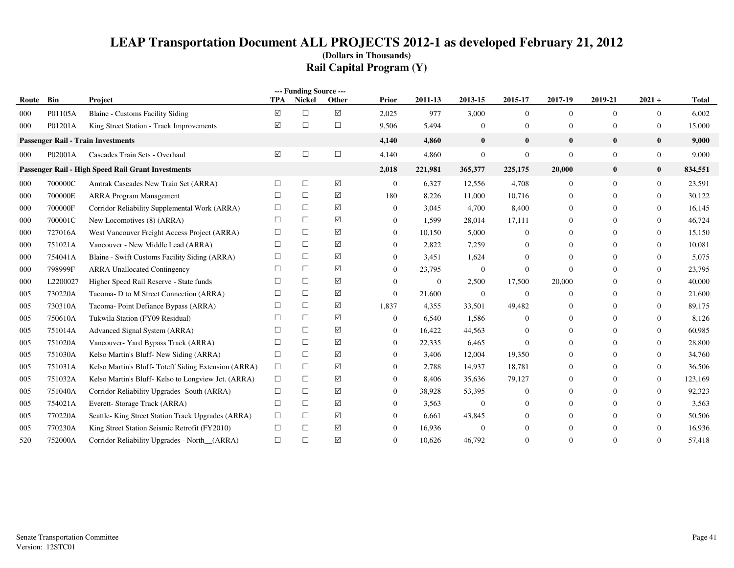| --- Funding Source --- |          |                                                     |            |        |          |                |                |                  |                  |                |                |                  |              |
|------------------------|----------|-----------------------------------------------------|------------|--------|----------|----------------|----------------|------------------|------------------|----------------|----------------|------------------|--------------|
| Route                  | Bin      | Project                                             | <b>TPA</b> | Nickel | Other    | Prior          | 2011-13        | 2013-15          | 2015-17          | 2017-19        | 2019-21        | $2021 +$         | <b>Total</b> |
| 000                    | P01105A  | <b>Blaine - Customs Facility Siding</b>             | $\Delta$   | $\Box$ | $\Delta$ | 2,025          | 977            | 3,000            | $\overline{0}$   | $\overline{0}$ | $\mathbf{0}$   | $\overline{0}$   | 6,002        |
| 000                    | P01201A  | King Street Station - Track Improvements            | ☑          | $\Box$ | $\Box$   | 9,506          | 5,494          | $\overline{0}$   | $\overline{0}$   | $\mathbf{0}$   | $\overline{0}$ | $\bf{0}$         | 15,000       |
|                        |          | <b>Passenger Rail - Train Investments</b>           |            |        |          | 4,140          | 4,860          | $\mathbf{0}$     | $\bf{0}$         | $\mathbf{0}$   | $\bf{0}$       | $\mathbf{0}$     | 9,000        |
| 000                    | P02001A  | Cascades Train Sets - Overhaul                      | ☑          | $\Box$ | $\Box$   | 4,140          | 4,860          | $\boldsymbol{0}$ | $\boldsymbol{0}$ | $\mathbf{0}$   | $\mathbf{0}$   | $\boldsymbol{0}$ | 9,000        |
|                        |          | Passenger Rail - High Speed Rail Grant Investments  |            |        |          | 2,018          | 221,981        | 365,377          | 225,175          | 20,000         | $\bf{0}$       | $\bf{0}$         | 834,551      |
| 000                    | 700000C  | Amtrak Cascades New Train Set (ARRA)                | $\Box$     | $\Box$ | ☑        | $\mathbf{0}$   | 6,327          | 12,556           | 4,708            | $\overline{0}$ | $\Omega$       | $\mathbf{0}$     | 23,591       |
| 000                    | 700000E  | <b>ARRA Program Management</b>                      | $\Box$     | $\Box$ | ☑        | 180            | 8,226          | 11,000           | 10,716           | $\overline{0}$ | $\Omega$       | $\Omega$         | 30,122       |
| 000                    | 700000F  | Corridor Reliability Supplemental Work (ARRA)       | $\Box$     | $\Box$ | ☑        | $\overline{0}$ | 3,045          | 4,700            | 8,400            | $\overline{0}$ | $\Omega$       | $\Omega$         | 16,145       |
| 000                    | 700001C  | New Locomotives (8) (ARRA)                          | $\Box$     | $\Box$ | ☑        | $\overline{0}$ | 1,599          | 28,014           | 17,111           | $\mathbf{0}$   | $\Omega$       | $\mathbf{0}$     | 46,724       |
| 000                    | 727016A  | West Vancouver Freight Access Project (ARRA)        | $\Box$     | $\Box$ | ☑        | $\Omega$       | 10,150         | 5,000            | $\Omega$         | $\Omega$       | $\Omega$       | $\Omega$         | 15,150       |
| 000                    | 751021A  | Vancouver - New Middle Lead (ARRA)                  | $\Box$     | $\Box$ | ☑        | $\bf{0}$       | 2,822          | 7,259            | 0                | $\theta$       | $\Omega$       | $\mathbf{0}$     | 10,081       |
| 000                    | 754041A  | Blaine - Swift Customs Facility Siding (ARRA)       | $\Box$     | $\Box$ | ☑        | $\Omega$       | 3,451          | 1,624            | 0                | $\overline{0}$ | $\Omega$       | $\mathbf{0}$     | 5,075        |
| 000                    | 798999F  | <b>ARRA Unallocated Contingency</b>                 | $\Box$     | $\Box$ | ☑        | $\Omega$       | 23,795         | $\mathbf{0}$     | $\boldsymbol{0}$ | $\Omega$       |                | $\mathbf{0}$     | 23,795       |
| 000                    | L2200027 | Higher Speed Rail Reserve - State funds             | $\Box$     | $\Box$ | ☑        | $\theta$       | $\overline{0}$ | 2,500            | 17,500           | 20,000         |                | $\mathbf{0}$     | 40,000       |
| 005                    | 730220A  | Tacoma-D to M Street Connection (ARRA)              | $\Box$     | $\Box$ | ☑        | $\theta$       | 21,600         | $\mathbf{0}$     | $\overline{0}$   | $\theta$       | $\Omega$       | $\mathbf{0}$     | 21,600       |
| 005                    | 730310A  | Tacoma-Point Defiance Bypass (ARRA)                 | $\Box$     | $\Box$ | ☑        | 1,837          | 4,355          | 33,501           | 49,482           | $\mathbf{0}$   | $\Omega$       | $\Omega$         | 89,175       |
| 005                    | 750610A  | Tukwila Station (FY09 Residual)                     | $\Box$     | $\Box$ | ☑        | $\theta$       | 6,540          | 1,586            | $\overline{0}$   | $\mathbf{0}$   | $\Omega$       | $\mathbf{0}$     | 8,126        |
| 005                    | 751014A  | Advanced Signal System (ARRA)                       | □          | $\Box$ | ☑        | $\theta$       | 16,422         | 44,563           | 0                | $\Omega$       | $\Omega$       | $\Omega$         | 60,985       |
| 005                    | 751020A  | Vancouver- Yard Bypass Track (ARRA)                 | $\Box$     | $\Box$ | ☑        | $\Omega$       | 22,335         | 6,465            | $\Omega$         | $\mathbf{0}$   | $\theta$       | $\mathbf{0}$     | 28,800       |
| 005                    | 751030A  | Kelso Martin's Bluff-New Siding (ARRA)              | $\Box$     | $\Box$ | ☑        | $\Omega$       | 3,406          | 12,004           | 19,350           | $\Omega$       | $\Omega$       | $\Omega$         | 34,760       |
| 005                    | 751031A  | Kelso Martin's Bluff-Toteff Siding Extension (ARRA) | $\Box$     | $\Box$ | ☑        | $\Omega$       | 2,788          | 14,937           | 18,781           | $\mathbf{0}$   | $\Omega$       | $\mathbf{0}$     | 36,506       |
| 005                    | 751032A  | Kelso Martin's Bluff-Kelso to Longview Jct. (ARRA)  | $\Box$     | $\Box$ | ☑        | $\bf{0}$       | 8,406          | 35,636           | 79,127           | $\mathbf{0}$   | $\Omega$       | $\mathbf{0}$     | 123,169      |
| 005                    | 751040A  | Corridor Reliability Upgrades- South (ARRA)         | $\Box$     | $\Box$ | ☑        | $\overline{0}$ | 38,928         | 53,395           | $\mathbf{0}$     | $\mathbf{0}$   | $\Omega$       | $\mathbf{0}$     | 92,323       |
| 005                    | 754021A  | Everett- Storage Track (ARRA)                       | $\Box$     | $\Box$ | ☑        | $\Omega$       | 3,563          | $\mathbf{0}$     | $\Omega$         | $\mathbf{0}$   | $\Omega$       | $\Omega$         | 3,563        |
| 005                    | 770220A  | Seattle-King Street Station Track Upgrades (ARRA)   | $\Box$     | $\Box$ | ☑        | $\Omega$       | 6,661          | 43,845           |                  | $\theta$       | $\Omega$       | $\mathbf{0}$     | 50,506       |
| 005                    | 770230A  | King Street Station Seismic Retrofit (FY2010)       | $\Box$     | $\Box$ | ☑        | $\Omega$       | 16,936         | $\Omega$         | $\Omega$         | $\theta$       | $\Omega$       | $\mathbf{0}$     | 16,936       |
| 520                    | 752000A  | Corridor Reliability Upgrades - North_(ARRA)        | $\Box$     | $\Box$ | ☑        | $\Omega$       | 10,626         | 46,792           | $\Omega$         | $\Omega$       | $\Omega$       | $\theta$         | 57,418       |
|                        |          |                                                     |            |        |          |                |                |                  |                  |                |                |                  |              |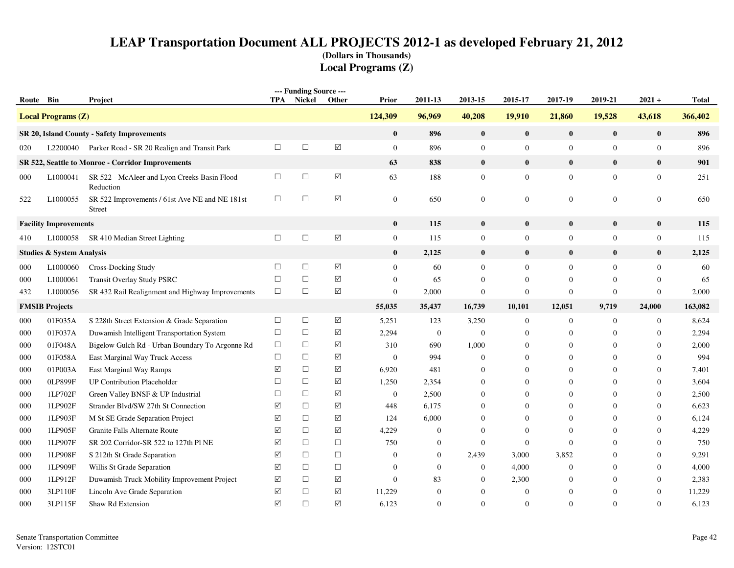|           |                                      |                                                           |                 | --- Funding Source --- |                      |                  |                |                |                  |                  |                  |                  |              |
|-----------|--------------------------------------|-----------------------------------------------------------|-----------------|------------------------|----------------------|------------------|----------------|----------------|------------------|------------------|------------------|------------------|--------------|
| Route Bin |                                      | Project                                                   | <b>TPA</b>      | Nickel                 | Other                | Prior            | 2011-13        | 2013-15        | 2015-17          | 2017-19          | 2019-21          | $2021 +$         | <b>Total</b> |
|           | <b>Local Programs (Z)</b>            |                                                           |                 |                        |                      | 124,309          | 96,969         | 40,208         | 19,910           | 21,860           | 19,528           | 43,618           | 366,402      |
|           |                                      | SR 20, Island County - Safety Improvements                |                 |                        |                      | $\bf{0}$         | 896            | $\bf{0}$       | $\bf{0}$         | $\bf{0}$         | $\mathbf{0}$     | $\bf{0}$         | 896          |
| 020       |                                      | L2200040 Parker Road - SR 20 Realign and Transit Park     | $\Box$          | $\Box$                 | $\boxed{\checkmark}$ | $\mathbf{0}$     | 896            | $\mathbf{0}$   | $\boldsymbol{0}$ | $\mathbf{0}$     | $\overline{0}$   | $\boldsymbol{0}$ | 896          |
|           |                                      | SR 522, Seattle to Monroe - Corridor Improvements         |                 |                        |                      | 63               | 838            | $\bf{0}$       | $\bf{0}$         | $\bf{0}$         | $\bf{0}$         | $\bf{0}$         | 901          |
| 000       | L1000041                             | SR 522 - McAleer and Lyon Creeks Basin Flood<br>Reduction | $\Box$          | $\Box$                 | $\boxed{\mathsf{v}}$ | 63               | 188            | $\mathbf{0}$   | $\mathbf{0}$     | $\mathbf{0}$     | $\overline{0}$   | $\boldsymbol{0}$ | 251          |
| 522       | L1000055                             | SR 522 Improvements / 61st Ave NE and NE 181st<br>Street  | $\Box$          | $\Box$                 | $\triangledown$      | $\overline{0}$   | 650            | $\overline{0}$ | $\overline{0}$   | $\mathbf{0}$     | $\Omega$         | $\mathbf{0}$     | 650          |
|           | <b>Facility Improvements</b>         |                                                           |                 |                        |                      | $\bf{0}$         | 115            | $\bf{0}$       | $\bf{0}$         | $\bf{0}$         | $\bf{0}$         | $\bf{0}$         | 115          |
| 410       |                                      | L1000058 SR 410 Median Street Lighting                    | $\Box$          | $\Box$                 | $\boxed{\checkmark}$ | $\overline{0}$   | 115            | $\overline{0}$ | $\mathbf{0}$     | $\mathbf{0}$     | $\overline{0}$   | $\boldsymbol{0}$ | 115          |
|           | <b>Studies &amp; System Analysis</b> |                                                           |                 |                        |                      | $\bf{0}$         | 2,125          | $\bf{0}$       | $\bf{0}$         | $\bf{0}$         | $\mathbf{0}$     | $\bf{0}$         | 2,125        |
| 000       | L1000060                             | Cross-Docking Study                                       | $\Box$          | $\Box$                 | ☑                    | $\overline{0}$   | 60             | $\overline{0}$ | $\overline{0}$   | $\overline{0}$   | $\Omega$         | $\mathbf{0}$     | 60           |
| 000       | L1000061                             | <b>Transit Overlay Study PSRC</b>                         | $\Box$          | $\Box$                 | $\blacktriangledown$ | $\boldsymbol{0}$ | 65             | $\mathbf{0}$   | $\mathbf{0}$     | $\mathbf{0}$     | $\mathbf{0}$     | $\mathbf{0}$     | 65           |
| 432       | L1000056                             | SR 432 Rail Realignment and Highway Improvements          | $\Box$          | $\Box$                 | $\blacktriangledown$ | $\mathbf{0}$     | 2,000          | $\overline{0}$ | $\boldsymbol{0}$ | $\theta$         | $\overline{0}$   | $\mathbf{0}$     | 2,000        |
|           | <b>FMSIB Projects</b>                |                                                           |                 |                        |                      | 55,035           | 35,437         | 16,739         | 10,101           | 12,051           | 9,719            | 24,000           | 163,082      |
| 000       | 01F035A                              | S 228th Street Extension & Grade Separation               | $\Box$          | $\Box$                 | ☑                    | 5,251            | 123            | 3,250          | $\boldsymbol{0}$ | $\boldsymbol{0}$ | $\boldsymbol{0}$ | $\boldsymbol{0}$ | 8,624        |
| 000       | 01F037A                              | Duwamish Intelligent Transportation System                | $\Box$          | $\Box$                 | ☑                    | 2,294            | $\overline{0}$ | $\overline{0}$ | $\mathbf{0}$     | $\mathbf{0}$     | $\Omega$         | $\boldsymbol{0}$ | 2,294        |
| 000       | 01F048A                              | Bigelow Gulch Rd - Urban Boundary To Argonne Rd           | $\Box$          | $\Box$                 | ☑                    | 310              | 690            | 1,000          | $\mathbf{0}$     | $\mathbf{0}$     | $\Omega$         | $\overline{0}$   | 2,000        |
| 000       | 01F058A                              | East Marginal Way Truck Access                            | $\Box$          | $\Box$                 | $\triangledown$      | $\theta$         | 994            | $\mathbf{0}$   | $\mathbf{0}$     | $\mathbf{0}$     | $\Omega$         | $\mathbf{0}$     | 994          |
| 000       | 01P003A                              | East Marginal Way Ramps                                   | ☑               | $\Box$                 | $\triangledown$      | 6,920            | 481            | $\overline{0}$ | $\Omega$         | $\Omega$         | $\Omega$         | $\overline{0}$   | 7,401        |
| 000       | 0LP899F                              | <b>UP Contribution Placeholder</b>                        | $\Box$          | $\Box$                 | ☑                    | 1,250            | 2,354          | $\mathbf{0}$   | $\mathbf{0}$     | $\mathbf{0}$     | $\Omega$         | $\mathbf{0}$     | 3,604        |
| 000       | 1LP702F                              | Green Valley BNSF & UP Industrial                         | $\Box$          | $\Box$                 | $\triangledown$      | $\mathbf{0}$     | 2,500          | $\theta$       | $\Omega$         | $\theta$         | $\Omega$         | $\theta$         | 2,500        |
| 000       | 1LP902F                              | Strander Blvd/SW 27th St Connection                       | ☑               | $\Box$                 | $\triangledown$      | 448              | 6,175          | $\mathbf{0}$   | $\Omega$         | $\mathbf{0}$     | $\Omega$         | $\overline{0}$   | 6,623        |
| 000       | 1LP903F                              | M St SE Grade Separation Project                          | ☑               | $\Box$                 | ☑                    | 124              | 6,000          | $\overline{0}$ | $\mathbf{0}$     | $\theta$         | $\Omega$         | $\overline{0}$   | 6,124        |
| 000       | 1LP905F                              | Granite Falls Alternate Route                             | ☑               | $\Box$                 | $\triangledown$      | 4,229            | $\Omega$       | $\theta$       | $\Omega$         | $\Omega$         | $\Omega$         | $\theta$         | 4,229        |
| 000       | 1LP907F                              | SR 202 Corridor-SR 522 to 127th Pl NE                     | ☑               | $\Box$                 | $\Box$               | 750              | $\mathbf{0}$   | $\overline{0}$ | $\mathbf{0}$     | $\mathbf{0}$     | $\Omega$         | $\overline{0}$   | 750          |
| 000       | 1LP908F                              | S 212th St Grade Separation                               | $\triangledown$ | $\Box$                 | $\Box$               | $\theta$         | $\overline{0}$ | 2,439          | 3,000            | 3,852            | $\theta$         | $\boldsymbol{0}$ | 9,291        |
| 000       | 1LP909F                              | Willis St Grade Separation                                | $\triangledown$ | $\Box$                 | $\Box$               | $\Omega$         | $\mathbf{0}$   | $\overline{0}$ | 4,000            | $\mathbf{0}$     | $\Omega$         | $\overline{0}$   | 4,000        |
| 000       | 1LP912F                              | Duwamish Truck Mobility Improvement Project               | ☑               | $\Box$                 | ☑                    | $\Omega$         | 83             | $\overline{0}$ | 2,300            | $\mathbf{0}$     | $\Omega$         | $\overline{0}$   | 2,383        |
| 000       | 3LP110F                              | Lincoln Ave Grade Separation                              | ☑               | $\Box$                 | ☑                    | 11,229           | $\mathbf{0}$   | $\overline{0}$ | $\mathbf{0}$     | $\boldsymbol{0}$ | $\theta$         | $\boldsymbol{0}$ | 11,229       |
| 000       | 3LP115F                              | Shaw Rd Extension                                         | $\triangledown$ | $\Box$                 | ☑                    | 6,123            | $\Omega$       | $\Omega$       | $\overline{0}$   | $\Omega$         | $\Omega$         | $\Omega$         | 6,123        |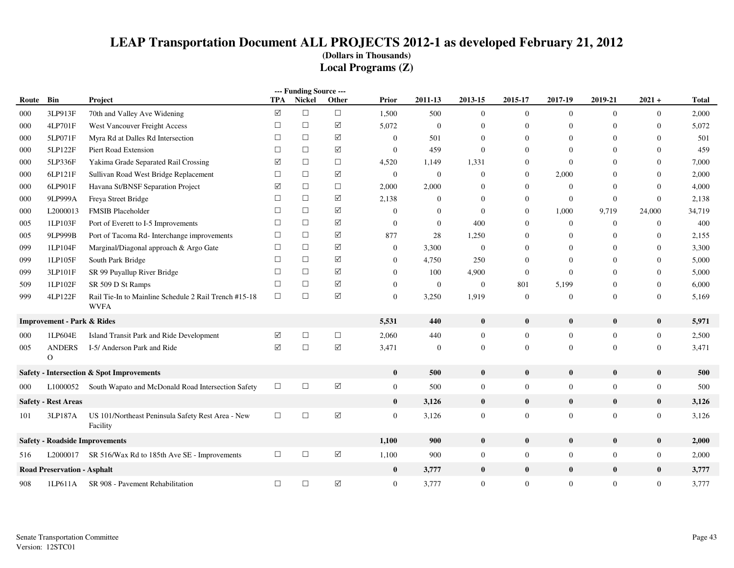|       |                                       |                                                                      |            | --- Funding Source --- |                      |                |                  |                  |                  |                  |                  |                  |              |
|-------|---------------------------------------|----------------------------------------------------------------------|------------|------------------------|----------------------|----------------|------------------|------------------|------------------|------------------|------------------|------------------|--------------|
| Route | Bin                                   | Project                                                              | <b>TPA</b> | Nickel                 | Other                | Prior          | 2011-13          | 2013-15          | 2015-17          | 2017-19          | 2019-21          | $2021 +$         | <b>Total</b> |
| 000   | 3LP913F                               | 70th and Valley Ave Widening                                         | ☑          | $\Box$                 | $\Box$               | 1,500          | 500              | $\mathbf{0}$     | $\overline{0}$   | $\overline{0}$   | $\mathbf{0}$     | $\boldsymbol{0}$ | 2,000        |
| 000   | 4LP701F                               | West Vancouver Freight Access                                        | $\Box$     | $\Box$                 | $\sqrt{}$            | 5,072          | $\mathbf{0}$     | $\theta$         | $\boldsymbol{0}$ | $\Omega$         | $\Omega$         | $\mathbf{0}$     | 5,072        |
| 000   | 5LP071F                               | Myra Rd at Dalles Rd Intersection                                    | $\Box$     | $\Box$                 | $\triangledown$      | $\mathbf{0}$   | 501              | $\theta$         | $\overline{0}$   | $\mathbf{0}$     | $\mathbf{0}$     | $\mathbf{0}$     | 501          |
| 000   | 5LP122F                               | Piert Road Extension                                                 | $\Box$     | $\Box$                 | ☑                    | $\mathbf{0}$   | 459              | $\theta$         | $\mathbf{0}$     | $\Omega$         | $\Omega$         | $\mathbf{0}$     | 459          |
| 000   | 5LP336F                               | Yakima Grade Separated Rail Crossing                                 | ☑          | $\Box$                 | $\Box$               | 4,520          | 1,149            | 1,331            | $\mathbf{0}$     | $\mathbf{0}$     | $\Omega$         | $\mathbf{0}$     | 7,000        |
| 000   | 6LP121F                               | Sullivan Road West Bridge Replacement                                | $\Box$     | $\Box$                 | $\sqrt{}$            | $\mathbf{0}$   | $\boldsymbol{0}$ | $\mathbf{0}$     | $\overline{0}$   | 2,000            | $\Omega$         | $\mathbf{0}$     | 2,000        |
| 000   | 6LP901F                               | Havana St/BNSF Separation Project                                    | ☑          | $\Box$                 | $\Box$               | 2,000          | 2,000            | $\overline{0}$   | $\boldsymbol{0}$ | $\mathbf{0}$     | $\mathbf{0}$     | $\boldsymbol{0}$ | 4,000        |
| 000   | 9LP999A                               | Freya Street Bridge                                                  | $\Box$     | $\Box$                 | $\Delta$             | 2,138          | $\theta$         | $\theta$         | $\boldsymbol{0}$ | $\mathbf{0}$     | $\mathbf{0}$     | $\boldsymbol{0}$ | 2,138        |
| 000   | L2000013                              | <b>FMSIB Placeholder</b>                                             | $\Box$     | $\Box$                 | $\triangledown$      | $\theta$       | $\theta$         | $\theta$         | $\mathbf{0}$     | 1,000            | 9,719            | 24,000           | 34,719       |
| 005   | 1LP103F                               | Port of Everett to I-5 Improvements                                  | $\Box$     | $\Box$                 | $\triangledown$      | $\overline{0}$ | $\overline{0}$   | 400              | $\mathbf{0}$     | $\overline{0}$   | $\mathbf{0}$     | $\mathbf{0}$     | 400          |
| 005   | 9LP999B                               | Port of Tacoma Rd- Interchange improvements                          | $\Box$     | $\Box$                 | ☑                    | 877            | 28               | 1,250            | $\mathbf{0}$     | $\overline{0}$   | $\mathbf{0}$     | $\boldsymbol{0}$ | 2,155        |
| 099   | 1LP104F                               | Marginal/Diagonal approach & Argo Gate                               | $\Box$     | $\Box$                 | $\sqrt{}$            | $\overline{0}$ | 3,300            | $\boldsymbol{0}$ | $\Omega$         | $\theta$         | $\mathbf{0}$     | $\boldsymbol{0}$ | 3,300        |
| 099   | 1LP105F                               | South Park Bridge                                                    | $\Box$     | $\Box$                 | ☑                    | $\mathbf{0}$   | 4,750            | 250              | $\mathbf{0}$     | $\theta$         | $\theta$         | $\boldsymbol{0}$ | 5,000        |
| 099   | 3LP101F                               | SR 99 Puyallup River Bridge                                          | $\Box$     | $\Box$                 | ☑                    | $\overline{0}$ | 100              | 4,900            | $\mathbf{0}$     | $\Omega$         | $\Omega$         | $\mathbf{0}$     | 5,000        |
| 509   | 1LP102F                               | SR 509 D St Ramps                                                    | $\Box$     | $\Box$                 | $\triangledown$      | $\mathbf{0}$   | $\mathbf{0}$     | $\mathbf{0}$     | 801              | 5,199            | $\mathbf{0}$     | $\boldsymbol{0}$ | 6,000        |
| 999   | 4LP122F                               | Rail Tie-In to Mainline Schedule 2 Rail Trench #15-18<br><b>WVFA</b> | $\Box$     | $\Box$                 | $\Delta$             | $\mathbf{0}$   | 3,250            | 1,919            | $\mathbf{0}$     | $\theta$         | $\mathbf{0}$     | $\boldsymbol{0}$ | 5,169        |
|       | <b>Improvement - Park &amp; Rides</b> |                                                                      |            |                        |                      | 5,531          | 440              | $\bf{0}$         | $\bf{0}$         | $\bf{0}$         | $\bf{0}$         | $\bf{0}$         | 5,971        |
| 000   | 1LP604E                               | Island Transit Park and Ride Development                             | ☑          | $\Box$                 | $\Box$               | 2,060          | 440              | $\boldsymbol{0}$ | $\mathbf{0}$     | $\mathbf{0}$     | $\boldsymbol{0}$ | $\overline{0}$   | 2,500        |
| 005   | <b>ANDERS</b><br>$\Omega$             | I-5/ Anderson Park and Ride                                          | ☑          | $\Box$                 | ☑                    | 3,471          | $\mathbf{0}$     | $\mathbf{0}$     | $\mathbf{0}$     | $\mathbf{0}$     | $\boldsymbol{0}$ | $\mathbf{0}$     | 3,471        |
|       |                                       | <b>Safety - Intersection &amp; Spot Improvements</b>                 |            |                        |                      | $\bf{0}$       | 500              | $\bf{0}$         | $\mathbf{0}$     | $\bf{0}$         | $\bf{0}$         | $\bf{0}$         | 500          |
| 000   | L1000052                              | South Wapato and McDonald Road Intersection Safety                   | $\Box$     | $\Box$                 | $\boxed{\mathsf{v}}$ | $\overline{0}$ | 500              | $\boldsymbol{0}$ | $\overline{0}$   | $\overline{0}$   | $\boldsymbol{0}$ | $\boldsymbol{0}$ | 500          |
|       | <b>Safety - Rest Areas</b>            |                                                                      |            |                        |                      | $\mathbf{0}$   | 3,126            | $\bf{0}$         | $\bf{0}$         | $\bf{0}$         | $\bf{0}$         | $\bf{0}$         | 3,126        |
| 101   | 3LP187A                               | US 101/Northeast Peninsula Safety Rest Area - New<br>Facility        | $\Box$     | $\Box$                 | ☑                    | $\theta$       | 3,126            | $\boldsymbol{0}$ | $\overline{0}$   | $\overline{0}$   | $\mathbf{0}$     | $\mathbf{0}$     | 3,126        |
|       |                                       | <b>Safety - Roadside Improvements</b>                                |            |                        |                      | 1,100          | 900              | $\bf{0}$         | $\bf{0}$         | $\bf{0}$         | $\bf{0}$         | $\bf{0}$         | 2,000        |
| 516   |                                       | L2000017 SR 516/Wax Rd to 185th Ave SE - Improvements                | $\Box$     | $\Box$                 | $\Delta$             | 1,100          | 900              | $\boldsymbol{0}$ | $\boldsymbol{0}$ | $\boldsymbol{0}$ | $\boldsymbol{0}$ | $\boldsymbol{0}$ | 2,000        |
|       | <b>Road Preservation - Asphalt</b>    |                                                                      |            |                        |                      | $\bf{0}$       | 3,777            | $\bf{0}$         | $\bf{0}$         | $\bf{0}$         | $\bf{0}$         | $\bf{0}$         | 3,777        |
| 908   | 1LP611A                               | SR 908 - Pavement Rehabilitation                                     | $\Box$     | $\Box$                 | $\boxed{\checkmark}$ | $\mathbf{0}$   | 3,777            | $\boldsymbol{0}$ | $\overline{0}$   | $\overline{0}$   | $\mathbf{0}$     | $\boldsymbol{0}$ | 3,777        |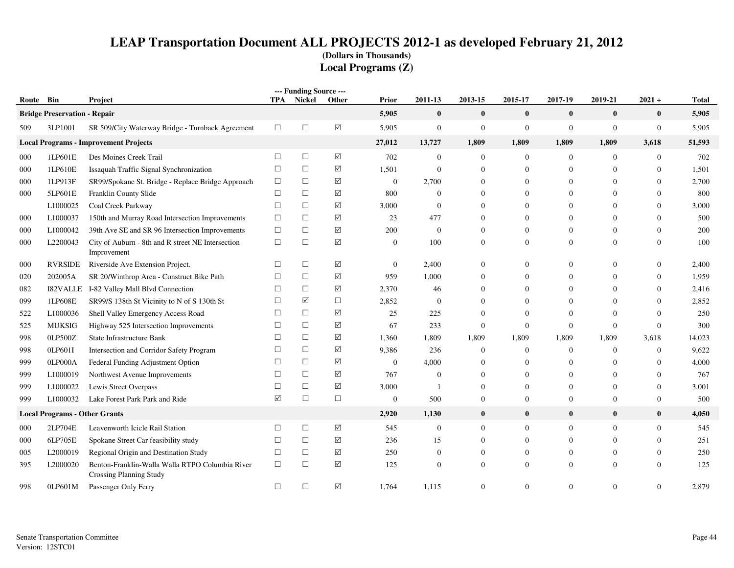|           |                                      |                                                                            |            | --- Funding Source --- |            |                |                  |                |                  |                  |                |                |              |
|-----------|--------------------------------------|----------------------------------------------------------------------------|------------|------------------------|------------|----------------|------------------|----------------|------------------|------------------|----------------|----------------|--------------|
| Route Bin |                                      | Project                                                                    | <b>TPA</b> | <b>Nickel</b>          | Other      | Prior          | 2011-13          | 2013-15        | 2015-17          | 2017-19          | 2019-21        | $2021 +$       | <b>Total</b> |
|           | <b>Bridge Preservation - Repair</b>  |                                                                            |            |                        |            | 5,905          | $\boldsymbol{0}$ | $\bf{0}$       | $\bf{0}$         | $\bf{0}$         | $\bf{0}$       | $\bf{0}$       | 5,905        |
| 509       | 3LP1001                              | SR 509/City Waterway Bridge - Turnback Agreement                           | $\Box$     | $\Box$                 | $\Delta$   | 5,905          | $\boldsymbol{0}$ | $\overline{0}$ | $\boldsymbol{0}$ | $\mathbf{0}$     | $\overline{0}$ | $\mathbf{0}$   | 5,905        |
|           |                                      | <b>Local Programs - Improvement Projects</b>                               |            |                        |            | 27,012         | 13,727           | 1,809          | 1,809            | 1,809            | 1,809          | 3,618          | 51,593       |
| 000       | 1LP601E                              | Des Moines Creek Trail                                                     | $\Box$     | $\Box$                 | $\Delta$   | 702            | $\boldsymbol{0}$ | $\mathbf{0}$   | $\mathbf{0}$     | $\boldsymbol{0}$ | $\overline{0}$ | $\overline{0}$ | 702          |
| 000       | 1LP610E                              | Issaquah Traffic Signal Synchronization                                    | $\Box$     | $\Box$                 | $\sqrt{}$  | 1,501          | $\mathbf{0}$     | $\theta$       | $\mathbf{0}$     | $\mathbf{0}$     | $\mathbf{0}$   | $\overline{0}$ | 1,501        |
| 000       | 1LP913F                              | SR99/Spokane St. Bridge - Replace Bridge Approach                          | $\Box$     | $\Box$                 | $\sqrt{}$  | $\mathbf{0}$   | 2,700            | $\theta$       | $\theta$         | $\overline{0}$   | $\Omega$       | $\overline{0}$ | 2,700        |
| 000       | 5LP601E                              | Franklin County Slide                                                      | $\Box$     | $\Box$                 | ☑          | 800            | $\Omega$         | $\Omega$       | $\Omega$         | $\Omega$         | $\Omega$       | $\theta$       | 800          |
|           | L1000025                             | Coal Creek Parkway                                                         | $\Box$     | $\Box$                 | ☑          | 3,000          | $\mathbf{0}$     | $\Omega$       | $\Omega$         | $\Omega$         | $\Omega$       | $\theta$       | 3,000        |
| 000       | L1000037                             | 150th and Murray Road Intersection Improvements                            | $\Box$     | $\Box$                 | ☑          | 23             | 477              | $\Omega$       | $\Omega$         | $\Omega$         | $\Omega$       | $\Omega$       | 500          |
| 000       | L1000042                             | 39th Ave SE and SR 96 Intersection Improvements                            | $\Box$     | $\Box$                 | $\sqrt{}$  | 200            | $\boldsymbol{0}$ | $\Omega$       | $\mathbf{0}$     | $\overline{0}$   | $\theta$       | $\overline{0}$ | 200          |
| 000       | L2200043                             | City of Auburn - 8th and R street NE Intersection<br>Improvement           | $\Box$     | $\Box$                 | $\sqrt{ }$ | $\mathbf{0}$   | 100              | $\theta$       | $\mathbf{0}$     | $\Omega$         | $\Omega$       | $\theta$       | 100          |
| 000       | <b>RVRSIDE</b>                       | Riverside Ave Extension Project.                                           | $\Box$     | $\Box$                 | ☑          | $\overline{0}$ | 2,400            | $\Omega$       | $\Omega$         | $\overline{0}$   | 0              | $\theta$       | 2,400        |
| 020       | 202005A                              | SR 20/Winthrop Area - Construct Bike Path                                  | $\Box$     | $\Box$                 | ☑          | 959            | 1,000            | $\Omega$       | $\Omega$         | $\mathbf{0}$     | $\Omega$       | $\theta$       | 1,959        |
| 082       | <b>I82VALLE</b>                      | I-82 Valley Mall Blvd Connection                                           | $\Box$     | $\Box$                 | ☑          | 2,370          | 46               | $\Omega$       | $\Omega$         | $\boldsymbol{0}$ | $\Omega$       | $\overline{0}$ | 2,416        |
| 099       | 1LP608E                              | SR99/S 138th St Vicinity to N of S 130th St                                | $\Box$     | ☑                      | $\Box$     | 2,852          | $\mathbf{0}$     | $\Omega$       | $\Omega$         | $\overline{0}$   | $\Omega$       | $\overline{0}$ | 2,852        |
| 522       | L1000036                             | Shell Valley Emergency Access Road                                         | $\Box$     | $\Box$                 | ☑          | 25             | 225              | $\Omega$       | $\Omega$         | $\Omega$         | $\Omega$       | $\Omega$       | 250          |
| 525       | <b>MUKSIG</b>                        | Highway 525 Intersection Improvements                                      | $\Box$     | $\Box$                 | ☑          | 67             | 233              | $\theta$       | $\boldsymbol{0}$ | $\mathbf{0}$     | $\theta$       | $\Omega$       | 300          |
| 998       | 0LP500Z                              | State Infrastructure Bank                                                  | $\Box$     | $\Box$                 | ☑          | 1,360          | 1,809            | 1,809          | 1,809            | 1,809            | 1,809          | 3,618          | 14,023       |
| 998       | 0LP601I                              | Intersection and Corridor Safety Program                                   | $\Box$     | $\Box$                 | ☑          | 9,386          | 236              | $\Omega$       | $\mathbf{0}$     | $\mathbf{0}$     | $\mathbf{0}$   | $\overline{0}$ | 9,622        |
| 999       | 0LP000A                              | Federal Funding Adjustment Option                                          | $\Box$     | $\Box$                 | ☑          | $\overline{0}$ | 4,000            | $\Omega$       | $\Omega$         | $\Omega$         | $\Omega$       | $\Omega$       | 4,000        |
| 999       | L1000019                             | Northwest Avenue Improvements                                              | $\Box$     | $\Box$                 | $\sqrt{}$  | 767            | $\mathbf{0}$     | $\Omega$       | $\mathbf{0}$     | $\overline{0}$   | $\theta$       | $\overline{0}$ | 767          |
| 999       | L1000022                             | Lewis Street Overpass                                                      | $\Box$     | $\Box$                 | $\sqrt{}$  | 3,000          | $\mathbf{1}$     | $\theta$       | $\mathbf{0}$     | $\overline{0}$   | $\Omega$       | $\overline{0}$ | 3,001        |
| 999       | L1000032                             | Lake Forest Park Park and Ride                                             | ☑          | $\Box$                 | $\Box$     | $\mathbf{0}$   | 500              | $\mathbf{0}$   | $\mathbf{0}$     | $\overline{0}$   | $\theta$       | $\mathbf{0}$   | 500          |
|           | <b>Local Programs - Other Grants</b> |                                                                            |            |                        |            | 2,920          | 1,130            | $\bf{0}$       | $\bf{0}$         | $\bf{0}$         | $\bf{0}$       | $\bf{0}$       | 4,050        |
| 000       | 2LP704E                              | Leavenworth Icicle Rail Station                                            | $\Box$     | $\Box$                 | $\sqrt{}$  | 545            | $\mathbf{0}$     | $\overline{0}$ | $\overline{0}$   | $\mathbf{0}$     | $\Omega$       | $\overline{0}$ | 545          |
| 000       | 6LP705E                              | Spokane Street Car feasibility study                                       | $\Box$     | $\Box$                 | ☑          | 236            | 15               | $\Omega$       | $\mathbf{0}$     | $\mathbf{0}$     | $\Omega$       | $\theta$       | 251          |
| 005       | L2000019                             | Regional Origin and Destination Study                                      | $\Box$     | $\Box$                 | ☑          | 250            | $\boldsymbol{0}$ | $\Omega$       | $\theta$         | $\overline{0}$   | $\Omega$       | $\overline{0}$ | 250          |
| 395       | L2000020                             | Benton-Franklin-Walla Walla RTPO Columbia River<br>Crossing Planning Study | $\Box$     | $\Box$                 | ☑          | 125            | $\Omega$         | $\Omega$       | $\Omega$         | $\Omega$         | $\Omega$       | $\Omega$       | 125          |
| 998       | 0LP601M                              | Passenger Only Ferry                                                       | П          | $\Box$                 | ☑          | 1,764          | 1,115            | $\Omega$       | $\mathbf{0}$     | $\overline{0}$   | $\Omega$       | $\overline{0}$ | 2,879        |